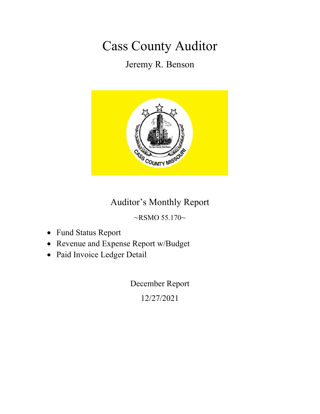# Cass County Auditor

Jeremy R. Benson



#### Auditor's Monthly Report

 $~\sim$ RSMO 55.170 $\sim$ 

- Fund Status Report
- Revenue and Expense Report w/Budget
- Paid Invoice Ledger Detail

December Report

12/27/2021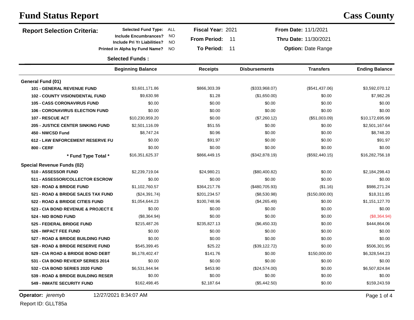| <b>Report Selection Criteria:</b>        | <b>Selected Fund Type:</b>                                  | ALL             | <b>Fiscal Year: 2021</b>  |                      | From Date: 11/1/2021      |                       |
|------------------------------------------|-------------------------------------------------------------|-----------------|---------------------------|----------------------|---------------------------|-----------------------|
|                                          | <b>Include Encumbrances?</b><br>Include Pri Yr Liabilities? | <b>NO</b><br>NO | <b>From Period:</b><br>11 |                      | Thru Date: 11/30/2021     |                       |
|                                          | Printed in Alpha by Fund Name?                              | NO.             | <b>To Period:</b><br>11   |                      | <b>Option: Date Range</b> |                       |
|                                          | <b>Selected Funds:</b>                                      |                 |                           |                      |                           |                       |
|                                          | <b>Beginning Balance</b>                                    |                 | <b>Receipts</b>           | <b>Disbursements</b> | <b>Transfers</b>          | <b>Ending Balance</b> |
| General Fund (01)                        |                                                             |                 |                           |                      |                           |                       |
| <b>101 - GENERAL REVENUE FUND</b>        | \$3,601,171.86                                              |                 | \$866,303.39              | (\$333,968.07)       | (\$541,437.06)            | \$3,592,070.12        |
| <b>102 - COUNTY VISION/DENTAL FUND</b>   | \$9,630.98                                                  |                 | \$1.28                    | (\$1,650.00)         | \$0.00                    | \$7,982.26            |
| <b>105 - CASS CORONAVIRUS FUND</b>       | \$0.00                                                      |                 | \$0.00                    | \$0.00               | \$0.00                    | \$0.00                |
| <b>106 - CORONAVIRUS ELECTION FUND</b>   | \$0.00                                                      |                 | \$0.00                    | \$0.00               | \$0.00                    | \$0.00                |
| 107 - RESCUE ACT                         | \$10,230,959.20                                             |                 | \$0.00                    | (\$7,260.12)         | (\$51,003.09)             | \$10,172,695.99       |
| <b>205 - JUSTICE CENTER SINKING FUND</b> | \$2,501,116.09                                              |                 | \$51.55                   | \$0.00               | \$0.00                    | \$2,501,167.64        |
| 450 - NWCSD Fund                         | \$8,747.24                                                  |                 | \$0.96                    | \$0.00               | \$0.00                    | \$8,748.20            |
| <b>612 - LAW ENFORCEMENT RESERVE FU</b>  | \$0.00                                                      |                 | \$91.97                   | \$0.00               | \$0.00                    | \$91.97               |
| 800 - CERF                               | \$0.00                                                      |                 | \$0.00                    | \$0.00               | \$0.00                    | \$0.00                |
| * Fund Type Total *                      | \$16,351,625.37                                             |                 | \$866,449.15              | (\$342,878.19)       | (\$592,440.15)            | \$16,282,756.18       |
| Special Revenue Funds (02)               |                                                             |                 |                           |                      |                           |                       |
| 510 - ASSESSOR FUND                      | \$2,239,719.04                                              |                 | \$24,980.21               | (\$80,400.82)        | \$0.00                    | \$2,184,298.43        |
| 511 - ASSESSOR/COLLECTOR ESCROW          | \$0.00                                                      |                 | \$0.00                    | \$0.00               | \$0.00                    | \$0.00                |
| 520 - ROAD & BRIDGE FUND                 | \$1,102,760.57                                              |                 | \$364,217.76              | (\$480,705.93)       | (\$1.16)                  | \$986,271.24          |
| 521 - ROAD & BRIDGE SALES TAX FUND       | (\$24,391.74)                                               |                 | \$201,234.57              | $(\$8,530.98)$       | (\$150,000.00)            | \$18,311.85           |
| 522 - ROAD & BRIDGE CITIES FUND          | \$1,054,644.23                                              |                 | \$100,748.96              | (\$4,265.49)         | \$0.00                    | \$1,151,127.70        |
| 523 - CIA BOND REVENUE & PROJECT E       | \$0.00                                                      |                 | \$0.00                    | \$0.00               | \$0.00                    | \$0.00                |
| 524 - NID BOND FUND                      | (\$8,364.94)                                                |                 | \$0.00                    | \$0.00               | \$0.00                    | (\$8,364.94)          |
| 525 - FEDERAL BRIDGE FUND                | \$215,487.26                                                |                 | \$235,827.13              | (\$6,450.33)         | \$0.00                    | \$444,864.06          |
| 526 - IMPACT FEE FUND                    | \$0.00                                                      |                 | \$0.00                    | \$0.00               | \$0.00                    | \$0.00                |
| 527 - ROAD & BRIDGE BUILDING FUND        | \$0.00                                                      |                 | \$0.00                    | \$0.00               | \$0.00                    | \$0.00                |
| 528 - ROAD & BRIDGE RESERVE FUND         | \$545,399.45                                                |                 | \$25.22                   | (\$39,122.72)        | \$0.00                    | \$506,301.95          |
| 529 - CIA ROAD & BRIDGE BOND DEBT        | \$6,178,402.47                                              |                 | \$141.76                  | \$0.00               | \$150,000.00              | \$6,328,544.23        |
| 531 - CIA BOND REV/EXP SERIES 2014       | \$0.00                                                      |                 | \$0.00                    | \$0.00               | \$0.00                    | \$0.00                |
| 532 - CIA BOND SERIES 2020 FUND          | \$6,531,944.94                                              |                 | \$453.90                  | (\$24,574.00)        | \$0.00                    | \$6,507,824.84        |
| 539 - ROAD & BRIDGE BUILDING RESER       | \$0.00                                                      |                 | \$0.00                    | \$0.00               | \$0.00                    | \$0.00                |
| <b>549 - INMATE SECURITY FUND</b>        | \$162,498.45                                                |                 | \$2,187.64                | (\$5,442.50)         | \$0.00                    | \$159,243.59          |
|                                          |                                                             |                 |                           |                      |                           |                       |

Report ID: GLLT85a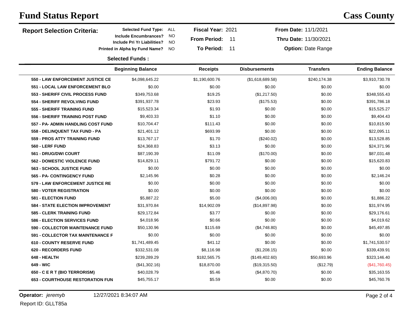| <b>Report Selection Criteria:</b>        | <b>Selected Fund Type:</b>                                         | Fiscal Year: 2021<br>ALL               |     |                      | From Date: 11/1/2021      |                       |
|------------------------------------------|--------------------------------------------------------------------|----------------------------------------|-----|----------------------|---------------------------|-----------------------|
|                                          | <b>Include Encumbrances?</b><br><b>Include Pri Yr Liabilities?</b> | NO<br><b>From Period:</b><br><b>NO</b> | -11 |                      | Thru Date: 11/30/2021     |                       |
|                                          | Printed in Alpha by Fund Name?                                     | <b>To Period:</b><br>NO                | 11  |                      | <b>Option: Date Range</b> |                       |
|                                          | <b>Selected Funds:</b>                                             |                                        |     |                      |                           |                       |
|                                          | <b>Beginning Balance</b>                                           | <b>Receipts</b>                        |     | <b>Disbursements</b> | <b>Transfers</b>          | <b>Ending Balance</b> |
| 550 - LAW ENFORCEMENT JUSTICE CE         | \$4,098,645.22                                                     | \$1,190,600.76                         |     | (\$1,618,689.58)     | \$240,174.38              | \$3,910,730.78        |
| 551 - LOCAL LAW ENFORCEMENT BLO          | \$0.00                                                             | \$0.00                                 |     | \$0.00               | \$0.00                    | \$0.00                |
| 553 - SHERIFF CIVIL PROCESS FUND         | \$349,753.68                                                       | \$19.25                                |     | (\$1,217.50)         | \$0.00                    | \$348,555.43          |
| 554 - SHERIFF REVOLVING FUND             | \$391,937.78                                                       | \$23.93                                |     | (\$175.53)           | \$0.00                    | \$391,786.18          |
| 555 - SHERIFF TRAINING FUND              | \$15,523.34                                                        | \$1.93                                 |     | \$0.00               | \$0.00                    | \$15,525.27           |
| 556 - SHERIFF TRAINING POST FUND         | \$9,403.33                                                         | \$1.10                                 |     | \$0.00               | \$0.00                    | \$9,404.43            |
| 557 - PA- ADMIN HANDLING COST FUND       | \$10,704.47                                                        | \$111.43                               |     | \$0.00               | \$0.00                    | \$10,815.90           |
| 558 - DELINQUENT TAX FUND - PA           | \$21,401.12                                                        | \$693.99                               |     | \$0.00               | \$0.00                    | \$22,095.11           |
| 559 - PROS ATTY TRAINING FUND            | \$13,767.17                                                        | \$1.70                                 |     | $(\$240.02)$         | \$0.00                    | \$13,528.85           |
| 560 - LERF FUND                          | \$24,368.83                                                        | \$3.13                                 |     | \$0.00               | \$0.00                    | \$24,371.96           |
| 561 - DRUG/DWI COURT                     | \$87,190.39                                                        | \$11.09                                |     | (\$170.00)           | \$0.00                    | \$87,031.48           |
| <b>562 - DOMESTIC VIOLENCE FUND</b>      | \$14,829.11                                                        | \$791.72                               |     | \$0.00               | \$0.00                    | \$15,620.83           |
| 563 - SCHOOL JUSTICE FUND                | \$0.00                                                             | \$0.00                                 |     | \$0.00               | \$0.00                    | \$0.00                |
| 565 - PA- CONTINGENCY FUND               | \$2,145.96                                                         | \$0.28                                 |     | \$0.00               | \$0.00                    | \$2,146.24            |
| 579 - LAW ENFORCEMENT JUSTICE RE         | \$0.00                                                             | \$0.00                                 |     | \$0.00               | \$0.00                    | \$0.00                |
| <b>580 - VOTER REGISTRATION</b>          | \$0.00                                                             | \$0.00                                 |     | \$0.00               | \$0.00                    | \$0.00                |
| <b>581 - ELECTION FUND</b>               | \$5,887.22                                                         | \$5.00                                 |     | (\$4,006.00)         | \$0.00                    | \$1,886.22            |
| <b>584 - STATE ELECTION IMPROVEMENT</b>  | \$31,970.84                                                        | \$14,902.09                            |     | (\$14,897.98)        | \$0.00                    | \$31,974.95           |
| <b>585 - CLERK TRAINING FUND</b>         | \$29,172.84                                                        | \$3.77                                 |     | \$0.00               | \$0.00                    | \$29,176.61           |
| <b>586 - ELECTION SERVICES FUND</b>      | \$4,018.96                                                         | \$0.66                                 |     | \$0.00               | \$0.00                    | \$4,019.62            |
| 590 - COLLECTOR MAINTENANCE FUND         | \$50,130.96                                                        | \$115.69                               |     | (\$4,748.80)         | \$0.00                    | \$45,497.85           |
| <b>591 - COLLECTOR TAX MAINTENANCE F</b> | \$0.00                                                             | \$0.00                                 |     | \$0.00               | \$0.00                    | \$0.00                |
| <b>610 - COUNTY RESERVE FUND</b>         | \$1,741,489.45                                                     | \$41.12                                |     | \$0.00               | \$0.00                    | \$1,741,530.57        |
| 620 - RECORDERS FUND                     | \$332,531.08                                                       | \$8,116.98                             |     | (\$1,208.15)         | \$0.00                    | \$339,439.91          |
| 648 - HEALTH                             | \$239,289.29                                                       | \$182,565.75                           |     | (\$149,402.60)       | \$50,693.96               | \$323,146.40          |
| 649 - WIC                                | (\$41,302.16)                                                      | \$18,870.00                            |     | (\$19,315.50)        | (\$12.79)                 | (\$41,760.45)         |
| 650 - C E R T (BIO TERRORISM)            | \$40,028.79                                                        | \$5.46                                 |     | (\$4,870.70)         | \$0.00                    | \$35,163.55           |
| <b>653 - COURTHOUSE RESTORATION FUN</b>  | \$45,755.17                                                        | \$5.59                                 |     | \$0.00               | \$0.00                    | \$45,760.76           |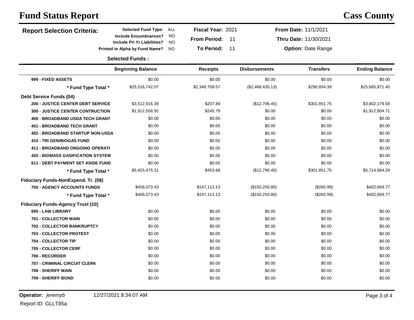| <b>Report Selection Criteria:</b>        | <b>Selected Fund Type:</b><br>ALL                                                     | Fiscal Year: 2021   |                      | From Date: 11/1/2021      |                       |
|------------------------------------------|---------------------------------------------------------------------------------------|---------------------|----------------------|---------------------------|-----------------------|
|                                          | <b>Include Encumbrances?</b><br><b>NO</b><br><b>NO</b><br>Include Pri Yr Liabilities? | <b>From Period:</b> | -11                  | Thru Date: 11/30/2021     |                       |
|                                          | Printed in Alpha by Fund Name?<br><b>NO</b>                                           | <b>To Period:</b>   | 11                   | <b>Option: Date Range</b> |                       |
|                                          | <b>Selected Funds:</b>                                                                |                     |                      |                           |                       |
|                                          | <b>Beginning Balance</b>                                                              | <b>Receipts</b>     | <b>Disbursements</b> | <b>Transfers</b>          | <b>Ending Balance</b> |
| 999 - FIXED ASSETS                       | \$0.00                                                                                | \$0.00              | \$0.00               | \$0.00                    | \$0.00                |
| * Fund Type Total *                      | \$25,516,742.57                                                                       | \$2,346,709.57      | (\$2,468,435.13)     | \$290,854.39              | \$25,685,871.40       |
| <b>Debt Service Funds (04)</b>           |                                                                                       |                     |                      |                           |                       |
| <b>200 - JUSTICE CENTER DEBT SERVICE</b> | \$3,512,916.39                                                                        | \$207.89            | (\$12,796.45)        | \$301,851.75              | \$3,802,179.58        |
| <b>300 - JUSTICE CENTER CONTRUCTION</b>  | \$1,912,558.92                                                                        | \$245.79            | \$0.00               | \$0.00                    | \$1,912,804.71        |
| 400 - BROADBAND USDA TECH GRANT          | \$0.00                                                                                | \$0.00              | \$0.00               | \$0.00                    | \$0.00                |
| <b>401 - BROADBAND TECH GRANT</b>        | \$0.00                                                                                | \$0.00              | \$0.00               | \$0.00                    | \$0.00                |
| 402 - BROADBAND STARTUP NON-USDA         | \$0.00                                                                                | \$0.00              | \$0.00               | \$0.00                    | \$0.00                |
| 410 - TRI GEN/BIOGAS FUND                | \$0.00                                                                                | \$0.00              | \$0.00               | \$0.00                    | \$0.00                |
| <b>411 - BROADBAND ONGOING OPERATI</b>   | \$0.00                                                                                | \$0.00              | \$0.00               | \$0.00                    | \$0.00                |
| <b>420 - BIOMASS GASIFICATION SYSTEM</b> | \$0.00                                                                                | \$0.00              | \$0.00               | \$0.00                    | \$0.00                |
| 611 - DEBT PAYMENT SET ASIDE FUND        | \$0.00                                                                                | \$0.00              | \$0.00               | \$0.00                    | \$0.00                |
| * Fund Type Total *                      | \$5,425,475.31                                                                        | \$453.68            | (\$12,796.45)        | \$301,851.75              | \$5,714,984.29        |
| Fiduciary Funds-NonExpend. Tr. (08)      |                                                                                       |                     |                      |                           |                       |
| <b>700 - AGENCY ACCOUNTS FUNDS</b>       | \$406,073.43                                                                          | \$147,113.13        | (\$150, 250.80)      | (\$265.99)                | \$402,669.77          |
| * Fund Type Total *                      | \$406,073.43                                                                          | \$147,113.13        | (\$150,250.80)       | (\$265.99)                | \$402,669.77          |
| <b>Fiduciary Funds-Agency Trust (10)</b> |                                                                                       |                     |                      |                           |                       |
| 695 - LAW LIBRARY                        | \$0.00                                                                                | \$0.00              | \$0.00               | \$0.00                    | \$0.00                |
| 701 - COLLECTOR MAIN                     | \$0.00                                                                                | \$0.00              | \$0.00               | \$0.00                    | \$0.00                |
| 702 - COLLECTOR BANKRUPTCY               | \$0.00                                                                                | \$0.00              | \$0.00               | \$0.00                    | \$0.00                |
| 703 - COLLECTOR PROTEST                  | \$0.00                                                                                | \$0.00              | \$0.00               | \$0.00                    | \$0.00                |
| 704 - COLLECTOR TIP                      | \$0.00                                                                                | \$0.00              | \$0.00               | \$0.00                    | \$0.00                |
| 705 - COLLECTOR CERF                     | \$0.00                                                                                | \$0.00              | \$0.00               | \$0.00                    | \$0.00                |
| 706 - RECORDER                           | \$0.00                                                                                | \$0.00              | \$0.00               | \$0.00                    | \$0.00                |
| 707 - CRIMINAL CIRCUIT CLERK             | \$0.00                                                                                | \$0.00              | \$0.00               | \$0.00                    | \$0.00                |
| 708 - SHERIFF MAIN                       | \$0.00                                                                                | \$0.00              | \$0.00               | \$0.00                    | \$0.00                |
| 709 - SHERIFF BOND                       | \$0.00                                                                                | \$0.00              | \$0.00               | \$0.00                    | \$0.00                |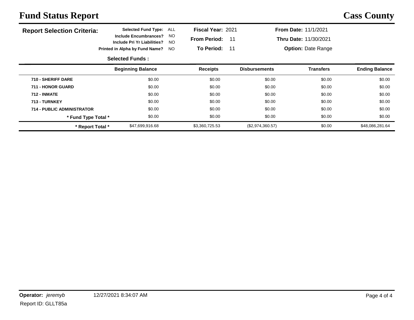| <b>Report Selection Criteria:</b> | <b>Selected Fund Type:</b>                                  | ALL        | <b>Fiscal Year: 2021</b> |    |                      | <b>From Date: 11/1/2021</b> |                       |  |  |
|-----------------------------------|-------------------------------------------------------------|------------|--------------------------|----|----------------------|-----------------------------|-----------------------|--|--|
|                                   | <b>Include Encumbrances?</b><br>Include Pri Yr Liabilities? | NO.<br>NO. | <b>From Period:</b>      | 11 |                      | Thru Date: 11/30/2021       |                       |  |  |
|                                   | Printed in Alpha by Fund Name?                              | <b>NO</b>  | <b>To Period:</b>        | 11 |                      | <b>Option: Date Range</b>   |                       |  |  |
|                                   | <b>Selected Funds:</b>                                      |            |                          |    |                      |                             |                       |  |  |
|                                   | <b>Beginning Balance</b>                                    |            | <b>Receipts</b>          |    | <b>Disbursements</b> | Transfers                   | <b>Ending Balance</b> |  |  |
| 710 - SHERIFF DARE                | \$0.00                                                      |            | \$0.00                   |    | \$0.00               | \$0.00                      | \$0.00                |  |  |
| 711 - HONOR GUARD                 | \$0.00                                                      |            | \$0.00                   |    | \$0.00               | \$0.00                      | \$0.00                |  |  |
| <b>712 - INMATE</b>               | \$0.00                                                      |            | \$0.00                   |    | \$0.00               | \$0.00                      | \$0.00                |  |  |
| 713 - TURNKEY                     | \$0.00                                                      |            | \$0.00                   |    | \$0.00               | \$0.00                      | \$0.00                |  |  |
| <b>714 - PUBLIC ADMINISTRATOR</b> | \$0.00                                                      |            | \$0.00                   |    | \$0.00               | \$0.00                      | \$0.00                |  |  |
| * Fund Type Total *               | \$0.00                                                      |            | \$0.00                   |    | \$0.00               | \$0.00                      | \$0.00                |  |  |
| * Report Total *                  | \$47,699,916.68                                             |            | \$3,360,725.53           |    | (\$2,974,360.57)     | \$0.00                      | \$48,086,281.64       |  |  |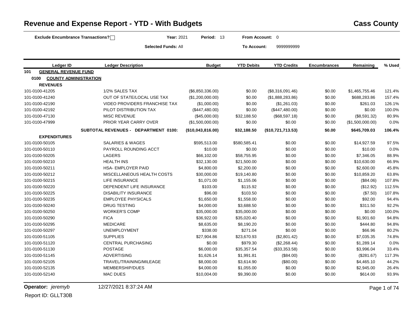| Exclude Encumbrance Transactions?    | Year: 2021                           | Period: 13        | From Account: 0   |                    |                     |                  |        |
|--------------------------------------|--------------------------------------|-------------------|-------------------|--------------------|---------------------|------------------|--------|
|                                      | <b>Selected Funds: All</b>           |                   | To Account:       | 9999999999         |                     |                  |        |
| Ledger ID                            | <b>Ledger Description</b>            | <b>Budget</b>     | <b>YTD Debits</b> | <b>YTD Credits</b> | <b>Encumbrances</b> | Remaining        | % Used |
| <b>GENERAL REVENUE FUND</b><br>101   |                                      |                   |                   |                    |                     |                  |        |
| 0100<br><b>COUNTY ADMINISTRATION</b> |                                      |                   |                   |                    |                     |                  |        |
| <b>REVENUES</b>                      |                                      |                   |                   |                    |                     |                  |        |
| 101-0100-41205                       | 1/2% SALES TAX                       | (\$6,850,336.00)  | \$0.00            | (\$8,316,091.46)   | \$0.00              | \$1,465,755.46   | 121.4% |
| 101-0100-41240                       | OUT OF STATE/LOCAL USE TAX           | (\$1,200,000.00)  | \$0.00            | (\$1,888,283.86)   | \$0.00              | \$688,283.86     | 157.4% |
| 101-0100-42190                       | <b>VIDEO PROVIDERS FRANCHISE TAX</b> | (\$1,000.00)      | \$0.00            | (\$1,261.03)       | \$0.00              | \$261.03         | 126.1% |
| 101-0100-42192                       | PILOT DISTRIBUTION TAX               | (\$447,480.00)    | \$0.00            | (\$447,480.00)     | \$0.00              | \$0.00           | 100.0% |
| 101-0100-47130                       | <b>MISC REVENUE</b>                  | (\$45,000.00)     | \$32,188.50       | (\$68,597.18)      | \$0.00              | (\$8,591.32)     | 80.9%  |
| 101-0100-47999                       | PRIOR YEAR CARRY OVER                | (\$1,500,000.00)  | \$0.00            | \$0.00             | \$0.00              | (\$1,500,000.00) | 0.0%   |
|                                      | SUBTOTAL REVENUES - DEPARTMENT 0100: | (\$10,043,816.00) | \$32,188.50       | (\$10,721,713.53)  | \$0.00              | \$645,709.03     | 106.4% |
| <b>EXPENDITURES</b>                  |                                      |                   |                   |                    |                     |                  |        |
| 101-0100-50105                       | SALARIES & WAGES                     | \$595,513.00      | \$580,585.41      | \$0.00             | \$0.00              | \$14,927.59      | 97.5%  |
| 101-0100-50110                       | PAYROLL ROUNDING ACCT                | \$10.00           | \$0.00            | \$0.00             | \$0.00              | \$10.00          | 0.0%   |
| 101-0100-50205                       | <b>LAGERS</b>                        | \$66,102.00       | \$58,755.95       | \$0.00             | \$0.00              | \$7,346.05       | 88.9%  |
| 101-0100-50210                       | <b>HEALTH INS</b>                    | \$32,130.00       | \$21,500.00       | \$0.00             | \$0.00              | \$10,630.00      | 66.9%  |
| 101-0100-50211                       | <b>HSA- EMPLOYER PAID</b>            | \$4,800.00        | \$2,200.00        | \$0.00             | \$0.00              | \$2,600.00       | 45.8%  |
| 101-0100-50212                       | MISCELLANEOUS HEALTH COSTS           | \$30,000.00       | \$19,140.80       | \$0.00             | \$0.00              | \$10,859.20      | 63.8%  |
| 101-0100-50215                       | <b>LIFE INSURANCE</b>                | \$1,071.00        | \$1,155.06        | \$0.00             | \$0.00              | (\$84.06)        | 107.8% |
| 101-0100-50220                       | DEPENDENT LIFE INSURANCE             | \$103.00          | \$115.92          | \$0.00             | \$0.00              | (\$12.92)        | 112.5% |
| 101-0100-50225                       | <b>DISABILITY INSURANCE</b>          | \$96.00           | \$103.50          | \$0.00             | \$0.00              | (\$7.50)         | 107.8% |
| 101-0100-50235                       | <b>EMPLOYEE PHYSICALS</b>            | \$1,650.00        | \$1,558.00        | \$0.00             | \$0.00              | \$92.00          | 94.4%  |
| 101-0100-50240                       | <b>DRUG TESTING</b>                  | \$4,000.00        | \$3,688.50        | \$0.00             | \$0.00              | \$311.50         | 92.2%  |
| 101-0100-50250                       | <b>WORKER'S COMP</b>                 | \$35,000.00       | \$35,000.00       | \$0.00             | \$0.00              | \$0.00           | 100.0% |
| 101-0100-50290                       | <b>FICA</b>                          | \$36,922.00       | \$35,020.40       | \$0.00             | \$0.00              | \$1,901.60       | 94.8%  |
| 101-0100-50295                       | <b>MEDICARE</b>                      | \$8,635.00        | \$8,190.20        | \$0.00             | \$0.00              | \$444.80         | 94.8%  |
| 101-0100-50297                       | <b>UNEMPLOYMENT</b>                  | \$338.00          | \$271.04          | \$0.00             | \$0.00              | \$66.96          | 80.2%  |
| 101-0100-51105                       | <b>SUPPLIES</b>                      | \$27,904.86       | \$23,670.93       | (\$2,801.42)       | \$0.00              | \$7,035.35       | 74.8%  |
| 101-0100-51120                       | <b>CENTRAL PURCHASING</b>            | \$0.00            | \$979.30          | (\$2,268.44)       | \$0.00              | \$1,289.14       | 0.0%   |
| 101-0100-51130                       | POSTAGE                              | \$6,000.00        | \$35,357.54       | (\$33,353.58)      | \$0.00              | \$3,996.04       | 33.4%  |
| 101-0100-51145                       | <b>ADVERTISING</b>                   | \$1,626.14        | \$1,991.81        | (\$84.00)          | \$0.00              | (\$281.67)       | 117.3% |
| 101-0100-52105                       | TRAVEL/TRAINING/MILEAGE              | \$8,000.00        | \$3,614.90        | (\$80.00)          | \$0.00              | \$4,465.10       | 44.2%  |
| 101-0100-52135                       | MEMBERSHIP/DUES                      | \$4,000.00        | \$1,055.00        | \$0.00             | \$0.00              | \$2,945.00       | 26.4%  |
| 101-0100-52140                       | <b>MAC DUES</b>                      | \$10,004.00       | \$9,390.00        | \$0.00             | \$0.00              | \$614.00         | 93.9%  |

#### **Revenue and Expense Report - YTD - With Budgets <b>Cass County Cass County**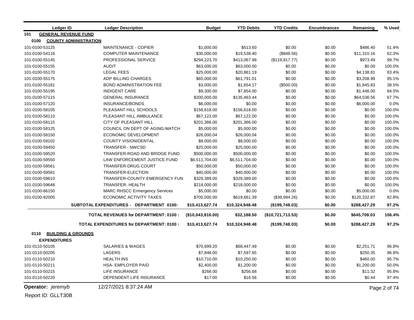|      | <b>Ledger ID</b>            | <b>Ledger Description</b>                       | <b>Budget</b>     | <b>YTD Debits</b> | <b>YTD Credits</b> | <b>Encumbrances</b> | Remaining    | % Used       |
|------|-----------------------------|-------------------------------------------------|-------------------|-------------------|--------------------|---------------------|--------------|--------------|
| 101  | <b>GENERAL REVENUE FUND</b> |                                                 |                   |                   |                    |                     |              |              |
| 0100 |                             | <b>COUNTY ADMINISTRATION</b>                    |                   |                   |                    |                     |              |              |
|      | 101-0100-53125              | MAINTENANCE - COPIER                            | \$1,000.00        | \$513.60          | \$0.00             | \$0.00              | \$486.40     | 51.4%        |
|      | 101-0100-54116              | <b>COMPUTER MAINTENANCE</b>                     | \$30,000.00       | \$19,538.40       | (\$848.56)         | \$0.00              | \$11,310.16  | 62.3%        |
|      | 101-0100-55145              | PROFESSIONAL SERVICE                            | \$294,223.70      | \$413,067.98      | (\$119, 817.77)    | \$0.00              | \$973.49     | 99.7%        |
|      | 101-0100-55155              | <b>AUDIT</b>                                    | \$63,000.00       | \$63,000.00       | \$0.00             | \$0.00              | \$0.00       | 100.0%       |
|      | 101-0100-55170              | <b>LEGAL FEES</b>                               | \$25,000.00       | \$20,861.19       | \$0.00             | \$0.00              | \$4,138.81   | 83.4%        |
|      | 101-0100-55175              | ADP BILLING CHARGES                             | \$65,000.00       | \$61,791.01       | \$0.00             | \$0.00              | \$3,208.99   | 95.1%        |
|      | 101-0100-55181              | <b>BOND ADMINISTRATION FEE</b>                  | \$3,000.00        | \$1,654.17        | (\$500.00)         | \$0.00              | \$1,845.83   | 38.5%        |
|      | 101-0100-55195              | <b>INDIGENT CARE</b>                            | \$9,300.00        | \$7,854.00        | \$0.00             | \$0.00              | \$1,446.00   | 84.5%        |
|      | 101-0100-57115              | <b>GENERAL INSURANCE</b>                        | \$200,000.00      | \$135,463.44      | \$0.00             | \$0.00              | \$64,536.56  | 67.7%        |
|      | 101-0100-57120              | INSURANCE/BONDS                                 | \$6,000.00        | \$0.00            | \$0.00             | \$0.00              | \$6,000.00   | 0.0%         |
|      | 101-0100-58105              | PLEASANT HILL SCHOOLS                           | \$156,618.00      | \$156,618.00      | \$0.00             | \$0.00              | \$0.00       | 100.0%       |
|      | 101-0100-58110              | PLEASANT HILL AMBULANCE                         | \$67,122.00       | \$67,122.00       | \$0.00             | \$0.00              | \$0.00       | 100.0%       |
|      | 101-0100-58115              | <b>CITY OF PLEASANT HILL</b>                    | \$201,366.00      | \$201,366.00      | \$0.00             | \$0.00              | \$0.00       | 100.0%       |
|      | 101-0100-58125              | COUNCIL ON DEPT OF AGING-MATCH                  | \$5,000.00        | \$5,000.00        | \$0.00             | \$0.00              | \$0.00       | 100.0%       |
|      | 101-0100-58150              | <b>ECONOMIC DEVELOPMENT</b>                     | \$26,000.04       | \$26,000.04       | \$0.00             | \$0.00              | \$0.00       | 100.0%       |
|      | 101-0100-59102              | <b>COUNTY VISION/DENTAL</b>                     | \$8,000.00        | \$8,000.00        | \$0.00             | \$0.00              | \$0.00       | 100.0%       |
|      | 101-0100-59450              | <b>TRANSFER - NWCSD</b>                         | \$25,000.00       | \$25,000.00       | \$0.00             | \$0.00              | \$0.00       | 100.0%       |
|      | 101-0100-59520              | TRANSFER-ROAD AND BRIDGE FUND                   | \$500,000.00      | \$500,000.00      | \$0.00             | \$0.00              | \$0.00       | 100.0%       |
|      | 101-0100-59550              | LAW ENFORCEMENT JUSTICE FUND                    | \$6,511,704.00    | \$6,511,704.00    | \$0.00             | \$0.00              | \$0.00       | 100.0%       |
|      | 101-0100-59561              | TRANSFER-DRUG COURT                             | \$50,000.00       | \$50,000.00       | \$0.00             | \$0.00              | \$0.00       | 100.0%       |
|      | 101-0100-59581              | TRANSFER-ELECTION                               | \$40,000.00       | \$40,000.00       | \$0.00             | \$0.00              | \$0.00       | 100.0%       |
|      | 101-0100-59610              | TRANSFER-COUNTY EMERGENCY FUN                   | \$329,389.00      | \$329,389.00      | \$0.00             | \$0.00              | \$0.00       | 100.0%       |
|      | 101-0100-59648              | <b>TRANSFER- HEALTH</b>                         | \$218,000.00      | \$218,000.00      | \$0.00             | \$0.00              | \$0.00       | 100.0%       |
|      | 101-0100-66150              | <b>MARC RHSCC Ermergency Services</b>           | \$5,000.00        | \$0.00            | \$0.00             | \$0.00              | \$5,000.00   | 0.0%         |
|      | 101-0100-92005              | <b>ECONOMIC ACTIVITY TAXES</b>                  | \$700,000.00      | \$619,661.39      | (\$39,994.26)      | \$0.00              | \$120,332.87 | 82.8%        |
|      |                             | SUBTOTAL EXPENDITURES - DEPARTMENT 0100:        | \$10,413,627.74   | \$10,324,948.48   | (\$199,748.03)     | \$0.00              | \$288,427.29 | 97.2%        |
|      |                             | <b>TOTAL REVENUES for DEPARTMENT: 0100:</b>     | (\$10,043,816.00) | \$32,188.50       | (\$10,721,713.53)  | \$0.00              | \$645,709.03 | 106.4%       |
|      |                             | <b>TOTAL EXPENDITURES for DEPARTMENT: 0100:</b> | \$10,413,627.74   | \$10,324,948.48   | (\$199,748.03)     | \$0.00              | \$288,427.29 | 97.2%        |
| 0110 |                             | <b>BUILDING &amp; GROUNDS</b>                   |                   |                   |                    |                     |              |              |
|      | <b>EXPENDITURES</b>         |                                                 |                   |                   |                    |                     |              |              |
|      | 101-0110-50105              | <b>SALARIES &amp; WAGES</b>                     | \$70,699.20       | \$68,447.49       | \$0.00             | \$0.00              | \$2,251.71   | 96.8%        |
|      | 101-0110-50205              | LAGERS                                          | \$7,848.00        | \$7,597.65        | \$0.00             | \$0.00              | \$250.35     | 96.8%        |
|      | 101-0110-50210              | <b>HEALTH INS</b>                               | \$10,710.00       | \$10,250.00       | \$0.00             | \$0.00              | \$460.00     | 95.7%        |
|      | 101-0110-50211              | <b>HSA- EMPLOYER PAID</b>                       | \$2,400.00        | \$1,200.00        | \$0.00             | \$0.00              | \$1,200.00   | 50.0%        |
|      | 101-0110-50215              | LIFE INSURANCE                                  | \$268.00          | \$256.68          | \$0.00             | \$0.00              | \$11.32      | 95.8%        |
|      | 101-0110-50220              | DEPENDENT LIFE INSURANCE                        | \$17.00           | \$16.56           | \$0.00             | \$0.00              | \$0.44       | 97.4%        |
|      | Operator: jeremyb           | 12/27/2021 8:37:24 AM                           |                   |                   |                    |                     |              | Page 2 of 74 |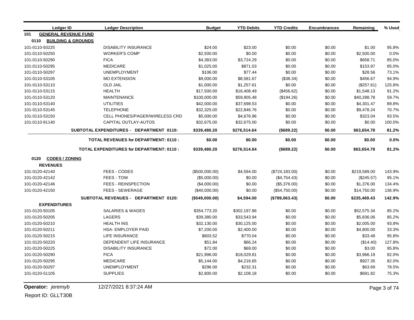| Ledger ID                          | <b>Ledger Description</b>                       | <b>Budget</b>  | <b>YTD Debits</b> | <b>YTD Credits</b> | <b>Encumbrances</b> | Remaining    | % Used |
|------------------------------------|-------------------------------------------------|----------------|-------------------|--------------------|---------------------|--------------|--------|
| <b>GENERAL REVENUE FUND</b><br>101 |                                                 |                |                   |                    |                     |              |        |
| 0110                               | <b>BUILDING &amp; GROUNDS</b>                   |                |                   |                    |                     |              |        |
| 101-0110-50225                     | <b>DISABILITY INSURANCE</b>                     | \$24.00        | \$23.00           | \$0.00             | \$0.00              | \$1.00       | 95.8%  |
| 101-0110-50250                     | <b>WORKER'S COMP</b>                            | \$2,500.00     | \$0.00            | \$0.00             | \$0.00              | \$2,500.00   | 0.0%   |
| 101-0110-50290                     | <b>FICA</b>                                     | \$4,383.00     | \$3,724.29        | \$0.00             | \$0.00              | \$658.71     | 85.0%  |
| 101-0110-50295                     | <b>MEDICARE</b>                                 | \$1,025.00     | \$871.03          | \$0.00             | \$0.00              | \$153.97     | 85.0%  |
| 101-0110-50297                     | <b>UNEMPLOYMENT</b>                             | \$106.00       | \$77.44           | \$0.00             | \$0.00              | \$28.56      | 73.1%  |
| 101-0110-53105                     | <b>MO EXTENSION</b>                             | \$9,000.00     | \$8,581.67        | (\$38.34)          | \$0.00              | \$456.67     | 94.9%  |
| 101-0110-53110                     | <b>OLD JAIL</b>                                 | \$1,000.00     | \$1,257.61        | \$0.00             | \$0.00              | (\$257.61)   | 125.8% |
| 101-0110-53115                     | <b>HEALTH</b>                                   | \$17,500.00    | \$16,408.49       | (\$456.62)         | \$0.00              | \$1,548.13   | 91.2%  |
| 101-0110-53120                     | <b>MAINTENANCE</b>                              | \$100,000.00   | \$59,905.48       | (\$194.26)         | \$0.00              | \$40,288.78  | 59.7%  |
| 101-0110-53140                     | <b>UTILITIES</b>                                | \$42,000.00    | \$37,698.53       | \$0.00             | \$0.00              | \$4,301.47   | 89.8%  |
| 101-0110-53145                     | <b>TELEPHONE</b>                                | \$32,325.00    | \$22,846.76       | \$0.00             | \$0.00              | \$9,478.24   | 70.7%  |
| 101-0110-53150                     | CELL PHONES/PAGER/WIRELESS CRD                  | \$5,000.00     | \$4,676.96        | \$0.00             | \$0.00              | \$323.04     | 93.5%  |
| 101-0110-91140                     | CAPITAL OUTLAY-AUTOS                            | \$32,675.00    | \$32,675.00       | \$0.00             | \$0.00              | \$0.00       | 100.0% |
|                                    | SUBTOTAL EXPENDITURES - DEPARTMENT 0110:        | \$339,480.20   | \$276,514.64      | (\$689.22)         | \$0.00              | \$63,654.78  | 81.2%  |
|                                    | TOTAL REVENUES for DEPARTMENT: 0110:            | \$0.00         | \$0.00            | \$0.00             | \$0.00              | \$0.00       | 0.0%   |
|                                    | <b>TOTAL EXPENDITURES for DEPARTMENT: 0110:</b> | \$339,480.20   | \$276,514.64      | (\$689.22)         | \$0.00              | \$63,654.78  | 81.2%  |
| <b>CODES / ZONING</b><br>0120      |                                                 |                |                   |                    |                     |              |        |
| <b>REVENUES</b>                    |                                                 |                |                   |                    |                     |              |        |
| 101-0120-42140                     | FEES - CODES                                    | (\$500,000.00) | \$4,594.00        | (\$724, 183.00)    | \$0.00              | \$219,589.00 | 143.9% |
| 101-0120-42142                     | FEES - TOW                                      | (\$5,000.00)   | \$0.00            | (\$4,754.43)       | \$0.00              | $(\$245.57)$ | 95.1%  |
| 101-0120-42146                     | <b>FEES - REINSPECTION</b>                      | (\$4,000.00)   | \$0.00            | (\$5,376.00)       | \$0.00              | \$1,376.00   | 134.4% |
| 101-0120-42150                     | <b>FEES - SEWERAGE</b>                          | (\$40,000.00)  | \$0.00            | (\$54,750.00)      | \$0.00              | \$14,750.00  | 136.9% |
|                                    | SUBTOTAL REVENUES - DEPARTMENT 0120:            | (\$549,000.00) | \$4,594.00        | (\$789,063.43)     | \$0.00              | \$235,469.43 | 142.9% |
| <b>EXPENDITURES</b>                |                                                 |                |                   |                    |                     |              |        |
| 101-0120-50105                     | <b>SALARIES &amp; WAGES</b>                     | \$354,773.20   | \$302,197.86      | \$0.00             | \$0.00              | \$52,575.34  | 85.2%  |
| 101-0120-50205                     | <b>LAGERS</b>                                   | \$39,380.00    | \$33,543.94       | \$0.00             | \$0.00              | \$5,836.06   | 85.2%  |
| 101-0120-50210                     | <b>HEALTH INS</b>                               | \$32,130.00    | \$30,125.00       | \$0.00             | \$0.00              | \$2,005.00   | 93.8%  |
| 101-0120-50211                     | HSA- EMPLOYER PAID                              | \$7,200.00     | \$2,400.00        | \$0.00             | \$0.00              | \$4,800.00   | 33.3%  |
| 101-0120-50215                     | <b>LIFE INSURANCE</b>                           | \$803.52       | \$770.04          | \$0.00             | \$0.00              | \$33.48      | 95.8%  |
| 101-0120-50220                     | DEPENDENT LIFE INSURANCE                        | \$51.84        | \$66.24           | \$0.00             | \$0.00              | (\$14.40)    | 127.8% |
| 101-0120-50225                     | <b>DISABILITY INSURANCE</b>                     | \$72.00        | \$69.00           | \$0.00             | \$0.00              | \$3.00       | 95.8%  |
| 101-0120-50290                     | <b>FICA</b>                                     | \$21,996.00    | \$18,029.81       | \$0.00             | \$0.00              | \$3,966.19   | 82.0%  |
| 101-0120-50295                     | <b>MEDICARE</b>                                 | \$5,144.00     | \$4,216.65        | \$0.00             | \$0.00              | \$927.35     | 82.0%  |
| 101-0120-50297                     | <b>UNEMPLOYMENT</b>                             | \$296.00       | \$232.31          | \$0.00             | \$0.00              | \$63.69      | 78.5%  |
| 101-0120-51105                     | <b>SUPPLIES</b>                                 | \$2,800.00     | \$2,108.18        | \$0.00             | \$0.00              | \$691.82     | 75.3%  |

**Operator:** *jeremyb* 12/27/2021 8:37:24 AM Page 3 of 74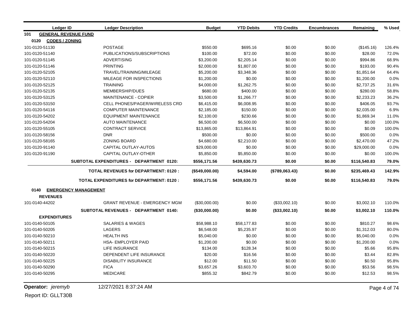| Ledger ID                     | <b>Ledger Description</b>                       | <b>Budget</b>  | <b>YTD Debits</b> | <b>YTD Credits</b> | <b>Encumbrances</b> | Remaining    | % Used |
|-------------------------------|-------------------------------------------------|----------------|-------------------|--------------------|---------------------|--------------|--------|
| 101                           | <b>GENERAL REVENUE FUND</b>                     |                |                   |                    |                     |              |        |
| 0120<br><b>CODES / ZONING</b> |                                                 |                |                   |                    |                     |              |        |
| 101-0120-51130                | <b>POSTAGE</b>                                  | \$550.00       | \$695.16          | \$0.00             | \$0.00              | (\$145.16)   | 126.4% |
| 101-0120-51140                | PUBLICATIONS/SUBSCRIPTIONS                      | \$100.00       | \$72.00           | \$0.00             | \$0.00              | \$28.00      | 72.0%  |
| 101-0120-51145                | <b>ADVERTISING</b>                              | \$3,200.00     | \$2,205.14        | \$0.00             | \$0.00              | \$994.86     | 68.9%  |
| 101-0120-51146                | <b>PRINTING</b>                                 | \$2,000.00     | \$1,807.00        | \$0.00             | \$0.00              | \$193.00     | 90.4%  |
| 101-0120-52105                | TRAVEL/TRAINING/MILEAGE                         | \$5,200.00     | \$3,348.36        | \$0.00             | \$0.00              | \$1,851.64   | 64.4%  |
| 101-0120-52110                | MILEAGE FOR INSPECTIONS                         | \$1,200.00     | \$0.00            | \$0.00             | \$0.00              | \$1,200.00   | 0.0%   |
| 101-0120-52125                | <b>TRAINING</b>                                 | \$4,000.00     | \$1,262.75        | \$0.00             | \$0.00              | \$2,737.25   | 31.6%  |
| 101-0120-52135                | MEMBERSHIP/DUES                                 | \$680.00       | \$400.00          | \$0.00             | \$0.00              | \$280.00     | 58.8%  |
| 101-0120-53125                | <b>MAINTENANCE - COPIER</b>                     | \$3,500.00     | \$1,266.77        | \$0.00             | \$0.00              | \$2,233.23   | 36.2%  |
| 101-0120-53150                | CELL PHONES/PAGER/WIRELESS CRD                  | \$6,415.00     | \$6,008.95        | \$0.00             | \$0.00              | \$406.05     | 93.7%  |
| 101-0120-54116                | <b>COMPUTER MAINTENANCE</b>                     | \$2,185.00     | \$150.00          | \$0.00             | \$0.00              | \$2,035.00   | 6.9%   |
| 101-0120-54202                | <b>EQUIPMENT MAINTENANCE</b>                    | \$2,100.00     | \$230.66          | \$0.00             | \$0.00              | \$1,869.34   | 11.0%  |
| 101-0120-54204                | <b>AUTO MAINTENANCE</b>                         | \$6,500.00     | \$6,500.00        | \$0.00             | \$0.00              | \$0.00       | 100.0% |
| 101-0120-55105                | <b>CONTRACT SERVICE</b>                         | \$13,865.00    | \$13,864.91       | \$0.00             | \$0.00              | \$0.09       | 100.0% |
| 101-0120-58156                | <b>DNR</b>                                      | \$500.00       | \$0.00            | \$0.00             | \$0.00              | \$500.00     | 0.0%   |
| 101-0120-58165                | <b>ZONING BOARD</b>                             | \$4,680.00     | \$2,210.00        | \$0.00             | \$0.00              | \$2,470.00   | 47.2%  |
| 101-0120-91140                | CAPITAL OUTLAY-AUTOS                            | \$29,000.00    | \$0.00            | \$0.00             | \$0.00              | \$29,000.00  | 0.0%   |
| 101-0120-91190                | CAPITAL OUTLAY-OTHER                            | \$5,850.00     | \$5,850.00        | \$0.00             | \$0.00              | \$0.00       | 100.0% |
|                               | SUBTOTAL EXPENDITURES - DEPARTMENT 0120:        | \$556,171.56   | \$439,630.73      | \$0.00             | \$0.00              | \$116,540.83 | 79.0%  |
|                               | <b>TOTAL REVENUES for DEPARTMENT: 0120:</b>     | (\$549,000.00) | \$4,594.00        | (\$789,063.43)     | \$0.00              | \$235,469.43 | 142.9% |
|                               | <b>TOTAL EXPENDITURES for DEPARTMENT: 0120:</b> | \$556,171.56   | \$439,630.73      | \$0.00             | \$0.00              | \$116,540.83 | 79.0%  |
|                               | 0140 EMERGENCY MANAGEMENT                       |                |                   |                    |                     |              |        |
| <b>REVENUES</b>               |                                                 |                |                   |                    |                     |              |        |
| 101-0140-44202                | <b>GRANT REVENUE - EMERGENCY MGM</b>            | (\$30,000.00)  | \$0.00            | (\$33,002.10)      | \$0.00              | \$3,002.10   | 110.0% |
|                               | SUBTOTAL REVENUES - DEPARTMENT 0140:            | (\$30,000.00)  | \$0.00            | (\$33,002.10)      | \$0.00              | \$3,002.10   | 110.0% |
| <b>EXPENDITURES</b>           |                                                 |                |                   |                    |                     |              |        |
| 101-0140-50105                | <b>SALARIES &amp; WAGES</b>                     | \$58,988.10    | \$58,177.83       | \$0.00             | \$0.00              | \$810.27     | 98.6%  |
| 101-0140-50205                | LAGERS                                          | \$6,548.00     | \$5,235.97        | \$0.00             | \$0.00              | \$1,312.03   | 80.0%  |
| 101-0140-50210                | <b>HEALTH INS</b>                               | \$5,040.00     | \$0.00            | \$0.00             | \$0.00              | \$5,040.00   | 0.0%   |
| 101-0140-50211                | <b>HSA- EMPLOYER PAID</b>                       | \$1,200.00     | \$0.00            | \$0.00             | \$0.00              | \$1,200.00   | 0.0%   |
| 101-0140-50215                | <b>LIFE INSURANCE</b>                           | \$134.00       | \$128.34          | \$0.00             | \$0.00              | \$5.66       | 95.8%  |
| 101-0140-50220                | DEPENDENT LIFE INSURANCE                        | \$20.00        | \$16.56           | \$0.00             | \$0.00              | \$3.44       | 82.8%  |
| 101-0140-50225                | <b>DISABILITY INSURANCE</b>                     | \$12.00        | \$11.50           | \$0.00             | \$0.00              | \$0.50       | 95.8%  |
| 101-0140-50290                | <b>FICA</b>                                     | \$3,657.26     | \$3,603.70        | \$0.00             | \$0.00              | \$53.56      | 98.5%  |
| 101-0140-50295                | <b>MEDICARE</b>                                 | \$855.32       | \$842.79          | \$0.00             | \$0.00              | \$12.53      | 98.5%  |

**Operator:** *jeremyb* 12/27/2021 8:37:24 AM Page 4 of 74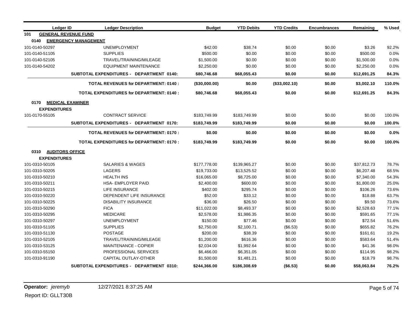| Ledger ID           | <b>Ledger Description</b>                       | <b>Budget</b>    | <b>YTD Debits</b> | <b>YTD Credits</b> | <b>Encumbrances</b> | Remaining   | % Used |
|---------------------|-------------------------------------------------|------------------|-------------------|--------------------|---------------------|-------------|--------|
| 101                 | <b>GENERAL REVENUE FUND</b>                     |                  |                   |                    |                     |             |        |
| 0140                | <b>EMERGENCY MANAGEMENT</b>                     |                  |                   |                    |                     |             |        |
| 101-0140-50297      | <b>UNEMPLOYMENT</b>                             | \$42.00          | \$38.74           | \$0.00             | \$0.00              | \$3.26      | 92.2%  |
| 101-0140-51105      | <b>SUPPLIES</b>                                 | \$500.00         | \$0.00            | \$0.00             | \$0.00              | \$500.00    | 0.0%   |
| 101-0140-52105      | TRAVEL/TRAINING/MILEAGE                         | \$1,500.00       | \$0.00            | \$0.00             | \$0.00              | \$1,500.00  | 0.0%   |
| 101-0140-54202      | <b>EQUIPMENT MAINTENANCE</b>                    | \$2,250.00       | \$0.00            | \$0.00             | \$0.00              | \$2,250.00  | 0.0%   |
|                     | SUBTOTAL EXPENDITURES - DEPARTMENT 0140:        | \$80,746.68      | \$68,055.43       | \$0.00             | \$0.00              | \$12,691.25 | 84.3%  |
|                     | <b>TOTAL REVENUES for DEPARTMENT: 0140:</b>     | $($ \$30,000.00) | \$0.00            | (\$33,002.10)      | \$0.00              | \$3,002.10  | 110.0% |
|                     | <b>TOTAL EXPENDITURES for DEPARTMENT: 0140:</b> | \$80,746.68      | \$68,055.43       | \$0.00             | \$0.00              | \$12,691.25 | 84.3%  |
| 0170                | <b>MEDICAL EXAMINER</b>                         |                  |                   |                    |                     |             |        |
| <b>EXPENDITURES</b> |                                                 |                  |                   |                    |                     |             |        |
| 101-0170-55105      | <b>CONTRACT SERVICE</b>                         | \$183,749.99     | \$183,749.99      | \$0.00             | \$0.00              | \$0.00      | 100.0% |
|                     | SUBTOTAL EXPENDITURES - DEPARTMENT 0170:        | \$183,749.99     | \$183,749.99      | \$0.00             | \$0.00              | \$0.00      | 100.0% |
|                     |                                                 |                  |                   |                    |                     |             |        |
|                     | <b>TOTAL REVENUES for DEPARTMENT: 0170:</b>     | \$0.00           | \$0.00            | \$0.00             | \$0.00              | \$0.00      | 0.0%   |
|                     | <b>TOTAL EXPENDITURES for DEPARTMENT: 0170:</b> | \$183,749.99     | \$183,749.99      | \$0.00             | \$0.00              | \$0.00      | 100.0% |
| 0310                | <b>AUDITORS OFFICE</b>                          |                  |                   |                    |                     |             |        |
| <b>EXPENDITURES</b> |                                                 |                  |                   |                    |                     |             |        |
| 101-0310-50105      | <b>SALARIES &amp; WAGES</b>                     | \$177,778.00     | \$139,965.27      | \$0.00             | \$0.00              | \$37,812.73 | 78.7%  |
| 101-0310-50205      | LAGERS                                          | \$19,733.00      | \$13,525.52       | \$0.00             | \$0.00              | \$6,207.48  | 68.5%  |
| 101-0310-50210      | <b>HEALTH INS</b>                               | \$16,065.00      | \$8,725.00        | \$0.00             | \$0.00              | \$7,340.00  | 54.3%  |
| 101-0310-50211      | <b>HSA- EMPLOYER PAID</b>                       | \$2,400.00       | \$600.00          | \$0.00             | \$0.00              | \$1,800.00  | 25.0%  |
| 101-0310-50215      | LIFE INSURANCE                                  | \$402.00         | \$295.74          | \$0.00             | \$0.00              | \$106.26    | 73.6%  |
| 101-0310-50220      | DEPENDENT LIFE INSURANCE                        | \$52.00          | \$33.12           | \$0.00             | \$0.00              | \$18.88     | 63.7%  |
| 101-0310-50225      | <b>DISABILITY INSURANCE</b>                     | \$36.00          | \$26.50           | \$0.00             | \$0.00              | \$9.50      | 73.6%  |
| 101-0310-50290      | <b>FICA</b>                                     | \$11,022.00      | \$8,493.37        | \$0.00             | \$0.00              | \$2,528.63  | 77.1%  |
| 101-0310-50295      | <b>MEDICARE</b>                                 | \$2,578.00       | \$1,986.35        | \$0.00             | \$0.00              | \$591.65    | 77.1%  |
| 101-0310-50297      | <b>UNEMPLOYMENT</b>                             | \$150.00         | \$77.46           | \$0.00             | \$0.00              | \$72.54     | 51.6%  |
| 101-0310-51105      | <b>SUPPLIES</b>                                 | \$2,750.00       | \$2,100.71        | (\$6.53)           | \$0.00              | \$655.82    | 76.2%  |
| 101-0310-51130      | <b>POSTAGE</b>                                  | \$200.00         | \$38.39           | \$0.00             | \$0.00              | \$161.61    | 19.2%  |
| 101-0310-52105      | TRAVEL/TRAINING/MILEAGE                         | \$1,200.00       | \$616.36          | \$0.00             | \$0.00              | \$583.64    | 51.4%  |
| 101-0310-53125      | MAINTENANCE - COPIER                            | \$2,034.00       | \$1,992.64        | \$0.00             | \$0.00              | \$41.36     | 98.0%  |
| 101-0310-55150      | PROFESSIONAL SERVICES                           | \$6,466.00       | \$6,351.05        | \$0.00             | \$0.00              | \$114.95    | 98.2%  |
| 101-0310-91190      | CAPITAL OUTLAY-OTHER                            | \$1,500.00       | \$1,481.21        | \$0.00             | \$0.00              | \$18.79     | 98.7%  |
|                     | SUBTOTAL EXPENDITURES - DEPARTMENT 0310:        | \$244,366.00     | \$186,308.69      | (\$6.53)           | \$0.00              | \$58,063.84 | 76.2%  |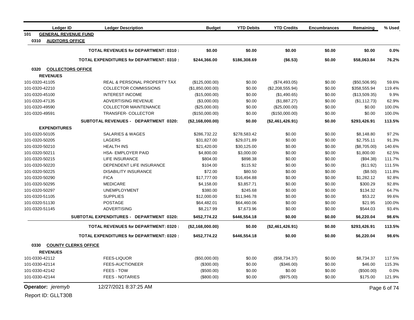| <b>Ledger ID</b>                   | <b>Ledger Description</b>                       | <b>Budget</b>    | <b>YTD Debits</b> | <b>YTD Credits</b> | <b>Encumbrances</b> | Remaining     | % Used       |
|------------------------------------|-------------------------------------------------|------------------|-------------------|--------------------|---------------------|---------------|--------------|
| <b>GENERAL REVENUE FUND</b><br>101 |                                                 |                  |                   |                    |                     |               |              |
| 0310<br><b>AUDITORS OFFICE</b>     |                                                 |                  |                   |                    |                     |               |              |
|                                    | <b>TOTAL REVENUES for DEPARTMENT: 0310:</b>     | \$0.00           | \$0.00            | \$0.00             | \$0.00              | \$0.00        | 0.0%         |
|                                    | <b>TOTAL EXPENDITURES for DEPARTMENT: 0310:</b> | \$244,366.00     | \$186,308.69      | (\$6.53)           | \$0.00              | \$58,063.84   | 76.2%        |
| <b>COLLECTORS OFFICE</b><br>0320   |                                                 |                  |                   |                    |                     |               |              |
| <b>REVENUES</b>                    |                                                 |                  |                   |                    |                     |               |              |
| 101-0320-41105                     | REAL & PERSONAL PROPERTY TAX                    | (\$125,000.00)   | \$0.00            | (\$74,493.05)      | \$0.00              | (\$50,506.95) | 59.6%        |
| 101-0320-42210                     | <b>COLLECTOR COMMISSIONS</b>                    | (\$1,850,000.00) | \$0.00            | (\$2,208,555.94)   | \$0.00              | \$358,555.94  | 119.4%       |
| 101-0320-45100                     | <b>INTEREST INCOME</b>                          | (\$15,000.00)    | \$0.00            | (\$1,490.65)       | \$0.00              | (\$13,509.35) | 9.9%         |
| 101-0320-47135                     | ADVERTISING REVENUE                             | (\$3,000.00)     | \$0.00            | (\$1,887.27)       | \$0.00              | (\$1,112.73)  | 62.9%        |
| 101-0320-49590                     | <b>COLLECTOR MAINTENANCE</b>                    | (\$25,000.00)    | \$0.00            | (\$25,000.00)      | \$0.00              | \$0.00        | 100.0%       |
| 101-0320-49591                     | TRANSFER-COLLECTOR                              | (\$150,000.00)   | \$0.00            | (\$150,000.00)     | \$0.00              | \$0.00        | 100.0%       |
|                                    | <b>SUBTOTAL REVENUES - DEPARTMENT 0320:</b>     | (\$2,168,000.00) | \$0.00            | (\$2,461,426.91)   | \$0.00              | \$293,426.91  | 113.5%       |
| <b>EXPENDITURES</b>                |                                                 |                  |                   |                    |                     |               |              |
| 101-0320-50105                     | <b>SALARIES &amp; WAGES</b>                     | \$286,732.22     | \$278,583.42      | \$0.00             | \$0.00              | \$8,148.80    | 97.2%        |
| 101-0320-50205                     | <b>LAGERS</b>                                   | \$31,827.00      | \$29,071.89       | \$0.00             | \$0.00              | \$2,755.11    | 91.3%        |
| 101-0320-50210                     | <b>HEALTH INS</b>                               | \$21,420.00      | \$30,125.00       | \$0.00             | \$0.00              | (\$8,705.00)  | 140.6%       |
| 101-0320-50211                     | HSA- EMPLOYER PAID                              | \$4,800.00       | \$3,000.00        | \$0.00             | \$0.00              | \$1,800.00    | 62.5%        |
| 101-0320-50215                     | LIFE INSURANCE                                  | \$804.00         | \$898.38          | \$0.00             | \$0.00              | (\$94.38)     | 111.7%       |
| 101-0320-50220                     | DEPENDENT LIFE INSURANCE                        | \$104.00         | \$115.92          | \$0.00             | \$0.00              | (\$11.92)     | 111.5%       |
| 101-0320-50225                     | <b>DISABILITY INSURANCE</b>                     | \$72.00          | \$80.50           | \$0.00             | \$0.00              | (\$8.50)      | 111.8%       |
| 101-0320-50290                     | <b>FICA</b>                                     | \$17,777.00      | \$16,494.88       | \$0.00             | \$0.00              | \$1,282.12    | 92.8%        |
| 101-0320-50295                     | <b>MEDICARE</b>                                 | \$4,158.00       | \$3,857.71        | \$0.00             | \$0.00              | \$300.29      | 92.8%        |
| 101-0320-50297                     | <b>UNEMPLOYMENT</b>                             | \$380.00         | \$245.68          | \$0.00             | \$0.00              | \$134.32      | 64.7%        |
| 101-0320-51105                     | <b>SUPPLIES</b>                                 | \$12,000.00      | \$11,946.78       | \$0.00             | \$0.00              | \$53.22       | 99.6%        |
| 101-0320-51130                     | <b>POSTAGE</b>                                  | \$64,482.01      | \$64,460.06       | \$0.00             | \$0.00              | \$21.95       | 100.0%       |
| 101-0320-51145                     | <b>ADVERTISING</b>                              | \$8,217.99       | \$7,673.96        | \$0.00             | \$0.00              | \$544.03      | 93.4%        |
|                                    | SUBTOTAL EXPENDITURES - DEPARTMENT 0320:        | \$452,774.22     | \$446,554.18      | \$0.00             | \$0.00              | \$6,220.04    | 98.6%        |
|                                    | <b>TOTAL REVENUES for DEPARTMENT: 0320:</b>     | (\$2,168,000.00) | \$0.00            | (\$2,461,426.91)   | \$0.00              | \$293,426.91  | 113.5%       |
|                                    | <b>TOTAL EXPENDITURES for DEPARTMENT: 0320:</b> | \$452,774.22     | \$446,554.18      | \$0.00             | \$0.00              | \$6,220.04    | 98.6%        |
| 0330                               | <b>COUNTY CLERKS OFFICE</b>                     |                  |                   |                    |                     |               |              |
| <b>REVENUES</b>                    |                                                 |                  |                   |                    |                     |               |              |
| 101-0330-42112                     | <b>FEES-LIQUOR</b>                              | (\$50,000.00)    | \$0.00            | (\$58,734.37)      | \$0.00              | \$8,734.37    | 117.5%       |
| 101-0330-42114                     | <b>FEES-AUCTIONEER</b>                          | (\$300.00)       | \$0.00            | (\$346.00)         | \$0.00              | \$46.00       | 115.3%       |
| 101-0330-42142                     | FEES - TOW                                      | (\$500.00)       | \$0.00            | \$0.00             | \$0.00              | (\$500.00)    | 0.0%         |
| 101-0330-42144                     | <b>FEES - NOTARIES</b>                          | (\$800.00)       | \$0.00            | (\$975.00)         | \$0.00              | \$175.00      | 121.9%       |
| Operator: jeremyb                  | 12/27/2021 8:37:25 AM                           |                  |                   |                    |                     |               | Page 6 of 74 |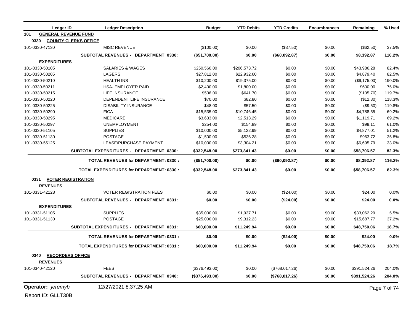|                | <b>Ledger ID</b>            | <b>Ledger Description</b>                       | <b>Budget</b>  | <b>YTD Debits</b> | <b>YTD Credits</b> | <b>Encumbrances</b> | Remaining    | % Used       |
|----------------|-----------------------------|-------------------------------------------------|----------------|-------------------|--------------------|---------------------|--------------|--------------|
| 101            | <b>GENERAL REVENUE FUND</b> |                                                 |                |                   |                    |                     |              |              |
| 0330           |                             | <b>COUNTY CLERKS OFFICE</b>                     |                |                   |                    |                     |              |              |
| 101-0330-47130 |                             | <b>MISC REVENUE</b>                             | (\$100.00)     | \$0.00            | (\$37.50)          | \$0.00              | (\$62.50)    | 37.5%        |
|                |                             | <b>SUBTOTAL REVENUES - DEPARTMENT 0330:</b>     | (\$51,700.00)  | \$0.00            | (\$60,092.87)      | \$0.00              | \$8,392.87   | 116.2%       |
|                | <b>EXPENDITURES</b>         |                                                 |                |                   |                    |                     |              |              |
| 101-0330-50105 |                             | <b>SALARIES &amp; WAGES</b>                     | \$250,560.00   | \$206,573.72      | \$0.00             | \$0.00              | \$43,986.28  | 82.4%        |
| 101-0330-50205 |                             | <b>LAGERS</b>                                   | \$27,812.00    | \$22,932.60       | \$0.00             | \$0.00              | \$4,879.40   | 82.5%        |
| 101-0330-50210 |                             | <b>HEALTH INS</b>                               | \$10,200.00    | \$19,375.00       | \$0.00             | \$0.00              | (\$9,175.00) | 190.0%       |
| 101-0330-50211 |                             | <b>HSA- EMPLOYER PAID</b>                       | \$2,400.00     | \$1,800.00        | \$0.00             | \$0.00              | \$600.00     | 75.0%        |
| 101-0330-50215 |                             | LIFE INSURANCE                                  | \$536.00       | \$641.70          | \$0.00             | \$0.00              | (\$105.70)   | 119.7%       |
| 101-0330-50220 |                             | DEPENDENT LIFE INSURANCE                        | \$70.00        | \$82.80           | \$0.00             | \$0.00              | (\$12.80)    | 118.3%       |
| 101-0330-50225 |                             | <b>DISABILITY INSURANCE</b>                     | \$48.00        | \$57.50           | \$0.00             | \$0.00              | (\$9.50)     | 119.8%       |
| 101-0330-50290 |                             | <b>FICA</b>                                     | \$15,535.00    | \$10,746.45       | \$0.00             | \$0.00              | \$4,788.55   | 69.2%        |
| 101-0330-50295 |                             | <b>MEDICARE</b>                                 | \$3,633.00     | \$2,513.29        | \$0.00             | \$0.00              | \$1,119.71   | 69.2%        |
| 101-0330-50297 |                             | <b>UNEMPLOYMENT</b>                             | \$254.00       | \$154.89          | \$0.00             | \$0.00              | \$99.11      | 61.0%        |
| 101-0330-51105 |                             | <b>SUPPLIES</b>                                 | \$10,000.00    | \$5,122.99        | \$0.00             | \$0.00              | \$4,877.01   | 51.2%        |
| 101-0330-51130 |                             | <b>POSTAGE</b>                                  | \$1,500.00     | \$536.28          | \$0.00             | \$0.00              | \$963.72     | 35.8%        |
| 101-0330-55125 |                             | LEASE/PURCHASE PAYMENT                          | \$10,000.00    | \$3,304.21        | \$0.00             | \$0.00              | \$6,695.79   | 33.0%        |
|                |                             | SUBTOTAL EXPENDITURES - DEPARTMENT 0330:        | \$332,548.00   | \$273,841.43      | \$0.00             | \$0.00              | \$58,706.57  | 82.3%        |
|                |                             | <b>TOTAL REVENUES for DEPARTMENT: 0330:</b>     | (\$51,700.00)  | \$0.00            | (\$60,092.87)      | \$0.00              | \$8,392.87   | 116.2%       |
|                |                             | <b>TOTAL EXPENDITURES for DEPARTMENT: 0330:</b> | \$332,548.00   | \$273,841.43      | \$0.00             | \$0.00              | \$58,706.57  | 82.3%        |
|                | 0331 VOTER REGISTRATION     |                                                 |                |                   |                    |                     |              |              |
|                | <b>REVENUES</b>             |                                                 |                |                   |                    |                     |              |              |
| 101-0331-42128 |                             | <b>VOTER REGISTRATION FEES</b>                  | \$0.00         | \$0.00            | $(\$24.00)$        | \$0.00              | \$24.00      | 0.0%         |
|                |                             | SUBTOTAL REVENUES - DEPARTMENT 0331:            | \$0.00         | \$0.00            | (\$24.00)          | \$0.00              | \$24.00      | 0.0%         |
|                | <b>EXPENDITURES</b>         |                                                 |                |                   |                    |                     |              |              |
| 101-0331-51105 |                             | <b>SUPPLIES</b>                                 | \$35,000.00    | \$1,937.71        | \$0.00             | \$0.00              | \$33,062.29  | 5.5%         |
| 101-0331-51130 |                             | <b>POSTAGE</b>                                  | \$25,000.00    | \$9,312.23        | \$0.00             | \$0.00              | \$15,687.77  | 37.2%        |
|                |                             | SUBTOTAL EXPENDITURES - DEPARTMENT 0331:        | \$60,000.00    | \$11,249.94       | \$0.00             | \$0.00              | \$48,750.06  | 18.7%        |
|                |                             | <b>TOTAL REVENUES for DEPARTMENT: 0331:</b>     | \$0.00         | \$0.00            | (\$24.00)          | \$0.00              | \$24.00      | 0.0%         |
|                |                             | <b>TOTAL EXPENDITURES for DEPARTMENT: 0331:</b> | \$60,000.00    | \$11,249.94       | \$0.00             | \$0.00              | \$48,750.06  | 18.7%        |
|                |                             |                                                 |                |                   |                    |                     |              |              |
| 0340           | <b>RECORDERS OFFICE</b>     |                                                 |                |                   |                    |                     |              |              |
|                | <b>REVENUES</b>             |                                                 |                |                   |                    |                     |              |              |
| 101-0340-42120 |                             | <b>FEES</b>                                     | (\$376,493.00) | \$0.00            | (\$768,017.26)     | \$0.00              | \$391,524.26 | 204.0%       |
|                |                             | <b>SUBTOTAL REVENUES - DEPARTMENT 0340:</b>     | (\$376,493.00) | \$0.00            | (\$768,017.26)     | \$0.00              | \$391,524.26 | 204.0%       |
|                | Operator: jeremyb           | 12/27/2021 8:37:25 AM                           |                |                   |                    |                     |              | Page 7 of 74 |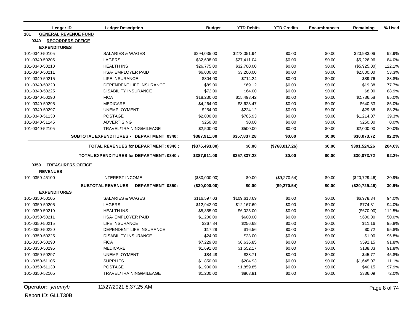|                | <b>Ledger ID</b>            | <b>Ledger Description</b>                       | <b>Budget</b>  | <b>YTD Debits</b> | <b>YTD Credits</b> | <b>Encumbrances</b> | Remaining     | % Used |
|----------------|-----------------------------|-------------------------------------------------|----------------|-------------------|--------------------|---------------------|---------------|--------|
| 101            | <b>GENERAL REVENUE FUND</b> |                                                 |                |                   |                    |                     |               |        |
| 0340           | <b>RECORDERS OFFICE</b>     |                                                 |                |                   |                    |                     |               |        |
|                | <b>EXPENDITURES</b>         |                                                 |                |                   |                    |                     |               |        |
| 101-0340-50105 |                             | <b>SALARIES &amp; WAGES</b>                     | \$294,035.00   | \$273,051.94      | \$0.00             | \$0.00              | \$20,983.06   | 92.9%  |
| 101-0340-50205 |                             | <b>LAGERS</b>                                   | \$32,638.00    | \$27,411.04       | \$0.00             | \$0.00              | \$5,226.96    | 84.0%  |
| 101-0340-50210 |                             | <b>HEALTH INS</b>                               | \$26,775.00    | \$32,700.00       | \$0.00             | \$0.00              | (\$5,925.00)  | 122.1% |
| 101-0340-50211 |                             | <b>HSA- EMPLOYER PAID</b>                       | \$6,000.00     | \$3,200.00        | \$0.00             | \$0.00              | \$2,800.00    | 53.3%  |
| 101-0340-50215 |                             | <b>LIFE INSURANCE</b>                           | \$804.00       | \$714.24          | \$0.00             | \$0.00              | \$89.76       | 88.8%  |
| 101-0340-50220 |                             | DEPENDENT LIFE INSURANCE                        | \$89.00        | \$69.12           | \$0.00             | \$0.00              | \$19.88       | 77.7%  |
| 101-0340-50225 |                             | <b>DISABILITY INSURANCE</b>                     | \$72.00        | \$64.00           | \$0.00             | \$0.00              | \$8.00        | 88.9%  |
| 101-0340-50290 |                             | <b>FICA</b>                                     | \$18,230.00    | \$15,493.42       | \$0.00             | \$0.00              | \$2,736.58    | 85.0%  |
| 101-0340-50295 |                             | <b>MEDICARE</b>                                 | \$4,264.00     | \$3,623.47        | \$0.00             | \$0.00              | \$640.53      | 85.0%  |
| 101-0340-50297 |                             | <b>UNEMPLOYMENT</b>                             | \$254.00       | \$224.12          | \$0.00             | \$0.00              | \$29.88       | 88.2%  |
| 101-0340-51130 |                             | <b>POSTAGE</b>                                  | \$2,000.00     | \$785.93          | \$0.00             | \$0.00              | \$1,214.07    | 39.3%  |
| 101-0340-51145 |                             | <b>ADVERTISING</b>                              | \$250.00       | \$0.00            | \$0.00             | \$0.00              | \$250.00      | 0.0%   |
| 101-0340-52105 |                             | TRAVEL/TRAINING/MILEAGE                         | \$2,500.00     | \$500.00          | \$0.00             | \$0.00              | \$2,000.00    | 20.0%  |
|                |                             | SUBTOTAL EXPENDITURES - DEPARTMENT 0340:        | \$387,911.00   | \$357,837.28      | \$0.00             | \$0.00              | \$30.073.72   | 92.2%  |
|                |                             | <b>TOTAL REVENUES for DEPARTMENT: 0340:</b>     | (\$376,493.00) | \$0.00            | (\$768,017.26)     | \$0.00              | \$391,524.26  | 204.0% |
|                |                             | <b>TOTAL EXPENDITURES for DEPARTMENT: 0340:</b> | \$387,911.00   | \$357,837.28      | \$0.00             | \$0.00              | \$30,073.72   | 92.2%  |
| 0350           | <b>TREASURERS OFFICE</b>    |                                                 |                |                   |                    |                     |               |        |
|                | <b>REVENUES</b>             |                                                 |                |                   |                    |                     |               |        |
| 101-0350-45100 |                             | <b>INTEREST INCOME</b>                          | (\$30,000.00)  | \$0.00            | (\$9,270.54)       | \$0.00              | (\$20,729.46) | 30.9%  |
|                |                             | <b>SUBTOTAL REVENUES - DEPARTMENT 0350:</b>     | (\$30,000.00)  | \$0.00            | (\$9,270.54)       | \$0.00              | (\$20,729.46) | 30.9%  |
|                | <b>EXPENDITURES</b>         |                                                 |                |                   |                    |                     |               |        |
| 101-0350-50105 |                             | <b>SALARIES &amp; WAGES</b>                     | \$116,597.03   | \$109,618.69      | \$0.00             | \$0.00              | \$6,978.34    | 94.0%  |
| 101-0350-50205 |                             | <b>LAGERS</b>                                   | \$12,942.00    | \$12,167.69       | \$0.00             | \$0.00              | \$774.31      | 94.0%  |
| 101-0350-50210 |                             | <b>HEALTH INS</b>                               | \$5,355.00     | \$6,025.00        | \$0.00             | \$0.00              | (\$670.00)    | 112.5% |
| 101-0350-50211 |                             | <b>HSA- EMPLOYER PAID</b>                       | \$1,200.00     | \$600.00          | \$0.00             | \$0.00              | \$600.00      | 50.0%  |
| 101-0350-50215 |                             | <b>LIFE INSURANCE</b>                           | \$267.84       | \$256.68          | \$0.00             | \$0.00              | \$11.16       | 95.8%  |
| 101-0350-50220 |                             | DEPENDENT LIFE INSURANCE                        | \$17.28        | \$16.56           | \$0.00             | \$0.00              | \$0.72        | 95.8%  |
| 101-0350-50225 |                             | <b>DISABILITY INSURANCE</b>                     | \$24.00        | \$23.00           | \$0.00             | \$0.00              | \$1.00        | 95.8%  |
| 101-0350-50290 |                             | <b>FICA</b>                                     | \$7,229.00     | \$6,636.85        | \$0.00             | \$0.00              | \$592.15      | 91.8%  |
| 101-0350-50295 |                             | <b>MEDICARE</b>                                 | \$1,691.00     | \$1,552.17        | \$0.00             | \$0.00              | \$138.83      | 91.8%  |
| 101-0350-50297 |                             | <b>UNEMPLOYMENT</b>                             | \$84.48        | \$38.71           | \$0.00             | \$0.00              | \$45.77       | 45.8%  |
| 101-0350-51105 |                             | <b>SUPPLIES</b>                                 | \$1,850.00     | \$204.93          | \$0.00             | \$0.00              | \$1,645.07    | 11.1%  |
| 101-0350-51130 |                             | <b>POSTAGE</b>                                  | \$1,900.00     | \$1,859.85        | \$0.00             | \$0.00              | \$40.15       | 97.9%  |
| 101-0350-52105 |                             | TRAVEL/TRAINING/MILEAGE                         | \$1,200.00     | \$863.91          | \$0.00             | \$0.00              | \$336.09      | 72.0%  |

**Operator:** *jeremyb* 12/27/2021 8:37:25 AM Page 8 of 74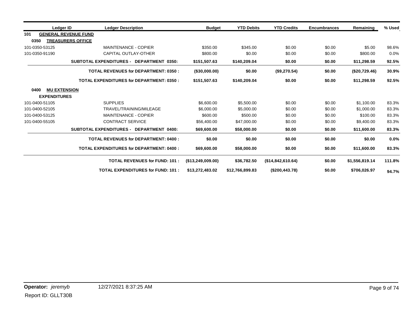| Ledger ID                   | <b>Ledger Description</b>                       | <b>Budget</b>        | <b>YTD Debits</b> | <b>YTD Credits</b> | <b>Encumbrances</b> | Remaining      | % Used |
|-----------------------------|-------------------------------------------------|----------------------|-------------------|--------------------|---------------------|----------------|--------|
| 101                         | <b>GENERAL REVENUE FUND</b>                     |                      |                   |                    |                     |                |        |
| 0350                        | <b>TREASURERS OFFICE</b>                        |                      |                   |                    |                     |                |        |
| 101-0350-53125              | <b>MAINTENANCE - COPIER</b>                     | \$350.00             | \$345.00          | \$0.00             | \$0.00              | \$5.00         | 98.6%  |
| 101-0350-91190              | CAPITAL OUTLAY-OTHER                            | \$800.00             | \$0.00            | \$0.00             | \$0.00              | \$800.00       | 0.0%   |
|                             | SUBTOTAL EXPENDITURES - DEPARTMENT 0350:        | \$151,507.63         | \$140,209.04      | \$0.00             | \$0.00              | \$11,298.59    | 92.5%  |
|                             | <b>TOTAL REVENUES for DEPARTMENT: 0350:</b>     | $($ \$30,000.00)     | \$0.00            | (\$9,270.54)       | \$0.00              | (\$20,729.46)  | 30.9%  |
|                             | <b>TOTAL EXPENDITURES for DEPARTMENT: 0350:</b> | \$151,507.63         | \$140,209.04      | \$0.00             | \$0.00              | \$11,298.59    | 92.5%  |
| <b>MU EXTENSION</b><br>0400 |                                                 |                      |                   |                    |                     |                |        |
| <b>EXPENDITURES</b>         |                                                 |                      |                   |                    |                     |                |        |
| 101-0400-51105              | <b>SUPPLIES</b>                                 | \$6,600.00           | \$5,500.00        | \$0.00             | \$0.00              | \$1,100.00     | 83.3%  |
| 101-0400-52105              | TRAVEL/TRAINING/MILEAGE                         | \$6,000.00           | \$5,000.00        | \$0.00             | \$0.00              | \$1,000.00     | 83.3%  |
| 101-0400-53125              | <b>MAINTENANCE - COPIER</b>                     | \$600.00             | \$500.00          | \$0.00             | \$0.00              | \$100.00       | 83.3%  |
| 101-0400-55105              | <b>CONTRACT SERVICE</b>                         | \$56,400.00          | \$47,000.00       | \$0.00             | \$0.00              | \$9,400.00     | 83.3%  |
|                             | SUBTOTAL EXPENDITURES - DEPARTMENT 0400:        | \$69,600.00          | \$58,000.00       | \$0.00             | \$0.00              | \$11,600.00    | 83.3%  |
|                             | <b>TOTAL REVENUES for DEPARTMENT: 0400:</b>     | \$0.00               | \$0.00            | \$0.00             | \$0.00              | \$0.00         | 0.0%   |
|                             | <b>TOTAL EXPENDITURES for DEPARTMENT: 0400:</b> | \$69,600.00          | \$58,000.00       | \$0.00             | \$0.00              | \$11,600.00    | 83.3%  |
|                             | <b>TOTAL REVENUES for FUND: 101:</b>            | $($ \$13,249,009.00) | \$36,782.50       | (\$14,842,610.64)  | \$0.00              | \$1,556,819.14 | 111.8% |
|                             | <b>TOTAL EXPENDITURES for FUND: 101:</b>        | \$13,272,483.02      | \$12,766,899.83   | (\$200,443.78)     | \$0.00              | \$706,026.97   | 94.7%  |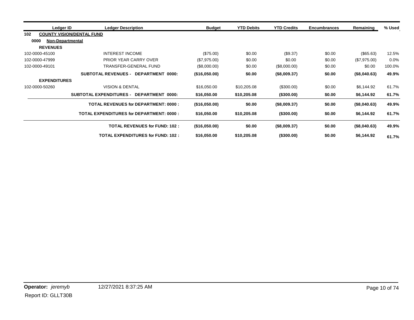| Ledger ID                       | <b>Ledger Description</b>                          | <b>Budget</b> | <b>YTD Debits</b> | <b>YTD Credits</b> | <b>Encumbrances</b> | Remaining    | % Used |
|---------------------------------|----------------------------------------------------|---------------|-------------------|--------------------|---------------------|--------------|--------|
| 102                             | <b>COUNTY VISION/DENTAL FUND</b>                   |               |                   |                    |                     |              |        |
| 0000<br><b>Non-Departmental</b> |                                                    |               |                   |                    |                     |              |        |
| <b>REVENUES</b>                 |                                                    |               |                   |                    |                     |              |        |
| 102-0000-45100                  | <b>INTEREST INCOME</b>                             | (\$75.00)     | \$0.00            | (\$9.37)           | \$0.00              | (\$65.63)    | 12.5%  |
| 102-0000-47999                  | PRIOR YEAR CARRY OVER                              | (\$7,975.00)  | \$0.00            | \$0.00             | \$0.00              | (\$7,975.00) | 0.0%   |
| 102-0000-49101                  | TRANSFER-GENERAL FUND                              | (\$8,000.00)  | \$0.00            | (\$8,000.00)       | \$0.00              | \$0.00       | 100.0% |
|                                 | <b>SUBTOTAL REVENUES -</b><br>DEPARTMENT 0000:     | (\$16,050.00) | \$0.00            | (\$8,009.37)       | \$0.00              | (\$8,040.63) | 49.9%  |
| <b>EXPENDITURES</b>             |                                                    |               |                   |                    |                     |              |        |
| 102-0000-50260                  | <b>VISION &amp; DENTAL</b>                         | \$16,050.00   | \$10,205.08       | $(\$300.00)$       | \$0.00              | \$6,144.92   | 61.7%  |
|                                 | <b>SUBTOTAL EXPENDITURES -</b><br>DEPARTMENT 0000: | \$16,050.00   | \$10,205.08       | (\$300.00)         | \$0.00              | \$6,144.92   | 61.7%  |
|                                 | <b>TOTAL REVENUES for DEPARTMENT: 0000:</b>        | (\$16,050.00) | \$0.00            | (\$8,009.37)       | \$0.00              | (\$8,040.63) | 49.9%  |
|                                 | <b>TOTAL EXPENDITURES for DEPARTMENT: 0000:</b>    | \$16,050.00   | \$10,205.08       | $($ \$300.00)      | \$0.00              | \$6,144.92   | 61.7%  |
|                                 | <b>TOTAL REVENUES for FUND: 102:</b>               | (\$16,050.00) | \$0.00            | (\$8,009.37)       | \$0.00              | (\$8,040.63) | 49.9%  |
|                                 | <b>TOTAL EXPENDITURES for FUND: 102:</b>           | \$16,050.00   | \$10,205.08       | (\$300.00)         | \$0.00              | \$6,144.92   | 61.7%  |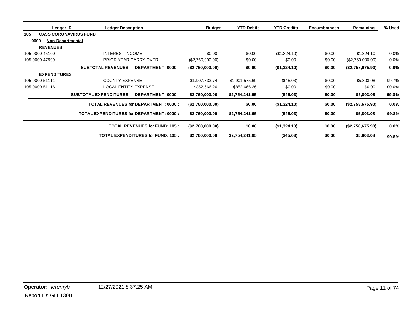| Ledger ID                       | <b>Ledger Description</b>                          | <b>Budget</b>     | <b>YTD Debits</b> | <b>YTD Credits</b> | <b>Encumbrances</b> | Remaining        | % Used  |
|---------------------------------|----------------------------------------------------|-------------------|-------------------|--------------------|---------------------|------------------|---------|
| 105                             | <b>CASS CORONAVIRUS FUND</b>                       |                   |                   |                    |                     |                  |         |
| 0000<br><b>Non-Departmental</b> |                                                    |                   |                   |                    |                     |                  |         |
| <b>REVENUES</b>                 |                                                    |                   |                   |                    |                     |                  |         |
| 105-0000-45100                  | INTEREST INCOME                                    | \$0.00            | \$0.00            | (\$1,324.10)       | \$0.00              | \$1,324.10       | 0.0%    |
| 105-0000-47999                  | <b>PRIOR YEAR CARRY OVER</b>                       | (\$2,760,000.00)  | \$0.00            | \$0.00             | \$0.00              | (\$2,760,000.00) | 0.0%    |
|                                 | <b>SUBTOTAL REVENUES -</b><br>DEPARTMENT 0000:     | (\$2,760,000.00)  | \$0.00            | (\$1,324.10)       | \$0.00              | (\$2,758,675.90) | $0.0\%$ |
| <b>EXPENDITURES</b>             |                                                    |                   |                   |                    |                     |                  |         |
| 105-0000-51111                  | <b>COUNTY EXPENSE</b>                              | \$1,907,333.74    | \$1,901,575.69    | $(\$45.03)$        | \$0.00              | \$5,803.08       | 99.7%   |
| 105-0000-51116                  | <b>LOCAL ENTITY EXPENSE</b>                        | \$852,666.26      | \$852,666.26      | \$0.00             | \$0.00              | \$0.00           | 100.0%  |
|                                 | <b>SUBTOTAL EXPENDITURES -</b><br>DEPARTMENT 0000: | \$2,760,000.00    | \$2,754,241.95    | (\$45.03)          | \$0.00              | \$5,803.08       | 99.8%   |
|                                 | <b>TOTAL REVENUES for DEPARTMENT: 0000:</b>        | (\$2,760,000.00)  | \$0.00            | (\$1,324.10)       | \$0.00              | (\$2,758,675.90) | $0.0\%$ |
|                                 | <b>TOTAL EXPENDITURES for DEPARTMENT: 0000:</b>    | \$2,760,000.00    | \$2,754,241.95    | $($ \$45.03)       | \$0.00              | \$5,803.08       | 99.8%   |
|                                 | <b>TOTAL REVENUES for FUND: 105:</b>               | ( \$2,760,000.00) | \$0.00            | (\$1,324.10)       | \$0.00              | (\$2,758,675.90) | $0.0\%$ |
|                                 | <b>TOTAL EXPENDITURES for FUND: 105:</b>           | \$2,760,000.00    | \$2,754,241.95    | (\$45.03)          | \$0.00              | \$5,803.08       | 99.8%   |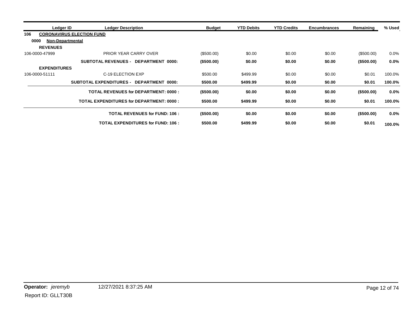|                     | Ledger ID<br><b>Ledger Description</b>          | <b>Budget</b> | <b>YTD Debits</b> | <b>YTD Credits</b> | <b>Encumbrances</b> | Remaining     | % Used  |
|---------------------|-------------------------------------------------|---------------|-------------------|--------------------|---------------------|---------------|---------|
| 106                 | <b>CORONAVIRUS ELECTION FUND</b>                |               |                   |                    |                     |               |         |
| 0000                | <b>Non-Departmental</b>                         |               |                   |                    |                     |               |         |
| <b>REVENUES</b>     |                                                 |               |                   |                    |                     |               |         |
| 106-0000-47999      | PRIOR YEAR CARRY OVER                           | (\$500.00)    | \$0.00            | \$0.00             | \$0.00              | (\$500.00)    | 0.0%    |
|                     | SUBTOTAL REVENUES - DEPARTMENT<br>0000:         | (\$500.00)    | \$0.00            | \$0.00             | \$0.00              | $($ \$500.00) | 0.0%    |
| <b>EXPENDITURES</b> |                                                 |               |                   |                    |                     |               |         |
| 106-0000-51111      | C-19 ELECTION EXP                               | \$500.00      | \$499.99          | \$0.00             | \$0.00              | \$0.01        | 100.0%  |
|                     | SUBTOTAL EXPENDITURES - DEPARTMENT 0000:        | \$500.00      | \$499.99          | \$0.00             | \$0.00              | \$0.01        | 100.0%  |
|                     | <b>TOTAL REVENUES for DEPARTMENT: 0000:</b>     | $($ \$500.00) | \$0.00            | \$0.00             | \$0.00              | (\$500.00)    | 0.0%    |
|                     | <b>TOTAL EXPENDITURES for DEPARTMENT: 0000:</b> | \$500.00      | \$499.99          | \$0.00             | \$0.00              | \$0.01        | 100.0%  |
|                     | <b>TOTAL REVENUES for FUND: 106:</b>            | $($ \$500.00) | \$0.00            | \$0.00             | \$0.00              | $($ \$500.00) | $0.0\%$ |
|                     | <b>TOTAL EXPENDITURES for FUND: 106:</b>        | \$500.00      | \$499.99          | \$0.00             | \$0.00              | \$0.01        | 100.0%  |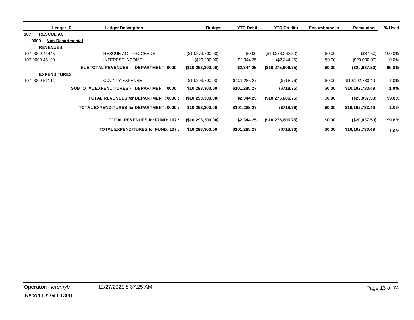|      | Ledger ID               | <b>Ledger Description</b>                       | <b>Budget</b>        | <b>YTD Debits</b> | <b>YTD Credits</b> | <b>Encumbrances</b> | Remaining       | % Used |
|------|-------------------------|-------------------------------------------------|----------------------|-------------------|--------------------|---------------------|-----------------|--------|
| 107  | <b>RESCUE ACT</b>       |                                                 |                      |                   |                    |                     |                 |        |
| 0000 | <b>Non-Departmental</b> |                                                 |                      |                   |                    |                     |                 |        |
|      | <b>REVENUES</b>         |                                                 |                      |                   |                    |                     |                 |        |
|      | 107-0000-44445          | RESCUE ACT PROCEEDS                             | (\$10,273,300.00)    | \$0.00            | (\$10,273,262.50)  | \$0.00              | (\$37.50)       | 100.0% |
|      | 107-0000-45100          | <b>INTEREST INCOME</b>                          | (\$20,000.00)        | \$2,344.25        | (\$2,344.25)       | \$0.00              | $(\$20,000.00)$ | 0.0%   |
|      |                         | SUBTOTAL REVENUES - DEPARTMENT<br>0000:         | (\$10,293,300.00)    | \$2,344.25        | (\$10,275,606.75)  | \$0.00              | (\$20,037.50)   | 99.8%  |
|      | <b>EXPENDITURES</b>     |                                                 |                      |                   |                    |                     |                 |        |
|      | 107-0000-51111          | <b>COUNTY EXPENSE</b>                           | \$10,293,300.00      | \$101,285.27      | (\$718.76)         | \$0.00              | \$10,192,733.49 | 1.0%   |
|      |                         | SUBTOTAL EXPENDITURES - DEPARTMENT<br>0000:     | \$10,293,300.00      | \$101,285.27      | (S718.76)          | \$0.00              | \$10,192,733.49 | 1.0%   |
|      |                         | <b>TOTAL REVENUES for DEPARTMENT: 0000:</b>     | $($ \$10,293,300.00) | \$2,344.25        | (\$10,275,606.75)  | \$0.00              | (\$20,037.50)   | 99.8%  |
|      |                         | <b>TOTAL EXPENDITURES for DEPARTMENT: 0000:</b> | \$10,293,300.00      | \$101,285.27      | (\$718.76)         | \$0.00              | \$10,192,733.49 | 1.0%   |
|      |                         | <b>TOTAL REVENUES for FUND: 107:</b>            | $($ \$10,293,300.00) | \$2,344.25        | (\$10,275,606.75)  | \$0.00              | (\$20,037.50)   | 99.8%  |
|      |                         | <b>TOTAL EXPENDITURES for FUND: 107:</b>        | \$10,293,300.00      | \$101,285.27      | (\$718.76)         | \$0.00              | \$10,192,733.49 | 1.0%   |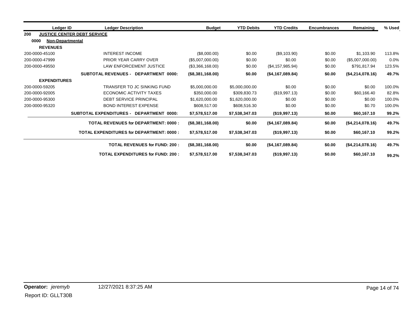| Ledger ID                | <b>Ledger Description</b>                          | <b>Budget</b>    | <b>YTD Debits</b> | <b>YTD Credits</b> | <b>Encumbrances</b> | Remaining        | % Used  |
|--------------------------|----------------------------------------------------|------------------|-------------------|--------------------|---------------------|------------------|---------|
| 200                      | <b>JUSTICE CENTER DEBT SERVICE</b>                 |                  |                   |                    |                     |                  |         |
| 0000<br>Non-Departmental |                                                    |                  |                   |                    |                     |                  |         |
| <b>REVENUES</b>          |                                                    |                  |                   |                    |                     |                  |         |
| 200-0000-45100           | <b>INTEREST INCOME</b>                             | (\$8,000.00)     | \$0.00            | (\$9,103.90)       | \$0.00              | \$1,103.90       | 113.8%  |
| 200-0000-47999           | <b>PRIOR YEAR CARRY OVER</b>                       | (\$5,007,000.00) | \$0.00            | \$0.00             | \$0.00              | (\$5,007,000.00) | $0.0\%$ |
| 200-0000-49550           | <b>LAW ENFORCEMENT JUSTICE</b>                     | (\$3,366,168.00) | \$0.00            | (\$4,157,985.94)   | \$0.00              | \$791,817.94     | 123.5%  |
|                          | <b>SUBTOTAL REVENUES -</b><br>DEPARTMENT 0000:     | (\$8,381,168.00) | \$0.00            | (\$4,167,089.84)   | \$0.00              | (\$4,214,078.16) | 49.7%   |
| <b>EXPENDITURES</b>      |                                                    |                  |                   |                    |                     |                  |         |
| 200-0000-59205           | TRANSFER TO JC SINKING FUND                        | \$5,000,000.00   | \$5,000,000.00    | \$0.00             | \$0.00              | \$0.00           | 100.0%  |
| 200-0000-92005           | ECONOMIC ACTIVITY TAXES                            | \$350,000.00     | \$309,830.73      | (\$19,997.13)      | \$0.00              | \$60,166.40      | 82.8%   |
| 200-0000-95300           | <b>DEBT SERVICE PRINCIPAL</b>                      | \$1,620,000.00   | \$1,620,000.00    | \$0.00             | \$0.00              | \$0.00           | 100.0%  |
| 200-0000-95320           | <b>BOND INTEREST EXPENSE</b>                       | \$608,517.00     | \$608,516,30      | \$0.00             | \$0.00              | \$0.70           | 100.0%  |
|                          | <b>SUBTOTAL EXPENDITURES -</b><br>DEPARTMENT 0000: | \$7,578,517.00   | \$7,538,347.03    | (\$19,997.13)      | \$0.00              | \$60,167.10      | 99.2%   |
|                          | <b>TOTAL REVENUES for DEPARTMENT: 0000:</b>        | (\$8,381,168.00) | \$0.00            | (\$4,167,089.84)   | \$0.00              | (\$4,214,078.16) | 49.7%   |
|                          | <b>TOTAL EXPENDITURES for DEPARTMENT: 0000:</b>    | \$7,578,517.00   | \$7,538,347.03    | (\$19,997.13)      | \$0.00              | \$60,167.10      | 99.2%   |
|                          | <b>TOTAL REVENUES for FUND: 200:</b>               | (\$8,381,168.00) | \$0.00            | (\$4,167,089.84)   | \$0.00              | (\$4,214,078.16) | 49.7%   |
|                          | <b>TOTAL EXPENDITURES for FUND: 200:</b>           | \$7,578,517.00   | \$7,538,347.03    | (\$19,997.13)      | \$0.00              | \$60,167.10      | 99.2%   |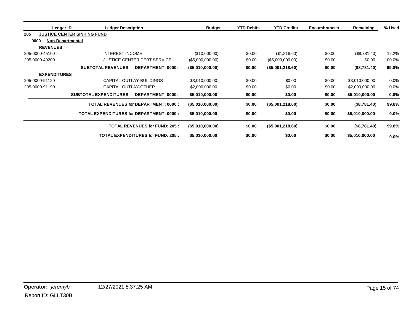| Ledger ID           | <b>Ledger Description</b>                       |                                             | <b>Budget</b>       | <b>YTD Debits</b> | <b>YTD Credits</b>  | <b>Encumbrances</b> | Remaining      | % Used  |
|---------------------|-------------------------------------------------|---------------------------------------------|---------------------|-------------------|---------------------|---------------------|----------------|---------|
| 205                 | <b>JUSTICE CENTER SINKING FUND</b>              |                                             |                     |                   |                     |                     |                |         |
| 0000                | Non-Departmental                                |                                             |                     |                   |                     |                     |                |         |
| <b>REVENUES</b>     |                                                 |                                             |                     |                   |                     |                     |                |         |
| 205-0000-45100      | <b>INTEREST INCOME</b>                          |                                             | (\$10,000.00)       | \$0.00            | (\$1,218.60)        | \$0.00              | (\$8,781.40)   | 12.2%   |
| 205-0000-49200      |                                                 | <b>JUSTICE CENTER DEBT SERVICE</b>          | (\$5,000,000.00)    | \$0.00            | (\$5,000,000.00)    | \$0.00              | \$0.00         | 100.0%  |
|                     | <b>SUBTOTAL REVENUES -</b>                      | DEPARTMENT 0000:                            | (\$5,010,000.00)    | \$0.00            | (\$5,001,218.60)    | \$0.00              | (\$8,781.40)   | 99.8%   |
| <b>EXPENDITURES</b> |                                                 |                                             |                     |                   |                     |                     |                |         |
| 205-0000-91120      |                                                 | CAPITAL OUTLAY-BUILDINGS                    | \$3,010,000.00      | \$0.00            | \$0.00              | \$0.00              | \$3,010,000.00 | 0.0%    |
| 205-0000-91190      | CAPITAL OUTLAY-OTHER                            |                                             | \$2,000,000.00      | \$0.00            | \$0.00              | \$0.00              | \$2,000,000.00 | $0.0\%$ |
|                     | <b>SUBTOTAL EXPENDITURES -</b>                  | DEPARTMENT 0000:                            | \$5,010,000.00      | \$0.00            | \$0.00              | \$0.00              | \$5,010,000.00 | 0.0%    |
|                     |                                                 | <b>TOTAL REVENUES for DEPARTMENT: 0000:</b> | $($ \$5,010,000.00) | \$0.00            | $($ \$5,001,218.60) | \$0.00              | (\$8,781.40)   | 99.8%   |
|                     | <b>TOTAL EXPENDITURES for DEPARTMENT: 0000:</b> |                                             | \$5,010,000.00      | \$0.00            | \$0.00              | \$0.00              | \$5,010,000.00 | $0.0\%$ |
|                     |                                                 | <b>TOTAL REVENUES for FUND: 205:</b>        | (\$5,010,000.00)    | \$0.00            | (\$5,001,218.60)    | \$0.00              | (\$8,781.40)   | 99.8%   |
|                     |                                                 | <b>TOTAL EXPENDITURES for FUND: 205:</b>    | \$5,010,000.00      | \$0.00            | \$0.00              | \$0.00              | \$5,010,000.00 | 0.0%    |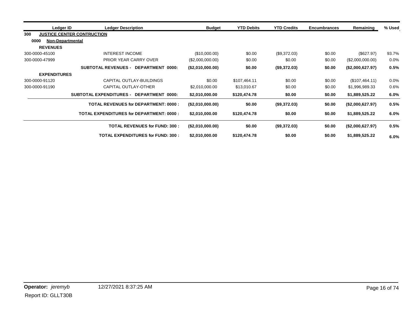| Ledger ID                       | <b>Ledger Description</b>                          | <b>Budget</b>       | <b>YTD Debits</b> | <b>YTD Credits</b> | <b>Encumbrances</b> | Remaining        | % Used  |
|---------------------------------|----------------------------------------------------|---------------------|-------------------|--------------------|---------------------|------------------|---------|
| 300                             | <b>JUSTICE CENTER CONTRUCTION</b>                  |                     |                   |                    |                     |                  |         |
| 0000<br><b>Non-Departmental</b> |                                                    |                     |                   |                    |                     |                  |         |
| <b>REVENUES</b>                 |                                                    |                     |                   |                    |                     |                  |         |
| 300-0000-45100                  | INTEREST INCOME                                    | (\$10,000.00)       | \$0.00            | (\$9,372.03)       | \$0.00              | (\$627.97)       | 93.7%   |
| 300-0000-47999                  | <b>PRIOR YEAR CARRY OVER</b>                       | (\$2,000,000.00)    | \$0.00            | \$0.00             | \$0.00              | (\$2,000,000.00) | 0.0%    |
|                                 | DEPARTMENT 0000:<br><b>SUBTOTAL REVENUES -</b>     | (\$2,010,000.00)    | \$0.00            | (\$9,372.03)       | \$0.00              | (\$2,000,627.97) | 0.5%    |
| <b>EXPENDITURES</b>             |                                                    |                     |                   |                    |                     |                  |         |
| 300-0000-91120                  | CAPITAL OUTLAY-BUILDINGS                           | \$0.00              | \$107,464.11      | \$0.00             | \$0.00              | (\$107,464.11)   | $0.0\%$ |
| 300-0000-91190                  | CAPITAL OUTLAY-OTHER                               | \$2,010,000.00      | \$13,010.67       | \$0.00             | \$0.00              | \$1,996,989.33   | 0.6%    |
|                                 | <b>SUBTOTAL EXPENDITURES -</b><br>DEPARTMENT 0000: | \$2,010,000.00      | \$120,474.78      | \$0.00             | \$0.00              | \$1,889,525.22   | 6.0%    |
|                                 | <b>TOTAL REVENUES for DEPARTMENT: 0000:</b>        | (\$2,010,000.00)    | \$0.00            | (\$9,372.03)       | \$0.00              | (\$2,000,627.97) | 0.5%    |
|                                 | <b>TOTAL EXPENDITURES for DEPARTMENT: 0000:</b>    | \$2,010,000.00      | \$120,474.78      | \$0.00             | \$0.00              | \$1,889,525.22   | 6.0%    |
|                                 | <b>TOTAL REVENUES for FUND: 300:</b>               | $($ \$2,010,000.00) | \$0.00            | (\$9,372.03)       | \$0.00              | (\$2,000,627.97) | 0.5%    |
|                                 | <b>TOTAL EXPENDITURES for FUND: 300:</b>           | \$2,010,000.00      | \$120,474.78      | \$0.00             | \$0.00              | \$1,889,525.22   | 6.0%    |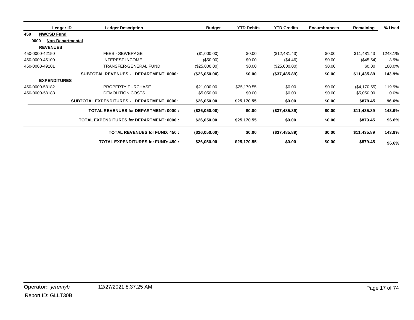| Ledger ID                       | <b>Ledger Description</b>                       | <b>Budget</b> | <b>YTD Debits</b> | <b>YTD Credits</b> | <b>Encumbrances</b> | Remaining    | % Used  |
|---------------------------------|-------------------------------------------------|---------------|-------------------|--------------------|---------------------|--------------|---------|
| <b>NWCSD Fund</b><br>450        |                                                 |               |                   |                    |                     |              |         |
| 0000<br><b>Non-Departmental</b> |                                                 |               |                   |                    |                     |              |         |
| <b>REVENUES</b>                 |                                                 |               |                   |                    |                     |              |         |
| 450-0000-42150                  | FEES - SEWERAGE                                 | (\$1,000.00)  | \$0.00            | (\$12,481.43)      | \$0.00              | \$11,481.43  | 1248.1% |
| 450-0000-45100                  | <b>INTEREST INCOME</b>                          | $(\$50.00)$   | \$0.00            | (\$4.46)           | \$0.00              | (\$45.54)    | 8.9%    |
| 450-0000-49101                  | TRANSFER-GENERAL FUND                           | (\$25,000.00) | \$0.00            | (\$25,000.00)      | \$0.00              | \$0.00       | 100.0%  |
|                                 | <b>SUBTOTAL REVENUES - DEPARTMENT 0000:</b>     | (\$26,050.00) | \$0.00            | (\$37,485.89)      | \$0.00              | \$11,435.89  | 143.9%  |
| <b>EXPENDITURES</b>             |                                                 |               |                   |                    |                     |              |         |
| 450-0000-58182                  | PROPERTY PURCHASE                               | \$21,000.00   | \$25,170.55       | \$0.00             | \$0.00              | (\$4,170.55) | 119.9%  |
| 450-0000-58183                  | DEMOLITION COSTS                                | \$5,050.00    | \$0.00            | \$0.00             | \$0.00              | \$5,050.00   | $0.0\%$ |
|                                 | SUBTOTAL EXPENDITURES - DEPARTMENT 0000:        | \$26,050.00   | \$25,170.55       | \$0.00             | \$0.00              | \$879.45     | 96.6%   |
|                                 | <b>TOTAL REVENUES for DEPARTMENT: 0000:</b>     | (\$26,050.00) | \$0.00            | (\$37,485.89)      | \$0.00              | \$11,435.89  | 143.9%  |
|                                 | <b>TOTAL EXPENDITURES for DEPARTMENT: 0000:</b> | \$26,050.00   | \$25,170.55       | \$0.00             | \$0.00              | \$879.45     | 96.6%   |
|                                 | <b>TOTAL REVENUES for FUND: 450:</b>            | (\$26,050.00) | \$0.00            | (\$37,485.89)      | \$0.00              | \$11,435.89  | 143.9%  |
|                                 | <b>TOTAL EXPENDITURES for FUND: 450:</b>        | \$26,050.00   | \$25,170.55       | \$0.00             | \$0.00              | \$879.45     | 96.6%   |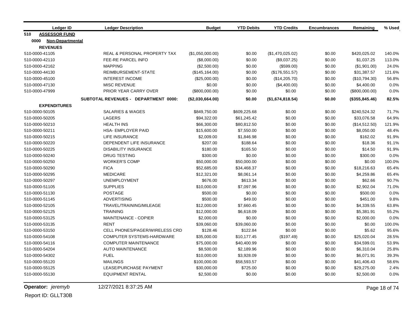|      | <b>Ledger ID</b>        | <b>Ledger Description</b>            | <b>Budget</b>    | <b>YTD Debits</b> | <b>YTD Credits</b> | <b>Encumbrances</b> | Remaining       | % Used |
|------|-------------------------|--------------------------------------|------------------|-------------------|--------------------|---------------------|-----------------|--------|
| 510  | <b>ASSESSOR FUND</b>    |                                      |                  |                   |                    |                     |                 |        |
| 0000 | <b>Non-Departmental</b> |                                      |                  |                   |                    |                     |                 |        |
|      | <b>REVENUES</b>         |                                      |                  |                   |                    |                     |                 |        |
|      | 510-0000-41105          | REAL & PERSONAL PROPERTY TAX         | (\$1,050,000.00) | \$0.00            | (\$1,470,025.02)   | \$0.00              | \$420,025.02    | 140.0% |
|      | 510-0000-42110          | FEE-RE PARCEL INFO                   | (\$8,000.00)     | \$0.00            | (\$9,037.25)       | \$0.00              | \$1,037.25      | 113.0% |
|      | 510-0000-42162          | <b>MAPPING</b>                       | (\$2,500.00)     | \$0.00            | (\$599.00)         | \$0.00              | (\$1,901.00)    | 24.0%  |
|      | 510-0000-44130          | REIMBURSEMENT-STATE                  | (\$145, 164.00)  | \$0.00            | (\$176,551.57)     | \$0.00              | \$31,387.57     | 121.6% |
|      | 510-0000-45100          | <b>INTEREST INCOME</b>               | (\$25,000.00)    | \$0.00            | (\$14,205.70)      | \$0.00              | (\$10,794.30)   | 56.8%  |
|      | 510-0000-47130          | <b>MISC REVENUE</b>                  | \$0.00           | \$0.00            | (\$4,400.00)       | \$0.00              | \$4,400.00      | 0.0%   |
|      | 510-0000-47999          | PRIOR YEAR CARRY OVER                | $(\$800,000.00)$ | \$0.00            | \$0.00             | \$0.00              | (\$800,000.00)  | 0.0%   |
|      |                         | SUBTOTAL REVENUES - DEPARTMENT 0000: | (\$2,030,664.00) | \$0.00            | (\$1,674,818.54)   | \$0.00              | (\$355, 845.46) | 82.5%  |
|      | <b>EXPENDITURES</b>     |                                      |                  |                   |                    |                     |                 |        |
|      | 510-0000-50105          | <b>SALARIES &amp; WAGES</b>          | \$849,750.00     | \$609,225.68      | \$0.00             | \$0.00              | \$240,524.32    | 71.7%  |
|      | 510-0000-50205          | <b>LAGERS</b>                        | \$94,322.00      | \$61,245.42       | \$0.00             | \$0.00              | \$33,076.58     | 64.9%  |
|      | 510-0000-50210          | <b>HEALTH INS</b>                    | \$66,300.00      | \$80,812.50       | \$0.00             | \$0.00              | (\$14,512.50)   | 121.9% |
|      | 510-0000-50211          | <b>HSA- EMPLOYER PAID</b>            | \$15,600.00      | \$7,550.00        | \$0.00             | \$0.00              | \$8,050.00      | 48.4%  |
|      | 510-0000-50215          | <b>LIFE INSURANCE</b>                | \$2,009.00       | \$1,846.98        | \$0.00             | \$0.00              | \$162.02        | 91.9%  |
|      | 510-0000-50220          | DEPENDENT LIFE INSURANCE             | \$207.00         | \$188.64          | \$0.00             | \$0.00              | \$18.36         | 91.1%  |
|      | 510-0000-50225          | <b>DISABILITY INSURANCE</b>          | \$180.00         | \$165.50          | \$0.00             | \$0.00              | \$14.50         | 91.9%  |
|      | 510-0000-50240          | <b>DRUG TESTING</b>                  | \$300.00         | \$0.00            | \$0.00             | \$0.00              | \$300.00        | 0.0%   |
|      | 510-0000-50250          | <b>WORKER'S COMP</b>                 | \$50,000.00      | \$50,000.00       | \$0.00             | \$0.00              | \$0.00          | 100.0% |
|      | 510-0000-50290          | <b>FICA</b>                          | \$52,685.00      | \$34,468.37       | \$0.00             | \$0.00              | \$18,216.63     | 65.4%  |
|      | 510-0000-50295          | <b>MEDICARE</b>                      | \$12,321.00      | \$8,061.14        | \$0.00             | \$0.00              | \$4,259.86      | 65.4%  |
|      | 510-0000-50297          | <b>UNEMPLOYMENT</b>                  | \$676.00         | \$613.34          | \$0.00             | \$0.00              | \$62.66         | 90.7%  |
|      | 510-0000-51105          | <b>SUPPLIES</b>                      | \$10,000.00      | \$7,097.96        | \$0.00             | \$0.00              | \$2,902.04      | 71.0%  |
|      | 510-0000-51130          | <b>POSTAGE</b>                       | \$500.00         | \$0.00            | \$0.00             | \$0.00              | \$500.00        | 0.0%   |
|      | 510-0000-51145          | <b>ADVERTISING</b>                   | \$500.00         | \$49.00           | \$0.00             | \$0.00              | \$451.00        | 9.8%   |
|      | 510-0000-52105          | TRAVEL/TRAINING/MILEAGE              | \$12,000.00      | \$7,660.45        | \$0.00             | \$0.00              | \$4,339.55      | 63.8%  |
|      | 510-0000-52125          | <b>TRAINING</b>                      | \$12,000.00      | \$6,618.09        | \$0.00             | \$0.00              | \$5,381.91      | 55.2%  |
|      | 510-0000-53125          | <b>MAINTENANCE - COPIER</b>          | \$2,000.00       | \$0.00            | \$0.00             | \$0.00              | \$2,000.00      | 0.0%   |
|      | 510-0000-53135          | <b>RENT</b>                          | \$39,060.00      | \$39,060.00       | \$0.00             | \$0.00              | \$0.00          | 100.0% |
|      | 510-0000-53150          | CELL PHONES/PAGER/WIRELESS CRD       | \$128.46         | \$122.84          | \$0.00             | \$0.00              | \$5.62          | 95.6%  |
|      | 510-0000-54108          | COMPUTER SYSTEMS-HARDWARE            | \$35,000.00      | \$10,177.45       | (\$197.49)         | \$0.00              | \$25,020.04     | 28.5%  |
|      | 510-0000-54116          | <b>COMPUTER MAINTENANCE</b>          | \$75,000.00      | \$40,400.99       | \$0.00             | \$0.00              | \$34,599.01     | 53.9%  |
|      | 510-0000-54204          | <b>AUTO MAINTENANCE</b>              | \$8,500.00       | \$2,189.96        | \$0.00             | \$0.00              | \$6,310.04      | 25.8%  |
|      | 510-0000-54302          | <b>FUEL</b>                          | \$10,000.00      | \$3,928.09        | \$0.00             | \$0.00              | \$6,071.91      | 39.3%  |
|      | 510-0000-55120          | <b>MAILINGS</b>                      | \$100,000.00     | \$58,593.57       | \$0.00             | \$0.00              | \$41,406.43     | 58.6%  |
|      | 510-0000-55125          | LEASE/PURCHASE PAYMENT               | \$30,000.00      | \$725.00          | \$0.00             | \$0.00              | \$29,275.00     | 2.4%   |
|      | 510-0000-55130          | <b>EQUIPMENT RENTAL</b>              | \$2,500.00       | \$0.00            | \$0.00             | \$0.00              | \$2,500.00      | 0.0%   |
|      |                         |                                      |                  |                   |                    |                     |                 |        |

**Operator:** *jeremyb* 12/27/2021 8:37:25 AM Page 18 of 74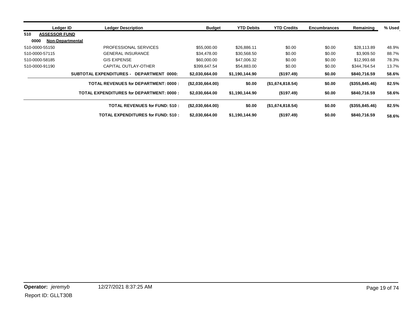| Ledger ID                   | <b>Ledger Description</b>                          | <b>Budget</b>     | <b>YTD Debits</b> | <b>YTD Credits</b>  | <b>Encumbrances</b> | Remaining       | % Used |
|-----------------------------|----------------------------------------------------|-------------------|-------------------|---------------------|---------------------|-----------------|--------|
| 510<br><b>ASSESSOR FUND</b> |                                                    |                   |                   |                     |                     |                 |        |
| 0000                        | <b>Non-Departmental</b>                            |                   |                   |                     |                     |                 |        |
| 510-0000-55150              | PROFESSIONAL SERVICES                              | \$55,000.00       | \$26.886.11       | \$0.00              | \$0.00              | \$28,113.89     | 48.9%  |
| 510-0000-57115              | <b>GENERAL INSURANCE</b>                           | \$34,478,00       | \$30,568.50       | \$0.00              | \$0.00              | \$3,909.50      | 88.7%  |
| 510-0000-58185              | <b>GIS EXPENSE</b>                                 | \$60,000,00       | \$47,006.32       | \$0.00              | \$0.00              | \$12,993.68     | 78.3%  |
| 510-0000-91190              | CAPITAL OUTLAY-OTHER                               | \$399,647.54      | \$54,883.00       | \$0.00              | \$0.00              | \$344,764.54    | 13.7%  |
|                             | <b>SUBTOTAL EXPENDITURES -</b><br>DEPARTMENT 0000: | \$2,030,664.00    | \$1,190,144.90    | (\$197.49)          | \$0.00              | \$840,716.59    | 58.6%  |
|                             | <b>TOTAL REVENUES for DEPARTMENT: 0000:</b>        | ( \$2,030,664.00) | \$0.00            | (\$1,674,818.54)    | \$0.00              | (\$355, 845.46) | 82.5%  |
|                             | TOTAL EXPENDITURES for DEPARTMENT: 0000 :          | \$2,030,664.00    | \$1,190,144.90    | (\$197.49)          | \$0.00              | \$840,716.59    | 58.6%  |
|                             | <b>TOTAL REVENUES for FUND: 510:</b>               | (\$2,030,664.00)  | \$0.00            | $($ \$1,674,818.54) | \$0.00              | (\$355,845.46)  | 82.5%  |
|                             | TOTAL EXPENDITURES for FUND: 510 :                 | \$2,030,664,00    | \$1,190,144.90    | (\$197.49)          | \$0.00              | \$840,716.59    | 58.6%  |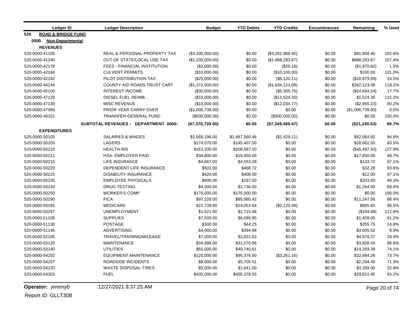| <b>Ledger ID</b>                     | <b>Ledger Description</b>            | <b>Budget</b>    | <b>YTD Debits</b> | <b>YTD Credits</b> | <b>Encumbrances</b> | Remaining        | % Used |
|--------------------------------------|--------------------------------------|------------------|-------------------|--------------------|---------------------|------------------|--------|
| <b>ROAD &amp; BRIDGE FUND</b><br>520 |                                      |                  |                   |                    |                     |                  |        |
| 0000<br><b>Non-Departmental</b>      |                                      |                  |                   |                    |                     |                  |        |
| <b>REVENUES</b>                      |                                      |                  |                   |                    |                     |                  |        |
| 520-0000-41105                       | REAL & PERSONAL PROPERTY TAX         | (\$3,200,000.00) | \$0.00            | (\$3,281,968.40)   | \$0.00              | \$81,968.40      | 102.6% |
| 520-0000-41240                       | OUT OF STATE/LOCAL USE TAX           | (\$1,200,000.00) | \$0.00            | (\$1,888,283.87)   | \$0.00              | \$688,283.87     | 157.4% |
| 520-0000-42178                       | FEES - FINANCIAL INSTITUTION         | (\$2,000.00)     | \$0.00            | (\$29.18)          | \$0.00              | (\$1,970.82)     | 1.5%   |
| 520-0000-42184                       | <b>CULVERT PERMITS</b>               | (\$10,000.00)    | \$0.00            | (\$10,100.00)      | \$0.00              | \$100.00         | 101.0% |
| 520-0000-42192                       | PILOT DISTRIBUTION TAX               | (\$25,000.00)    | \$0.00            | (\$6,120.11)       | \$0.00              | (\$18,879.89)    | 24.5%  |
| 520-0000-44144                       | COUNTY AID ROADS TRUST CART          | (\$1,372,000.00) | \$0.00            | (\$1,634,123.08)   | \$0.00              | \$262,123.08     | 119.1% |
| 520-0000-45100                       | <b>INTEREST INCOME</b>               | (\$30,000.00)    | \$0.00            | (\$5,305.76)       | \$0.00              | (\$24,694.24)    | 17.7%  |
| 520-0000-47125                       | DIESEL FUEL REIMB.                   | (\$10,000.00)    | \$0.00            | (\$11,524.30)      | \$0.00              | \$1,524.30       | 115.2% |
| 520-0000-47130                       | <b>MISC REVENUE</b>                  | (\$15,000.00)    | \$0.00            | (\$12,034.77)      | \$0.00              | (\$2,965.23)     | 80.2%  |
| 520-0000-47999                       | PRIOR YEAR CARRY OVER                | (\$1,006,739.00) | \$0.00            | \$0.00             | \$0.00              | (\$1,006,739.00) | 0.0%   |
| 520-0000-49101                       | <b>TRANSFER-GENERAL FUND</b>         | (\$500,000.00)   | \$0.00            | (\$500,000.00)     | \$0.00              | \$0.00           | 100.0% |
|                                      | SUBTOTAL REVENUES - DEPARTMENT 0000: | (\$7,370,739.00) | \$0.00            | (\$7,349,489.47)   | \$0.00              | (\$21, 249.53)   | 99.7%  |
| <b>EXPENDITURES</b>                  |                                      |                  |                   |                    |                     |                  |        |
| 520-0000-50105                       | <b>SALARIES &amp; WAGES</b>          | \$1,568,196.00   | \$1,487,560.46    | (\$1,429.11)       | \$0.00              | \$82,064.65      | 94.8%  |
| 520-0000-50205                       | LAGERS                               | \$174,070.00     | \$145,407.50      | \$0.00             | \$0.00              | \$28,662.50      | 83.5%  |
| 520-0000-50210                       | <b>HEALTH INS</b>                    | \$163,200.00     | \$208,687.50      | \$0.00             | \$0.00              | (\$45,487.50)    | 127.9% |
| 520-0000-50211                       | <b>HSA- EMPLOYER PAID</b>            | \$34,800.00      | \$16,950.00       | \$0.00             | \$0.00              | \$17,850.00      | 48.7%  |
| 520-0000-50215                       | <b>LIFE INSURANCE</b>                | \$4,687.00       | \$4,553.28        | \$0.00             | \$0.00              | \$133.72         | 97.1%  |
| 520-0000-50220                       | DEPENDENT LIFE INSURANCE             | \$501.00         | \$468.72          | \$0.00             | \$0.00              | \$32.28          | 93.6%  |
| 520-0000-50225                       | <b>DISABILITY INSURANCE</b>          | \$420.00         | \$408.00          | \$0.00             | \$0.00              | \$12.00          | 97.1%  |
| 520-0000-50235                       | <b>EMPLOYEE PHYSICALS</b>            | \$400.00         | \$197.00          | \$0.00             | \$0.00              | \$203.00         | 49.3%  |
| 520-0000-50240                       | <b>DRUG TESTING</b>                  | \$4,000.00       | \$2,736.00        | \$0.00             | \$0.00              | \$1,264.00       | 68.4%  |
| 520-0000-50250                       | <b>WORKER'S COMP</b>                 | \$175,000.00     | \$175,000.00      | \$0.00             | \$0.00              | \$0.00           | 100.0% |
| 520-0000-50290                       | <b>FICA</b>                          | \$97,228.00      | \$85,980.42       | \$0.00             | \$0.00              | \$11,247.58      | 88.4%  |
| 520-0000-50295                       | <b>MEDICARE</b>                      | \$22,739.00      | \$24,053.64       | (\$2,120.49)       | \$0.00              | \$805.85         | 96.5%  |
| 520-0000-50297                       | <b>UNEMPLOYMENT</b>                  | \$1,521.00       | \$1,715.98        | \$0.00             | \$0.00              | (\$194.98)       | 112.8% |
| 520-0000-51105                       | <b>SUPPLIES</b>                      | \$7,500.00       | \$6,090.95        | \$0.00             | \$0.00              | \$1,409.05       | 81.2%  |
| 520-0000-51130                       | <b>POSTAGE</b>                       | \$300.00         | \$44.25           | \$0.00             | \$0.00              | \$255.75         | 14.8%  |
| 520-0000-51145                       | <b>ADVERTISING</b>                   | \$4,000.00       | \$394.98          | \$0.00             | \$0.00              | \$3,605.02       | 9.9%   |
| 520-0000-52105                       | TRAVEL/TRAINING/MILEAGE              | \$7,000.00       | \$2,021.63        | \$0.00             | \$0.00              | \$4,978.37       | 28.9%  |
| 520-0000-53120                       | <b>MAINTENANCE</b>                   | \$34,999.00      | \$31,070.96       | \$0.00             | \$0.00              | \$3,928.04       | 88.8%  |
| 520-0000-53140                       | <b>UTILITIES</b>                     | \$55,000.00      | \$40,740.61       | \$0.00             | \$0.00              | \$14,259.39      | 74.1%  |
| 520-0000-54202                       | <b>EQUIPMENT MAINTENANCE</b>         | \$125,000.00     | \$95,376.90       | (\$3,261.16)       | \$0.00              | \$32,884.26      | 73.7%  |
| 520-0000-54207                       | <b>ROADSIDE INCIDENTS</b>            | \$8,000.00       | \$5,705.51        | \$0.00             | \$0.00              | \$2,294.49       | 71.3%  |
| 520-0000-54220                       | <b>WASTE DISPOSAL-TIRES</b>          | \$5,000.00       | \$1,641.00        | \$0.00             | \$0.00              | \$3,359.00       | 32.8%  |
| 520-0000-54302                       | <b>FUEL</b>                          | \$435,000.00     | \$405,378.55      | \$0.00             | \$0.00              | \$29,621.45      | 93.2%  |

**Operator:** *jeremyb* 12/27/2021 8:37:25 AM Page 20 of 74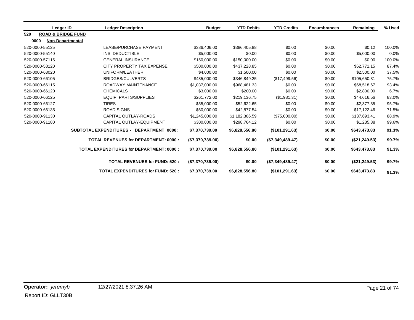| Ledger ID                            | <b>Ledger Description</b>                          | <b>Budget</b>    | <b>YTD Debits</b> | <b>YTD Credits</b> | <b>Encumbrances</b> | Remaining      | % Used |
|--------------------------------------|----------------------------------------------------|------------------|-------------------|--------------------|---------------------|----------------|--------|
| <b>ROAD &amp; BRIDGE FUND</b><br>520 |                                                    |                  |                   |                    |                     |                |        |
| 0000<br>Non-Departmental             |                                                    |                  |                   |                    |                     |                |        |
| 520-0000-55125                       | LEASE/PURCHASE PAYMENT                             | \$386,406.00     | \$386,405.88      | \$0.00             | \$0.00              | \$0.12         | 100.0% |
| 520-0000-55140                       | INS. DEDUCTIBLE                                    | \$5,000.00       | \$0.00            | \$0.00             | \$0.00              | \$5,000.00     | 0.0%   |
| 520-0000-57115                       | <b>GENERAL INSURANCE</b>                           | \$150,000.00     | \$150,000.00      | \$0.00             | \$0.00              | \$0.00         | 100.0% |
| 520-0000-58120                       | CITY PROPERTY TAX EXPENSE                          | \$500,000.00     | \$437,228.85      | \$0.00             | \$0.00              | \$62,771.15    | 87.4%  |
| 520-0000-63020                       | UNIFORM/LEATHER                                    | \$4,000.00       | \$1,500.00        | \$0.00             | \$0.00              | \$2,500.00     | 37.5%  |
| 520-0000-66105                       | <b>BRIDGES/CULVERTS</b>                            | \$435,000.00     | \$346,849.25      | (\$17,499.56)      | \$0.00              | \$105,650.31   | 75.7%  |
| 520-0000-66115                       | ROADWAY MAINTENANCE                                | \$1,037,000.00   | \$968,481.33      | \$0.00             | \$0.00              | \$68,518.67    | 93.4%  |
| 520-0000-66120                       | <b>CHEMICALS</b>                                   | \$3,000.00       | \$200.00          | \$0.00             | \$0.00              | \$2,800.00     | 6.7%   |
| 520-0000-66125                       | EQUIP. PARTS/SUPPLIES                              | \$261,772.00     | \$219,136.75      | (\$1,981.31)       | \$0.00              | \$44,616.56    | 83.0%  |
| 520-0000-66127                       | <b>TIRES</b>                                       | \$55,000.00      | \$52,622.65       | \$0.00             | \$0.00              | \$2,377.35     | 95.7%  |
| 520-0000-66135                       | <b>ROAD SIGNS</b>                                  | \$60,000.00      | \$42,877.54       | \$0.00             | \$0.00              | \$17,122.46    | 71.5%  |
| 520-0000-91130                       | <b>CAPITAL OUTLAY-ROADS</b>                        | \$1,245,000.00   | \$1,182,306.59    | (\$75,000.00)      | \$0.00              | \$137,693.41   | 88.9%  |
| 520-0000-91180                       | CAPITAL OUTLAY-EQUIPMENT                           | \$300,000.00     | \$298,764.12      | \$0.00             | \$0.00              | \$1,235.88     | 99.6%  |
|                                      | <b>SUBTOTAL EXPENDITURES -</b><br>DEPARTMENT 0000: | \$7,370,739.00   | \$6,828,556.80    | (\$101, 291.63)    | \$0.00              | \$643,473.83   | 91.3%  |
|                                      | <b>TOTAL REVENUES for DEPARTMENT: 0000:</b>        | (\$7,370,739.00) | \$0.00            | (\$7,349,489.47)   | \$0.00              | (\$21, 249.53) | 99.7%  |
|                                      | <b>TOTAL EXPENDITURES for DEPARTMENT: 0000:</b>    | \$7,370,739.00   | \$6,828,556.80    | (\$101, 291.63)    | \$0.00              | \$643,473.83   | 91.3%  |
|                                      | <b>TOTAL REVENUES for FUND: 520:</b>               | (\$7,370,739.00) | \$0.00            | (\$7,349,489.47)   | \$0.00              | (\$21, 249.53) | 99.7%  |
|                                      | <b>TOTAL EXPENDITURES for FUND: 520:</b>           | \$7,370,739.00   | \$6,828,556.80    | (\$101, 291.63)    | \$0.00              | \$643,473.83   | 91.3%  |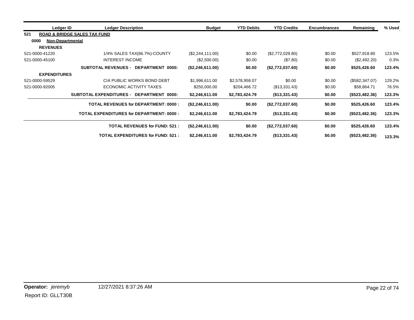| Ledger ID                       | <b>Ledger Description</b>                          | <b>Budget</b>    | <b>YTD Debits</b> | <b>YTD Credits</b> | <b>Encumbrances</b> | Remaining      | % Used |
|---------------------------------|----------------------------------------------------|------------------|-------------------|--------------------|---------------------|----------------|--------|
| 521                             | <b>ROAD &amp; BRIDGE SALES TAX FUND</b>            |                  |                   |                    |                     |                |        |
| 0000<br><b>Non-Departmental</b> |                                                    |                  |                   |                    |                     |                |        |
| <b>REVENUES</b>                 |                                                    |                  |                   |                    |                     |                |        |
| 521-0000-41220                  | 1/4% SALES TAX(66.7%)-COUNTY                       | (\$2,244,111.00) | \$0.00            | (\$2,772,029.80)   | \$0.00              | \$527,918.80   | 123.5% |
| 521-0000-45100                  | <b>INTEREST INCOME</b>                             | (\$2,500.00)     | \$0.00            | (\$7.80)           | \$0.00              | (\$2,492.20)   | 0.3%   |
|                                 | <b>SUBTOTAL REVENUES -</b><br>DEPARTMENT 0000:     | (\$2,246,611.00) | \$0.00            | (\$2,772,037.60)   | \$0.00              | \$525,426.60   | 123.4% |
| <b>EXPENDITURES</b>             |                                                    |                  |                   |                    |                     |                |        |
| 521-0000-59529                  | CIA PUBLIC WORKS BOND DEBT                         | \$1,996,611.00   | \$2,578,958.07    | \$0.00             | \$0.00              | (\$582,347.07) | 129.2% |
| 521-0000-92005                  | ECONOMIC ACTIVITY TAXES                            | \$250,000.00     | \$204,466.72      | (\$13,331.43)      | \$0.00              | \$58,864.71    | 76.5%  |
|                                 | <b>SUBTOTAL EXPENDITURES -</b><br>DEPARTMENT 0000: | \$2,246,611.00   | \$2,783,424.79    | (\$13,331.43)      | \$0.00              | (\$523,482.36) | 123.3% |
|                                 | <b>TOTAL REVENUES for DEPARTMENT: 0000:</b>        | (\$2,246,611.00) | \$0.00            | (\$2,772,037.60)   | \$0.00              | \$525,426.60   | 123.4% |
|                                 | <b>TOTAL EXPENDITURES for DEPARTMENT: 0000:</b>    | \$2,246,611.00   | \$2,783,424.79    | (\$13,331.43)      | \$0.00              | (\$523,482.36) | 123.3% |
|                                 | <b>TOTAL REVENUES for FUND: 521:</b>               | (\$2,246,611.00) | \$0.00            | (\$2,772,037.60)   | \$0.00              | \$525,426.60   | 123.4% |
|                                 | <b>TOTAL EXPENDITURES for FUND: 521:</b>           | \$2,246,611.00   | \$2,783,424.79    | (\$13,331.43)      | \$0.00              | (\$523,482.36) | 123.3% |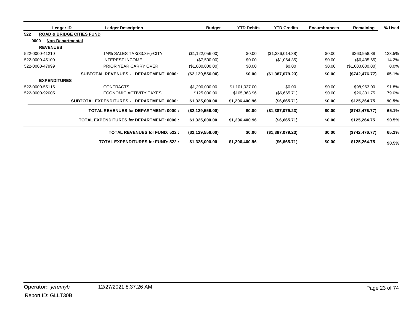| Ledger ID                       | <b>Ledger Description</b>                       | <b>Budget</b>    | <b>YTD Debits</b> | <b>YTD Credits</b> | <b>Encumbrances</b> | Remaining        | % Used |
|---------------------------------|-------------------------------------------------|------------------|-------------------|--------------------|---------------------|------------------|--------|
| 522                             | <b>ROAD &amp; BRIDGE CITIES FUND</b>            |                  |                   |                    |                     |                  |        |
| 0000<br><b>Non-Departmental</b> |                                                 |                  |                   |                    |                     |                  |        |
| <b>REVENUES</b>                 |                                                 |                  |                   |                    |                     |                  |        |
| 522-0000-41210                  | 1/4% SALES TAX(33.3%)-CITY                      | (\$1,122,056.00) | \$0.00            | (\$1,386,014.88)   | \$0.00              | \$263,958.88     | 123.5% |
| 522-0000-45100                  | INTEREST INCOME                                 | (\$7,500.00)     | \$0.00            | (\$1,064.35)       | \$0.00              | (\$6,435.65)     | 14.2%  |
| 522-0000-47999                  | PRIOR YEAR CARRY OVER                           | (\$1,000,000.00) | \$0.00            | \$0.00             | \$0.00              | (\$1,000,000.00) | 0.0%   |
|                                 | <b>SUBTOTAL REVENUES - DEPARTMENT 0000:</b>     | (\$2,129,556.00) | \$0.00            | (\$1,387,079.23)   | \$0.00              | (\$742,476.77)   | 65.1%  |
| <b>EXPENDITURES</b>             |                                                 |                  |                   |                    |                     |                  |        |
| 522-0000-55115                  | <b>CONTRACTS</b>                                | \$1,200,000.00   | \$1,101,037.00    | \$0.00             | \$0.00              | \$98,963.00      | 91.8%  |
| 522-0000-92005                  | ECONOMIC ACTIVITY TAXES                         | \$125,000.00     | \$105,363.96      | (\$6,665.71)       | \$0.00              | \$26,301.75      | 79.0%  |
|                                 | SUBTOTAL EXPENDITURES - DEPARTMENT 0000:        | \$1,325,000.00   | \$1,206,400.96    | (\$6,665.71)       | \$0.00              | \$125,264.75     | 90.5%  |
|                                 | <b>TOTAL REVENUES for DEPARTMENT: 0000:</b>     | (\$2,129,556.00) | \$0.00            | (\$1,387,079.23)   | \$0.00              | (\$742,476.77)   | 65.1%  |
|                                 | <b>TOTAL EXPENDITURES for DEPARTMENT: 0000:</b> | \$1,325,000.00   | \$1,206,400.96    | (\$6,665.71)       | \$0.00              | \$125,264.75     | 90.5%  |
|                                 | <b>TOTAL REVENUES for FUND: 522:</b>            | (\$2,129,556.00) | \$0.00            | (\$1,387,079.23)   | \$0.00              | (\$742, 476.77)  | 65.1%  |
|                                 | <b>TOTAL EXPENDITURES for FUND: 522:</b>        | \$1,325,000.00   | \$1,206,400.96    | (\$6,665.71)       | \$0.00              | \$125,264.75     | 90.5%  |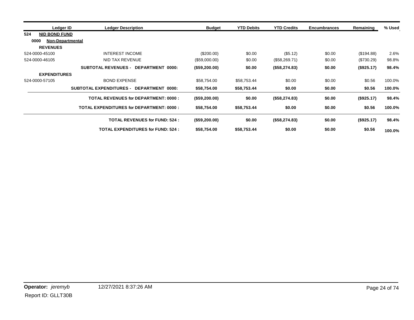| Ledger ID                       | <b>Ledger Description</b>                       | <b>Budget</b> | <b>YTD Debits</b> | <b>YTD Credits</b> | <b>Encumbrances</b> | Remaining    | % Used |
|---------------------------------|-------------------------------------------------|---------------|-------------------|--------------------|---------------------|--------------|--------|
| 524<br><b>NID BOND FUND</b>     |                                                 |               |                   |                    |                     |              |        |
| 0000<br><b>Non-Departmental</b> |                                                 |               |                   |                    |                     |              |        |
| <b>REVENUES</b>                 |                                                 |               |                   |                    |                     |              |        |
| 524-0000-45100                  | <b>INTEREST INCOME</b>                          | (\$200.00)    | \$0.00            | (\$5.12)           | \$0.00              | (\$194.88)   | 2.6%   |
| 524-0000-46105                  | NID TAX REVENUE                                 | (\$59,000.00) | \$0.00            | (\$58,269.71)      | \$0.00              | $(\$730.29)$ | 98.8%  |
|                                 | <b>SUBTOTAL REVENUES - DEPARTMENT 0000:</b>     | (\$59,200.00) | \$0.00            | (\$58,274.83)      | \$0.00              | (\$925.17)   | 98.4%  |
| <b>EXPENDITURES</b>             |                                                 |               |                   |                    |                     |              |        |
| 524-0000-57105                  | <b>BOND EXPENSE</b>                             | \$58,754.00   | \$58,753.44       | \$0.00             | \$0.00              | \$0.56       | 100.0% |
|                                 | SUBTOTAL EXPENDITURES - DEPARTMENT 0000:        | \$58,754.00   | \$58,753.44       | \$0.00             | \$0.00              | \$0.56       | 100.0% |
|                                 | <b>TOTAL REVENUES for DEPARTMENT: 0000:</b>     | (\$59,200.00) | \$0.00            | (\$58,274.83)      | \$0.00              | (\$925.17)   | 98.4%  |
|                                 | <b>TOTAL EXPENDITURES for DEPARTMENT: 0000:</b> | \$58,754.00   | \$58,753.44       | \$0.00             | \$0.00              | \$0.56       | 100.0% |
|                                 | <b>TOTAL REVENUES for FUND: 524:</b>            | (\$59,200.00) | \$0.00            | (\$58,274.83)      | \$0.00              | (\$925.17)   | 98.4%  |
|                                 | <b>TOTAL EXPENDITURES for FUND: 524:</b>        | \$58,754.00   | \$58,753.44       | \$0.00             | \$0.00              | \$0.56       | 100.0% |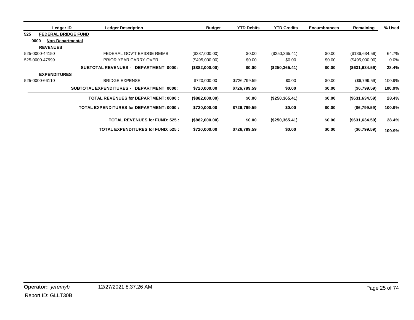| Ledger ID           | <b>Ledger Description</b>                       | <b>Budget</b>  | <b>YTD Debits</b> | <b>YTD Credits</b> | <b>Encumbrances</b> | Remaining         | % Used |
|---------------------|-------------------------------------------------|----------------|-------------------|--------------------|---------------------|-------------------|--------|
| 525                 | <b>FEDERAL BRIDGE FUND</b>                      |                |                   |                    |                     |                   |        |
| 0000                | <b>Non-Departmental</b>                         |                |                   |                    |                     |                   |        |
| <b>REVENUES</b>     |                                                 |                |                   |                    |                     |                   |        |
| 525-0000-44150      | FEDERAL GOV'T BRIDGE REIMB                      | (\$387,000.00) | \$0.00            | (\$250,365.41)     | \$0.00              | (\$136,634.59)    | 64.7%  |
| 525-0000-47999      | PRIOR YEAR CARRY OVER                           | (\$495,000.00) | \$0.00            | \$0.00             | \$0.00              | (\$495,000.00)    | 0.0%   |
|                     | <b>SUBTOTAL REVENUES -</b><br>DEPARTMENT 0000:  | (\$882,000.00) | \$0.00            | (\$250,365.41)     | \$0.00              | (\$631,634.59)    | 28.4%  |
| <b>EXPENDITURES</b> |                                                 |                |                   |                    |                     |                   |        |
| 525-0000-66110      | <b>BRIDGE EXPENSE</b>                           | \$720,000.00   | \$726,799.59      | \$0.00             | \$0.00              | (\$6,799.59)      | 100.9% |
|                     | SUBTOTAL EXPENDITURES - DEPARTMENT 0000:        | \$720,000.00   | \$726,799.59      | \$0.00             | \$0.00              | (\$6,799.59)      | 100.9% |
|                     | <b>TOTAL REVENUES for DEPARTMENT: 0000:</b>     | (\$882,000.00) | \$0.00            | (\$250,365.41)     | \$0.00              | $($ \$631,634.59) | 28.4%  |
|                     | <b>TOTAL EXPENDITURES for DEPARTMENT: 0000:</b> | \$720,000.00   | \$726,799.59      | \$0.00             | \$0.00              | (\$6,799.59)      | 100.9% |
|                     | <b>TOTAL REVENUES for FUND: 525:</b>            | (\$882,000.00) | \$0.00            | (\$250,365.41)     | \$0.00              | $($ \$631,634.59) | 28.4%  |
|                     | <b>TOTAL EXPENDITURES for FUND: 525:</b>        | \$720,000.00   | \$726,799.59      | \$0.00             | \$0.00              | (\$6,799.59)      | 100.9% |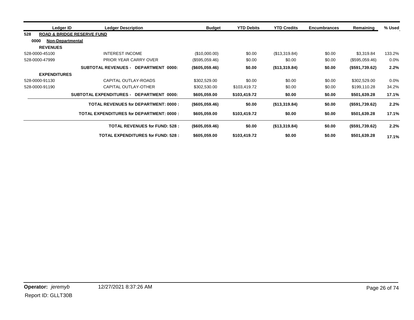| Ledger ID                       | <b>Ledger Description</b>                          | <b>Budget</b>     | <b>YTD Debits</b> | <b>YTD Credits</b> | <b>Encumbrances</b> | Remaining      | % Used |
|---------------------------------|----------------------------------------------------|-------------------|-------------------|--------------------|---------------------|----------------|--------|
| 528                             | <b>ROAD &amp; BRIDGE RESERVE FUND</b>              |                   |                   |                    |                     |                |        |
| 0000<br><b>Non-Departmental</b> |                                                    |                   |                   |                    |                     |                |        |
| <b>REVENUES</b>                 |                                                    |                   |                   |                    |                     |                |        |
| 528-0000-45100                  | INTEREST INCOME                                    | (\$10,000.00)     | \$0.00            | (\$13,319.84)      | \$0.00              | \$3,319.84     | 133.2% |
| 528-0000-47999                  | <b>PRIOR YEAR CARRY OVER</b>                       | (\$595,059.46)    | \$0.00            | \$0.00             | \$0.00              | (\$595,059.46) | 0.0%   |
|                                 | <b>SUBTOTAL REVENUES - DEPARTMENT 0000:</b>        | (\$605,059.46)    | \$0.00            | (\$13,319.84)      | \$0.00              | (\$591,739.62) | 2.2%   |
| <b>EXPENDITURES</b>             |                                                    |                   |                   |                    |                     |                |        |
| 528-0000-91130                  | CAPITAL OUTLAY-ROADS                               | \$302,529.00      | \$0.00            | \$0.00             | \$0.00              | \$302,529.00   | 0.0%   |
| 528-0000-91190                  | CAPITAL OUTLAY-OTHER                               | \$302,530.00      | \$103,419.72      | \$0.00             | \$0.00              | \$199,110.28   | 34.2%  |
|                                 | <b>SUBTOTAL EXPENDITURES -</b><br>DEPARTMENT 0000: | \$605,059.00      | \$103,419.72      | \$0.00             | \$0.00              | \$501,639.28   | 17.1%  |
|                                 | <b>TOTAL REVENUES for DEPARTMENT: 0000:</b>        | (\$605,059.46)    | \$0.00            | (\$13,319.84)      | \$0.00              | (\$591,739.62) | 2.2%   |
|                                 | <b>TOTAL EXPENDITURES for DEPARTMENT: 0000:</b>    | \$605,059.00      | \$103,419.72      | \$0.00             | \$0.00              | \$501,639.28   | 17.1%  |
|                                 | <b>TOTAL REVENUES for FUND: 528:</b>               | $($ \$605,059.46) | \$0.00            | (\$13,319.84)      | \$0.00              | (\$591,739.62) | 2.2%   |
|                                 | <b>TOTAL EXPENDITURES for FUND: 528:</b>           | \$605,059.00      | \$103,419.72      | \$0.00             | \$0.00              | \$501,639.28   | 17.1%  |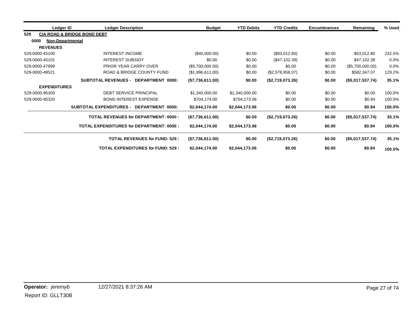| Ledger ID                       | <b>Ledger Description</b>                       | <b>Budget</b>    | <b>YTD Debits</b> | <b>YTD Credits</b> | <b>Encumbrances</b> | Remaining        | % Used |
|---------------------------------|-------------------------------------------------|------------------|-------------------|--------------------|---------------------|------------------|--------|
| 529                             | <b>CIA ROAD &amp; BRIDGE BOND DEBT</b>          |                  |                   |                    |                     |                  |        |
| 0000<br><b>Non-Departmental</b> |                                                 |                  |                   |                    |                     |                  |        |
| <b>REVENUES</b>                 |                                                 |                  |                   |                    |                     |                  |        |
| 529-0000-45100                  | <b>INTEREST INCOME</b>                          | (\$40,000.00)    | \$0.00            | (\$93,012.80)      | \$0.00              | \$53,012.80      | 232.5% |
| 529-0000-45101                  | <b>INTEREST SUBSIDY</b>                         | \$0.00           | \$0.00            | (\$47,102.39)      | \$0.00              | \$47,102.39      | 0.0%   |
| 529-0000-47999                  | PRIOR YEAR CARRY OVER                           | (\$5,700,000.00) | \$0.00            | \$0.00             | \$0.00              | (\$5,700,000.00) | 0.0%   |
| 529-0000-49521                  | ROAD & BRIDGE COUNTY FUND                       | (\$1,996,611.00) | \$0.00            | (\$2,578,958.07)   | \$0.00              | \$582,347.07     | 129.2% |
|                                 | <b>SUBTOTAL REVENUES - DEPARTMENT 0000:</b>     | (\$7,736,611.00) | \$0.00            | (\$2,719,073.26)   | \$0.00              | (\$5,017,537.74) | 35.1%  |
| <b>EXPENDITURES</b>             |                                                 |                  |                   |                    |                     |                  |        |
| 529-0000-95300                  | <b>DEBT SERVICE PRINCIPAL</b>                   | \$1,340,000.00   | \$1,340,000.00    | \$0.00             | \$0.00              | \$0.00           | 100.0% |
| 529-0000-95320                  | <b>BOND INTEREST EXPENSE</b>                    | \$704,174.00     | \$704,173.06      | \$0.00             | \$0.00              | \$0.94           | 100.0% |
|                                 | SUBTOTAL EXPENDITURES - DEPARTMENT 0000:        | \$2,044,174.00   | \$2,044,173.06    | \$0.00             | \$0.00              | \$0.94           | 100.0% |
|                                 | <b>TOTAL REVENUES for DEPARTMENT: 0000:</b>     | (\$7,736,611.00) | \$0.00            | (\$2,719,073.26)   | \$0.00              | (\$5,017,537.74) | 35.1%  |
|                                 | <b>TOTAL EXPENDITURES for DEPARTMENT: 0000:</b> | \$2,044,174.00   | \$2,044,173.06    | \$0.00             | \$0.00              | \$0.94           | 100.0% |
|                                 | <b>TOTAL REVENUES for FUND: 529:</b>            | (\$7,736,611.00) | \$0.00            | (\$2,719,073.26)   | \$0.00              | (\$5,017,537.74) | 35.1%  |
|                                 | <b>TOTAL EXPENDITURES for FUND: 529:</b>        | \$2,044,174.00   | \$2,044,173.06    | \$0.00             | \$0.00              | \$0.94           | 100.0% |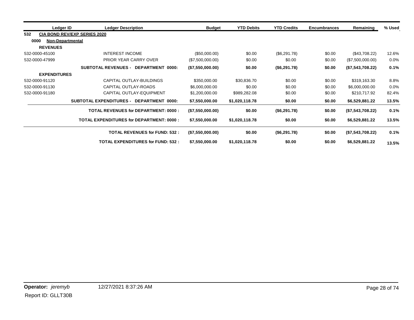| Ledger ID                       | <b>Ledger Description</b>                       | <b>Budget</b>    | <b>YTD Debits</b> | <b>YTD Credits</b> | <b>Encumbrances</b> | Remaining        | % Used  |
|---------------------------------|-------------------------------------------------|------------------|-------------------|--------------------|---------------------|------------------|---------|
| 532                             | <b>CIA BOND REV/EXP SERIES 2020</b>             |                  |                   |                    |                     |                  |         |
| 0000<br><b>Non-Departmental</b> |                                                 |                  |                   |                    |                     |                  |         |
| <b>REVENUES</b>                 |                                                 |                  |                   |                    |                     |                  |         |
| 532-0000-45100                  | <b>INTEREST INCOME</b>                          | (\$50,000.00)    | \$0.00            | (\$6,291.78)       | \$0.00              | (\$43,708.22)    | 12.6%   |
| 532-0000-47999                  | PRIOR YEAR CARRY OVER                           | (\$7,500,000.00) | \$0.00            | \$0.00             | \$0.00              | (\$7,500,000.00) | $0.0\%$ |
|                                 | <b>SUBTOTAL REVENUES - DEPARTMENT 0000:</b>     | (\$7,550,000.00) | \$0.00            | (\$6,291.78)       | \$0.00              | (\$7,543,708.22) | 0.1%    |
| <b>EXPENDITURES</b>             |                                                 |                  |                   |                    |                     |                  |         |
| 532-0000-91120                  | CAPITAL OUTLAY-BUILDINGS                        | \$350,000.00     | \$30,836.70       | \$0.00             | \$0.00              | \$319,163.30     | 8.8%    |
| 532-0000-91130                  | CAPITAL OUTLAY-ROADS                            | \$6,000,000.00   | \$0.00            | \$0.00             | \$0.00              | \$6,000,000.00   | 0.0%    |
| 532-0000-91180                  | CAPITAL OUTLAY-EQUIPMENT                        | \$1,200,000.00   | \$989,282.08      | \$0.00             | \$0.00              | \$210,717.92     | 82.4%   |
|                                 | SUBTOTAL EXPENDITURES - DEPARTMENT 0000:        | \$7,550,000.00   | \$1,020,118.78    | \$0.00             | \$0.00              | \$6,529,881.22   | 13.5%   |
|                                 | <b>TOTAL REVENUES for DEPARTMENT: 0000:</b>     | (\$7,550,000.00) | \$0.00            | (S6, 291.78)       | \$0.00              | (\$7,543,708.22) | 0.1%    |
|                                 | <b>TOTAL EXPENDITURES for DEPARTMENT: 0000:</b> | \$7,550,000.00   | \$1,020,118.78    | \$0.00             | \$0.00              | \$6,529,881.22   | 13.5%   |
|                                 | <b>TOTAL REVENUES for FUND: 532:</b>            | (\$7,550,000.00) | \$0.00            | (\$6,291.78)       | \$0.00              | (\$7,543,708.22) | 0.1%    |
|                                 | <b>TOTAL EXPENDITURES for FUND: 532:</b>        | \$7,550,000.00   | \$1,020,118.78    | \$0.00             | \$0.00              | \$6,529,881.22   | 13.5%   |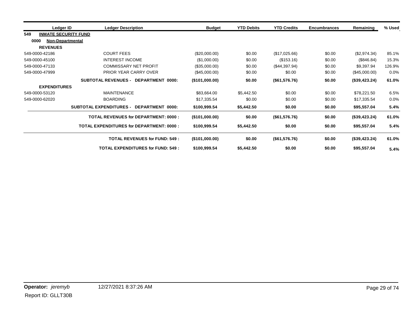| Ledger ID           | <b>Ledger Description</b>                          | <b>Budget</b>  | <b>YTD Debits</b> | <b>YTD Credits</b> | <b>Encumbrances</b> | Remaining     | % Used |
|---------------------|----------------------------------------------------|----------------|-------------------|--------------------|---------------------|---------------|--------|
| 549                 | <b>INMATE SECURITY FUND</b>                        |                |                   |                    |                     |               |        |
| 0000                | Non-Departmental                                   |                |                   |                    |                     |               |        |
| <b>REVENUES</b>     |                                                    |                |                   |                    |                     |               |        |
| 549-0000-42186      | <b>COURT FEES</b>                                  | (\$20,000.00)  | \$0.00            | (\$17,025.66)      | \$0.00              | (\$2,974.34)  | 85.1%  |
| 549-0000-45100      | <b>INTEREST INCOME</b>                             | (\$1,000.00)   | \$0.00            | (\$153.16)         | \$0.00              | (\$846.84)    | 15.3%  |
| 549-0000-47133      | <b>COMMISSARY NET PROFIT</b>                       | (\$35,000.00)  | \$0.00            | (\$44,397.94)      | \$0.00              | \$9,397.94    | 126.9% |
| 549-0000-47999      | <b>PRIOR YEAR CARRY OVER</b>                       | (\$45,000.00)  | \$0.00            | \$0.00             | \$0.00              | (\$45,000.00) | 0.0%   |
|                     | SUBTOTAL REVENUES - DEPARTMENT 0000:               | (\$101,000.00) | \$0.00            | (\$61,576.76)      | \$0.00              | (\$39,423.24) | 61.0%  |
| <b>EXPENDITURES</b> |                                                    |                |                   |                    |                     |               |        |
| 549-0000-53120      | <b>MAINTENANCE</b>                                 | \$83,664.00    | \$5,442.50        | \$0.00             | \$0.00              | \$78,221.50   | 6.5%   |
| 549-0000-62020      | <b>BOARDING</b>                                    | \$17,335.54    | \$0.00            | \$0.00             | \$0.00              | \$17,335.54   | 0.0%   |
|                     | <b>SUBTOTAL EXPENDITURES -</b><br>DEPARTMENT 0000: | \$100,999.54   | \$5,442.50        | \$0.00             | \$0.00              | \$95,557.04   | 5.4%   |
|                     | <b>TOTAL REVENUES for DEPARTMENT: 0000:</b>        | (\$101,000.00) | \$0.00            | (\$61,576.76)      | \$0.00              | (\$39,423.24) | 61.0%  |
|                     | <b>TOTAL EXPENDITURES for DEPARTMENT: 0000:</b>    | \$100,999.54   | \$5,442.50        | \$0.00             | \$0.00              | \$95,557.04   | 5.4%   |
|                     | <b>TOTAL REVENUES for FUND: 549:</b>               | (\$101,000.00) | \$0.00            | (\$61,576.76)      | \$0.00              | (\$39,423.24) | 61.0%  |
|                     | <b>TOTAL EXPENDITURES for FUND: 549:</b>           | \$100,999.54   | \$5,442.50        | \$0.00             | \$0.00              | \$95,557.04   | 5.4%   |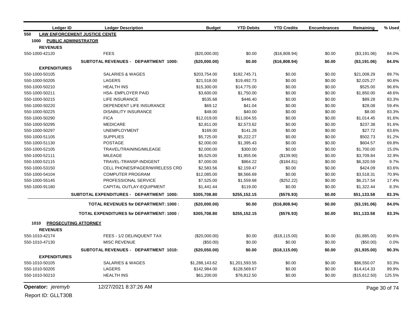| <b>Ledger ID</b>                    | <b>Ledger Description</b>                       | <b>Budget</b>  | <b>YTD Debits</b> | <b>YTD Credits</b> | <b>Encumbrances</b> | Remaining       | % Used        |
|-------------------------------------|-------------------------------------------------|----------------|-------------------|--------------------|---------------------|-----------------|---------------|
| 550                                 | <b>LAW ENFORCEMENT JUSTICE CENTE</b>            |                |                   |                    |                     |                 |               |
| 1000<br><b>PUBLIC ADMINISTRATOR</b> |                                                 |                |                   |                    |                     |                 |               |
| <b>REVENUES</b>                     |                                                 |                |                   |                    |                     |                 |               |
| 550-1000-42120                      | <b>FEES</b>                                     | (\$20,000.00)  | \$0.00            | (\$16,808.94)      | \$0.00              | (\$3,191.06)    | 84.0%         |
|                                     | SUBTOTAL REVENUES - DEPARTMENT 1000:            | (\$20,000.00)  | \$0.00            | (\$16,808.94)      | \$0.00              | (\$3,191.06)    | 84.0%         |
| <b>EXPENDITURES</b>                 |                                                 |                |                   |                    |                     |                 |               |
| 550-1000-50105                      | <b>SALARIES &amp; WAGES</b>                     | \$203,754.00   | \$182,745.71      | \$0.00             | \$0.00              | \$21,008.29     | 89.7%         |
| 550-1000-50205                      | <b>LAGERS</b>                                   | \$21,518.00    | \$19,492.73       | \$0.00             | \$0.00              | \$2,025.27      | 90.6%         |
| 550-1000-50210                      | <b>HEALTH INS</b>                               | \$15,300.00    | \$14,775.00       | \$0.00             | \$0.00              | \$525.00        | 96.6%         |
| 550-1000-50211                      | <b>HSA- EMPLOYER PAID</b>                       | \$3,600.00     | \$1,750.00        | \$0.00             | \$0.00              | \$1,850.00      | 48.6%         |
| 550-1000-50215                      | <b>LIFE INSURANCE</b>                           | \$535.68       | \$446.40          | \$0.00             | \$0.00              | \$89.28         | 83.3%         |
| 550-1000-50220                      | DEPENDENT LIFE INSURANCE                        | \$69.12        | \$41.04           | \$0.00             | \$0.00              | \$28.08         | 59.4%         |
| 550-1000-50225                      | <b>DISABILITY INSURANCE</b>                     | \$48.00        | \$40.00           | \$0.00             | \$0.00              | \$8.00          | 83.3%         |
| 550-1000-50290                      | <b>FICA</b>                                     | \$12,019.00    | \$11,004.55       | \$0.00             | \$0.00              | \$1,014.45      | 91.6%         |
| 550-1000-50295                      | <b>MEDICARE</b>                                 | \$2,811.00     | \$2,573.62        | \$0.00             | \$0.00              | \$237.38        | 91.6%         |
| 550-1000-50297                      | <b>UNEMPLOYMENT</b>                             | \$169.00       | \$141.28          | \$0.00             | \$0.00              | \$27.72         | 83.6%         |
| 550-1000-51105                      | <b>SUPPLIES</b>                                 | \$5,725.00     | \$5,222.27        | \$0.00             | \$0.00              | \$502.73        | 91.2%         |
| 550-1000-51130                      | <b>POSTAGE</b>                                  | \$2,000.00     | \$1,395.43        | \$0.00             | \$0.00              | \$604.57        | 69.8%         |
| 550-1000-52105                      | TRAVEL/TRAINING/MILEAGE                         | \$2,000.00     | \$300.00          | \$0.00             | \$0.00              | \$1,700.00      | 15.0%         |
| 550-1000-52111                      | <b>MILEAGE</b>                                  | \$5,525.00     | \$1,955.06        | (\$139.90)         | \$0.00              | \$3,709.84      | 32.9%         |
| 550-1000-52115                      | TRAVEL-TRANSP-INDIGENT                          | \$7,000.00     | \$864.22          | (\$184.81)         | \$0.00              | \$6,320.59      | 9.7%          |
| 550-1000-53150                      | CELL PHONES/PAGER/WIRELESS CRD                  | \$2,583.56     | \$2,159.47        | \$0.00             | \$0.00              | \$424.09        | 83.6%         |
| 550-1000-54104                      | <b>COMPUTER PROGRAM</b>                         | \$12,085.00    | \$8,566.69        | \$0.00             | \$0.00              | \$3,518.31      | 70.9%         |
| 550-1000-55145                      | PROFESSIONAL SERVICE                            | \$7,525.00     | \$1,559.68        | (\$252.22)         | \$0.00              | \$6,217.54      | 17.4%         |
| 550-1000-91180                      | CAPITAL OUTLAY-EQUIPMENT                        | \$1,441.44     | \$119.00          | \$0.00             | \$0.00              | \$1,322.44      | 8.3%          |
|                                     | <b>SUBTOTAL EXPENDITURES - DEPARTMENT 1000:</b> | \$305,708.80   | \$255,152.15      | (\$576.93)         | \$0.00              | \$51,133.58     | 83.3%         |
|                                     | <b>TOTAL REVENUES for DEPARTMENT: 1000:</b>     | (\$20,000.00)  | \$0.00            | (\$16,808.94)      | \$0.00              | $($ \$3,191.06) | 84.0%         |
|                                     | <b>TOTAL EXPENDITURES for DEPARTMENT: 1000:</b> | \$305,708.80   | \$255,152.15      | (\$576.93)         | \$0.00              | \$51,133.58     | 83.3%         |
| <b>PROSECUTING ATTORNEY</b><br>1010 |                                                 |                |                   |                    |                     |                 |               |
| <b>REVENUES</b>                     |                                                 |                |                   |                    |                     |                 |               |
| 550-1010-42174                      | FEES - 1/2 DELINQUENT TAX                       | (\$20,000.00)  | \$0.00            | (\$18,115.00)      | \$0.00              | (\$1,885.00)    | 90.6%         |
| 550-1010-47130                      | <b>MISC REVENUE</b>                             | (\$50.00)      | \$0.00            | \$0.00             | \$0.00              | (\$50.00)       | 0.0%          |
|                                     | SUBTOTAL REVENUES - DEPARTMENT 1010:            | (\$20,050.00)  | \$0.00            | (\$18,115.00)      | \$0.00              | (\$1,935.00)    | 90.3%         |
| <b>EXPENDITURES</b>                 |                                                 |                |                   |                    |                     |                 |               |
| 550-1010-50105                      | <b>SALARIES &amp; WAGES</b>                     | \$1,288,143.62 | \$1,201,593.55    | \$0.00             | \$0.00              | \$86,550.07     | 93.3%         |
| 550-1010-50205                      | <b>LAGERS</b>                                   | \$142,984.00   | \$128,569.67      | \$0.00             | \$0.00              | \$14,414.33     | 89.9%         |
| 550-1010-50210                      | <b>HEALTH INS</b>                               | \$61,200.00    | \$76,812.50       | \$0.00             | \$0.00              | (\$15,612.50)   | 125.5%        |
| Operator: jeremyb                   | 12/27/2021 8:37:26 AM                           |                |                   |                    |                     |                 | Page 30 of 74 |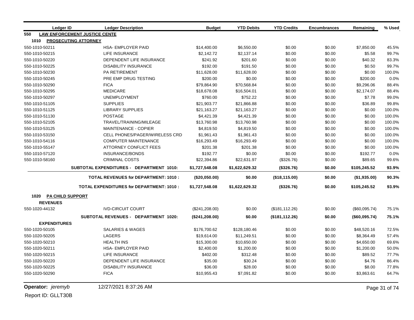|                | <b>Ledger ID</b>        | <b>Ledger Description</b>                       | <b>Budget</b>   | <b>YTD Debits</b> | <b>YTD Credits</b> | <b>Encumbrances</b> | Remaining     | % Used |
|----------------|-------------------------|-------------------------------------------------|-----------------|-------------------|--------------------|---------------------|---------------|--------|
| 550            |                         | <b>LAW ENFORCEMENT JUSTICE CENTE</b>            |                 |                   |                    |                     |               |        |
| 1010           |                         | <b>PROSECUTING ATTORNEY</b>                     |                 |                   |                    |                     |               |        |
| 550-1010-50211 |                         | <b>HSA-EMPLOYER PAID</b>                        | \$14,400.00     | \$6,550.00        | \$0.00             | \$0.00              | \$7,850.00    | 45.5%  |
| 550-1010-50215 |                         | LIFE INSURANCE                                  | \$2,142.72      | \$2,137.14        | \$0.00             | \$0.00              | \$5.58        | 99.7%  |
| 550-1010-50220 |                         | DEPENDENT LIFE INSURANCE                        | \$241.92        | \$201.60          | \$0.00             | \$0.00              | \$40.32       | 83.3%  |
| 550-1010-50225 |                         | <b>DISABILITY INSURANCE</b>                     | \$192.00        | \$191.50          | \$0.00             | \$0.00              | \$0.50        | 99.7%  |
| 550-1010-50230 |                         | <b>PA RETIREMENT</b>                            | \$11,628.00     | \$11,628.00       | \$0.00             | \$0.00              | \$0.00        | 100.0% |
| 550-1010-50245 |                         | PRE EMP DRUG TESTING                            | \$200.00        | \$0.00            | \$0.00             | \$0.00              | \$200.00      | 0.0%   |
| 550-1010-50290 |                         | <b>FICA</b>                                     | \$79,864.90     | \$70,568.84       | \$0.00             | \$0.00              | \$9,296.06    | 88.4%  |
| 550-1010-50295 |                         | <b>MEDICARE</b>                                 | \$18,678.08     | \$16,504.01       | \$0.00             | \$0.00              | \$2,174.07    | 88.4%  |
| 550-1010-50297 |                         | <b>UNEMPLOYMENT</b>                             | \$760.00        | \$752.22          | \$0.00             | \$0.00              | \$7.78        | 99.0%  |
| 550-1010-51105 |                         | <b>SUPPLIES</b>                                 | \$21,903.77     | \$21,866.88       | \$0.00             | \$0.00              | \$36.89       | 99.8%  |
| 550-1010-51125 |                         | <b>LIBRARY SUPPLIES</b>                         | \$21,163.27     | \$21,163.27       | \$0.00             | \$0.00              | \$0.00        | 100.0% |
| 550-1010-51130 |                         | <b>POSTAGE</b>                                  | \$4,421.39      | \$4,421.39        | \$0.00             | \$0.00              | \$0.00        | 100.0% |
| 550-1010-52105 |                         | TRAVEL/TRAINING/MILEAGE                         | \$13,760.98     | \$13,760.98       | \$0.00             | \$0.00              | \$0.00        | 100.0% |
| 550-1010-53125 |                         | <b>MAINTENANCE - COPIER</b>                     | \$4,819.50      | \$4,819.50        | \$0.00             | \$0.00              | \$0.00        | 100.0% |
| 550-1010-53150 |                         | CELL PHONES/PAGER/WIRELESS CRD                  | \$1,961.43      | \$1,961.43        | \$0.00             | \$0.00              | \$0.00        | 100.0% |
| 550-1010-54116 |                         | <b>COMPUTER MAINTENANCE</b>                     | \$16,293.49     | \$16,293.49       | \$0.00             | \$0.00              | \$0.00        | 100.0% |
| 550-1010-55147 |                         | <b>ATTORNEY CONFLICT FEES</b>                   | \$201.38        | \$201.38          | \$0.00             | \$0.00              | \$0.00        | 100.0% |
| 550-1010-57120 |                         | <b>INSURANCE/BONDS</b>                          | \$192.77        | \$0.00            | \$0.00             | \$0.00              | \$192.77      | 0.0%   |
| 550-1010-58160 |                         | <b>CRIMINAL COSTS</b>                           | \$22,394.86     | \$22,631.97       | (\$326.76)         | \$0.00              | \$89.65       | 99.6%  |
|                |                         | SUBTOTAL EXPENDITURES - DEPARTMENT 1010:        | \$1,727,548.08  | \$1,622,629.32    | (\$326.76)         | \$0.00              | \$105,245.52  | 93.9%  |
|                |                         | <b>TOTAL REVENUES for DEPARTMENT: 1010:</b>     | (\$20,050.00)   | \$0.00            | (\$18,115.00)      | \$0.00              | (S1,935.00)   | 90.3%  |
|                |                         | <b>TOTAL EXPENDITURES for DEPARTMENT: 1010:</b> | \$1,727,548.08  | \$1,622,629.32    | (\$326.76)         | \$0.00              | \$105,245.52  | 93.9%  |
| 1020           | <u>PA CHILD SUPPORT</u> |                                                 |                 |                   |                    |                     |               |        |
|                | <b>REVENUES</b>         |                                                 |                 |                   |                    |                     |               |        |
| 550-1020-44132 |                         | <b>IVD-CIRCUIT COURT</b>                        | (\$241, 208.00) | \$0.00            | (\$181, 112.26)    | \$0.00              | (\$60,095.74) | 75.1%  |
|                |                         | SUBTOTAL REVENUES - DEPARTMENT 1020:            | (\$241, 208.00) | \$0.00            | (\$181, 112.26)    | \$0.00              | (\$60,095.74) | 75.1%  |
|                | <b>EXPENDITURES</b>     |                                                 |                 |                   |                    |                     |               |        |
| 550-1020-50105 |                         | <b>SALARIES &amp; WAGES</b>                     | \$176,700.62    | \$128,180.46      | \$0.00             | \$0.00              | \$48,520.16   | 72.5%  |
| 550-1020-50205 |                         | LAGERS                                          | \$19,614.00     | \$11,249.51       | \$0.00             | \$0.00              | \$8,364.49    | 57.4%  |
| 550-1020-50210 |                         | <b>HEALTH INS</b>                               | \$15,300.00     | \$10,650.00       | \$0.00             | \$0.00              | \$4,650.00    | 69.6%  |
| 550-1020-50211 |                         | HSA- EMPLOYER PAID                              | \$2,400.00      | \$1,200.00        | \$0.00             | \$0.00              | \$1,200.00    | 50.0%  |
| 550-1020-50215 |                         | <b>LIFE INSURANCE</b>                           | \$402.00        | \$312.48          | \$0.00             | \$0.00              | \$89.52       | 77.7%  |
| 550-1020-50220 |                         | DEPENDENT LIFE INSURANCE                        | \$35.00         | \$30.24           | \$0.00             | \$0.00              | \$4.76        | 86.4%  |
| 550-1020-50225 |                         | <b>DISABILITY INSURANCE</b>                     | \$36.00         | \$28.00           | \$0.00             | \$0.00              | \$8.00        | 77.8%  |
| 550-1020-50290 |                         | <b>FICA</b>                                     | \$10,955.43     | \$7,091.82        | \$0.00             | \$0.00              | \$3,863.61    | 64.7%  |

**Operator:** *jeremyb* 12/27/2021 8:37:26 AM Page 31 of 74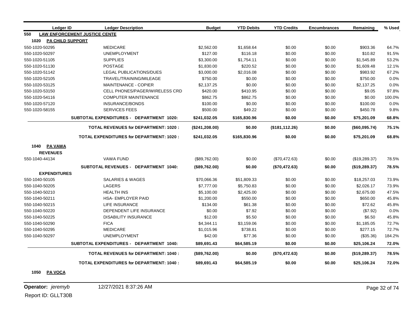| Ledger ID                       | <b>Ledger Description</b>                       | <b>Budget</b>   | <b>YTD Debits</b> | <b>YTD Credits</b> | <b>Encumbrances</b> | Remaining     | % Used |
|---------------------------------|-------------------------------------------------|-----------------|-------------------|--------------------|---------------------|---------------|--------|
| 550                             | <b>LAW ENFORCEMENT JUSTICE CENTE</b>            |                 |                   |                    |                     |               |        |
| 1020<br><b>PA CHILD SUPPORT</b> |                                                 |                 |                   |                    |                     |               |        |
| 550-1020-50295                  | <b>MEDICARE</b>                                 | \$2,562.00      | \$1,658.64        | \$0.00             | \$0.00              | \$903.36      | 64.7%  |
| 550-1020-50297                  | <b>UNEMPLOYMENT</b>                             | \$127.00        | \$116.18          | \$0.00             | \$0.00              | \$10.82       | 91.5%  |
| 550-1020-51105                  | <b>SUPPLIES</b>                                 | \$3,300.00      | \$1,754.11        | \$0.00             | \$0.00              | \$1,545.89    | 53.2%  |
| 550-1020-51130                  | <b>POSTAGE</b>                                  | \$1,830.00      | \$220.52          | \$0.00             | \$0.00              | \$1,609.48    | 12.1%  |
| 550-1020-51142                  | <b>LEGAL PUBLICATIONS/DUES</b>                  | \$3,000.00      | \$2,016.08        | \$0.00             | \$0.00              | \$983.92      | 67.2%  |
| 550-1020-52105                  | TRAVEL/TRAINING/MILEAGE                         | \$750.00        | \$0.00            | \$0.00             | \$0.00              | \$750.00      | 0.0%   |
| 550-1020-53125                  | MAINTENANCE - COPIER                            | \$2,137.25      | \$0.00            | \$0.00             | \$0.00              | \$2,137.25    | 0.0%   |
| 550-1020-53150                  | CELL PHONES/PAGER/WIRELESS CRD                  | \$420.00        | \$410.95          | \$0.00             | \$0.00              | \$9.05        | 97.8%  |
| 550-1020-54116                  | <b>COMPUTER MAINTENANCE</b>                     | \$862.75        | \$862.75          | \$0.00             | \$0.00              | \$0.00        | 100.0% |
| 550-1020-57120                  | <b>INSURANCE/BONDS</b>                          | \$100.00        | \$0.00            | \$0.00             | \$0.00              | \$100.00      | 0.0%   |
| 550-1020-58155                  | <b>SERVICES FEES</b>                            | \$500.00        | \$49.22           | \$0.00             | \$0.00              | \$450.78      | 9.8%   |
|                                 | SUBTOTAL EXPENDITURES - DEPARTMENT 1020:        | \$241,032.05    | \$165,830.96      | \$0.00             | \$0.00              | \$75,201.09   | 68.8%  |
|                                 | <b>TOTAL REVENUES for DEPARTMENT: 1020:</b>     | (\$241, 208.00) | \$0.00            | (\$181, 112.26)    | \$0.00              | (\$60,095.74) | 75.1%  |
|                                 | <b>TOTAL EXPENDITURES for DEPARTMENT: 1020:</b> | \$241,032.05    | \$165,830.96      | \$0.00             | \$0.00              | \$75,201.09   | 68.8%  |
| 1040 PA VAWA                    |                                                 |                 |                   |                    |                     |               |        |
| <b>REVENUES</b>                 |                                                 |                 |                   |                    |                     |               |        |
| 550-1040-44134                  | <b>VAWA FUND</b>                                | (\$89,762.00)   | \$0.00            | (\$70,472.63)      | \$0.00              | (\$19,289.37) | 78.5%  |
|                                 | <b>SUBTOTAL REVENUES - DEPARTMENT 1040:</b>     | (\$89,762.00)   | \$0.00            | (\$70,472.63)      | \$0.00              | (\$19,289.37) | 78.5%  |
| <b>EXPENDITURES</b>             |                                                 |                 |                   |                    |                     |               |        |
| 550-1040-50105                  | <b>SALARIES &amp; WAGES</b>                     | \$70,066.36     | \$51,809.33       | \$0.00             | \$0.00              | \$18,257.03   | 73.9%  |
| 550-1040-50205                  | LAGERS                                          | \$7,777.00      | \$5,750.83        | \$0.00             | \$0.00              | \$2,026.17    | 73.9%  |
| 550-1040-50210                  | <b>HEALTH INS</b>                               | \$5,100.00      | \$2,425.00        | \$0.00             | \$0.00              | \$2,675.00    | 47.5%  |
| 550-1040-50211                  | <b>HSA- EMPLOYER PAID</b>                       | \$1,200.00      | \$550.00          | \$0.00             | \$0.00              | \$650.00      | 45.8%  |
| 550-1040-50215                  | <b>LIFE INSURANCE</b>                           | \$134.00        | \$61.38           | \$0.00             | \$0.00              | \$72.62       | 45.8%  |
| 550-1040-50220                  | DEPENDENT LIFE INSURANCE                        | \$0.00          | \$7.92            | \$0.00             | \$0.00              | (\$7.92)      | 0.0%   |
| 550-1040-50225                  | <b>DISABILITY INSURANCE</b>                     | \$12.00         | \$5.50            | \$0.00             | \$0.00              | \$6.50        | 45.8%  |
| 550-1040-50290                  | <b>FICA</b>                                     | \$4,344.11      | \$3,159.06        | \$0.00             | \$0.00              | \$1,185.05    | 72.7%  |
| 550-1040-50295                  | <b>MEDICARE</b>                                 | \$1,015.96      | \$738.81          | \$0.00             | \$0.00              | \$277.15      | 72.7%  |
| 550-1040-50297                  | <b>UNEMPLOYMENT</b>                             | \$42.00         | \$77.36           | \$0.00             | \$0.00              | (\$35.36)     | 184.2% |
|                                 | SUBTOTAL EXPENDITURES - DEPARTMENT 1040:        | \$89,691.43     | \$64,585.19       | \$0.00             | \$0.00              | \$25,106.24   | 72.0%  |
|                                 | <b>TOTAL REVENUES for DEPARTMENT: 1040:</b>     | (\$89,762.00)   | \$0.00            | (\$70,472.63)      | \$0.00              | (\$19,289.37) | 78.5%  |
|                                 | <b>TOTAL EXPENDITURES for DEPARTMENT: 1040:</b> | \$89,691.43     | \$64,585.19       | \$0.00             | \$0.00              | \$25,106.24   | 72.0%  |

**1050 PA VOCA**

**Operator:** *jeremyb* 12/27/2021 8:37:26 AM Page 32 of 74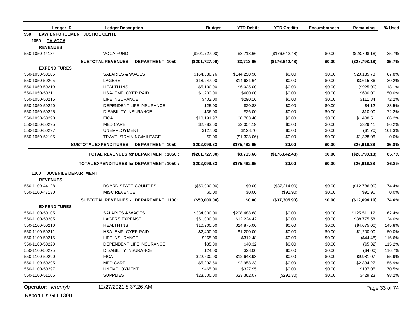| <b>Ledger ID</b>    | <b>Ledger Description</b>                       | <b>Budget</b>  | <b>YTD Debits</b> | <b>YTD Credits</b> | <b>Encumbrances</b> | Remaining     | % Used        |
|---------------------|-------------------------------------------------|----------------|-------------------|--------------------|---------------------|---------------|---------------|
| 550                 | <b>LAW ENFORCEMENT JUSTICE CENTE</b>            |                |                   |                    |                     |               |               |
| 1050 PA VOCA        |                                                 |                |                   |                    |                     |               |               |
| <b>REVENUES</b>     |                                                 |                |                   |                    |                     |               |               |
| 550-1050-44134      | <b>VOCA FUND</b>                                | (\$201,727.00) | \$3,713.66        | (\$176,642.48)     | \$0.00              | (\$28,798.18) | 85.7%         |
|                     | SUBTOTAL REVENUES - DEPARTMENT 1050:            | (\$201,727.00) | \$3,713.66        | (\$176,642.48)     | \$0.00              | (\$28,798.18) | 85.7%         |
| <b>EXPENDITURES</b> |                                                 |                |                   |                    |                     |               |               |
| 550-1050-50105      | <b>SALARIES &amp; WAGES</b>                     | \$164,386.76   | \$144,250.98      | \$0.00             | \$0.00              | \$20,135.78   | 87.8%         |
| 550-1050-50205      | <b>LAGERS</b>                                   | \$18,247.00    | \$14,631.64       | \$0.00             | \$0.00              | \$3,615.36    | 80.2%         |
| 550-1050-50210      | <b>HEALTH INS</b>                               | \$5,100.00     | \$6,025.00        | \$0.00             | \$0.00              | (\$925.00)    | 118.1%        |
| 550-1050-50211      | <b>HSA- EMPLOYER PAID</b>                       | \$1,200.00     | \$600.00          | \$0.00             | \$0.00              | \$600.00      | 50.0%         |
| 550-1050-50215      | <b>LIFE INSURANCE</b>                           | \$402.00       | \$290.16          | \$0.00             | \$0.00              | \$111.84      | 72.2%         |
| 550-1050-50220      | DEPENDENT LIFE INSURANCE                        | \$25.00        | \$20.88           | \$0.00             | \$0.00              | \$4.12        | 83.5%         |
| 550-1050-50225      | <b>DISABILITY INSURANCE</b>                     | \$36.00        | \$26.00           | \$0.00             | \$0.00              | \$10.00       | 72.2%         |
| 550-1050-50290      | <b>FICA</b>                                     | \$10,191.97    | \$8,783.46        | \$0.00             | \$0.00              | \$1,408.51    | 86.2%         |
| 550-1050-50295      | <b>MEDICARE</b>                                 | \$2,383.60     | \$2,054.19        | \$0.00             | \$0.00              | \$329.41      | 86.2%         |
| 550-1050-50297      | <b>UNEMPLOYMENT</b>                             | \$127.00       | \$128.70          | \$0.00             | \$0.00              | (\$1.70)      | 101.3%        |
| 550-1050-52105      | TRAVEL/TRAINING/MILEAGE                         | \$0.00         | (\$1,328.06)      | \$0.00             | \$0.00              | \$1,328.06    | 0.0%          |
|                     | <b>SUBTOTAL EXPENDITURES - DEPARTMENT 1050:</b> | \$202,099.33   | \$175,482.95      | \$0.00             | \$0.00              | \$26,616.38   | 86.8%         |
|                     | <b>TOTAL REVENUES for DEPARTMENT: 1050:</b>     | (\$201,727.00) | \$3,713.66        | (\$176,642.48)     | \$0.00              | (\$28,798.18) | 85.7%         |
|                     | <b>TOTAL EXPENDITURES for DEPARTMENT: 1050:</b> | \$202,099.33   | \$175,482.95      | \$0.00             | \$0.00              | \$26,616.38   | 86.8%         |
| 1100                | <b>JUVENILE DEPARTMENT</b>                      |                |                   |                    |                     |               |               |
| <b>REVENUES</b>     |                                                 |                |                   |                    |                     |               |               |
| 550-1100-44128      | BOARD-STATE-COUNTIES                            | (\$50,000.00)  | \$0.00            | (\$37,214.00)      | \$0.00              | (\$12,786.00) | 74.4%         |
| 550-1100-47130      | <b>MISC REVENUE</b>                             | \$0.00         | \$0.00            | (\$91.90)          | \$0.00              | \$91.90       | 0.0%          |
|                     | SUBTOTAL REVENUES - DEPARTMENT 1100:            | (\$50,000.00)  | \$0.00            | (\$37,305.90)      | \$0.00              | (\$12,694.10) | 74.6%         |
| <b>EXPENDITURES</b> |                                                 |                |                   |                    |                     |               |               |
| 550-1100-50105      | <b>SALARIES &amp; WAGES</b>                     | \$334,000.00   | \$208,488.88      | \$0.00             | \$0.00              | \$125,511.12  | 62.4%         |
| 550-1100-50205      | <b>LAGERS EXPENSE</b>                           | \$51,000.00    | \$12,224.42       | \$0.00             | \$0.00              | \$38,775.58   | 24.0%         |
| 550-1100-50210      | <b>HEALTH INS</b>                               | \$10,200.00    | \$14,875.00       | \$0.00             | \$0.00              | (\$4,675.00)  | 145.8%        |
| 550-1100-50211      | HSA- EMPLOYER PAID                              | \$2,400.00     | \$1,200.00        | \$0.00             | \$0.00              | \$1,200.00    | 50.0%         |
| 550-1100-50215      | LIFE INSURANCE                                  | \$268.00       | \$312.48          | \$0.00             | \$0.00              | (\$44.48)     | 116.6%        |
| 550-1100-50220      | DEPENDENT LIFE INSURANCE                        | \$35.00        | \$40.32           | \$0.00             | \$0.00              | (\$5.32)      | 115.2%        |
| 550-1100-50225      | <b>DISABILITY INSURANCE</b>                     | \$24.00        | \$28.00           | \$0.00             | \$0.00              | (\$4.00)      | 116.7%        |
| 550-1100-50290      | <b>FICA</b>                                     | \$22,630.00    | \$12,648.93       | \$0.00             | \$0.00              | \$9,981.07    | 55.9%         |
| 550-1100-50295      | <b>MEDICARE</b>                                 | \$5,292.50     | \$2,958.23        | \$0.00             | \$0.00              | \$2,334.27    | 55.9%         |
| 550-1100-50297      | <b>UNEMPLOYMENT</b>                             | \$465.00       | \$327.95          | \$0.00             | \$0.00              | \$137.05      | 70.5%         |
| 550-1100-51105      | <b>SUPPLIES</b>                                 | \$23,500.00    | \$23,362.07       | $(\$291.30)$       | \$0.00              | \$429.23      | 98.2%         |
| Operator: jeremyb   | 12/27/2021 8:37:26 AM                           |                |                   |                    |                     |               | Page 33 of 74 |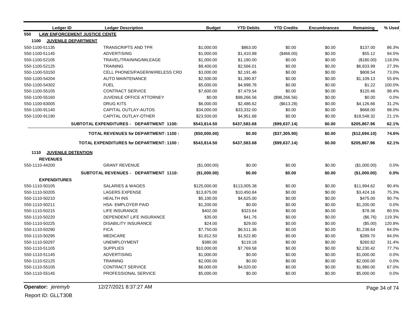| <b>Ledger ID</b>    | <b>Ledger Description</b>                       | <b>Budget</b> | <b>YTD Debits</b> | <b>YTD Credits</b> | <b>Encumbrances</b> | Remaining     | % Used |
|---------------------|-------------------------------------------------|---------------|-------------------|--------------------|---------------------|---------------|--------|
| 550                 | <b>LAW ENFORCEMENT JUSTICE CENTE</b>            |               |                   |                    |                     |               |        |
| 1100                | <b>JUVENILE DEPARTMENT</b>                      |               |                   |                    |                     |               |        |
| 550-1100-51135      | <b>TRANSCRIPTS AND TPR</b>                      | \$1,000.00    | \$863.00          | \$0.00             | \$0.00              | \$137.00      | 86.3%  |
| 550-1100-51145      | <b>ADVERTISING</b>                              | \$1,000.00    | \$1,410.88        | (\$466.00)         | \$0.00              | \$55.12       | 94.5%  |
| 550-1100-52105      | TRAVEL/TRAINING/MILEAGE                         | \$1,000.00    | \$1,180.00        | \$0.00             | \$0.00              | (\$180.00)    | 118.0% |
| 550-1100-52125      | <b>TRAINING</b>                                 | \$9,400.00    | \$2,566.01        | \$0.00             | \$0.00              | \$6,833.99    | 27.3%  |
| 550-1100-53150      | CELL PHONES/PAGER/WIRELESS CRD                  | \$3,000.00    | \$2,191.46        | \$0.00             | \$0.00              | \$808.54      | 73.0%  |
| 550-1100-54204      | <b>AUTO MAINTENANCE</b>                         | \$2,500.00    | \$1,390.87        | \$0.00             | \$0.00              | \$1,109.13    | 55.6%  |
| 550-1100-54302      | <b>FUEL</b>                                     | \$5,000.00    | \$4,998.78        | \$0.00             | \$0.00              | \$1.22        | 100.0% |
| 550-1100-55105      | <b>CONTRACT SERVICE</b>                         | \$7,600.00    | \$7,479.54        | \$0.00             | \$0.00              | \$120.46      | 98.4%  |
| 550-1100-55160      | JUVENILE OFFICE ATTORNEY                        | \$0.00        | \$98,266.56       | (\$98,266.56)      | \$0.00              | \$0.00        | 0.0%   |
| 550-1100-63005      | <b>DRUG KITS</b>                                | \$6,000.00    | \$2,486.62        | (\$613.28)         | \$0.00              | \$4,126.66    | 31.2%  |
| 550-1100-91140      | CAPITAL OUTLAY-AUTOS                            | \$34,000.00   | \$33,332.00       | \$0.00             | \$0.00              | \$668.00      | 98.0%  |
| 550-1100-91190      | <b>CAPITAL OUTLAY-OTHER</b>                     | \$23,500.00   | \$4,951.68        | \$0.00             | \$0.00              | \$18,548.32   | 21.1%  |
|                     | <b>SUBTOTAL EXPENDITURES - DEPARTMENT 1100:</b> | \$543,814.50  | \$437,583.68      | (\$99,637.14)      | \$0.00              | \$205,867.96  | 62.1%  |
|                     | <b>TOTAL REVENUES for DEPARTMENT: 1100:</b>     | (\$50,000.00) | \$0.00            | (\$37,305.90)      | \$0.00              | (\$12,694.10) | 74.6%  |
|                     | <b>TOTAL EXPENDITURES for DEPARTMENT: 1100:</b> | \$543,814.50  | \$437,583.68      | (\$99,637.14)      | \$0.00              | \$205,867.96  | 62.1%  |
| 1110                | <b>JUVENILE DETENTION</b>                       |               |                   |                    |                     |               |        |
| <b>REVENUES</b>     |                                                 |               |                   |                    |                     |               |        |
| 550-1110-44200      | <b>GRANT REVENUE</b>                            | (\$1,000.00)  | \$0.00            | \$0.00             | \$0.00              | (\$1,000.00)  | 0.0%   |
|                     | SUBTOTAL REVENUES - DEPARTMENT 1110:            | (\$1,000.00)  | \$0.00            | \$0.00             | \$0.00              | (\$1,000.00)  | 0.0%   |
| <b>EXPENDITURES</b> |                                                 |               |                   |                    |                     |               |        |
| 550-1110-50105      | <b>SALARIES &amp; WAGES</b>                     | \$125,000.00  | \$113,005.38      | \$0.00             | \$0.00              | \$11,994.62   | 90.4%  |
| 550-1110-50205      | <b>LAGERS EXPENSE</b>                           | \$13,875.00   | \$10,450.84       | \$0.00             | \$0.00              | \$3,424.16    | 75.3%  |
| 550-1110-50210      | <b>HEALTH INS</b>                               | \$5,100.00    | \$4,625.00        | \$0.00             | \$0.00              | \$475.00      | 90.7%  |
| 550-1110-50211      | HSA- EMPLOYER PAID                              | \$1,200.00    | \$0.00            | \$0.00             | \$0.00              | \$1,200.00    | 0.0%   |
| 550-1110-50215      | <b>LIFE INSURANCE</b>                           | \$402.00      | \$323.64          | \$0.00             | \$0.00              | \$78.36       | 80.5%  |
| 550-1110-50220      | DEPENDENT LIFE INSURANCE                        | \$35.00       | \$41.76           | \$0.00             | \$0.00              | (\$6.76)      | 119.3% |
| 550-1110-50225      | <b>DISABILITY INSURANCE</b>                     | \$24.00       | \$29.00           | \$0.00             | \$0.00              | (\$5.00)      | 120.8% |
| 550-1110-50290      | <b>FICA</b>                                     | \$7,750.00    | \$6,511.36        | \$0.00             | \$0.00              | \$1,238.64    | 84.0%  |
| 550-1110-50295      | <b>MEDICARE</b>                                 | \$1,812.50    | \$1,522.80        | \$0.00             | \$0.00              | \$289.70      | 84.0%  |
| 550-1110-50297      | <b>UNEMPLOYMENT</b>                             | \$380.00      | \$119.18          | \$0.00             | \$0.00              | \$260.82      | 31.4%  |
| 550-1110-51105      | <b>SUPPLIES</b>                                 | \$10,000.00   | \$7,769.58        | \$0.00             | \$0.00              | \$2,230.42    | 77.7%  |
| 550-1110-51145      | <b>ADVERTISING</b>                              | \$1,000.00    | \$0.00            | \$0.00             | \$0.00              | \$1,000.00    | 0.0%   |
| 550-1110-52125      | <b>TRAINING</b>                                 | \$2,000.00    | \$0.00            | \$0.00             | \$0.00              | \$2,000.00    | 0.0%   |
| 550-1110-55105      | <b>CONTRACT SERVICE</b>                         | \$6,000.00    | \$4,020.00        | \$0.00             | \$0.00              | \$1,980.00    | 67.0%  |
| 550-1110-55145      | PROFESSIONAL SERVICE                            | \$5,000.00    | \$0.00            | \$0.00             | \$0.00              | \$5,000.00    | 0.0%   |

**Operator:** *jeremyb* 12/27/2021 8:37:27 AM Page 34 of 74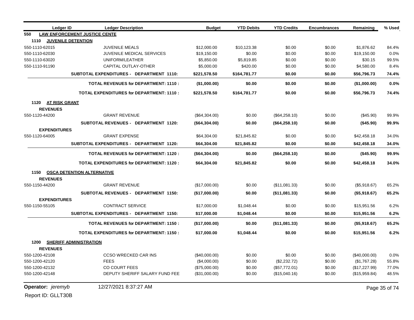| <b>Ledger ID</b>            | <b>Ledger Description</b>                       | <b>Budget</b> | <b>YTD Debits</b> | <b>YTD Credits</b> | <b>Encumbrances</b> | Remaining     | % Used        |
|-----------------------------|-------------------------------------------------|---------------|-------------------|--------------------|---------------------|---------------|---------------|
| 550                         | <b>LAW ENFORCEMENT JUSTICE CENTE</b>            |               |                   |                    |                     |               |               |
| 1110                        | <b>JUVENILE DETENTION</b>                       |               |                   |                    |                     |               |               |
| 550-1110-62015              | <b>JUVENILE MEALS</b>                           | \$12,000.00   | \$10,123.38       | \$0.00             | \$0.00              | \$1,876.62    | 84.4%         |
| 550-1110-62030              | <b>JUVENILE MEDICAL SERVICES</b>                | \$19,150.00   | \$0.00            | \$0.00             | \$0.00              | \$19,150.00   | 0.0%          |
| 550-1110-63020              | UNIFORM/LEATHER                                 | \$5,850.00    | \$5,819.85        | \$0.00             | \$0.00              | \$30.15       | 99.5%         |
| 550-1110-91190              | CAPITAL OUTLAY-OTHER                            | \$5,000.00    | \$420.00          | \$0.00             | \$0.00              | \$4,580.00    | 8.4%          |
|                             | SUBTOTAL EXPENDITURES - DEPARTMENT 1110:        | \$221,578.50  | \$164,781.77      | \$0.00             | \$0.00              | \$56,796.73   | 74.4%         |
|                             | <b>TOTAL REVENUES for DEPARTMENT: 1110:</b>     | (\$1,000.00)  | \$0.00            | \$0.00             | \$0.00              | (\$1,000.00)  | 0.0%          |
|                             | <b>TOTAL EXPENDITURES for DEPARTMENT: 1110:</b> | \$221,578.50  | \$164,781.77      | \$0.00             | \$0.00              | \$56,796.73   | 74.4%         |
| 1120 AT RISK GRANT          |                                                 |               |                   |                    |                     |               |               |
| <b>REVENUES</b>             |                                                 |               |                   |                    |                     |               |               |
| 550-1120-44200              | <b>GRANT REVENUE</b>                            | (\$64,304.00) | \$0.00            | (\$64,258.10)      | \$0.00              | (\$45.90)     | 99.9%         |
|                             | SUBTOTAL REVENUES - DEPARTMENT 1120:            | (\$64,304.00) | \$0.00            | (\$64,258.10)      | \$0.00              | (\$45.90)     | 99.9%         |
| <b>EXPENDITURES</b>         |                                                 |               |                   |                    |                     |               |               |
| 550-1120-64005              | <b>GRANT EXPENSE</b>                            | \$64,304.00   | \$21,845.82       | \$0.00             | \$0.00              | \$42,458.18   | 34.0%         |
|                             | <b>SUBTOTAL EXPENDITURES - DEPARTMENT 1120:</b> | \$64,304.00   | \$21,845.82       | \$0.00             | \$0.00              | \$42,458.18   | 34.0%         |
|                             | <b>TOTAL REVENUES for DEPARTMENT: 1120:</b>     | (\$64,304.00) | \$0.00            | (\$64,258.10)      | \$0.00              | (\$45.90)     | 99.9%         |
|                             | <b>TOTAL EXPENDITURES for DEPARTMENT: 1120:</b> | \$64,304.00   | \$21,845.82       | \$0.00             | \$0.00              | \$42,458.18   | 34.0%         |
|                             | 1150 OSCA DETENTION ALTERNATIVE                 |               |                   |                    |                     |               |               |
| <b>REVENUES</b>             |                                                 |               |                   |                    |                     |               |               |
| 550-1150-44200              | <b>GRANT REVENUE</b>                            | (\$17,000.00) | \$0.00            | (\$11,081.33)      | \$0.00              | (\$5,918.67)  | 65.2%         |
|                             | SUBTOTAL REVENUES - DEPARTMENT 1150:            | (\$17,000.00) | \$0.00            | (\$11,081.33)      | \$0.00              | (\$5,918.67)  | 65.2%         |
| <b>EXPENDITURES</b>         |                                                 |               |                   |                    |                     |               |               |
| 550-1150-55105              | <b>CONTRACT SERVICE</b>                         | \$17,000.00   | \$1,048.44        | \$0.00             | \$0.00              | \$15,951.56   | 6.2%          |
|                             | SUBTOTAL EXPENDITURES - DEPARTMENT 1150:        | \$17,000.00   | \$1,048.44        | \$0.00             | \$0.00              | \$15,951.56   | 6.2%          |
|                             | <b>TOTAL REVENUES for DEPARTMENT: 1150:</b>     | (\$17,000.00) | \$0.00            | (\$11,081.33)      | \$0.00              | (\$5,918.67)  | 65.2%         |
|                             | <b>TOTAL EXPENDITURES for DEPARTMENT: 1150:</b> | \$17,000.00   | \$1,048.44        | \$0.00             | \$0.00              | \$15,951.56   | 6.2%          |
| 1200 SHERIFF ADMINISTRATION |                                                 |               |                   |                    |                     |               |               |
| <b>REVENUES</b>             |                                                 |               |                   |                    |                     |               |               |
| 550-1200-42108              | <b>CCSO WRECKED CAR INS</b>                     | (\$40,000.00) | \$0.00            | \$0.00             | \$0.00              | (\$40,000.00) | 0.0%          |
| 550-1200-42120              | <b>FEES</b>                                     | (\$4,000.00)  | \$0.00            | (\$2,232.72)       | \$0.00              | (\$1,767.28)  | 55.8%         |
| 550-1200-42132              | <b>CO COURT FEES</b>                            | (\$75,000.00) | \$0.00            | (\$57,772.01)      | \$0.00              | (\$17,227.99) | 77.0%         |
| 550-1200-42148              | DEPUTY SHERIFF SALARY FUND FEE                  | (\$31,000.00) | \$0.00            | (\$15,040.16)      | \$0.00              | (\$15,959.84) | 48.5%         |
| <b>Operator:</b> jeremyb    | 12/27/2021 8:37:27 AM                           |               |                   |                    |                     |               | Page 35 of 74 |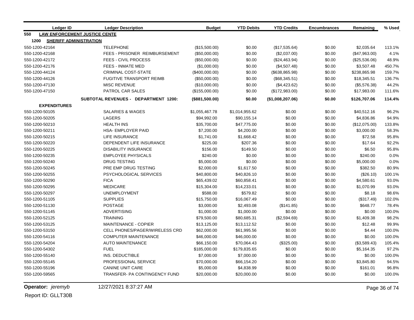|      | <b>Ledger ID</b>                     | <b>Ledger Description</b>             | <b>Budget</b>    | <b>YTD Debits</b> | <b>YTD Credits</b> | <b>Encumbrances</b> | Remaining     | % Used |
|------|--------------------------------------|---------------------------------------|------------------|-------------------|--------------------|---------------------|---------------|--------|
| 550  | <b>LAW ENFORCEMENT JUSTICE CENTE</b> |                                       |                  |                   |                    |                     |               |        |
| 1200 | <b>SHERIFF ADMINISTRATION</b>        |                                       |                  |                   |                    |                     |               |        |
|      | 550-1200-42164                       | <b>TELEPHONE</b>                      | (\$15,500.00)    | \$0.00            | (\$17,535.64)      | \$0.00              | \$2,035.64    | 113.1% |
|      | 550-1200-42168                       | FEES - PRISONER REIMBURSEMENT         | (\$50,000.00)    | \$0.00            | (\$2,037.00)       | \$0.00              | (\$47,963.00) | 4.1%   |
|      | 550-1200-42172                       | FEES - CIVIL PROCESS                  | (\$50,000.00)    | \$0.00            | (\$24,463.94)      | \$0.00              | (\$25,536.06) | 48.9%  |
|      | 550-1200-42176                       | FEES - INMATE MED                     | (\$1,000.00)     | \$0.00            | (\$4,507.48)       | \$0.00              | \$3,507.48    | 450.7% |
|      | 550-1200-44124                       | <b>CRIMINAL COST-STATE</b>            | $(\$400,000.00)$ | \$0.00            | (\$638, 865.98)    | \$0.00              | \$238,865.98  | 159.7% |
|      | 550-1200-44126                       | <b>FUGITIVE TRANSPORT REIMB</b>       | (\$50,000.00)    | \$0.00            | (\$68,345.51)      | \$0.00              | \$18,345.51   | 136.7% |
|      | 550-1200-47130                       | <b>MISC REVENUE</b>                   | (\$10,000.00)    | \$0.00            | (\$4,423.62)       | \$0.00              | (\$5,576.38)  | 44.2%  |
|      | 550-1200-47150                       | PATROL CAR SALES                      | (\$155,000.00)   | \$0.00            | (\$172,983.00)     | \$0.00              | \$17,983.00   | 111.6% |
|      |                                      | SUBTOTAL REVENUES - DEPARTMENT 1200:  | (\$881,500.00)   | \$0.00            | (\$1,008,207.06)   | \$0.00              | \$126,707.06  | 114.4% |
|      | <b>EXPENDITURES</b>                  |                                       |                  |                   |                    |                     |               |        |
|      | 550-1200-50105                       | <b>SALARIES &amp; WAGES</b>           | \$1,055,467.78   | \$1,014,955.62    | \$0.00             | \$0.00              | \$40,512.16   | 96.2%  |
|      | 550-1200-50205                       | <b>LAGERS</b>                         | \$94,992.00      | \$90,155.14       | \$0.00             | \$0.00              | \$4,836.86    | 94.9%  |
|      | 550-1200-50210                       | <b>HEALTH INS</b>                     | \$35,700.00      | \$47,775.00       | \$0.00             | \$0.00              | (\$12,075.00) | 133.8% |
|      | 550-1200-50211                       | <b>HSA- EMPLOYER PAID</b>             | \$7,200.00       | \$4,200.00        | \$0.00             | \$0.00              | \$3,000.00    | 58.3%  |
|      | 550-1200-50215                       | LIFE INSURANCE                        | \$1,741.00       | \$1,668.42        | \$0.00             | \$0.00              | \$72.58       | 95.8%  |
|      | 550-1200-50220                       | DEPENDENT LIFE INSURANCE              | \$225.00         | \$207.36          | \$0.00             | \$0.00              | \$17.64       | 92.2%  |
|      | 550-1200-50225                       | <b>DISABILITY INSURANCE</b>           | \$156.00         | \$149.50          | \$0.00             | \$0.00              | \$6.50        | 95.8%  |
|      | 550-1200-50235                       | <b>EMPLOYEE PHYSICALS</b>             | \$240.00         | \$0.00            | \$0.00             | \$0.00              | \$240.00      | 0.0%   |
|      | 550-1200-50240                       | <b>DRUG TESTING</b>                   | \$5,000.00       | \$0.00            | \$0.00             | \$0.00              | \$5,000.00    | 0.0%   |
|      | 550-1200-50245                       | PRE EMP DRUG TESTING                  | \$2,000.00       | \$1,617.50        | \$0.00             | \$0.00              | \$382.50      | 80.9%  |
|      | 550-1200-50255                       | PSYCHOLOGICAL SERVICES                | \$40,800.00      | \$40,826.10       | \$0.00             | \$0.00              | (\$26.10)     | 100.1% |
|      | 550-1200-50290                       | <b>FICA</b>                           | \$65,439.02      | \$60,858.41       | \$0.00             | \$0.00              | \$4,580.61    | 93.0%  |
|      | 550-1200-50295                       | <b>MEDICARE</b>                       | \$15,304.00      | \$14,233.01       | \$0.00             | \$0.00              | \$1,070.99    | 93.0%  |
|      | 550-1200-50297                       | <b>UNEMPLOYMENT</b>                   | \$588.00         | \$579.82          | \$0.00             | \$0.00              | \$8.18        | 98.6%  |
|      | 550-1200-51105                       | <b>SUPPLIES</b>                       | \$15,750.00      | \$16,067.49       | \$0.00             | \$0.00              | (\$317.49)    | 102.0% |
|      | 550-1200-51130                       | <b>POSTAGE</b>                        | \$3,000.00       | \$2,493.08        | (\$141.85)         | \$0.00              | \$648.77      | 78.4%  |
|      | 550-1200-51145                       | ADVERTISING                           | \$1,000.00       | \$1,000.00        | \$0.00             | \$0.00              | \$0.00        | 100.0% |
|      | 550-1200-52125                       | <b>TRAINING</b>                       | \$79,500.00      | \$80,685.31       | (\$2,594.69)       | \$0.00              | \$1,409.38    | 98.2%  |
|      | 550-1200-53125                       | <b>MAINTENANCE - COPIER</b>           | \$13,125.00      | \$13,112.52       | \$0.00             | \$0.00              | \$12.48       | 99.9%  |
|      | 550-1200-53150                       | <b>CELL PHONES/PAGER/WIRELESS CRD</b> | \$62,000.00      | \$61,995.56       | \$0.00             | \$0.00              | \$4.44        | 100.0% |
|      | 550-1200-54116                       | <b>COMPUTER MAINTENANCE</b>           | \$46,000.00      | \$46,000.00       | \$0.00             | \$0.00              | \$0.00        | 100.0% |
|      | 550-1200-54204                       | <b>AUTO MAINTENANCE</b>               | \$66,150.00      | \$70,064.43       | (\$325.00)         | \$0.00              | (\$3,589.43)  | 105.4% |
|      | 550-1200-54302                       | <b>FUEL</b>                           | \$185,000.00     | \$179,835.65      | \$0.00             | \$0.00              | \$5,164.35    | 97.2%  |
|      | 550-1200-55140                       | INS. DEDUCTIBLE                       | \$7,000.00       | \$7,000.00        | \$0.00             | \$0.00              | \$0.00        | 100.0% |
|      | 550-1200-55145                       | PROFESSIONAL SERVICE                  | \$70,000.00      | \$66,154.20       | \$0.00             | \$0.00              | \$3,845.80    | 94.5%  |
|      | 550-1200-55196                       | <b>CANINE UNIT CARE</b>               | \$5,000.00       | \$4,838.99        | \$0.00             | \$0.00              | \$161.01      | 96.8%  |
|      | 550-1200-59565                       | TRANSFER- PA CONTINGENCY FUND         | \$20,000.00      | \$20,000.00       | \$0.00             | \$0.00              | \$0.00        | 100.0% |

**Operator:** *jeremyb* 12/27/2021 8:37:27 AM Page 36 of 74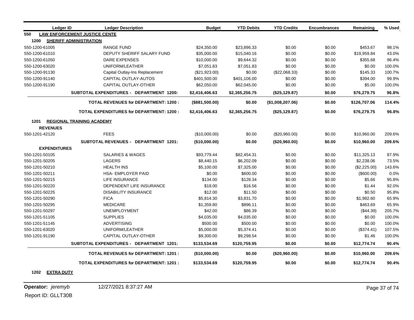| <b>Ledger ID</b>    | <b>Ledger Description</b>                       | <b>Budget</b>  | <b>YTD Debits</b> | <b>YTD Credits</b> | <b>Encumbrances</b> | Remaining    | % Used |
|---------------------|-------------------------------------------------|----------------|-------------------|--------------------|---------------------|--------------|--------|
| 550                 | <b>LAW ENFORCEMENT JUSTICE CENTE</b>            |                |                   |                    |                     |              |        |
| 1200                | <b>SHERIFF ADMINISTRATION</b>                   |                |                   |                    |                     |              |        |
| 550-1200-61005      | <b>RANGE FUND</b>                               | \$24,350.00    | \$23,896.33       | \$0.00             | \$0.00              | \$453.67     | 98.1%  |
| 550-1200-61010      | DEPUTY SHERIFF SALARY FUND                      | \$35,000.00    | \$15,040.16       | \$0.00             | \$0.00              | \$19,959.84  | 43.0%  |
| 550-1200-61050      | DARE EXPENSES                                   | \$10,000.00    | \$9,644.32        | \$0.00             | \$0.00              | \$355.68     | 96.4%  |
| 550-1200-63020      | UNIFORM/LEATHER                                 | \$7,051.83     | \$7,051.83        | \$0.00             | \$0.00              | \$0.00       | 100.0% |
| 550-1200-91130      | Capital Outlay-Ins Replacement                  | (\$21,923.00)  | \$0.00            | (\$22,068.33)      | \$0.00              | \$145.33     | 100.7% |
| 550-1200-91140      | CAPITAL OUTLAY-AUTOS                            | \$401,500.00   | \$401,106.00      | \$0.00             | \$0.00              | \$394.00     | 99.9%  |
| 550-1200-91190      | CAPITAL OUTLAY-OTHER                            | \$62,050.00    | \$62,045.00       | \$0.00             | \$0.00              | \$5.00       | 100.0% |
|                     | <b>SUBTOTAL EXPENDITURES - DEPARTMENT 1200:</b> | \$2,416,406.63 | \$2,365,256.75    | (\$25,129.87)      | \$0.00              | \$76,279.75  | 96.8%  |
|                     | <b>TOTAL REVENUES for DEPARTMENT: 1200:</b>     | (\$881,500.00) | \$0.00            | (\$1,008,207.06)   | \$0.00              | \$126,707.06 | 114.4% |
|                     | <b>TOTAL EXPENDITURES for DEPARTMENT: 1200:</b> | \$2,416,406.63 | \$2,365,256.75    | (\$25,129.87)      | \$0.00              | \$76,279.75  | 96.8%  |
| 1201                | <b>REGIONAL TRAINING ACADEMY</b>                |                |                   |                    |                     |              |        |
| <b>REVENUES</b>     |                                                 |                |                   |                    |                     |              |        |
| 550-1201-42120      | <b>FEES</b>                                     | (\$10,000.00)  | \$0.00            | (\$20,960.00)      | \$0.00              | \$10,960.00  | 209.6% |
|                     | <b>SUBTOTAL REVENUES - DEPARTMENT 1201:</b>     | (\$10,000.00)  | \$0.00            | (\$20,960.00)      | \$0.00              | \$10,960.00  | 209.6% |
| <b>EXPENDITURES</b> |                                                 |                |                   |                    |                     |              |        |
| 550-1201-50105      | <b>SALARIES &amp; WAGES</b>                     | \$93,779.44    | \$82,454.31       | \$0.00             | \$0.00              | \$11,325.13  | 87.9%  |
| 550-1201-50205      | <b>LAGERS</b>                                   | \$8,440.15     | \$6,202.09        | \$0.00             | \$0.00              | \$2,238.06   | 73.5%  |
| 550-1201-50210      | <b>HEALTH INS</b>                               | \$5,100.00     | \$7,325.00        | \$0.00             | \$0.00              | (\$2,225.00) | 143.6% |
| 550-1201-50211      | <b>HSA- EMPLOYER PAID</b>                       | \$0.00         | \$600.00          | \$0.00             | \$0.00              | (\$600.00)   | 0.0%   |
| 550-1201-50215      | <b>LIFE INSURANCE</b>                           | \$134.00       | \$128.34          | \$0.00             | \$0.00              | \$5.66       | 95.8%  |
| 550-1201-50220      | DEPENDENT LIFE INSURANCE                        | \$18.00        | \$16.56           | \$0.00             | \$0.00              | \$1.44       | 92.0%  |
| 550-1201-50225      | <b>DISABILITY INSURANCE</b>                     | \$12.00        | \$11.50           | \$0.00             | \$0.00              | \$0.50       | 95.8%  |
| 550-1201-50290      | <b>FICA</b>                                     | \$5,814.30     | \$3,831.70        | \$0.00             | \$0.00              | \$1,982.60   | 65.9%  |
| 550-1201-50295      | <b>MEDICARE</b>                                 | \$1,359.80     | \$896.11          | \$0.00             | \$0.00              | \$463.69     | 65.9%  |
| 550-1201-50297      | <b>UNEMPLOYMENT</b>                             | \$42.00        | \$86.39           | \$0.00             | \$0.00              | (\$44.39)    | 205.7% |
| 550-1201-51105      | <b>SUPPLIES</b>                                 | \$4,035.00     | \$4,035.00        | \$0.00             | \$0.00              | \$0.00       | 100.0% |
| 550-1201-51145      | <b>ADVERTISING</b>                              | \$500.00       | \$500.00          | \$0.00             | \$0.00              | \$0.00       | 100.0% |
| 550-1201-63020      | UNIFORM/LEATHER                                 | \$5,000.00     | \$5,374.41        | \$0.00             | \$0.00              | (\$374.41)   | 107.5% |
| 550-1201-91190      | CAPITAL OUTLAY-OTHER                            | \$9,300.00     | \$9,298.54        | \$0.00             | \$0.00              | \$1.46       | 100.0% |
|                     | SUBTOTAL EXPENDITURES - DEPARTMENT 1201:        | \$133,534.69   | \$120,759.95      | \$0.00             | \$0.00              | \$12,774.74  | 90.4%  |
|                     | <b>TOTAL REVENUES for DEPARTMENT: 1201:</b>     | (\$10,000.00)  | \$0.00            | (\$20,960.00)      | \$0.00              | \$10,960.00  | 209.6% |
|                     | <b>TOTAL EXPENDITURES for DEPARTMENT: 1201:</b> | \$133,534.69   | \$120,759.95      | \$0.00             | \$0.00              | \$12,774.74  | 90.4%  |

**1202 EXTRA DUTY**

**Operator:** *jeremyb* 12/27/2021 8:37:27 AM Page 37 of 74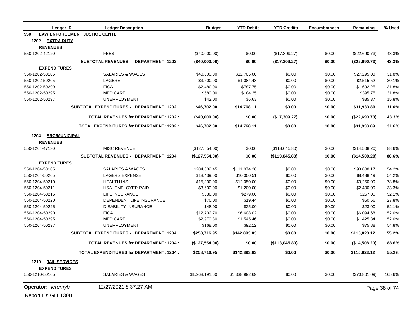| Ledger ID                    | <b>Ledger Description</b>                       | <b>Budget</b>  | <b>YTD Debits</b> | <b>YTD Credits</b> | <b>Encumbrances</b> | Remaining     | % Used        |
|------------------------------|-------------------------------------------------|----------------|-------------------|--------------------|---------------------|---------------|---------------|
| 550                          | <b>LAW ENFORCEMENT JUSTICE CENTE</b>            |                |                   |                    |                     |               |               |
| 1202 EXTRA DUTY              |                                                 |                |                   |                    |                     |               |               |
| <b>REVENUES</b>              |                                                 |                |                   |                    |                     |               |               |
| 550-1202-42120               | <b>FEES</b>                                     | (\$40,000.00)  | \$0.00            | (\$17,309.27)      | \$0.00              | (\$22,690.73) | 43.3%         |
|                              | SUBTOTAL REVENUES - DEPARTMENT 1202:            | (\$40,000.00)  | \$0.00            | (\$17,309.27)      | \$0.00              | (\$22,690.73) | 43.3%         |
| <b>EXPENDITURES</b>          |                                                 |                |                   |                    |                     |               |               |
| 550-1202-50105               | <b>SALARIES &amp; WAGES</b>                     | \$40,000.00    | \$12,705.00       | \$0.00             | \$0.00              | \$27,295.00   | 31.8%         |
| 550-1202-50205               | LAGERS                                          | \$3,600.00     | \$1,084.48        | \$0.00             | \$0.00              | \$2,515.52    | 30.1%         |
| 550-1202-50290               | <b>FICA</b>                                     | \$2,480.00     | \$787.75          | \$0.00             | \$0.00              | \$1,692.25    | 31.8%         |
| 550-1202-50295               | <b>MEDICARE</b>                                 | \$580.00       | \$184.25          | \$0.00             | \$0.00              | \$395.75      | 31.8%         |
| 550-1202-50297               | <b>UNEMPLOYMENT</b>                             | \$42.00        | \$6.63            | \$0.00             | \$0.00              | \$35.37       | 15.8%         |
|                              | SUBTOTAL EXPENDITURES - DEPARTMENT 1202:        | \$46,702.00    | \$14,768.11       | \$0.00             | \$0.00              | \$31,933.89   | 31.6%         |
|                              | <b>TOTAL REVENUES for DEPARTMENT: 1202:</b>     | (\$40,000.00)  | \$0.00            | (\$17,309.27)      | \$0.00              | (\$22,690.73) | 43.3%         |
|                              | <b>TOTAL EXPENDITURES for DEPARTMENT: 1202:</b> | \$46,702.00    | \$14,768.11       | \$0.00             | \$0.00              | \$31,933.89   | 31.6%         |
| <b>SRO/MUNICIPAL</b><br>1204 |                                                 |                |                   |                    |                     |               |               |
| <b>REVENUES</b>              |                                                 |                |                   |                    |                     |               |               |
| 550-1204-47130               | <b>MISC REVENUE</b>                             | (\$127,554.00) | \$0.00            | (\$113,045.80)     | \$0.00              | (\$14,508.20) | 88.6%         |
|                              | <b>SUBTOTAL REVENUES - DEPARTMENT 1204:</b>     | (\$127,554.00) | \$0.00            | (\$113,045.80)     | \$0.00              | (\$14,508.20) | 88.6%         |
| <b>EXPENDITURES</b>          |                                                 |                |                   |                    |                     |               |               |
| 550-1204-50105               | SALARIES & WAGES                                | \$204,882.45   | \$111,074.28      | \$0.00             | \$0.00              | \$93,808.17   | 54.2%         |
| 550-1204-50205               | <b>LAGERS EXPENSE</b>                           | \$18,439.00    | \$10,000.51       | \$0.00             | \$0.00              | \$8,438.49    | 54.2%         |
| 550-1204-50210               | <b>HEALTH INS</b>                               | \$15,300.00    | \$12,050.00       | \$0.00             | \$0.00              | \$3,250.00    | 78.8%         |
| 550-1204-50211               | HSA- EMPLOYER PAID                              | \$3,600.00     | \$1,200.00        | \$0.00             | \$0.00              | \$2,400.00    | 33.3%         |
| 550-1204-50215               | <b>LIFE INSURANCE</b>                           | \$536.00       | \$279.00          | \$0.00             | \$0.00              | \$257.00      | 52.1%         |
| 550-1204-50220               | DEPENDENT LIFE INSURANCE                        | \$70.00        | \$19.44           | \$0.00             | \$0.00              | \$50.56       | 27.8%         |
| 550-1204-50225               | <b>DISABILITY INSURANCE</b>                     | \$48.00        | \$25.00           | \$0.00             | \$0.00              | \$23.00       | 52.1%         |
| 550-1204-50290               | <b>FICA</b>                                     | \$12,702.70    | \$6,608.02        | \$0.00             | \$0.00              | \$6,094.68    | 52.0%         |
| 550-1204-50295               | <b>MEDICARE</b>                                 | \$2,970.80     | \$1,545.46        | \$0.00             | \$0.00              | \$1,425.34    | 52.0%         |
| 550-1204-50297               | <b>UNEMPLOYMENT</b>                             | \$168.00       | \$92.12           | \$0.00             | \$0.00              | \$75.88       | 54.8%         |
|                              | SUBTOTAL EXPENDITURES - DEPARTMENT 1204:        | \$258,716.95   | \$142,893.83      | \$0.00             | \$0.00              | \$115,823.12  | 55.2%         |
|                              | <b>TOTAL REVENUES for DEPARTMENT: 1204:</b>     | (\$127,554.00) | \$0.00            | (\$113,045.80)     | \$0.00              | (\$14,508.20) | 88.6%         |
|                              | <b>TOTAL EXPENDITURES for DEPARTMENT: 1204:</b> | \$258,716.95   | \$142,893.83      | \$0.00             | \$0.00              | \$115,823.12  | 55.2%         |
| <b>JAIL SERVICES</b><br>1210 |                                                 |                |                   |                    |                     |               |               |
| <b>EXPENDITURES</b>          |                                                 |                |                   |                    |                     |               |               |
| 550-1210-50105               | <b>SALARIES &amp; WAGES</b>                     | \$1,268,191.60 | \$1,338,992.69    | \$0.00             | \$0.00              | (\$70,801.09) | 105.6%        |
| Operator: jeremyb            | 12/27/2021 8:37:27 AM                           |                |                   |                    |                     |               | Page 38 of 74 |
| Report ID: GLLT30B           |                                                 |                |                   |                    |                     |               |               |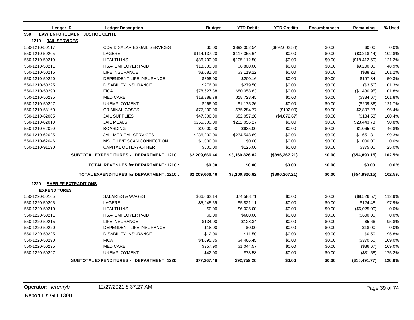| Ledger ID                    | <b>Ledger Description</b>                       | <b>Budget</b>  | <b>YTD Debits</b> | <b>YTD Credits</b> | <b>Encumbrances</b> | Remaining     | % Used |
|------------------------------|-------------------------------------------------|----------------|-------------------|--------------------|---------------------|---------------|--------|
| 550                          | <b>LAW ENFORCEMENT JUSTICE CENTE</b>            |                |                   |                    |                     |               |        |
| 1210<br><b>JAIL SERVICES</b> |                                                 |                |                   |                    |                     |               |        |
| 550-1210-50117               | COVID SALARIES-JAIL SERVICES                    | \$0.00         | \$892,002.54      | (\$892,002.54)     | \$0.00              | \$0.00        | 0.0%   |
| 550-1210-50205               | <b>LAGERS</b>                                   | \$114,137.20   | \$117,355.64      | \$0.00             | \$0.00              | (\$3,218.44)  | 102.8% |
| 550-1210-50210               | <b>HEALTH INS</b>                               | \$86,700.00    | \$105,112.50      | \$0.00             | \$0.00              | (\$18,412.50) | 121.2% |
| 550-1210-50211               | <b>HSA- EMPLOYER PAID</b>                       | \$18,000.00    | \$8,800.00        | \$0.00             | \$0.00              | \$9,200.00    | 48.9%  |
| 550-1210-50215               | <b>LIFE INSURANCE</b>                           | \$3,081.00     | \$3,119.22        | \$0.00             | \$0.00              | (\$38.22)     | 101.2% |
| 550-1210-50220               | DEPENDENT LIFE INSURANCE                        | \$398.00       | \$200.16          | \$0.00             | \$0.00              | \$197.84      | 50.3%  |
| 550-1210-50225               | <b>DISABILITY INSURANCE</b>                     | \$276.00       | \$279.50          | \$0.00             | \$0.00              | (\$3.50)      | 101.3% |
| 550-1210-50290               | <b>FICA</b>                                     | \$78,627.88    | \$80,058.83       | \$0.00             | \$0.00              | (\$1,430.95)  | 101.8% |
| 550-1210-50295               | <b>MEDICARE</b>                                 | \$18,388.78    | \$18,723.45       | \$0.00             | \$0.00              | (\$334.67)    | 101.8% |
| 550-1210-50297               | <b>UNEMPLOYMENT</b>                             | \$966.00       | \$1,175.36        | \$0.00             | \$0.00              | (\$209.36)    | 121.7% |
| 550-1210-58160               | <b>CRIMINAL COSTS</b>                           | \$77,900.00    | \$75,284.77       | (\$192.00)         | \$0.00              | \$2,807.23    | 96.4%  |
| 550-1210-62005               | <b>JAIL SUPPLIES</b>                            | \$47,800.00    | \$52,057.20       | (\$4,072.67)       | \$0.00              | (\$184.53)    | 100.4% |
| 550-1210-62010               | <b>JAIL MEALS</b>                               | \$255,500.00   | \$232,056.27      | \$0.00             | \$0.00              | \$23,443.73   | 90.8%  |
| 550-1210-62020               | <b>BOARDING</b>                                 | \$2,000.00     | \$935.00          | \$0.00             | \$0.00              | \$1,065.00    | 46.8%  |
| 550-1210-62025               | JAIL MEDICAL SERVICES                           | \$236,200.00   | \$234,548.69      | \$0.00             | \$0.00              | \$1,651.31    | 99.3%  |
| 550-1210-62046               | MSHP LIVE SCAN CONNECTION                       | \$1,000.00     | \$0.00            | \$0.00             | \$0.00              | \$1,000.00    | 0.0%   |
| 550-1210-91190               | CAPITAL OUTLAY-OTHER                            | \$500.00       | \$125.00          | \$0.00             | \$0.00              | \$375.00      | 25.0%  |
|                              | SUBTOTAL EXPENDITURES - DEPARTMENT 1210:        | \$2,209,666.46 | \$3,160,826.82    | (\$896, 267.21)    | \$0.00              | (\$54,893.15) | 102.5% |
|                              | <b>TOTAL REVENUES for DEPARTMENT: 1210:</b>     | \$0.00         | \$0.00            | \$0.00             | \$0.00              | \$0.00        | 0.0%   |
|                              | <b>TOTAL EXPENDITURES for DEPARTMENT: 1210:</b> | \$2,209,666.46 | \$3,160,826.82    | (\$896, 267.21)    | \$0.00              | (\$54,893.15) | 102.5% |
| 1220                         | <b>SHERIFF EXTRADITIONS</b>                     |                |                   |                    |                     |               |        |
| <b>EXPENDITURES</b>          |                                                 |                |                   |                    |                     |               |        |
| 550-1220-50105               | <b>SALARIES &amp; WAGES</b>                     | \$66,062.14    | \$74,588.71       | \$0.00             | \$0.00              | (\$8,526.57)  | 112.9% |
| 550-1220-50205               | LAGERS                                          | \$5,945.59     | \$5,821.11        | \$0.00             | \$0.00              | \$124.48      | 97.9%  |
| 550-1220-50210               | <b>HEALTH INS</b>                               | \$0.00         | \$6,025.00        | \$0.00             | \$0.00              | (\$6,025.00)  | 0.0%   |
| 550-1220-50211               | <b>HSA- EMPLOYER PAID</b>                       | \$0.00         | \$600.00          | \$0.00             | \$0.00              | (\$600.00)    | 0.0%   |
| 550-1220-50215               | <b>LIFE INSURANCE</b>                           | \$134.00       | \$128.34          | \$0.00             | \$0.00              | \$5.66        | 95.8%  |
| 550-1220-50220               | DEPENDENT LIFE INSURANCE                        | \$18.00        | \$0.00            | \$0.00             | \$0.00              | \$18.00       | 0.0%   |
| 550-1220-50225               | <b>DISABILITY INSURANCE</b>                     | \$12.00        | \$11.50           | \$0.00             | \$0.00              | \$0.50        | 95.8%  |
| 550-1220-50290               | <b>FICA</b>                                     | \$4,095.85     | \$4,466.45        | \$0.00             | \$0.00              | (\$370.60)    | 109.0% |
| 550-1220-50295               | <b>MEDICARE</b>                                 | \$957.90       | \$1,044.57        | \$0.00             | \$0.00              | (\$86.67)     | 109.0% |
| 550-1220-50297               | <b>UNEMPLOYMENT</b>                             | \$42.00        | \$73.58           | \$0.00             | \$0.00              | (\$31.58)     | 175.2% |
|                              | SUBTOTAL EXPENDITURES - DEPARTMENT 1220:        | \$77,267.49    | \$92,759.26       | \$0.00             | \$0.00              | (\$15,491.77) | 120.0% |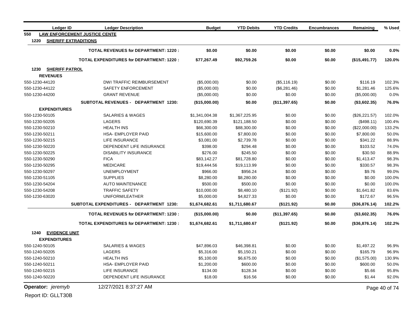| Ledger ID                     | <b>Ledger Description</b>                       | <b>Budget</b>  | <b>YTD Debits</b> | <b>YTD Credits</b> | <b>Encumbrances</b> | Remaining     | % Used        |
|-------------------------------|-------------------------------------------------|----------------|-------------------|--------------------|---------------------|---------------|---------------|
| 550                           | <b>LAW ENFORCEMENT JUSTICE CENTE</b>            |                |                   |                    |                     |               |               |
| 1220                          | <b>SHERIFF EXTRADITIONS</b>                     |                |                   |                    |                     |               |               |
|                               | <b>TOTAL REVENUES for DEPARTMENT: 1220:</b>     | \$0.00         | \$0.00            | \$0.00             | \$0.00              | \$0.00        | 0.0%          |
|                               | <b>TOTAL EXPENDITURES for DEPARTMENT: 1220:</b> | \$77,267.49    | \$92,759.26       | \$0.00             | \$0.00              | (\$15,491.77) | 120.0%        |
| <b>SHERIFF PATROL</b><br>1230 |                                                 |                |                   |                    |                     |               |               |
| <b>REVENUES</b>               |                                                 |                |                   |                    |                     |               |               |
| 550-1230-44120                | DWI TRAFFIC REIMBURSEMENT                       | (\$5,000.00)   | \$0.00            | (\$5,116.19)       | \$0.00              | \$116.19      | 102.3%        |
| 550-1230-44122                | SAFETY ENFORCEMENT                              | (\$5,000.00)   | \$0.00            | (\$6,281.46)       | \$0.00              | \$1,281.46    | 125.6%        |
| 550-1230-44200                | <b>GRANT REVENUE</b>                            | (\$5,000.00)   | \$0.00            | \$0.00             | \$0.00              | (\$5,000.00)  | 0.0%          |
|                               | SUBTOTAL REVENUES - DEPARTMENT 1230:            | (\$15,000.00)  | \$0.00            | (\$11,397.65)      | \$0.00              | (\$3,602.35)  | 76.0%         |
| <b>EXPENDITURES</b>           |                                                 |                |                   |                    |                     |               |               |
| 550-1230-50105                | <b>SALARIES &amp; WAGES</b>                     | \$1,341,004.38 | \$1,367,225.95    | \$0.00             | \$0.00              | (\$26,221.57) | 102.0%        |
| 550-1230-50205                | <b>LAGERS</b>                                   | \$120,690.39   | \$121,188.50      | \$0.00             | \$0.00              | (\$498.11)    | 100.4%        |
| 550-1230-50210                | <b>HEALTH INS</b>                               | \$66,300.00    | \$88,300.00       | \$0.00             | \$0.00              | (\$22,000.00) | 133.2%        |
| 550-1230-50211                | HSA- EMPLOYER PAID                              | \$15,600.00    | \$7,800.00        | \$0.00             | \$0.00              | \$7,800.00    | 50.0%         |
| 550-1230-50215                | <b>LIFE INSURANCE</b>                           | \$3,081.00     | \$2,739.78        | \$0.00             | \$0.00              | \$341.22      | 88.9%         |
| 550-1230-50220                | DEPENDENT LIFE INSURANCE                        | \$398.00       | \$294.48          | \$0.00             | \$0.00              | \$103.52      | 74.0%         |
| 550-1230-50225                | <b>DISABILITY INSURANCE</b>                     | \$276.00       | \$245.50          | \$0.00             | \$0.00              | \$30.50       | 88.9%         |
| 550-1230-50290                | <b>FICA</b>                                     | \$83,142.27    | \$81,728.80       | \$0.00             | \$0.00              | \$1,413.47    | 98.3%         |
| 550-1230-50295                | <b>MEDICARE</b>                                 | \$19,444.56    | \$19,113.99       | \$0.00             | \$0.00              | \$330.57      | 98.3%         |
| 550-1230-50297                | <b>UNEMPLOYMENT</b>                             | \$966.00       | \$956.24          | \$0.00             | \$0.00              | \$9.76        | 99.0%         |
| 550-1230-51105                | <b>SUPPLIES</b>                                 | \$8,280.00     | \$8,280.00        | \$0.00             | \$0.00              | \$0.00        | 100.0%        |
| 550-1230-54204                | <b>AUTO MAINTENANCE</b>                         | \$500.00       | \$500.00          | \$0.00             | \$0.00              | \$0.00        | 100.0%        |
| 550-1230-54208                | <b>TRAFFIC SAFETY</b>                           | \$10,000.00    | \$8,480.10        | (\$121.92)         | \$0.00              | \$1,641.82    | 83.6%         |
| 550-1230-63020                | UNIFORM/LEATHER                                 | \$5,000.00     | \$4,827.33        | \$0.00             | \$0.00              | \$172.67      | 96.5%         |
|                               | <b>SUBTOTAL EXPENDITURES - DEPARTMENT 1230:</b> | \$1,674,682.61 | \$1,711,680.67    | (\$121.92)         | \$0.00              | (\$36,876.14) | 102.2%        |
|                               | <b>TOTAL REVENUES for DEPARTMENT: 1230:</b>     | (\$15,000.00)  | \$0.00            | (\$11,397.65)      | \$0.00              | (\$3,602.35)  | 76.0%         |
|                               | <b>TOTAL EXPENDITURES for DEPARTMENT: 1230:</b> | \$1,674,682.61 | \$1,711,680.67    | (\$121.92)         | \$0.00              | (\$36,876.14) | 102.2%        |
| <b>EVIDENCE UNIT</b><br>1240  |                                                 |                |                   |                    |                     |               |               |
| <b>EXPENDITURES</b>           |                                                 |                |                   |                    |                     |               |               |
| 550-1240-50105                | <b>SALARIES &amp; WAGES</b>                     | \$47,896.03    | \$46,398.81       | \$0.00             | \$0.00              | \$1,497.22    | 96.9%         |
| 550-1240-50205                | <b>LAGERS</b>                                   | \$5,316.00     | \$5,150.21        | \$0.00             | \$0.00              | \$165.79      | 96.9%         |
| 550-1240-50210                | <b>HEALTH INS</b>                               | \$5,100.00     | \$6,675.00        | \$0.00             | \$0.00              | (\$1,575.00)  | 130.9%        |
| 550-1240-50211                | HSA- EMPLOYER PAID                              | \$1,200.00     | \$600.00          | \$0.00             | \$0.00              | \$600.00      | 50.0%         |
| 550-1240-50215                | <b>LIFE INSURANCE</b>                           | \$134.00       | \$128.34          | \$0.00             | \$0.00              | \$5.66        | 95.8%         |
| 550-1240-50220                | DEPENDENT LIFE INSURANCE                        | \$18.00        | \$16.56           | \$0.00             | \$0.00              | \$1.44        | 92.0%         |
| Operator: jeremyb             | 12/27/2021 8:37:27 AM                           |                |                   |                    |                     |               | Page 40 of 74 |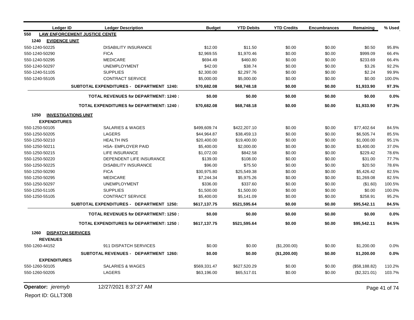| Ledger ID                    | <b>Ledger Description</b>                       | <b>Budget</b> | <b>YTD Debits</b> | <b>YTD Credits</b> | <b>Encumbrances</b> | Remaining     | % Used |
|------------------------------|-------------------------------------------------|---------------|-------------------|--------------------|---------------------|---------------|--------|
| 550                          | <b>LAW ENFORCEMENT JUSTICE CENTE</b>            |               |                   |                    |                     |               |        |
| 1240<br><b>EVIDENCE UNIT</b> |                                                 |               |                   |                    |                     |               |        |
| 550-1240-50225               | <b>DISABILITY INSURANCE</b>                     | \$12.00       | \$11.50           | \$0.00             | \$0.00              | \$0.50        | 95.8%  |
| 550-1240-50290               | <b>FICA</b>                                     | \$2,969.55    | \$1,970.46        | \$0.00             | \$0.00              | \$999.09      | 66.4%  |
| 550-1240-50295               | <b>MEDICARE</b>                                 | \$694.49      | \$460.80          | \$0.00             | \$0.00              | \$233.69      | 66.4%  |
| 550-1240-50297               | <b>UNEMPLOYMENT</b>                             | \$42.00       | \$38.74           | \$0.00             | \$0.00              | \$3.26        | 92.2%  |
| 550-1240-51105               | <b>SUPPLIES</b>                                 | \$2,300.00    | \$2,297.76        | \$0.00             | \$0.00              | \$2.24        | 99.9%  |
| 550-1240-55105               | <b>CONTRACT SERVICE</b>                         | \$5,000.00    | \$5,000.00        | \$0.00             | \$0.00              | \$0.00        | 100.0% |
|                              | <b>SUBTOTAL EXPENDITURES - DEPARTMENT 1240:</b> | \$70,682.08   | \$68,748.18       | \$0.00             | \$0.00              | \$1,933.90    | 97.3%  |
|                              | <b>TOTAL REVENUES for DEPARTMENT: 1240:</b>     | \$0.00        | \$0.00            | \$0.00             | \$0.00              | \$0.00        | 0.0%   |
|                              | <b>TOTAL EXPENDITURES for DEPARTMENT: 1240:</b> | \$70,682.08   | \$68,748.18       | \$0.00             | \$0.00              | \$1,933.90    | 97.3%  |
| 1250                         | <b>INVESTIGATIONS UNIT</b>                      |               |                   |                    |                     |               |        |
| <b>EXPENDITURES</b>          |                                                 |               |                   |                    |                     |               |        |
| 550-1250-50105               | SALARIES & WAGES                                | \$499,609.74  | \$422,207.10      | \$0.00             | \$0.00              | \$77,402.64   | 84.5%  |
| 550-1250-50205               | LAGERS                                          | \$44,964.87   | \$38,459.13       | \$0.00             | \$0.00              | \$6,505.74    | 85.5%  |
| 550-1250-50210               | <b>HEALTH INS</b>                               | \$20,400.00   | \$19,400.00       | \$0.00             | \$0.00              | \$1,000.00    | 95.1%  |
| 550-1250-50211               | <b>HSA- EMPLOYER PAID</b>                       | \$5,400.00    | \$2,000.00        | \$0.00             | \$0.00              | \$3,400.00    | 37.0%  |
| 550-1250-50215               | <b>LIFE INSURANCE</b>                           | \$1,072.00    | \$842.58          | \$0.00             | \$0.00              | \$229.42      | 78.6%  |
| 550-1250-50220               | DEPENDENT LIFE INSURANCE                        | \$139.00      | \$108.00          | \$0.00             | \$0.00              | \$31.00       | 77.7%  |
| 550-1250-50225               | <b>DISABILITY INSURANCE</b>                     | \$96.00       | \$75.50           | \$0.00             | \$0.00              | \$20.50       | 78.6%  |
| 550-1250-50290               | <b>FICA</b>                                     | \$30,975.80   | \$25,549.38       | \$0.00             | \$0.00              | \$5,426.42    | 82.5%  |
| 550-1250-50295               | <b>MEDICARE</b>                                 | \$7,244.34    | \$5,975.26        | \$0.00             | \$0.00              | \$1,269.08    | 82.5%  |
| 550-1250-50297               | <b>UNEMPLOYMENT</b>                             | \$336.00      | \$337.60          | \$0.00             | \$0.00              | (\$1.60)      | 100.5% |
| 550-1250-51105               | <b>SUPPLIES</b>                                 | \$1,500.00    | \$1,500.00        | \$0.00             | \$0.00              | \$0.00        | 100.0% |
| 550-1250-55105               | <b>CONTRACT SERVICE</b>                         | \$5,400.00    | \$5,141.09        | \$0.00             | \$0.00              | \$258.91      | 95.2%  |
|                              | <b>SUBTOTAL EXPENDITURES - DEPARTMENT 1250:</b> | \$617,137.75  | \$521,595.64      | \$0.00             | \$0.00              | \$95,542.11   | 84.5%  |
|                              | <b>TOTAL REVENUES for DEPARTMENT: 1250:</b>     | \$0.00        | \$0.00            | \$0.00             | \$0.00              | \$0.00        | 0.0%   |
|                              | <b>TOTAL EXPENDITURES for DEPARTMENT: 1250:</b> | \$617,137.75  | \$521,595.64      | \$0.00             | \$0.00              | \$95,542.11   | 84.5%  |
| 1260                         | <b>DISPATCH SERVICES</b>                        |               |                   |                    |                     |               |        |
| <b>REVENUES</b>              |                                                 |               |                   |                    |                     |               |        |
| 550-1260-44152               | 911 DISPATCH SERVICES                           | \$0.00        | \$0.00            | (\$1,200.00)       | \$0.00              | \$1,200.00    | 0.0%   |
|                              | SUBTOTAL REVENUES - DEPARTMENT 1260:            | \$0.00        | \$0.00            | (\$1,200.00)       | \$0.00              | \$1,200.00    | 0.0%   |
| <b>EXPENDITURES</b>          |                                                 |               |                   |                    |                     |               |        |
| 550-1260-50105               | <b>SALARIES &amp; WAGES</b>                     | \$569,331.47  | \$627,520.29      | \$0.00             | \$0.00              | (\$58,188.82) | 110.2% |
| 550-1260-50205               | LAGERS                                          | \$63,196.00   | \$65,517.01       | \$0.00             | \$0.00              | (\$2,321.01)  | 103.7% |

**Operator:** *jeremyb* 12/27/2021 8:37:27 AM **Page 41 of 74**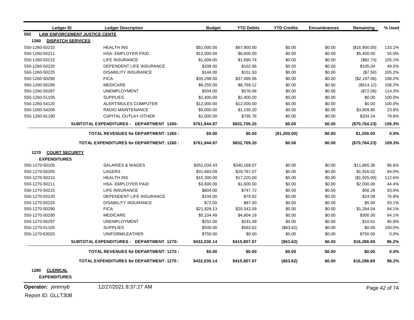| Ledger ID                                            | <b>Ledger Description</b>                       | <b>Budget</b> | <b>YTD Debits</b> | <b>YTD Credits</b> | <b>Encumbrances</b> | Remaining     | % Used |
|------------------------------------------------------|-------------------------------------------------|---------------|-------------------|--------------------|---------------------|---------------|--------|
| 550                                                  | <b>LAW ENFORCEMENT JUSTICE CENTE</b>            |               |                   |                    |                     |               |        |
| 1260<br><b>DISPATCH SERVICES</b>                     |                                                 |               |                   |                    |                     |               |        |
| 550-1260-50210                                       | <b>HEALTH INS</b>                               | \$51,000.00   | \$67,900.00       | \$0.00             | \$0.00              | (\$16,900.00) | 133.1% |
| 550-1260-50211                                       | HSA- EMPLOYER PAID                              | \$12,000.00   | \$6,600.00        | \$0.00             | \$0.00              | \$5,400.00    | 55.0%  |
| 550-1260-50215                                       | LIFE INSURANCE                                  | \$1,608.00    | \$1,690.74        | \$0.00             | \$0.00              | (\$82.74)     | 105.1% |
| 550-1260-50220                                       | DEPENDENT LIFE INSURANCE                        | \$208.00      | \$102.96          | \$0.00             | \$0.00              | \$105.04      | 49.5%  |
| 550-1260-50225                                       | <b>DISABILITY INSURANCE</b>                     | \$144.00      | \$151.50          | \$0.00             | \$0.00              | (\$7.50)      | 105.2% |
| 550-1260-50290                                       | <b>FICA</b>                                     | \$35,298.50   | \$37,495.56       | \$0.00             | \$0.00              | (\$2,197.06)  | 106.2% |
| 550-1260-50295                                       | <b>MEDICARE</b>                                 | \$8,255.00    | \$8,769.12        | \$0.00             | \$0.00              | (\$514.12)    | 106.2% |
| 550-1260-50297                                       | <b>UNEMPLOYMENT</b>                             | \$504.00      | \$576.06          | \$0.00             | \$0.00              | (\$72.06)     | 114.3% |
| 550-1260-51105                                       | <b>SUPPLIES</b>                                 | \$2,400.00    | \$2,400.00        | \$0.00             | \$0.00              | \$0.00        | 100.0% |
| 550-1260-54120                                       | ALERT/MULES COMPUTER                            | \$12,000.00   | \$12,000.00       | \$0.00             | \$0.00              | \$0.00        | 100.0% |
| 550-1260-54206                                       | <b>RADIO MAINTENANCE</b>                        | \$5,000.00    | \$1,190.20        | \$0.00             | \$0.00              | \$3,809.80    | 23.8%  |
| 550-1260-91190                                       | <b>CAPITAL OUTLAY-OTHER</b>                     | \$1,000.00    | \$795.76          | \$0.00             | \$0.00              | \$204.24      | 79.6%  |
|                                                      | <b>SUBTOTAL EXPENDITURES - DEPARTMENT 1260:</b> | \$761,944.97  | \$832,709.20      | \$0.00             | \$0.00              | (\$70,764.23) | 109.3% |
|                                                      | <b>TOTAL REVENUES for DEPARTMENT: 1260:</b>     | \$0.00        | \$0.00            | (\$1,200.00)       | \$0.00              | \$1,200.00    | 0.0%   |
|                                                      | <b>TOTAL EXPENDITURES for DEPARTMENT: 1260:</b> | \$761,944.97  | \$832,709.20      | \$0.00             | \$0.00              | (\$70,764.23) | 109.3% |
| <b>COURT SECURITY</b><br>1270<br><b>EXPENDITURES</b> |                                                 |               |                   |                    |                     |               |        |
| 550-1270-50105                                       | <b>SALARIES &amp; WAGES</b>                     | \$352,034.43  | \$340,169.07      | \$0.00             | \$0.00              | \$11,865.36   | 96.6%  |
| 550-1270-50205                                       | LAGERS                                          | \$31,683.09   | \$29,767.07       | \$0.00             | \$0.00              | \$1,916.02    | 94.0%  |
| 550-1270-50210                                       | <b>HEALTH INS</b>                               | \$15,300.00   | \$17,225.00       | \$0.00             | \$0.00              | (\$1,925.00)  | 112.6% |
| 550-1270-50211                                       | <b>HSA- EMPLOYER PAID</b>                       | \$3,600.00    | \$1,600.00        | \$0.00             | \$0.00              | \$2,000.00    | 44.4%  |
| 550-1270-50215                                       | LIFE INSURANCE                                  | \$804.00      | \$747.72          | \$0.00             | \$0.00              | \$56.28       | 93.0%  |
| 550-1270-50220                                       | DEPENDENT LIFE INSURANCE                        | \$104.00      | \$79.92           | \$0.00             | \$0.00              | \$24.08       | 76.8%  |
| 550-1270-50225                                       | <b>DISABILITY INSURANCE</b>                     | \$72.00       | \$67.00           | \$0.00             | \$0.00              | \$5.00        | 93.1%  |
| 550-1270-50290                                       | <b>FICA</b>                                     | \$21,826.13   | \$20,542.09       | \$0.00             | \$0.00              | \$1,284.04    | 94.1%  |
| 550-1270-50295                                       | <b>MEDICARE</b>                                 | \$5,104.49    | \$4,804.19        | \$0.00             | \$0.00              | \$300.30      | 94.1%  |
| 550-1270-50297                                       | <b>UNEMPLOYMENT</b>                             | \$252.00      | \$241.39          | \$0.00             | \$0.00              | \$10.61       | 95.8%  |
| 550-1270-51105                                       | <b>SUPPLIES</b>                                 | \$500.00      | \$563.62          | (\$63.62)          | \$0.00              | \$0.00        | 100.0% |
| 550-1270-63020                                       | UNIFORM/LEATHER                                 | \$750.00      | \$0.00            | \$0.00             | \$0.00              | \$750.00      | 0.0%   |
|                                                      | <b>SUBTOTAL EXPENDITURES - DEPARTMENT 1270:</b> | \$432,030.14  | \$415,807.07      | ( \$63.62)         | \$0.00              | \$16,286.69   | 96.2%  |
|                                                      | <b>TOTAL REVENUES for DEPARTMENT: 1270:</b>     | \$0.00        | \$0.00            | \$0.00             | \$0.00              | \$0.00        | 0.0%   |
|                                                      | <b>TOTAL EXPENDITURES for DEPARTMENT: 1270:</b> | \$432,030.14  | \$415,807.07      | ( \$63.62)         | \$0.00              | \$16,286.69   | 96.2%  |
| 1280<br><b>CLERICAL</b>                              |                                                 |               |                   |                    |                     |               |        |

**EXPENDITURES**

**Operator:** *jeremyb* 12/27/2021 8:37:27 AM **Page 42 of 74**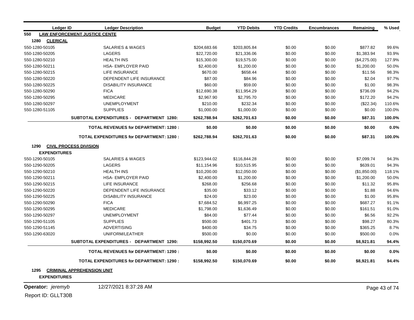| Ledger ID               | <b>Ledger Description</b>                       | <b>Budget</b> | <b>YTD Debits</b> | <b>YTD Credits</b> | <b>Encumbrances</b> | Remaining    | % Used |
|-------------------------|-------------------------------------------------|---------------|-------------------|--------------------|---------------------|--------------|--------|
| 550                     | <b>LAW ENFORCEMENT JUSTICE CENTE</b>            |               |                   |                    |                     |              |        |
| 1280<br><b>CLERICAL</b> |                                                 |               |                   |                    |                     |              |        |
| 550-1280-50105          | SALARIES & WAGES                                | \$204,683.66  | \$203,805.84      | \$0.00             | \$0.00              | \$877.82     | 99.6%  |
| 550-1280-50205          | LAGERS                                          | \$22,720.00   | \$21,336.06       | \$0.00             | \$0.00              | \$1,383.94   | 93.9%  |
| 550-1280-50210          | <b>HEALTH INS</b>                               | \$15,300.00   | \$19,575.00       | \$0.00             | \$0.00              | (\$4,275.00) | 127.9% |
| 550-1280-50211          | <b>HSA- EMPLOYER PAID</b>                       | \$2,400.00    | \$1,200.00        | \$0.00             | \$0.00              | \$1,200.00   | 50.0%  |
| 550-1280-50215          | <b>LIFE INSURANCE</b>                           | \$670.00      | \$658.44          | \$0.00             | \$0.00              | \$11.56      | 98.3%  |
| 550-1280-50220          | DEPENDENT LIFE INSURANCE                        | \$87.00       | \$84.96           | \$0.00             | \$0.00              | \$2.04       | 97.7%  |
| 550-1280-50225          | <b>DISABILITY INSURANCE</b>                     | \$60.00       | \$59.00           | \$0.00             | \$0.00              | \$1.00       | 98.3%  |
| 550-1280-50290          | <b>FICA</b>                                     | \$12,690.38   | \$11,954.29       | \$0.00             | \$0.00              | \$736.09     | 94.2%  |
| 550-1280-50295          | <b>MEDICARE</b>                                 | \$2,967.90    | \$2,795.70        | \$0.00             | \$0.00              | \$172.20     | 94.2%  |
| 550-1280-50297          | <b>UNEMPLOYMENT</b>                             | \$210.00      | \$232.34          | \$0.00             | \$0.00              | (\$22.34)    | 110.6% |
| 550-1280-51105          | <b>SUPPLIES</b>                                 | \$1,000.00    | \$1,000.00        | \$0.00             | \$0.00              | \$0.00       | 100.0% |
|                         | SUBTOTAL EXPENDITURES - DEPARTMENT 1280:        | \$262,788.94  | \$262,701.63      | \$0.00             | \$0.00              | \$87.31      | 100.0% |
|                         | <b>TOTAL REVENUES for DEPARTMENT: 1280:</b>     | \$0.00        | \$0.00            | \$0.00             | \$0.00              | \$0.00       | 0.0%   |
|                         | <b>TOTAL EXPENDITURES for DEPARTMENT: 1280:</b> | \$262,788.94  | \$262,701.63      | \$0.00             | \$0.00              | \$87.31      | 100.0% |
| 1290                    | <b>CIVIL PROCESS DIVISION</b>                   |               |                   |                    |                     |              |        |
| <b>EXPENDITURES</b>     |                                                 |               |                   |                    |                     |              |        |
| 550-1290-50105          | <b>SALARIES &amp; WAGES</b>                     | \$123,944.02  | \$116,844.28      | \$0.00             | \$0.00              | \$7,099.74   | 94.3%  |
| 550-1290-50205          | LAGERS                                          | \$11,154.96   | \$10,515.95       | \$0.00             | \$0.00              | \$639.01     | 94.3%  |
| 550-1290-50210          | <b>HEALTH INS</b>                               | \$10,200.00   | \$12,050.00       | \$0.00             | \$0.00              | (\$1,850.00) | 118.1% |
| 550-1290-50211          | <b>HSA- EMPLOYER PAID</b>                       | \$2,400.00    | \$1,200.00        | \$0.00             | \$0.00              | \$1,200.00   | 50.0%  |
| 550-1290-50215          | LIFE INSURANCE                                  | \$268.00      | \$256.68          | \$0.00             | \$0.00              | \$11.32      | 95.8%  |
| 550-1290-50220          | DEPENDENT LIFE INSURANCE                        | \$35.00       | \$33.12           | \$0.00             | \$0.00              | \$1.88       | 94.6%  |
| 550-1290-50225          | <b>DISABILITY INSURANCE</b>                     | \$24.00       | \$23.00           | \$0.00             | \$0.00              | \$1.00       | 95.8%  |
| 550-1290-50290          | <b>FICA</b>                                     | \$7,684.52    | \$6,997.25        | \$0.00             | \$0.00              | \$687.27     | 91.1%  |
| 550-1290-50295          | <b>MEDICARE</b>                                 | \$1,798.00    | \$1,636.49        | \$0.00             | \$0.00              | \$161.51     | 91.0%  |
| 550-1290-50297          | <b>UNEMPLOYMENT</b>                             | \$84.00       | \$77.44           | \$0.00             | \$0.00              | \$6.56       | 92.2%  |
| 550-1290-51105          | <b>SUPPLIES</b>                                 | \$500.00      | \$401.73          | \$0.00             | \$0.00              | \$98.27      | 80.3%  |
| 550-1290-51145          | <b>ADVERTISING</b>                              | \$400.00      | \$34.75           | \$0.00             | \$0.00              | \$365.25     | 8.7%   |
| 550-1290-63020          | UNIFORM/LEATHER                                 | \$500.00      | \$0.00            | \$0.00             | \$0.00              | \$500.00     | 0.0%   |
|                         | SUBTOTAL EXPENDITURES - DEPARTMENT 1290:        | \$158,992.50  | \$150,070.69      | \$0.00             | \$0.00              | \$8,921.81   | 94.4%  |
|                         | <b>TOTAL REVENUES for DEPARTMENT: 1290:</b>     | \$0.00        | \$0.00            | \$0.00             | \$0.00              | \$0.00       | 0.0%   |
|                         | <b>TOTAL EXPENDITURES for DEPARTMENT: 1290:</b> | \$158,992.50  | \$150,070.69      | \$0.00             | \$0.00              | \$8,921.81   | 94.4%  |
| 1295                    | <b>CRIMINAL APPREHENSION UNIT</b>               |               |                   |                    |                     |              |        |
| <b>EXPENDITURES</b>     |                                                 |               |                   |                    |                     |              |        |

**Operator:** *jeremyb* 12/27/2021 8:37:28 AM Page 43 of 74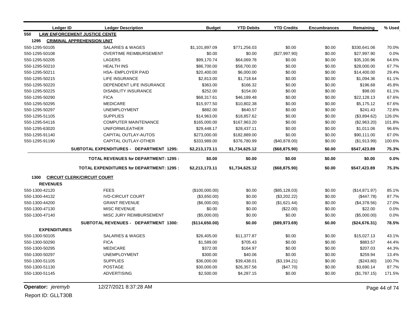| <b>Ledger ID</b>    | <b>Ledger Description</b>                       | <b>Budget</b>  | <b>YTD Debits</b> | <b>YTD Credits</b> | <b>Encumbrances</b> | Remaining     | % Used |
|---------------------|-------------------------------------------------|----------------|-------------------|--------------------|---------------------|---------------|--------|
| 550                 | <b>LAW ENFORCEMENT JUSTICE CENTE</b>            |                |                   |                    |                     |               |        |
| 1295                | <b>CRIMINAL APPREHENSION UNIT</b>               |                |                   |                    |                     |               |        |
| 550-1295-50105      | <b>SALARIES &amp; WAGES</b>                     | \$1,101,897.09 | \$771,256.03      | \$0.00             | \$0.00              | \$330,641.06  | 70.0%  |
| 550-1295-50108      | <b>OVERTIME REIMBURSEMENT</b>                   | \$0.00         | \$0.00            | (\$27,997.90)      | \$0.00              | \$27,997.90   | 0.0%   |
| 550-1295-50205      | <b>LAGERS</b>                                   | \$99,170.74    | \$64,069.78       | \$0.00             | \$0.00              | \$35,100.96   | 64.6%  |
| 550-1295-50210      | <b>HEALTH INS</b>                               | \$86,700.00    | \$58,700.00       | \$0.00             | \$0.00              | \$28,000.00   | 67.7%  |
| 550-1295-50211      | <b>HSA- EMPLOYER PAID</b>                       | \$20,400.00    | \$6,000.00        | \$0.00             | \$0.00              | \$14,400.00   | 29.4%  |
| 550-1295-50215      | LIFE INSURANCE                                  | \$2,813.00     | \$1,718.64        | \$0.00             | \$0.00              | \$1,094.36    | 61.1%  |
| 550-1295-50220      | DEPENDENT LIFE INSURANCE                        | \$363.00       | \$166.32          | \$0.00             | \$0.00              | \$196.68      | 45.8%  |
| 550-1295-50225      | <b>DISABILITY INSURANCE</b>                     | \$252.00       | \$154.00          | \$0.00             | \$0.00              | \$98.00       | 61.1%  |
| 550-1295-50290      | <b>FICA</b>                                     | \$68,317.61    | \$46,189.48       | \$0.00             | \$0.00              | \$22,128.13   | 67.6%  |
| 550-1295-50295      | <b>MEDICARE</b>                                 | \$15,977.50    | \$10,802.38       | \$0.00             | \$0.00              | \$5,175.12    | 67.6%  |
| 550-1295-50297      | <b>UNEMPLOYMENT</b>                             | \$882.00       | \$640.57          | \$0.00             | \$0.00              | \$241.43      | 72.6%  |
| 550-1295-51105      | <b>SUPPLIES</b>                                 | \$14,963.00    | \$18,857.62       | \$0.00             | \$0.00              | (\$3,894.62)  | 126.0% |
| 550-1295-54116      | COMPUTER MAINTENANCE                            | \$165,000.00   | \$167,963.20      | \$0.00             | \$0.00              | (\$2,963.20)  | 101.8% |
| 550-1295-63020      | UNIFORM/LEATHER                                 | \$29,448.17    | \$28,437.11       | \$0.00             | \$0.00              | \$1,011.06    | 96.6%  |
| 550-1295-91140      | CAPITAL OUTLAY-AUTOS                            | \$273,000.00   | \$182,889.00      | \$0.00             | \$0.00              | \$90,111.00   | 67.0%  |
| 550-1295-91190      | CAPITAL OUTLAY-OTHER                            | \$333,989.00   | \$376,780.99      | (\$40,878.00)      | \$0.00              | (\$1,913.99)  | 100.6% |
|                     | <b>SUBTOTAL EXPENDITURES - DEPARTMENT 1295:</b> | \$2,213,173.11 | \$1,734,625.12    | (\$68,875.90)      | \$0.00              | \$547,423.89  | 75.3%  |
|                     | <b>TOTAL REVENUES for DEPARTMENT: 1295:</b>     | \$0.00         | \$0.00            | \$0.00             | \$0.00              | \$0.00        | 0.0%   |
|                     | <b>TOTAL EXPENDITURES for DEPARTMENT: 1295:</b> | \$2,213,173.11 | \$1,734,625.12    | (\$68,875.90)      | \$0.00              | \$547,423.89  | 75.3%  |
| 1300                | <b>CIRCUIT CLERK/CIRCUIT COURT</b>              |                |                   |                    |                     |               |        |
| <b>REVENUES</b>     |                                                 |                |                   |                    |                     |               |        |
| 550-1300-42120      | <b>FEES</b>                                     | (\$100,000.00) | \$0.00            | (\$85, 128.03)     | \$0.00              | (\$14,871.97) | 85.1%  |
| 550-1300-44132      | <b>IVD-CIRCUIT COURT</b>                        | (\$3,650.00)   | \$0.00            | (\$3,202.22)       | \$0.00              | (\$447.78)    | 87.7%  |
| 550-1300-44200      | <b>GRANT REVENUE</b>                            | (\$6,000.00)   | \$0.00            | (\$1,621.44)       | \$0.00              | (\$4,378.56)  | 27.0%  |
| 550-1300-47130      | <b>MISC REVENUE</b>                             | \$0.00         | \$0.00            | $(\$22.00)$        | \$0.00              | \$22.00       | 0.0%   |
| 550-1300-47140      | MISC JURY REIMBURSEMENT                         | (\$5,000.00)   | \$0.00            | \$0.00             | \$0.00              | (\$5,000.00)  | 0.0%   |
|                     | SUBTOTAL REVENUES - DEPARTMENT 1300:            | (\$114,650.00) | \$0.00            | (\$89,973.69)      | \$0.00              | (\$24,676.31) | 78.5%  |
| <b>EXPENDITURES</b> |                                                 |                |                   |                    |                     |               |        |
| 550-1300-50105      | <b>SALARIES &amp; WAGES</b>                     | \$26,405.00    | \$11,377.87       | \$0.00             | \$0.00              | \$15,027.13   | 43.1%  |
| 550-1300-50290      | <b>FICA</b>                                     | \$1,589.00     | \$705.43          | \$0.00             | \$0.00              | \$883.57      | 44.4%  |
| 550-1300-50295      | <b>MEDICARE</b>                                 | \$372.00       | \$164.97          | \$0.00             | \$0.00              | \$207.03      | 44.3%  |
| 550-1300-50297      | <b>UNEMPLOYMENT</b>                             | \$300.00       | \$40.06           | \$0.00             | \$0.00              | \$259.94      | 13.4%  |
| 550-1300-51105      | <b>SUPPLIES</b>                                 | \$36,000.00    | \$39,438.01       | (\$3,194.21)       | \$0.00              | (\$243.80)    | 100.7% |
| 550-1300-51130      | <b>POSTAGE</b>                                  | \$30,000.00    | \$26,357.56       | (\$47.70)          | \$0.00              | \$3,690.14    | 87.7%  |
| 550-1300-51145      | <b>ADVERTISING</b>                              | \$2,500.00     | \$4,287.15        | \$0.00             | \$0.00              | (\$1,787.15)  | 171.5% |

**Operator:** *jeremyb* 12/27/2021 8:37:28 AM Page 44 of 74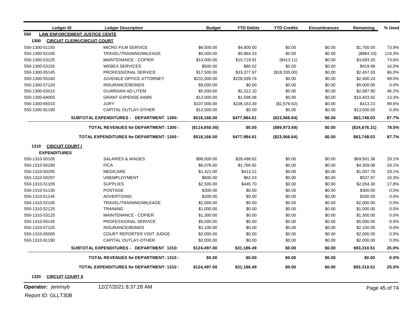|                | Ledger ID              | <b>Ledger Description</b>                       | <b>Budget</b>  | <b>YTD Debits</b> | <b>YTD Credits</b> | <b>Encumbrances</b> | Remaining     | % Used |
|----------------|------------------------|-------------------------------------------------|----------------|-------------------|--------------------|---------------------|---------------|--------|
| 550            |                        | <b>LAW ENFORCEMENT JUSTICE CENTE</b>            |                |                   |                    |                     |               |        |
| 1300           |                        | <b>CIRCUIT CLERK/CIRCUIT COURT</b>              |                |                   |                    |                     |               |        |
| 550-1300-51150 |                        | MICRO FILM SERVICE                              | \$6,500.00     | \$4,800.00        | \$0.00             | \$0.00              | \$1,700.00    | 73.8%  |
| 550-1300-52105 |                        | TRAVEL/TRAINING/MILEAGE                         | \$5,000.00     | \$5,964.33        | \$0.00             | \$0.00              | (\$964.33)    | 119.3% |
| 550-1300-53125 |                        | <b>MAINTENANCE - COPIER</b>                     | \$14,000.00    | \$10,719.91       | (\$413.11)         | \$0.00              | \$3,693.20    | 73.6%  |
| 550-1300-53155 |                        | <b>WEBEX SERVICES</b>                           | \$500.00       | \$80.02           | \$0.00             | \$0.00              | \$419.98      | 16.0%  |
| 550-1300-55145 |                        | PROFESSIONAL SERVICE                            | \$17,500.00    | \$33,377.97       | (\$18,335.00)      | \$0.00              | \$2,457.03    | 86.0%  |
| 550-1300-55160 |                        | <b>JUVENILE OFFICE ATTORNEY</b>                 | \$231,000.00   | \$228,599.76      | \$0.00             | \$0.00              | \$2,400.24    | 99.0%  |
| 550-1300-57120 |                        | <b>INSURANCE/BONDS</b>                          | \$9,000.00     | \$0.00            | \$0.00             | \$0.00              | \$9,000.00    | 0.0%   |
| 550-1300-63015 |                        | <b>GUARDIAN AD LITEM</b>                        | \$5,000.00     | \$2,312.10        | \$0.00             | \$0.00              | \$2,687.90    | 46.2%  |
| 550-1300-64005 |                        | <b>GRANT EXPENSE 64005</b>                      | \$12,000.00    | \$1,596.08        | \$0.00             | \$0.00              | \$10,403.92   | 13.3%  |
| 550-1300-65010 |                        | <b>JURY</b>                                     | \$107,000.00   | \$108,163.39      | (\$1,576.62)       | \$0.00              | \$413.23      | 99.6%  |
| 550-1300-91190 |                        | CAPITAL OUTLAY-OTHER                            | \$13,500.00    | \$0.00            | \$0.00             | \$0.00              | \$13,500.00   | 0.0%   |
|                |                        | SUBTOTAL EXPENDITURES - DEPARTMENT 1300:        | \$518,166.00   | \$477,984.61      | (\$23,566.64)      | \$0.00              | \$63,748.03   | 87.7%  |
|                |                        | <b>TOTAL REVENUES for DEPARTMENT: 1300:</b>     | (\$114,650.00) | \$0.00            | (\$89,973.69)      | \$0.00              | (\$24,676.31) | 78.5%  |
|                |                        | <b>TOTAL EXPENDITURES for DEPARTMENT: 1300:</b> | \$518,166.00   | \$477,984.61      | (\$23,566.64)      | \$0.00              | \$63,748.03   | 87.7%  |
| 1310           | <b>CIRCUIT COURT I</b> |                                                 |                |                   |                    |                     |               |        |
|                | <b>EXPENDITURES</b>    |                                                 |                |                   |                    |                     |               |        |
| 550-1310-50105 |                        | <b>SALARIES &amp; WAGES</b>                     | \$98,000.00    | \$28,498.62       | \$0.00             | \$0.00              | \$69,501.38   | 29.1%  |
| 550-1310-50290 |                        | <b>FICA</b>                                     | \$6,076.00     | \$1,766.92        | \$0.00             | \$0.00              | \$4,309.08    | 29.1%  |
| 550-1310-50295 |                        | <b>MEDICARE</b>                                 | \$1,421.00     | \$413.22          | \$0.00             | \$0.00              | \$1,007.78    | 29.1%  |
| 550-1310-50297 |                        | <b>UNEMPLOYMENT</b>                             | \$600.00       | \$62.03           | \$0.00             | \$0.00              | \$537.97      | 10.3%  |
| 550-1310-51105 |                        | <b>SUPPLIES</b>                                 | \$2,500.00     | \$445.70          | \$0.00             | \$0.00              | \$2,054.30    | 17.8%  |
| 550-1310-51130 |                        | <b>POSTAGE</b>                                  | \$300.00       | \$0.00            | \$0.00             | \$0.00              | \$300.00      | 0.0%   |
| 550-1310-51145 |                        | <b>ADVERTISING</b>                              | \$200.00       | \$0.00            | \$0.00             | \$0.00              | \$200.00      | 0.0%   |
| 550-1310-52105 |                        | TRAVEL/TRAINING/MILEAGE                         | \$2,000.00     | \$0.00            | \$0.00             | \$0.00              | \$2,000.00    | 0.0%   |
| 550-1310-52125 |                        | <b>TRAINING</b>                                 | \$1,000.00     | \$0.00            | \$0.00             | \$0.00              | \$1,000.00    | 0.0%   |
| 550-1310-53125 |                        | <b>MAINTENANCE - COPIER</b>                     | \$1,300.00     | \$0.00            | \$0.00             | \$0.00              | \$1,300.00    | 0.0%   |
| 550-1310-55145 |                        | PROFESSIONAL SERVICE                            | \$5,000.00     | \$0.00            | \$0.00             | \$0.00              | \$5,000.00    | 0.0%   |
| 550-1310-57120 |                        | INSURANCE/BONDS                                 | \$2,100.00     | \$0.00            | \$0.00             | \$0.00              | \$2,100.00    | 0.0%   |
| 550-1310-65005 |                        | <b>COURT REPORTER VISIT JUDGE</b>               | \$2,000.00     | \$0.00            | \$0.00             | \$0.00              | \$2,000.00    | 0.0%   |
| 550-1310-91190 |                        | <b>CAPITAL OUTLAY-OTHER</b>                     | \$2,000.00     | \$0.00            | \$0.00             | \$0.00              | \$2,000.00    | 0.0%   |
|                |                        | SUBTOTAL EXPENDITURES - DEPARTMENT 1310:        | \$124,497.00   | \$31,186.49       | \$0.00             | \$0.00              | \$93,310.51   | 25.0%  |
|                |                        | <b>TOTAL REVENUES for DEPARTMENT: 1310:</b>     | \$0.00         | \$0.00            | \$0.00             | \$0.00              | \$0.00        | 0.0%   |
|                |                        | <b>TOTAL EXPENDITURES for DEPARTMENT: 1310:</b> | \$124,497.00   | \$31,186.49       | \$0.00             | \$0.00              | \$93,310.51   | 25.0%  |

**1320 CIRCUIT COURT II**

**Operator:** *jeremyb* 12/27/2021 8:37:28 AM **Page 45 of 74**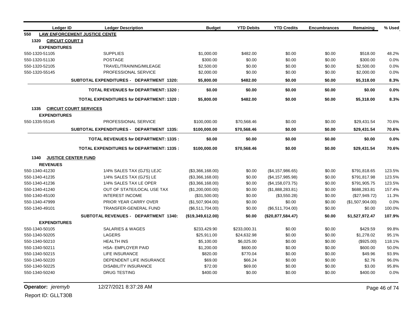|                | <b>Ledger ID</b>        | <b>Ledger Description</b>                       | <b>Budget</b>     | <b>YTD Debits</b> | <b>YTD Credits</b> | <b>Encumbrances</b>                                                                                                                                                                                                                                                                                                                                | Remaining        | % Used |
|----------------|-------------------------|-------------------------------------------------|-------------------|-------------------|--------------------|----------------------------------------------------------------------------------------------------------------------------------------------------------------------------------------------------------------------------------------------------------------------------------------------------------------------------------------------------|------------------|--------|
| 550            |                         | <b>LAW ENFORCEMENT JUSTICE CENTE</b>            |                   |                   |                    |                                                                                                                                                                                                                                                                                                                                                    |                  |        |
| 1320           | <b>CIRCUIT COURT II</b> |                                                 |                   |                   |                    |                                                                                                                                                                                                                                                                                                                                                    |                  |        |
|                | <b>EXPENDITURES</b>     |                                                 |                   |                   |                    |                                                                                                                                                                                                                                                                                                                                                    |                  |        |
| 550-1320-51105 |                         | <b>SUPPLIES</b>                                 | \$1,000.00        | \$482.00          | \$0.00             | \$0.00                                                                                                                                                                                                                                                                                                                                             | \$518.00         | 48.2%  |
| 550-1320-51130 |                         | <b>POSTAGE</b>                                  | \$300.00          | \$0.00            | \$0.00             | \$0.00                                                                                                                                                                                                                                                                                                                                             | \$300.00         | 0.0%   |
| 550-1320-52105 |                         | TRAVEL/TRAINING/MILEAGE                         | \$2,500.00        | \$0.00            | \$0.00             | \$0.00<br>\$2,500.00<br>\$0.00<br>\$2,000.00<br>\$0.00<br>\$5,318.00<br>\$0.00<br>\$0.00<br>\$0.00<br>\$5,318.00<br>\$0.00<br>\$29,431.54<br>\$0.00<br>\$29,431.54<br>\$0.00<br>\$0.00<br>\$0.00<br>\$29,431.54<br>\$0.00<br>\$791,818.65<br>\$0.00<br>\$791,817.98<br>\$0.00<br>\$791,905.75<br>\$0.00<br>\$688,283.81<br>\$0.00<br>(\$27,949.72) |                  | 0.0%   |
| 550-1320-55145 |                         | PROFESSIONAL SERVICE                            | \$2,000.00        | \$0.00            | \$0.00             |                                                                                                                                                                                                                                                                                                                                                    |                  | 0.0%   |
|                |                         | SUBTOTAL EXPENDITURES - DEPARTMENT 1320:        | \$5,800.00        | \$482.00          | \$0.00             |                                                                                                                                                                                                                                                                                                                                                    |                  | 8.3%   |
|                |                         | <b>TOTAL REVENUES for DEPARTMENT: 1320:</b>     | \$0.00            | \$0.00            | \$0.00             |                                                                                                                                                                                                                                                                                                                                                    |                  | 0.0%   |
|                |                         | <b>TOTAL EXPENDITURES for DEPARTMENT: 1320:</b> | \$5,800.00        | \$482.00          | \$0.00             |                                                                                                                                                                                                                                                                                                                                                    |                  | 8.3%   |
| 1335           |                         | <b>CIRCUIT COURT SERVICES</b>                   |                   |                   |                    |                                                                                                                                                                                                                                                                                                                                                    |                  |        |
|                | <b>EXPENDITURES</b>     |                                                 |                   |                   |                    |                                                                                                                                                                                                                                                                                                                                                    |                  |        |
| 550-1335-55145 |                         | PROFESSIONAL SERVICE                            | \$100,000.00      | \$70,568.46       | \$0.00             |                                                                                                                                                                                                                                                                                                                                                    |                  | 70.6%  |
|                |                         | <b>SUBTOTAL EXPENDITURES - DEPARTMENT 1335:</b> | \$100,000.00      | \$70,568.46       | \$0.00             |                                                                                                                                                                                                                                                                                                                                                    |                  | 70.6%  |
|                |                         | <b>TOTAL REVENUES for DEPARTMENT: 1335:</b>     | \$0.00            | \$0.00            | \$0.00             |                                                                                                                                                                                                                                                                                                                                                    |                  | 0.0%   |
|                |                         | <b>TOTAL EXPENDITURES for DEPARTMENT: 1335:</b> | \$100,000.00      | \$70,568.46       | \$0.00             |                                                                                                                                                                                                                                                                                                                                                    |                  | 70.6%  |
| 1340           |                         | <b>JUSTICE CENTER FUND</b>                      |                   |                   |                    |                                                                                                                                                                                                                                                                                                                                                    |                  |        |
|                | <b>REVENUES</b>         |                                                 |                   |                   |                    |                                                                                                                                                                                                                                                                                                                                                    |                  |        |
| 550-1340-41230 |                         | 1/4% SALES TAX (GJ'S) LEJC                      | (\$3,366,168.00)  | \$0.00            | (\$4, 157, 986.65) |                                                                                                                                                                                                                                                                                                                                                    |                  | 123.5% |
| 550-1340-41235 |                         | 1/4% SALES TAX (GJ'S) LE                        | (\$3,366,168.00)  | \$0.00            | (\$4, 157, 985.98) |                                                                                                                                                                                                                                                                                                                                                    |                  | 123.5% |
| 550-1340-41236 |                         | 1/4% SALES TAX LE OPER                          | (\$3,366,168.00)  | \$0.00            | (\$4,158,073.75)   |                                                                                                                                                                                                                                                                                                                                                    |                  | 123.5% |
| 550-1340-41240 |                         | OUT OF STATE/LOCAL USE TAX                      | (\$1,200,000.00)  | \$0.00            | (\$1,888,283.81)   |                                                                                                                                                                                                                                                                                                                                                    |                  | 157.4% |
| 550-1340-45100 |                         | <b>INTEREST INCOME</b>                          | (\$31,500.00)     | \$0.00            | (\$3,550.28)       |                                                                                                                                                                                                                                                                                                                                                    |                  | 11.3%  |
| 550-1340-47999 |                         | <b>PRIOR YEAR CARRY OVER</b>                    | (\$1,507,904.00)  | \$0.00            | \$0.00             | \$0.00                                                                                                                                                                                                                                                                                                                                             | (\$1,507,904.00) | 0.0%   |
| 550-1340-49101 |                         | <b>TRANSFER-GENERAL FUND</b>                    | (\$6,511,704.00)  | \$0.00            | $(\$6,511,704.00)$ | \$0.00                                                                                                                                                                                                                                                                                                                                             | \$0.00           | 100.0% |
|                |                         | SUBTOTAL REVENUES - DEPARTMENT 1340:            | (\$19,349,612.00) | \$0.00            | (\$20,877,584.47)  | \$0.00                                                                                                                                                                                                                                                                                                                                             | \$1,527,972.47   | 107.9% |
|                | <b>EXPENDITURES</b>     |                                                 |                   |                   |                    |                                                                                                                                                                                                                                                                                                                                                    |                  |        |
| 550-1340-50105 |                         | <b>SALARIES &amp; WAGES</b>                     | \$233,429.90      | \$233,000.31      | \$0.00             | \$0.00                                                                                                                                                                                                                                                                                                                                             | \$429.59         | 99.8%  |
| 550-1340-50205 |                         | LAGERS                                          | \$25,911.00       | \$24,632.98       | \$0.00             | \$0.00                                                                                                                                                                                                                                                                                                                                             | \$1,278.02       | 95.1%  |
| 550-1340-50210 |                         | <b>HEALTH INS</b>                               | \$5,100.00        | \$6,025.00        | \$0.00             | \$0.00                                                                                                                                                                                                                                                                                                                                             | (\$925.00)       | 118.1% |
| 550-1340-50211 |                         | <b>HSA- EMPLOYER PAID</b>                       | \$1,200.00        | \$600.00          | \$0.00             | \$0.00                                                                                                                                                                                                                                                                                                                                             | \$600.00         | 50.0%  |
| 550-1340-50215 |                         | <b>LIFE INSURANCE</b>                           | \$820.00          | \$770.04          | \$0.00             | \$0.00                                                                                                                                                                                                                                                                                                                                             | \$49.96          | 93.9%  |
| 550-1340-50220 |                         | DEPENDENT LIFE INSURANCE                        | \$69.00           | \$66.24           | \$0.00             | \$0.00                                                                                                                                                                                                                                                                                                                                             | \$2.76           | 96.0%  |
| 550-1340-50225 |                         | <b>DISABILITY INSURANCE</b>                     | \$72.00           | \$69.00           | \$0.00             | \$0.00                                                                                                                                                                                                                                                                                                                                             | \$3.00           | 95.8%  |
| 550-1340-50240 |                         | <b>DRUG TESTING</b>                             | \$400.00          | \$0.00            | \$0.00             | \$0.00                                                                                                                                                                                                                                                                                                                                             | \$400.00         | 0.0%   |

**Operator:** *jeremyb* 12/27/2021 8:37:28 AM Page 46 of 74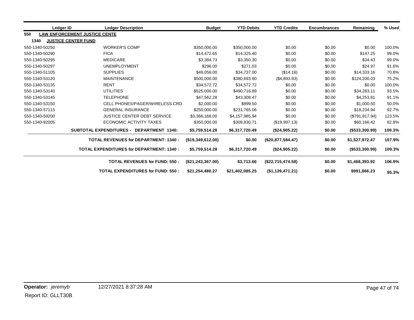|     | Ledger ID                            | <b>Ledger Description</b>                       |                                      | <b>Budget</b>       | <b>YTD Debits</b> | <b>YTD Credits</b> | <b>Encumbrances</b> | Remaining            | % Used |
|-----|--------------------------------------|-------------------------------------------------|--------------------------------------|---------------------|-------------------|--------------------|---------------------|----------------------|--------|
| 550 |                                      | <b>LAW ENFORCEMENT JUSTICE CENTE</b>            |                                      |                     |                   |                    |                     |                      |        |
|     | 1340                                 | <b>JUSTICE CENTER FUND</b>                      |                                      |                     |                   |                    |                     |                      |        |
|     | 550-1340-50250                       | <b>WORKER'S COMP</b>                            |                                      | \$350,000.00        | \$350,000.00      | \$0.00             | \$0.00              | \$0.00               | 100.0% |
|     | 550-1340-50290                       | <b>FICA</b>                                     |                                      | \$14,472.65         | \$14,325.40       | \$0.00             | \$0.00              | \$147.25             | 99.0%  |
|     | 550-1340-50295                       | <b>MEDICARE</b>                                 |                                      | \$3,384.73          | \$3,350.30        | \$0.00             | \$0.00              | \$34.43              | 99.0%  |
|     | 550-1340-50297                       | <b>UNEMPLOYMENT</b>                             |                                      | \$296.00            | \$271.03          | \$0.00             | \$0.00              | \$24.97              | 91.6%  |
|     | <b>SUPPLIES</b><br>550-1340-51105    |                                                 | \$49,056.00                          | \$34,737.00         | (\$14.16)         | \$0.00             | \$14,333.16         | 70.8%                |        |
|     | 550-1340-53120<br><b>MAINTENANCE</b> |                                                 | \$500,000.00                         | \$380,693.90        | (\$4,893.93)      | \$0.00             | \$124,200.03        | 75.2%                |        |
|     | <b>RENT</b><br>550-1340-53135        |                                                 | \$34,572.72                          | \$34,572.72         | \$0.00            | \$0.00             | \$0.00              | 100.0%               |        |
|     | <b>UTILITIES</b><br>550-1340-53140   |                                                 | \$525,000.00                         | \$490,716.89        | \$0.00            | \$0.00             | \$34,283.11         | 93.5%                |        |
|     | <b>TELEPHONE</b><br>550-1340-53145   |                                                 | \$47,562.28                          | \$43,308.47         | \$0.00            | \$0.00             | \$4,253.81          | 91.1%                |        |
|     | 550-1340-53150                       | CELL PHONES/PAGER/WIRELESS CRD                  |                                      | \$2,000.00          | \$999.50          | \$0.00             | \$0.00              | \$1,000.50           | 50.0%  |
|     | 550-1340-57115                       | <b>GENERAL INSURANCE</b>                        |                                      | \$250,000.00        | \$231,765.06      | \$0.00             | \$0.00              | \$18,234.94          | 92.7%  |
|     | 550-1340-59200                       | <b>JUSTICE CENTER DEBT SERVICE</b>              |                                      | \$3,366,168.00      | \$4,157,985.94    | \$0.00             | \$0.00              | (\$791, 817.94)      | 123.5% |
|     | 550-1340-92005                       | <b>ECONOMIC ACTIVITY TAXES</b>                  |                                      | \$350,000.00        | \$309,830.71      | (\$19,997.13)      | \$0.00              | \$60,166.42          | 82.8%  |
|     |                                      | SUBTOTAL EXPENDITURES - DEPARTMENT 1340:        |                                      | \$5,759,514.28      | \$6,317,720.49    | (\$24,905.22)      | \$0.00              | $($ \$533,300.99)    | 109.3% |
|     |                                      | <b>TOTAL REVENUES for DEPARTMENT: 1340:</b>     |                                      | (\$19,349,612.00)   | \$0.00            | (\$20,877,584.47)  | \$0.00              | \$1,527,972.47       | 107.9% |
|     |                                      | <b>TOTAL EXPENDITURES for DEPARTMENT: 1340:</b> |                                      | \$5,759,514.28      | \$6,317,720.49    | (\$24,905.22)      | \$0.00              | $($ \$533,300.99 $)$ | 109.3% |
|     |                                      |                                                 | <b>TOTAL REVENUES for FUND: 550:</b> | (\$21, 243, 367.00) | \$3,713.66        | (\$22,715,474.58)  | \$0.00              | \$1,468,393.92       | 106.9% |
|     |                                      | <b>TOTAL EXPENDITURES for FUND: 550:</b>        |                                      | \$21,254,480.27     | \$21,402,085.25   | (\$1,139,471.21)   | \$0.00              | \$991,866.23         | 95.3%  |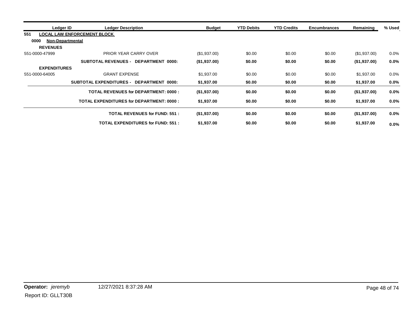| Ledger ID                       | <b>Ledger Description</b>                       | Budget       | <b>YTD Debits</b> | <b>YTD Credits</b> | <b>Encumbrances</b> | Remaining    | % Used  |
|---------------------------------|-------------------------------------------------|--------------|-------------------|--------------------|---------------------|--------------|---------|
| 551                             | LOCAL LAW ENFORCEMENT BLOCK                     |              |                   |                    |                     |              |         |
| 0000<br><b>Non-Departmental</b> |                                                 |              |                   |                    |                     |              |         |
| <b>REVENUES</b>                 |                                                 |              |                   |                    |                     |              |         |
| 551-0000-47999                  | PRIOR YEAR CARRY OVER                           | (\$1,937.00) | \$0.00            | \$0.00             | \$0.00              | (\$1,937.00) | $0.0\%$ |
|                                 | SUBTOTAL REVENUES - DEPARTMENT<br>0000:         | (\$1,937.00) | \$0.00            | \$0.00             | \$0.00              | (\$1,937.00) | $0.0\%$ |
| <b>EXPENDITURES</b>             |                                                 |              |                   |                    |                     |              |         |
| 551-0000-64005                  | <b>GRANT EXPENSE</b><br>\$1,937.00              |              | \$0.00            | \$0.00             | \$0.00              | \$1,937.00   | $0.0\%$ |
|                                 | SUBTOTAL EXPENDITURES - DEPARTMENT<br>0000:     | \$1,937.00   | \$0.00            | \$0.00             | \$0.00              | \$1,937.00   | $0.0\%$ |
|                                 | <b>TOTAL REVENUES for DEPARTMENT: 0000:</b>     | (\$1,937.00) | \$0.00            | \$0.00             | \$0.00              | (\$1,937.00) | $0.0\%$ |
|                                 | <b>TOTAL EXPENDITURES for DEPARTMENT: 0000:</b> | \$1,937.00   | \$0.00            | \$0.00             | \$0.00              | \$1,937.00   | $0.0\%$ |
|                                 | <b>TOTAL REVENUES for FUND: 551:</b>            | (\$1,937.00) | \$0.00            | \$0.00             | \$0.00              | (\$1,937.00) | $0.0\%$ |
|                                 | <b>TOTAL EXPENDITURES for FUND: 551:</b>        | \$1,937.00   | \$0.00            | \$0.00             | \$0.00              | \$1,937.00   | $0.0\%$ |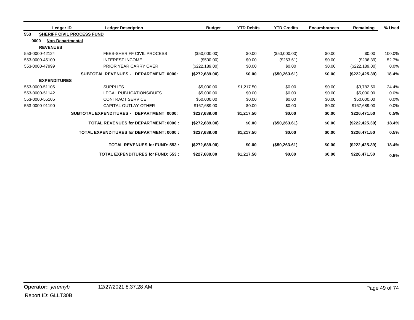|      | Ledger ID           | <b>Ledger Description</b>                       | <b>Budget</b>  | <b>YTD Debits</b> | <b>YTD Credits</b> | <b>Encumbrances</b> | Remaining       | % Used  |
|------|---------------------|-------------------------------------------------|----------------|-------------------|--------------------|---------------------|-----------------|---------|
| 553  |                     | <b>SHERIFF CIVIL PROCESS FUND</b>               |                |                   |                    |                     |                 |         |
| 0000 | Non-Departmental    |                                                 |                |                   |                    |                     |                 |         |
|      | <b>REVENUES</b>     |                                                 |                |                   |                    |                     |                 |         |
|      | 553-0000-42124      | FEES-SHERIFF CIVIL PROCESS                      | (\$50,000.00)  | \$0.00            | (\$50,000.00)      | \$0.00              | \$0.00          | 100.0%  |
|      | 553-0000-45100      | <b>INTEREST INCOME</b>                          | (\$500.00)     | \$0.00            | (\$263.61)         | \$0.00              | (\$236.39)      | 52.7%   |
|      | 553-0000-47999      | PRIOR YEAR CARRY OVER                           | (\$222,189.00) | \$0.00            | \$0.00             | \$0.00              | (\$222,189.00)  | $0.0\%$ |
|      |                     | SUBTOTAL REVENUES - DEPARTMENT 0000:            | (\$272,689.00) | \$0.00            | (\$50,263.61)      | \$0.00              | (\$222, 425.39) | 18.4%   |
|      | <b>EXPENDITURES</b> |                                                 |                |                   |                    |                     |                 |         |
|      | 553-0000-51105      | <b>SUPPLIES</b>                                 | \$5,000.00     | \$1,217.50        | \$0.00             | \$0.00              | \$3,782.50      | 24.4%   |
|      | 553-0000-51142      | LEGAL PUBLICATIONS/DUES                         | \$5,000.00     | \$0.00            | \$0.00             | \$0.00              | \$5,000.00      | 0.0%    |
|      | 553-0000-55105      | <b>CONTRACT SERVICE</b>                         | \$50,000.00    | \$0.00            | \$0.00             | \$0.00              | \$50,000.00     | 0.0%    |
|      | 553-0000-91190      | CAPITAL OUTLAY-OTHER                            | \$167,689.00   | \$0.00            | \$0.00             | \$0.00              | \$167.689.00    | 0.0%    |
|      |                     | SUBTOTAL EXPENDITURES - DEPARTMENT 0000:        | \$227,689.00   | \$1,217.50        | \$0.00             | \$0.00              | \$226,471.50    | 0.5%    |
|      |                     | <b>TOTAL REVENUES for DEPARTMENT: 0000:</b>     | (\$272,689.00) | \$0.00            | (\$50,263.61)      | \$0.00              | (\$222, 425.39) | 18.4%   |
|      |                     | <b>TOTAL EXPENDITURES for DEPARTMENT: 0000:</b> | \$227,689.00   | \$1,217.50        | \$0.00             | \$0.00              | \$226,471.50    | 0.5%    |
|      |                     | <b>TOTAL REVENUES for FUND: 553:</b>            | (\$272,689.00) | \$0.00            | (\$50,263.61)      | \$0.00              | (\$222, 425.39) | 18.4%   |
|      |                     | <b>TOTAL EXPENDITURES for FUND: 553:</b>        | \$227,689.00   | \$1,217.50        | \$0.00             | \$0.00              | \$226,471.50    | 0.5%    |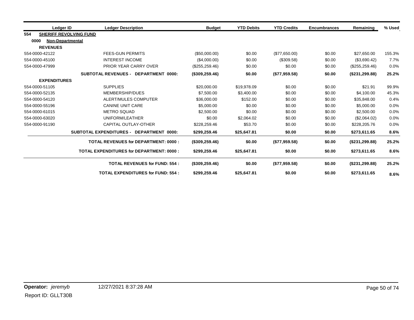|     | Ledger ID                       | <b>Ledger Description</b>                       | <b>Budget</b>     | <b>YTD Debits</b> | <b>YTD Credits</b> | <b>Encumbrances</b> | Remaining        | % Used |
|-----|---------------------------------|-------------------------------------------------|-------------------|-------------------|--------------------|---------------------|------------------|--------|
| 554 | <b>SHERIFF REVOLVING FUND</b>   |                                                 |                   |                   |                    |                     |                  |        |
|     | 0000<br><b>Non-Departmental</b> |                                                 |                   |                   |                    |                     |                  |        |
|     | <b>REVENUES</b>                 |                                                 |                   |                   |                    |                     |                  |        |
|     | 554-0000-42122                  | <b>FEES-GUN PERMITS</b>                         | (\$50,000.00)     | \$0.00            | (\$77,650.00)      | \$0.00              | \$27,650.00      | 155.3% |
|     | 554-0000-45100                  | <b>INTEREST INCOME</b>                          | (\$4,000.00)      | \$0.00            | (\$309.58)         | \$0.00              | (\$3,690.42)     | 7.7%   |
|     | 554-0000-47999                  | <b>PRIOR YEAR CARRY OVER</b>                    | (\$255, 259.46)   | \$0.00            | \$0.00             | \$0.00              | $(\$255,259.46)$ | 0.0%   |
|     |                                 | <b>SUBTOTAL REVENUES - DEPARTMENT 0000:</b>     | (\$309,259.46)    | \$0.00            | (\$77,959.58)      | \$0.00              | (\$231, 299.88)  | 25.2%  |
|     | <b>EXPENDITURES</b>             |                                                 |                   |                   |                    |                     |                  |        |
|     | 554-0000-51105                  | <b>SUPPLIES</b>                                 | \$20,000.00       | \$19,978.09       | \$0.00             | \$0.00              | \$21.91          | 99.9%  |
|     | 554-0000-52135                  | MEMBERSHIP/DUES                                 | \$7,500.00        | \$3,400.00        | \$0.00             | \$0.00              | \$4,100.00       | 45.3%  |
|     | 554-0000-54120                  | <b>ALERT/MULES COMPUTER</b>                     | \$36,000.00       | \$152.00          | \$0.00             | \$0.00              | \$35,848.00      | 0.4%   |
|     | 554-0000-55196                  | <b>CANINE UNIT CARE</b>                         | \$5,000.00        | \$0.00            | \$0.00             | \$0.00              | \$5,000,00       | 0.0%   |
|     | 554-0000-61015                  | <b>METRO SQUAD</b>                              | \$2,500.00        | \$0.00            | \$0.00             | \$0.00              | \$2,500.00       | 0.0%   |
|     | 554-0000-63020                  | UNIFORM/LEATHER                                 | \$0.00            | \$2,064.02        | \$0.00             | \$0.00              | (\$2,064.02)     | 0.0%   |
|     | 554-0000-91190                  | <b>CAPITAL OUTLAY-OTHER</b>                     | \$228,259.46      | \$53.70           | \$0.00             | \$0.00              | \$228,205.76     | 0.0%   |
|     |                                 | SUBTOTAL EXPENDITURES - DEPARTMENT 0000:        | \$299,259.46      | \$25,647.81       | \$0.00             | \$0.00              | \$273,611.65     | 8.6%   |
|     |                                 | <b>TOTAL REVENUES for DEPARTMENT: 0000:</b>     | (\$309,259.46)    | \$0.00            | (\$77,959.58)      | \$0.00              | (\$231, 299.88)  | 25.2%  |
|     |                                 | <b>TOTAL EXPENDITURES for DEPARTMENT: 0000:</b> | \$299,259.46      | \$25,647.81       | \$0.00             | \$0.00              | \$273,611.65     | 8.6%   |
|     |                                 | <b>TOTAL REVENUES for FUND: 554:</b>            | $($ \$309,259.46) | \$0.00            | (\$77,959.58)      | \$0.00              | (S231, 299.88)   | 25.2%  |
|     |                                 | <b>TOTAL EXPENDITURES for FUND: 554:</b>        | \$299,259.46      | \$25,647.81       | \$0.00             | \$0.00              | \$273,611.65     | 8.6%   |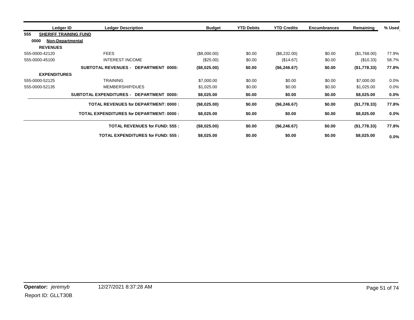| Ledger ID           | <b>Ledger Description</b>                          | <b>Budget</b> | <b>YTD Debits</b> | <b>YTD Credits</b> | <b>Encumbrances</b> | Remaining    | % Used |
|---------------------|----------------------------------------------------|---------------|-------------------|--------------------|---------------------|--------------|--------|
| 555                 | <b>SHERIFF TRAINING FUND</b>                       |               |                   |                    |                     |              |        |
| 0000                | <b>Non-Departmental</b>                            |               |                   |                    |                     |              |        |
| <b>REVENUES</b>     |                                                    |               |                   |                    |                     |              |        |
| 555-0000-42120      | <b>FEES</b>                                        | (\$8,000.00)  | \$0.00            | (\$6,232.00)       | \$0.00              | (\$1,768.00) | 77.9%  |
| 555-0000-45100      | <b>INTEREST INCOME</b>                             | $(\$25.00)$   | \$0.00            | (\$14.67)          | \$0.00              | (\$10.33)    | 58.7%  |
|                     | <b>SUBTOTAL REVENUES -</b><br>DEPARTMENT 0000:     | (\$8,025.00)  | \$0.00            | (\$6,246.67)       | \$0.00              | (\$1,778.33) | 77.8%  |
| <b>EXPENDITURES</b> |                                                    |               |                   |                    |                     |              |        |
| 555-0000-52125      | <b>TRAINING</b>                                    | \$7,000.00    | \$0.00            | \$0.00             | \$0.00              | \$7,000.00   | 0.0%   |
| 555-0000-52135      | MEMBERSHIP/DUES                                    | \$1,025.00    | \$0.00            | \$0.00             | \$0.00              | \$1,025.00   | 0.0%   |
|                     | <b>SUBTOTAL EXPENDITURES -</b><br>DEPARTMENT 0000: | \$8,025.00    | \$0.00            | \$0.00             | \$0.00              | \$8,025.00   | 0.0%   |
|                     | <b>TOTAL REVENUES for DEPARTMENT: 0000:</b>        | (\$8,025.00)  | \$0.00            | (\$6,246.67)       | \$0.00              | (\$1,778.33) | 77.8%  |
|                     | <b>TOTAL EXPENDITURES for DEPARTMENT: 0000:</b>    | \$8,025.00    | \$0.00            | \$0.00             | \$0.00              | \$8,025.00   | 0.0%   |
|                     | <b>TOTAL REVENUES for FUND: 555:</b>               | (\$8,025.00)  | \$0.00            | (\$6, 246.67)      | \$0.00              | (\$1,778.33) | 77.8%  |
|                     | <b>TOTAL EXPENDITURES for FUND: 555:</b>           | \$8,025.00    | \$0.00            | \$0.00             | \$0.00              | \$8,025.00   | 0.0%   |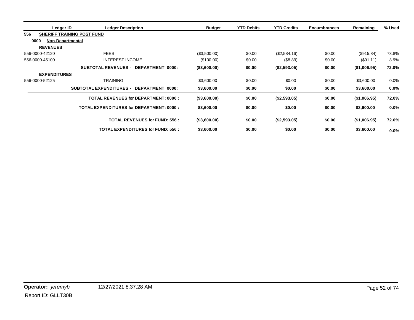|                | Ledger ID                         | <b>Ledger Description</b>                       | <b>Budget</b> | <b>YTD Debits</b> | <b>YTD Credits</b> | <b>Encumbrances</b> | Remaining    | % Used  |
|----------------|-----------------------------------|-------------------------------------------------|---------------|-------------------|--------------------|---------------------|--------------|---------|
| 556            | <b>SHERIFF TRAINING POST FUND</b> |                                                 |               |                   |                    |                     |              |         |
| 0000           | <b>Non-Departmental</b>           |                                                 |               |                   |                    |                     |              |         |
|                | <b>REVENUES</b>                   |                                                 |               |                   |                    |                     |              |         |
| 556-0000-42120 |                                   | <b>FEES</b>                                     | (\$3,500.00)  | \$0.00            | (\$2,584.16)       | \$0.00              | (\$915.84)   | 73.8%   |
| 556-0000-45100 |                                   | <b>INTEREST INCOME</b>                          | (S100.00)     | \$0.00            | (\$8.89)           | \$0.00              | $(\$91.11)$  | 8.9%    |
|                |                                   | SUBTOTAL REVENUES - DEPARTMENT 0000:            | (\$3,600.00)  | \$0.00            | (\$2,593.05)       | \$0.00              | (\$1,006.95) | 72.0%   |
|                | <b>EXPENDITURES</b>               |                                                 |               |                   |                    |                     |              |         |
| 556-0000-52125 |                                   | <b>TRAINING</b>                                 | \$3,600.00    | \$0.00            | \$0.00             | \$0.00              | \$3,600.00   | $0.0\%$ |
|                |                                   | SUBTOTAL EXPENDITURES - DEPARTMENT 0000:        | \$3,600.00    | \$0.00            | \$0.00             | \$0.00              | \$3,600.00   | $0.0\%$ |
|                |                                   | <b>TOTAL REVENUES for DEPARTMENT: 0000:</b>     | (\$3,600.00)  | \$0.00            | (\$2,593.05)       | \$0.00              | (\$1,006.95) | 72.0%   |
|                |                                   | <b>TOTAL EXPENDITURES for DEPARTMENT: 0000:</b> | \$3,600.00    | \$0.00            | \$0.00             | \$0.00              | \$3,600.00   | $0.0\%$ |
|                |                                   | <b>TOTAL REVENUES for FUND: 556:</b>            | (\$3,600.00)  | \$0.00            | (\$2,593.05)       | \$0.00              | (\$1,006.95) | 72.0%   |
|                |                                   | <b>TOTAL EXPENDITURES for FUND: 556:</b>        | \$3,600.00    | \$0.00            | \$0.00             | \$0.00              | \$3,600.00   | $0.0\%$ |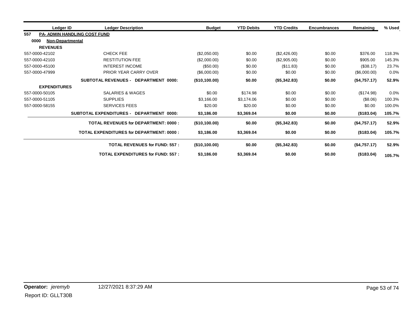| Ledger ID                | <b>Ledger Description</b>                          | <b>Budget</b>    | <b>YTD Debits</b> | <b>YTD Credits</b> | <b>Encumbrances</b> | Remaining    | % Used |
|--------------------------|----------------------------------------------------|------------------|-------------------|--------------------|---------------------|--------------|--------|
| 557                      | <b>PA- ADMIN HANDLING COST FUND</b>                |                  |                   |                    |                     |              |        |
| 0000<br>Non-Departmental |                                                    |                  |                   |                    |                     |              |        |
| <b>REVENUES</b>          |                                                    |                  |                   |                    |                     |              |        |
| 557-0000-42102           | <b>CHECK FEE</b>                                   | (\$2,050.00)     | \$0.00            | (\$2,426.00)       | \$0.00              | \$376.00     | 118.3% |
| 557-0000-42103           | <b>RESTITUTION FEE</b>                             | (\$2,000.00)     | \$0.00            | (\$2,905.00)       | \$0.00              | \$905.00     | 145.3% |
| 557-0000-45100           | <b>INTEREST INCOME</b>                             | (\$50.00)        | \$0.00            | (\$11.83)          | \$0.00              | (\$38.17)    | 23.7%  |
| 557-0000-47999           | <b>PRIOR YEAR CARRY OVER</b>                       | (\$6,000.00)     | \$0.00            | \$0.00             | \$0.00              | (\$6,000.00) | 0.0%   |
|                          | <b>SUBTOTAL REVENUES -</b><br>DEPARTMENT 0000:     | (\$10,100.00)    | \$0.00            | (\$5,342.83)       | \$0.00              | (\$4,757.17) | 52.9%  |
| <b>EXPENDITURES</b>      |                                                    |                  |                   |                    |                     |              |        |
| 557-0000-50105           | SALARIES & WAGES                                   | \$0.00           | \$174.98          | \$0.00             | \$0.00              | (\$174.98)   | 0.0%   |
| 557-0000-51105           | <b>SUPPLIES</b>                                    | \$3,166.00       | \$3,174.06        | \$0.00             | \$0.00              | (\$8.06)     | 100.3% |
| 557-0000-58155           | <b>SERVICES FEES</b>                               | \$20.00          | \$20.00           | \$0.00             | \$0.00              | \$0.00       | 100.0% |
|                          | <b>SUBTOTAL EXPENDITURES -</b><br>DEPARTMENT 0000: | \$3,186.00       | \$3,369.04        | \$0.00             | \$0.00              | (S183.04)    | 105.7% |
|                          | <b>TOTAL REVENUES for DEPARTMENT: 0000:</b>        | (\$10,100.00)    | \$0.00            | (\$5,342.83)       | \$0.00              | (\$4,757.17) | 52.9%  |
|                          | <b>TOTAL EXPENDITURES for DEPARTMENT: 0000:</b>    | \$3,186.00       | \$3,369.04        | \$0.00             | \$0.00              | (\$183.04)   | 105.7% |
|                          | <b>TOTAL REVENUES for FUND: 557:</b>               | $($ \$10,100.00) | \$0.00            | (\$5,342.83)       | \$0.00              | (\$4,757.17) | 52.9%  |
|                          | <b>TOTAL EXPENDITURES for FUND: 557:</b>           | \$3,186.00       | \$3,369.04        | \$0.00             | \$0.00              | (\$183.04)   | 105.7% |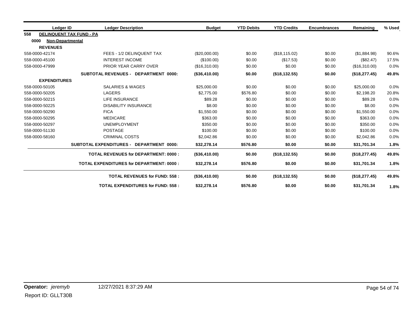|      | Ledger ID                       | <b>Ledger Description</b>                          | <b>Budget</b> | <b>YTD Debits</b> | <b>YTD Credits</b> | <b>Encumbrances</b> | Remaining     | % Used |
|------|---------------------------------|----------------------------------------------------|---------------|-------------------|--------------------|---------------------|---------------|--------|
| 558  | <b>DELINQUENT TAX FUND - PA</b> |                                                    |               |                   |                    |                     |               |        |
| 0000 | <b>Non-Departmental</b>         |                                                    |               |                   |                    |                     |               |        |
|      | <b>REVENUES</b>                 |                                                    |               |                   |                    |                     |               |        |
|      | 558-0000-42174                  | FEES - 1/2 DELINQUENT TAX                          | (\$20,000.00) | \$0.00            | (\$18,115.02)      | \$0.00              | (\$1,884.98)  | 90.6%  |
|      | 558-0000-45100                  | <b>INTEREST INCOME</b>                             | (\$100.00)    | \$0.00            | (\$17.53)          | \$0.00              | (\$82.47)     | 17.5%  |
|      | 558-0000-47999                  | PRIOR YEAR CARRY OVER                              | (\$16,310.00) | \$0.00            | \$0.00             | \$0.00              | (\$16,310.00) | 0.0%   |
|      |                                 | <b>SUBTOTAL REVENUES - DEPARTMENT 0000:</b>        | (\$36,410.00) | \$0.00            | (\$18,132.55)      | \$0.00              | (\$18,277.45) | 49.8%  |
|      | <b>EXPENDITURES</b>             |                                                    |               |                   |                    |                     |               |        |
|      | 558-0000-50105                  | <b>SALARIES &amp; WAGES</b>                        | \$25,000.00   | \$0.00            | \$0.00             | \$0.00              | \$25,000.00   | 0.0%   |
|      | 558-0000-50205                  | <b>LAGERS</b>                                      | \$2,775.00    | \$576.80          | \$0.00             | \$0.00              | \$2.198.20    | 20.8%  |
|      | 558-0000-50215                  | LIFE INSURANCE                                     | \$89.28       | \$0.00            | \$0.00             | \$0.00              | \$89.28       | 0.0%   |
|      | 558-0000-50225                  | <b>DISABILITY INSURANCE</b>                        | \$8.00        | \$0.00            | \$0.00             | \$0.00              | \$8.00        | 0.0%   |
|      | 558-0000-50290                  | <b>FICA</b>                                        | \$1,550.00    | \$0.00            | \$0.00             | \$0.00              | \$1,550.00    | 0.0%   |
|      | 558-0000-50295                  | <b>MEDICARE</b>                                    | \$363.00      | \$0.00            | \$0.00             | \$0.00              | \$363.00      | 0.0%   |
|      | 558-0000-50297                  | <b>UNEMPLOYMENT</b>                                | \$350.00      | \$0.00            | \$0.00             | \$0.00              | \$350.00      | 0.0%   |
|      | 558-0000-51130                  | <b>POSTAGE</b>                                     | \$100.00      | \$0.00            | \$0.00             | \$0.00              | \$100.00      | 0.0%   |
|      | 558-0000-58160                  | <b>CRIMINAL COSTS</b>                              | \$2,042.86    | \$0.00            | \$0.00             | \$0.00              | \$2,042.86    | 0.0%   |
|      |                                 | <b>SUBTOTAL EXPENDITURES -</b><br>DEPARTMENT 0000: | \$32,278.14   | \$576.80          | \$0.00             | \$0.00              | \$31,701.34   | 1.8%   |
|      |                                 | <b>TOTAL REVENUES for DEPARTMENT: 0000:</b>        | (\$36,410.00) | \$0.00            | (\$18,132.55)      | \$0.00              | (\$18,277.45) | 49.8%  |
|      |                                 | TOTAL EXPENDITURES for DEPARTMENT: 0000:           | \$32,278.14   | \$576.80          | \$0.00             | \$0.00              | \$31,701.34   | 1.8%   |
|      |                                 | <b>TOTAL REVENUES for FUND: 558:</b>               | (\$36,410.00) | \$0.00            | (\$18,132.55)      | \$0.00              | (\$18,277.45) | 49.8%  |
|      |                                 | <b>TOTAL EXPENDITURES for FUND: 558:</b>           | \$32,278.14   | \$576.80          | \$0.00             | \$0.00              | \$31,701.34   | 1.8%   |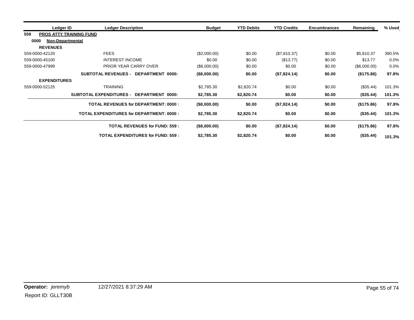|                 | Ledger ID                      | <b>Ledger Description</b>                       | <b>Budget</b> | <b>YTD Debits</b> | <b>YTD Credits</b> | <b>Encumbrances</b> | Remaining    | % Used |
|-----------------|--------------------------------|-------------------------------------------------|---------------|-------------------|--------------------|---------------------|--------------|--------|
| 559             | <b>PROS ATTY TRAINING FUND</b> |                                                 |               |                   |                    |                     |              |        |
| 0000            | Non-Departmental               |                                                 |               |                   |                    |                     |              |        |
| <b>REVENUES</b> |                                |                                                 |               |                   |                    |                     |              |        |
| 559-0000-42120  | <b>FEES</b>                    |                                                 | (\$2,000.00)  | \$0.00            | (\$7,810.37)       | \$0.00              | \$5,810.37   | 390.5% |
| 559-0000-45100  | <b>INTEREST INCOME</b>         |                                                 | \$0.00        | \$0.00            | (\$13.77)          | \$0.00              | \$13.77      | 0.0%   |
| 559-0000-47999  | PRIOR YEAR CARRY OVER          |                                                 | (\$6,000.00)  | \$0.00            | \$0.00             | \$0.00              | (\$6,000.00) | 0.0%   |
|                 | <b>SUBTOTAL REVENUES -</b>     | DEPARTMENT 0000:                                | (\$8,000.00)  | \$0.00            | (\$7,824.14)       | \$0.00              | (\$175.86)   | 97.8%  |
|                 | <b>EXPENDITURES</b>            |                                                 |               |                   |                    |                     |              |        |
| 559-0000-52125  | <b>TRAINING</b>                |                                                 | \$2,785.30    | \$2,820.74        | \$0.00             | \$0.00              | (\$35.44)    | 101.3% |
|                 | <b>SUBTOTAL EXPENDITURES -</b> | DEPARTMENT 0000:                                | \$2,785.30    | \$2,820.74        | \$0.00             | \$0.00              | (\$35.44)    | 101.3% |
|                 |                                | <b>TOTAL REVENUES for DEPARTMENT: 0000:</b>     | (\$8,000.00)  | \$0.00            | (\$7,824.14)       | \$0.00              | (\$175.86)   | 97.8%  |
|                 |                                | <b>TOTAL EXPENDITURES for DEPARTMENT: 0000:</b> | \$2,785.30    | \$2,820.74        | \$0.00             | \$0.00              | (\$35.44)    | 101.3% |
|                 |                                | <b>TOTAL REVENUES for FUND: 559:</b>            | (\$8,000.00)  | \$0.00            | (\$7,824.14)       | \$0.00              | (\$175.86)   | 97.8%  |
|                 |                                | <b>TOTAL EXPENDITURES for FUND: 559:</b>        | \$2,785.30    | \$2,820.74        | \$0.00             | \$0.00              | (\$35.44)    | 101.3% |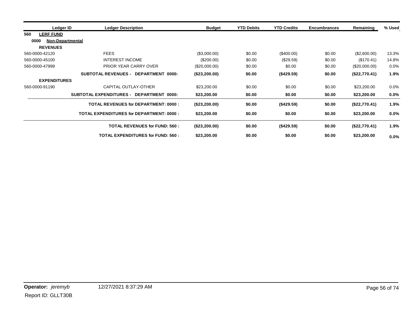| Ledger ID               | <b>Ledger Description</b>                          | <b>Budget</b> | <b>YTD Debits</b> | <b>YTD Credits</b> | <b>Encumbrances</b> | Remaining     | % Used  |
|-------------------------|----------------------------------------------------|---------------|-------------------|--------------------|---------------------|---------------|---------|
| 560<br><b>LERF FUND</b> |                                                    |               |                   |                    |                     |               |         |
| 0000                    | <b>Non-Departmental</b>                            |               |                   |                    |                     |               |         |
| <b>REVENUES</b>         |                                                    |               |                   |                    |                     |               |         |
| 560-0000-42120          | <b>FEES</b>                                        | (\$3,000.00)  | \$0.00            | $(\$400.00)$       | \$0.00              | (\$2,600.00)  | 13.3%   |
| 560-0000-45100          | <b>INTEREST INCOME</b>                             | (S200.00)     | \$0.00            | $(\$29.59)$        | \$0.00              | (\$170.41)    | 14.8%   |
| 560-0000-47999          | PRIOR YEAR CARRY OVER                              | (\$20,000.00) | \$0.00            | \$0.00             | \$0.00              | (\$20,000.00) | 0.0%    |
|                         | <b>SUBTOTAL REVENUES -</b><br>DEPARTMENT 0000:     | (\$23,200.00) | \$0.00            | (\$429.59)         | \$0.00              | (\$22,770.41) | 1.9%    |
| <b>EXPENDITURES</b>     |                                                    |               |                   |                    |                     |               |         |
| 560-0000-91190          | CAPITAL OUTLAY-OTHER                               | \$23,200.00   | \$0.00            | \$0.00             | \$0.00              | \$23,200.00   | 0.0%    |
|                         | <b>SUBTOTAL EXPENDITURES -</b><br>DEPARTMENT 0000: | \$23,200.00   | \$0.00            | \$0.00             | \$0.00              | \$23,200.00   | $0.0\%$ |
|                         | <b>TOTAL REVENUES for DEPARTMENT: 0000:</b>        | (\$23,200.00) | \$0.00            | (\$429.59)         | \$0.00              | (\$22,770.41) | 1.9%    |
|                         | <b>TOTAL EXPENDITURES for DEPARTMENT: 0000:</b>    | \$23,200.00   | \$0.00            | \$0.00             | \$0.00              | \$23,200.00   | 0.0%    |
|                         | <b>TOTAL REVENUES for FUND: 560:</b>               | (\$23,200.00) | \$0.00            | (\$429.59)         | \$0.00              | (\$22,770.41) | 1.9%    |
|                         | <b>TOTAL EXPENDITURES for FUND: 560:</b>           | \$23,200.00   | \$0.00            | \$0.00             | \$0.00              | \$23,200.00   | 0.0%    |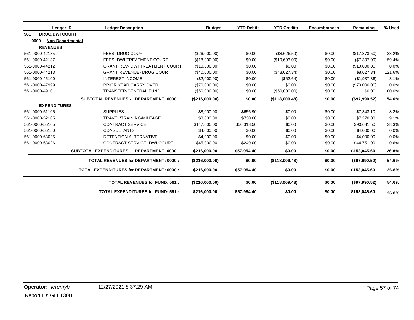|     | Ledger ID                | <b>Ledger Description</b>                       | <b>Budget</b>  | <b>YTD Debits</b> | <b>YTD Credits</b> | <b>Encumbrances</b> | Remaining     | % Used |
|-----|--------------------------|-------------------------------------------------|----------------|-------------------|--------------------|---------------------|---------------|--------|
| 561 | <b>DRUG/DWI COURT</b>    |                                                 |                |                   |                    |                     |               |        |
|     | 0000<br>Non-Departmental |                                                 |                |                   |                    |                     |               |        |
|     | <b>REVENUES</b>          |                                                 |                |                   |                    |                     |               |        |
|     | 561-0000-42135           | <b>FEES- DRUG COURT</b>                         | (\$26,000.00)  | \$0.00            | (\$8,626.50)       | \$0.00              | (\$17,373.50) | 33.2%  |
|     | 561-0000-42137           | FEES- DWI TREATMENT COURT                       | (\$18,000.00)  | \$0.00            | (\$10,693.00)      | \$0.00              | (\$7,307.00)  | 59.4%  |
|     | 561-0000-44212           | <b>GRANT REV- DWI TREATMENT COURT</b>           | (\$10,000.00)  | \$0.00            | \$0.00             | \$0.00              | (\$10,000.00) | 0.0%   |
|     | 561-0000-44213           | <b>GRANT REVENUE- DRUG COURT</b>                | (\$40,000.00)  | \$0.00            | (\$48,627.34)      | \$0.00              | \$8,627.34    | 121.6% |
|     | 561-0000-45100           | <b>INTEREST INCOME</b>                          | (\$2,000.00)   | \$0.00            | (\$62.64)          | \$0.00              | (\$1,937.36)  | 3.1%   |
|     | 561-0000-47999           | PRIOR YEAR CARRY OVER                           | (\$70,000.00)  | \$0.00            | \$0.00             | \$0.00              | (\$70,000.00) | 0.0%   |
|     | 561-0000-49101           | <b>TRANSFER-GENERAL FUND</b>                    | (\$50,000.00)  | \$0.00            | (\$50,000.00)      | \$0.00              | \$0.00        | 100.0% |
|     |                          | SUBTOTAL REVENUES - DEPARTMENT 0000:            | (\$216,000.00) | \$0.00            | (\$118,009.48)     | \$0.00              | (\$97,990.52) | 54.6%  |
|     | <b>EXPENDITURES</b>      |                                                 |                |                   |                    |                     |               |        |
|     | 561-0000-51105           | <b>SUPPLIES</b>                                 | \$8,000.00     | \$656.90          | \$0.00             | \$0.00              | \$7,343.10    | 8.2%   |
|     | 561-0000-52105           | TRAVEL/TRAINING/MILEAGE                         | \$8,000.00     | \$730.00          | \$0.00             | \$0.00              | \$7,270.00    | 9.1%   |
|     | 561-0000-55105           | <b>CONTRACT SERVICE</b>                         | \$147,000.00   | \$56,318.50       | \$0.00             | \$0.00              | \$90,681.50   | 38.3%  |
|     | 561-0000-55150           | <b>CONSULTANTS</b>                              | \$4,000.00     | \$0.00            | \$0.00             | \$0.00              | \$4,000.00    | 0.0%   |
|     | 561-0000-63025           | DETENTION ALTERNATIVE                           | \$4,000.00     | \$0.00            | \$0.00             | \$0.00              | \$4,000.00    | 0.0%   |
|     | 561-0000-63026           | <b>CONTRACT SERVICE- DWI COURT</b>              | \$45,000.00    | \$249.00          | \$0.00             | \$0.00              | \$44,751.00   | 0.6%   |
|     |                          | SUBTOTAL EXPENDITURES - DEPARTMENT 0000:        | \$216,000.00   | \$57,954.40       | \$0.00             | \$0.00              | \$158,045.60  | 26.8%  |
|     |                          | <b>TOTAL REVENUES for DEPARTMENT: 0000:</b>     | (\$216,000.00) | \$0.00            | (\$118,009.48)     | \$0.00              | (\$97,990.52) | 54.6%  |
|     |                          | <b>TOTAL EXPENDITURES for DEPARTMENT: 0000:</b> | \$216,000.00   | \$57,954.40       | \$0.00             | \$0.00              | \$158,045.60  | 26.8%  |
|     |                          | <b>TOTAL REVENUES for FUND: 561:</b>            | (\$216,000.00) | \$0.00            | (\$118,009.48)     | \$0.00              | (\$97,990.52) | 54.6%  |
|     |                          | <b>TOTAL EXPENDITURES for FUND: 561:</b>        | \$216,000.00   | \$57,954.40       | \$0.00             | \$0.00              | \$158,045.60  | 26.8%  |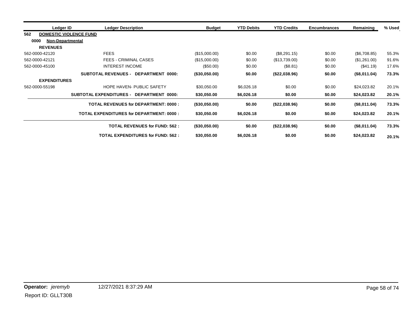| Ledger ID                       | <b>Ledger Description</b>                       |                                      | <b>Budget</b> | <b>YTD Debits</b> | <b>YTD Credits</b> | <b>Encumbrances</b> | Remaining    | % Used |
|---------------------------------|-------------------------------------------------|--------------------------------------|---------------|-------------------|--------------------|---------------------|--------------|--------|
| 562                             | <b>DOMESTIC VIOLENCE FUND</b>                   |                                      |               |                   |                    |                     |              |        |
| 0000<br><b>Non-Departmental</b> |                                                 |                                      |               |                   |                    |                     |              |        |
| <b>REVENUES</b>                 |                                                 |                                      |               |                   |                    |                     |              |        |
| 562-0000-42120                  | <b>FEES</b>                                     |                                      | (\$15,000.00) | \$0.00            | (\$8,291.15)       | \$0.00              | (\$6,708.85) | 55.3%  |
| 562-0000-42121                  | <b>FEES - CRIMINAL CASES</b>                    |                                      | (\$15,000.00) | \$0.00            | (\$13,739.00)      | \$0.00              | (\$1,261.00) | 91.6%  |
| 562-0000-45100                  | <b>INTEREST INCOME</b>                          |                                      | (\$50.00)     | \$0.00            | (\$8.81)           | \$0.00              | (\$41.19)    | 17.6%  |
|                                 | <b>SUBTOTAL REVENUES -</b>                      | DEPARTMENT 0000:                     | (\$30,050.00) | \$0.00            | (\$22,038.96)      | \$0.00              | (\$8,011.04) | 73.3%  |
| <b>EXPENDITURES</b>             |                                                 |                                      |               |                   |                    |                     |              |        |
| 562-0000-55198                  |                                                 | <b>HOPE HAVEN- PUBLIC SAFETY</b>     | \$30,050.00   | \$6,026.18        | \$0.00             | \$0.00              | \$24,023.82  | 20.1%  |
|                                 | <b>SUBTOTAL EXPENDITURES -</b>                  | DEPARTMENT 0000:                     | \$30,050.00   | \$6,026.18        | \$0.00             | \$0.00              | \$24,023.82  | 20.1%  |
|                                 | <b>TOTAL REVENUES for DEPARTMENT: 0000:</b>     |                                      | (\$30,050.00) | \$0.00            | (\$22,038.96)      | \$0.00              | (\$8,011.04) | 73.3%  |
|                                 | <b>TOTAL EXPENDITURES for DEPARTMENT: 0000:</b> |                                      | \$30,050.00   | \$6,026.18        | \$0.00             | \$0.00              | \$24,023.82  | 20.1%  |
|                                 |                                                 | <b>TOTAL REVENUES for FUND: 562:</b> | (\$30,050.00) | \$0.00            | (\$22,038.96)      | \$0.00              | (\$8,011.04) | 73.3%  |
|                                 |                                                 | TOTAL EXPENDITURES for FUND: 562 :   | \$30,050.00   | \$6,026.18        | \$0.00             | \$0.00              | \$24,023.82  | 20.1%  |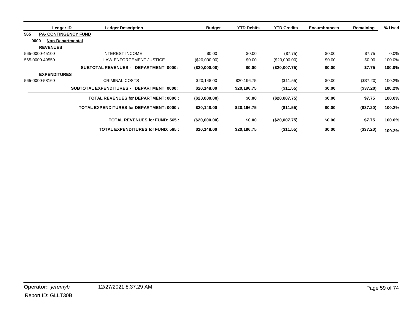| Ledger ID                          | <b>Ledger Description</b>                       | <b>Budget</b>   | <b>YTD Debits</b> | <b>YTD Credits</b> | <b>Encumbrances</b> | Remaining | % Used  |
|------------------------------------|-------------------------------------------------|-----------------|-------------------|--------------------|---------------------|-----------|---------|
| 565<br><b>PA- CONTINGENCY FUND</b> |                                                 |                 |                   |                    |                     |           |         |
| 0000<br><b>Non-Departmental</b>    |                                                 |                 |                   |                    |                     |           |         |
| <b>REVENUES</b>                    |                                                 |                 |                   |                    |                     |           |         |
| 565-0000-45100                     | <b>INTEREST INCOME</b>                          | \$0.00          | \$0.00            | (\$7.75)           | \$0.00              | \$7.75    | $0.0\%$ |
| 565-0000-49550                     | <b>LAW ENFORCEMENT JUSTICE</b>                  | $(\$20,000.00)$ | \$0.00            | (\$20,000.00)      | \$0.00              | \$0.00    | 100.0%  |
|                                    | <b>SUBTOTAL REVENUES - DEPARTMENT 0000:</b>     | (\$20,000.00)   | \$0.00            | (\$20,007.75)      | \$0.00              | \$7.75    | 100.0%  |
| <b>EXPENDITURES</b>                |                                                 |                 |                   |                    |                     |           |         |
| 565-0000-58160                     | <b>CRIMINAL COSTS</b>                           | \$20,148.00     | \$20,196.75       | (\$11.55)          | \$0.00              | (\$37.20) | 100.2%  |
|                                    | SUBTOTAL EXPENDITURES - DEPARTMENT 0000:        | \$20,148.00     | \$20,196.75       | (\$11.55)          | \$0.00              | (\$37.20) | 100.2%  |
|                                    | <b>TOTAL REVENUES for DEPARTMENT: 0000:</b>     | (\$20,000.00)   | \$0.00            | (\$20,007.75)      | \$0.00              | \$7.75    | 100.0%  |
|                                    | <b>TOTAL EXPENDITURES for DEPARTMENT: 0000:</b> | \$20,148.00     | \$20,196.75       | (\$11.55)          | \$0.00              | (\$37.20) | 100.2%  |
|                                    | <b>TOTAL REVENUES for FUND: 565:</b>            | (\$20,000.00)   | \$0.00            | (\$20,007.75)      | \$0.00              | \$7.75    | 100.0%  |
|                                    | <b>TOTAL EXPENDITURES for FUND: 565:</b>        | \$20,148.00     | \$20,196.75       | (\$11.55)          | \$0.00              | (\$37.20) | 100.2%  |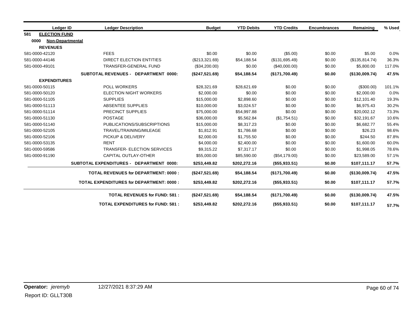|     | Ledger ID                       | <b>Ledger Description</b>                       | <b>Budget</b>  | <b>YTD Debits</b> | <b>YTD Credits</b> | <b>Encumbrances</b> | Remaining      | % Used |
|-----|---------------------------------|-------------------------------------------------|----------------|-------------------|--------------------|---------------------|----------------|--------|
| 581 | <b>ELECTION FUND</b>            |                                                 |                |                   |                    |                     |                |        |
|     | 0000<br><b>Non-Departmental</b> |                                                 |                |                   |                    |                     |                |        |
|     | <b>REVENUES</b>                 |                                                 |                |                   |                    |                     |                |        |
|     | 581-0000-42120                  | <b>FEES</b>                                     | \$0.00         | \$0.00            | (\$5.00)           | \$0.00              | \$5.00         | 0.0%   |
|     | 581-0000-44146                  | DIRECT ELECTION ENTITIES                        | (\$213,321.69) | \$54,188.54       | (\$131,695.49)     | \$0.00              | (\$135,814.74) | 36.3%  |
|     | 581-0000-49101                  | TRANSFER-GENERAL FUND                           | (\$34,200.00)  | \$0.00            | (\$40,000.00)      | \$0.00              | \$5,800.00     | 117.0% |
|     |                                 | SUBTOTAL REVENUES - DEPARTMENT 0000:            | (\$247,521.69) | \$54,188.54       | (\$171,700.49)     | \$0.00              | (\$130,009.74) | 47.5%  |
|     | <b>EXPENDITURES</b>             |                                                 |                |                   |                    |                     |                |        |
|     | 581-0000-50115                  | POLL WORKERS                                    | \$28,321.69    | \$28,621.69       | \$0.00             | \$0.00              | (\$300.00)     | 101.1% |
|     | 581-0000-50120                  | <b>ELECTION NIGHT WORKERS</b>                   | \$2,000.00     | \$0.00            | \$0.00             | \$0.00              | \$2,000.00     | 0.0%   |
|     | 581-0000-51105                  | <b>SUPPLIES</b>                                 | \$15,000.00    | \$2,898.60        | \$0.00             | \$0.00              | \$12,101.40    | 19.3%  |
|     | 581-0000-51113                  | ABSENTEE SUPPLIES                               | \$10,000.00    | \$3,024.57        | \$0.00             | \$0.00              | \$6,975.43     | 30.2%  |
|     | 581-0000-51114                  | PRECINCT SUPPLIES                               | \$75,000.00    | \$54,997.88       | \$0.00             | \$0.00              | \$20,002.12    | 73.3%  |
|     | 581-0000-51130                  | <b>POSTAGE</b>                                  | \$36,000.00    | \$5,562.84        | (\$1,754.51)       | \$0.00              | \$32,191.67    | 10.6%  |
|     | 581-0000-51140                  | PUBLICATIONS/SUBSCRIPTIONS                      | \$15,000.00    | \$8,317.23        | \$0.00             | \$0.00              | \$6,682.77     | 55.4%  |
|     | 581-0000-52105                  | TRAVEL/TRAINING/MILEAGE                         | \$1,812.91     | \$1,786.68        | \$0.00             | \$0.00              | \$26.23        | 98.6%  |
|     | 581-0000-52106                  | PICKUP & DELIVERY                               | \$2,000.00     | \$1,755.50        | \$0.00             | \$0.00              | \$244.50       | 87.8%  |
|     | 581-0000-53135                  | <b>RENT</b>                                     | \$4,000.00     | \$2,400.00        | \$0.00             | \$0.00              | \$1,600.00     | 60.0%  |
|     | 581-0000-59586                  | <b>TRANSFER- ELECTION SERVICES</b>              | \$9,315.22     | \$7,317.17        | \$0.00             | \$0.00              | \$1,998.05     | 78.6%  |
|     | 581-0000-91190                  | CAPITAL OUTLAY-OTHER                            | \$55,000.00    | \$85,590.00       | (\$54,179.00)      | \$0.00              | \$23,589.00    | 57.1%  |
|     |                                 | SUBTOTAL EXPENDITURES - DEPARTMENT 0000:        | \$253,449.82   | \$202,272.16      | (\$55,933.51)      | \$0.00              | \$107,111.17   | 57.7%  |
|     |                                 | <b>TOTAL REVENUES for DEPARTMENT: 0000:</b>     | (\$247,521.69) | \$54,188.54       | (\$171,700.49)     | \$0.00              | (\$130,009.74) | 47.5%  |
|     |                                 | <b>TOTAL EXPENDITURES for DEPARTMENT: 0000:</b> | \$253,449.82   | \$202,272.16      | (\$55,933.51)      | \$0.00              | \$107,111.17   | 57.7%  |
|     |                                 | <b>TOTAL REVENUES for FUND: 581:</b>            | (\$247,521.69) | \$54,188.54       | (\$171,700.49)     | \$0.00              | (\$130,009.74) | 47.5%  |
|     |                                 | <b>TOTAL EXPENDITURES for FUND: 581:</b>        | \$253,449.82   | \$202,272.16      | (\$55,933.51)      | \$0.00              | \$107,111.17   | 57.7%  |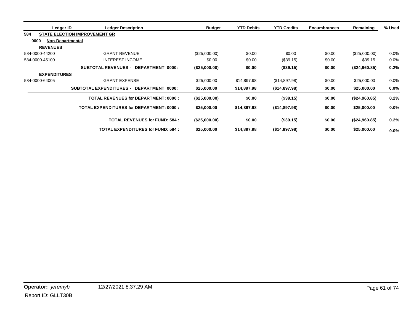| Ledger ID           | <b>Ledger Description</b>                       | <b>Budget</b> | <b>YTD Debits</b> | <b>YTD Credits</b> | <b>Encumbrances</b> | Remaining     | % Used  |
|---------------------|-------------------------------------------------|---------------|-------------------|--------------------|---------------------|---------------|---------|
| 584                 | <b>STATE ELECTION IMPROVEMENT GR</b>            |               |                   |                    |                     |               |         |
| 0000                | <b>Non-Departmental</b>                         |               |                   |                    |                     |               |         |
| <b>REVENUES</b>     |                                                 |               |                   |                    |                     |               |         |
| 584-0000-44200      | <b>GRANT REVENUE</b>                            | (\$25,000.00) | \$0.00            | \$0.00             | \$0.00              | (\$25,000.00) | $0.0\%$ |
| 584-0000-45100      | <b>INTEREST INCOME</b>                          | \$0.00        | \$0.00            | (\$39.15)          | \$0.00              | \$39.15       | 0.0%    |
|                     | SUBTOTAL REVENUES - DEPARTMENT 0000:            | (\$25,000.00) | \$0.00            | (\$39.15)          | \$0.00              | (\$24,960.85) | 0.2%    |
| <b>EXPENDITURES</b> |                                                 |               |                   |                    |                     |               |         |
| 584-0000-64005      | <b>GRANT EXPENSE</b>                            | \$25,000.00   | \$14,897.98       | (\$14,897.98)      | \$0.00              | \$25,000.00   | $0.0\%$ |
|                     | SUBTOTAL EXPENDITURES - DEPARTMENT 0000:        | \$25,000.00   | \$14,897.98       | (\$14,897.98)      | \$0.00              | \$25,000.00   | $0.0\%$ |
|                     | <b>TOTAL REVENUES for DEPARTMENT: 0000:</b>     | (\$25,000.00) | \$0.00            | (\$39.15)          | \$0.00              | (\$24,960.85) | 0.2%    |
|                     | <b>TOTAL EXPENDITURES for DEPARTMENT: 0000:</b> | \$25,000.00   | \$14,897.98       | (\$14,897.98)      | \$0.00              | \$25,000.00   | $0.0\%$ |
|                     | <b>TOTAL REVENUES for FUND: 584:</b>            | (\$25,000.00) | \$0.00            | (\$39.15)          | \$0.00              | (\$24,960.85) | 0.2%    |
|                     | <b>TOTAL EXPENDITURES for FUND: 584:</b>        | \$25,000.00   | \$14,897.98       | (\$14,897.98)      | \$0.00              | \$25,000.00   | $0.0\%$ |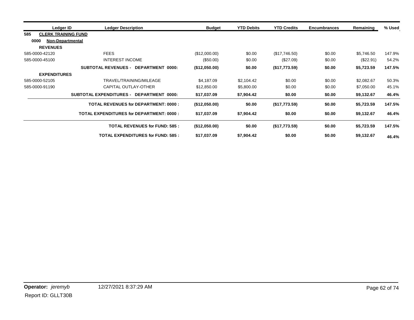| Ledger ID           | <b>Ledger Description</b>                          | <b>Budget</b> | <b>YTD Debits</b> | <b>YTD Credits</b> | <b>Encumbrances</b> | Remaining  | % Used |
|---------------------|----------------------------------------------------|---------------|-------------------|--------------------|---------------------|------------|--------|
| 585                 | <b>CLERK TRAINING FUND</b>                         |               |                   |                    |                     |            |        |
| 0000                | <b>Non-Departmental</b>                            |               |                   |                    |                     |            |        |
| <b>REVENUES</b>     |                                                    |               |                   |                    |                     |            |        |
| 585-0000-42120      | <b>FEES</b>                                        | (\$12,000.00) | \$0.00            | (\$17,746.50)      | \$0.00              | \$5,746.50 | 147.9% |
| 585-0000-45100      | <b>INTEREST INCOME</b>                             | (\$50.00)     | \$0.00            | (\$27.09)          | \$0.00              | (\$22.91)  | 54.2%  |
|                     | <b>SUBTOTAL REVENUES -</b><br>DEPARTMENT 0000:     | (\$12,050.00) | \$0.00            | (\$17,773.59)      | \$0.00              | \$5,723.59 | 147.5% |
| <b>EXPENDITURES</b> |                                                    |               |                   |                    |                     |            |        |
| 585-0000-52105      | TRAVEL/TRAINING/MILEAGE                            | \$4,187.09    | \$2,104.42        | \$0.00             | \$0.00              | \$2,082.67 | 50.3%  |
| 585-0000-91190      | CAPITAL OUTLAY-OTHER                               | \$12,850.00   | \$5,800.00        | \$0.00             | \$0.00              | \$7,050.00 | 45.1%  |
|                     | <b>SUBTOTAL EXPENDITURES -</b><br>DEPARTMENT 0000: | \$17,037.09   | \$7,904.42        | \$0.00             | \$0.00              | \$9,132.67 | 46.4%  |
|                     | <b>TOTAL REVENUES for DEPARTMENT: 0000:</b>        | (\$12,050.00) | \$0.00            | (\$17,773.59)      | \$0.00              | \$5,723.59 | 147.5% |
|                     | <b>TOTAL EXPENDITURES for DEPARTMENT: 0000:</b>    | \$17,037.09   | \$7,904.42        | \$0.00             | \$0.00              | \$9,132.67 | 46.4%  |
|                     | <b>TOTAL REVENUES for FUND: 585:</b>               | (\$12,050.00) | \$0.00            | (\$17,773.59)      | \$0.00              | \$5,723.59 | 147.5% |
|                     | <b>TOTAL EXPENDITURES for FUND: 585:</b>           | \$17,037.09   | \$7,904.42        | \$0.00             | \$0.00              | \$9,132.67 | 46.4%  |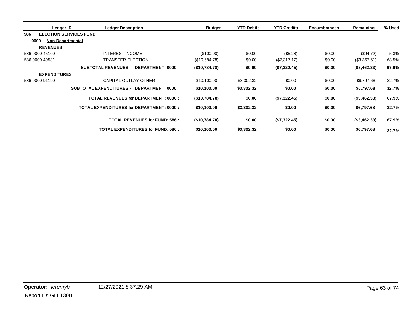| Ledger ID                            | <b>Ledger Description</b>                       | <b>Budget</b> | <b>YTD Debits</b> | <b>YTD Credits</b> | <b>Encumbrances</b> | Remaining          | % Used |
|--------------------------------------|-------------------------------------------------|---------------|-------------------|--------------------|---------------------|--------------------|--------|
| <b>ELECTION SERVICES FUND</b><br>586 |                                                 |               |                   |                    |                     |                    |        |
| 0000<br><b>Non-Departmental</b>      |                                                 |               |                   |                    |                     |                    |        |
| <b>REVENUES</b>                      |                                                 |               |                   |                    |                     |                    |        |
| 586-0000-45100                       | INTEREST INCOME                                 | (\$100.00)    | \$0.00            | (\$5.28)           | \$0.00              | (\$94.72)          | 5.3%   |
| 586-0000-49581                       | TRANSFER-ELECTION                               | (\$10,684.78) | \$0.00            | (\$7,317.17)       | \$0.00              | (\$3,367.61)       | 68.5%  |
|                                      | <b>SUBTOTAL REVENUES - DEPARTMENT 0000:</b>     | (\$10,784.78) | \$0.00            | (\$7,322.45)       | \$0.00              | (\$3,462.33)       | 67.9%  |
| <b>EXPENDITURES</b>                  |                                                 |               |                   |                    |                     |                    |        |
| 586-0000-91190                       | CAPITAL OUTLAY-OTHER                            | \$10,100.00   | \$3,302.32        | \$0.00             | \$0.00              | \$6,797.68         | 32.7%  |
|                                      | SUBTOTAL EXPENDITURES - DEPARTMENT 0000:        | \$10,100.00   | \$3,302.32        | \$0.00             | \$0.00              | \$6,797.68         | 32.7%  |
|                                      | <b>TOTAL REVENUES for DEPARTMENT: 0000:</b>     | (\$10,784.78) | \$0.00            | (\$7,322.45)       | \$0.00              | (\$3,462.33)       | 67.9%  |
|                                      | <b>TOTAL EXPENDITURES for DEPARTMENT: 0000:</b> | \$10,100.00   | \$3,302.32        | \$0.00             | \$0.00              | \$6,797.68         | 32.7%  |
|                                      | <b>TOTAL REVENUES for FUND: 586 :</b>           | (\$10,784.78) | \$0.00            | (\$7,322.45)       | \$0.00              | $($ \$3,462.33 $)$ | 67.9%  |
|                                      | <b>TOTAL EXPENDITURES for FUND: 586:</b>        | \$10,100.00   | \$3,302.32        | \$0.00             | \$0.00              | \$6,797.68         | 32.7%  |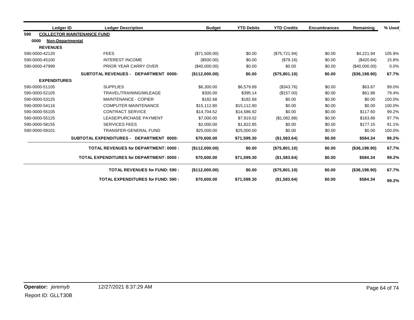|     | Ledger ID                | <b>Ledger Description</b>                       | <b>Budget</b>  | <b>YTD Debits</b> | <b>YTD Credits</b> | <b>Encumbrances</b> | Remaining        | % Used |
|-----|--------------------------|-------------------------------------------------|----------------|-------------------|--------------------|---------------------|------------------|--------|
| 590 |                          | <b>COLLECTOR MAINTENANCE FUND</b>               |                |                   |                    |                     |                  |        |
|     | 0000<br>Non-Departmental |                                                 |                |                   |                    |                     |                  |        |
|     | <b>REVENUES</b>          |                                                 |                |                   |                    |                     |                  |        |
|     | 590-0000-42120           | <b>FEES</b>                                     | (\$71,500.00)  | \$0.00            | (\$75,721.94)      | \$0.00              | \$4,221.94       | 105.9% |
|     | 590-0000-45100           | <b>INTEREST INCOME</b>                          | (\$500.00)     | \$0.00            | (\$79.16)          | \$0.00              | (\$420.84)       | 15.8%  |
|     | 590-0000-47999           | PRIOR YEAR CARRY OVER                           | (\$40,000.00)  | \$0.00            | \$0.00             | \$0.00              | (\$40,000.00)    | 0.0%   |
|     |                          | <b>SUBTOTAL REVENUES - DEPARTMENT 0000:</b>     | (\$112,000.00) | \$0.00            | (\$75,801.10)      | \$0.00              | (\$36,198.90)    | 67.7%  |
|     | <b>EXPENDITURES</b>      |                                                 |                |                   |                    |                     |                  |        |
|     | 590-0000-51105           | <b>SUPPLIES</b>                                 | \$6,300.00     | \$6,579.89        | (\$343.76)         | \$0.00              | \$63.87          | 99.0%  |
|     | 590-0000-52105           | TRAVEL/TRAINING/MILEAGE                         | \$300.00       | \$395.14          | (\$157.00)         | \$0.00              | \$61.86          | 79.4%  |
|     | 590-0000-53125           | <b>MAINTENANCE - COPIER</b>                     | \$182.68       | \$182.68          | \$0.00             | \$0.00              | \$0.00           | 100.0% |
|     | 590-0000-54116           | <b>COMPUTER MAINTENANCE</b>                     | \$15.112.80    | \$15,112.80       | \$0.00             | \$0.00              | \$0.00           | 100.0% |
|     | 590-0000-55105           | <b>CONTRACT SERVICE</b>                         | \$14,704.52    | \$14,586.92       | \$0.00             | \$0.00              | \$117.60         | 99.2%  |
|     | 590-0000-55125           | LEASE/PURCHASE PAYMENT                          | \$7,000.00     | \$7,919.02        | (\$1,082.88)       | \$0.00              | \$163.86         | 97.7%  |
|     | 590-0000-58155           | <b>SERVICES FEES</b>                            | \$2,000.00     | \$1,822.85        | \$0.00             | \$0.00              | \$177.15         | 91.1%  |
|     | 590-0000-59101           | TRANSFER-GENERAL FUND                           | \$25,000.00    | \$25,000.00       | \$0.00             | \$0.00              | \$0.00           | 100.0% |
|     |                          | SUBTOTAL EXPENDITURES - DEPARTMENT 0000:        | \$70,600.00    | \$71,599.30       | (\$1,583.64)       | \$0.00              | \$584.34         | 99.2%  |
|     |                          | <b>TOTAL REVENUES for DEPARTMENT: 0000:</b>     | (\$112,000.00) | \$0.00            | (\$75,801.10)      | \$0.00              | $($ \$36,198.90) | 67.7%  |
|     |                          | <b>TOTAL EXPENDITURES for DEPARTMENT: 0000:</b> | \$70,600.00    | \$71,599.30       | (\$1,583.64)       | \$0.00              | \$584.34         | 99.2%  |
|     |                          | <b>TOTAL REVENUES for FUND: 590:</b>            | (S112,000.00)  | \$0.00            | (\$75,801.10)      | \$0.00              | $($ \$36,198.90) | 67.7%  |
|     |                          | <b>TOTAL EXPENDITURES for FUND: 590:</b>        | \$70,600.00    | \$71,599.30       | (\$1,583.64)       | \$0.00              | \$584.34         | 99.2%  |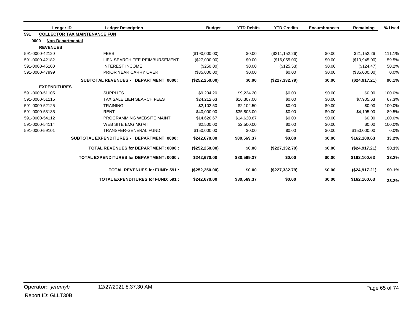|     | Ledger ID                       | <b>Ledger Description</b>                       | <b>Budget</b>   | <b>YTD Debits</b> | <b>YTD Credits</b> | <b>Encumbrances</b> | Remaining     | % Used |
|-----|---------------------------------|-------------------------------------------------|-----------------|-------------------|--------------------|---------------------|---------------|--------|
| 591 |                                 | <b>COLLECTOR TAX MAINTENANCE FUN</b>            |                 |                   |                    |                     |               |        |
|     | 0000<br><b>Non-Departmental</b> |                                                 |                 |                   |                    |                     |               |        |
|     | <b>REVENUES</b>                 |                                                 |                 |                   |                    |                     |               |        |
|     | 591-0000-42120                  | <b>FEES</b>                                     | (\$190,000.00)  | \$0.00            | (\$211, 152.26)    | \$0.00              | \$21,152.26   | 111.1% |
|     | 591-0000-42182                  | LIEN SEARCH FEE REIMBURSEMENT                   | (\$27,000.00)   | \$0.00            | (\$16,055.00)      | \$0.00              | (\$10,945.00) | 59.5%  |
|     | 591-0000-45100                  | <b>INTEREST INCOME</b>                          | (\$250.00)      | \$0.00            | (\$125.53)         | \$0.00              | (\$124.47)    | 50.2%  |
|     | 591-0000-47999                  | PRIOR YEAR CARRY OVER                           | (\$35,000.00)   | \$0.00            | \$0.00             | \$0.00              | (\$35,000.00) | 0.0%   |
|     |                                 | <b>SUBTOTAL REVENUES - DEPARTMENT 0000:</b>     | (\$252, 250.00) | \$0.00            | (\$227,332.79)     | \$0.00              | (\$24,917.21) | 90.1%  |
|     | <b>EXPENDITURES</b>             |                                                 |                 |                   |                    |                     |               |        |
|     | 591-0000-51105                  | <b>SUPPLIES</b>                                 | \$9,234.20      | \$9,234.20        | \$0.00             | \$0.00              | \$0.00        | 100.0% |
|     | 591-0000-51115                  | TAX SALE LIEN SEARCH FEES                       | \$24,212.63     | \$16,307.00       | \$0.00             | \$0.00              | \$7,905.63    | 67.3%  |
|     | 591-0000-52125                  | <b>TRAINING</b>                                 | \$2,102.50      | \$2,102.50        | \$0.00             | \$0.00              | \$0.00        | 100.0% |
|     | 591-0000-53135                  | <b>RENT</b>                                     | \$40,000.00     | \$35,805.00       | \$0.00             | \$0.00              | \$4,195.00    | 89.5%  |
|     | 591-0000-54112                  | PROGRAMMING WEBSITE MAINT                       | \$14,620.67     | \$14,620.67       | \$0.00             | \$0.00              | \$0.00        | 100.0% |
|     | 591-0000-54114                  | WEB SITE EMG MGMT                               | \$2,500.00      | \$2,500.00        | \$0.00             | \$0.00              | \$0.00        | 100.0% |
|     | 591-0000-59101                  | TRANSFER-GENERAL FUND                           | \$150,000.00    | \$0.00            | \$0.00             | \$0.00              | \$150,000.00  | 0.0%   |
|     |                                 | SUBTOTAL EXPENDITURES - DEPARTMENT 0000:        | \$242,670.00    | \$80,569.37       | \$0.00             | \$0.00              | \$162,100.63  | 33.2%  |
|     |                                 | <b>TOTAL REVENUES for DEPARTMENT: 0000:</b>     | (\$252, 250.00) | \$0.00            | (\$227,332.79)     | \$0.00              | (\$24,917.21) | 90.1%  |
|     |                                 | <b>TOTAL EXPENDITURES for DEPARTMENT: 0000:</b> | \$242,670.00    | \$80,569.37       | \$0.00             | \$0.00              | \$162,100.63  | 33.2%  |
|     |                                 | <b>TOTAL REVENUES for FUND: 591:</b>            | (\$252, 250.00) | \$0.00            | (\$227,332.79)     | \$0.00              | (\$24,917.21) | 90.1%  |
|     |                                 | <b>TOTAL EXPENDITURES for FUND: 591:</b>        | \$242,670.00    | \$80,569.37       | \$0.00             | \$0.00              | \$162,100.63  | 33.2%  |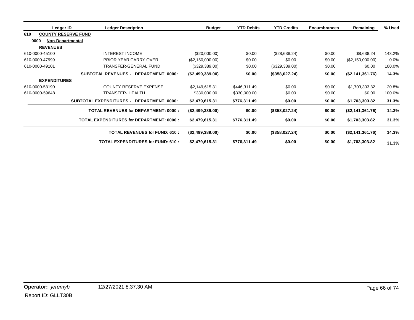| Ledger ID                         | <b>Ledger Description</b>                          | <b>Budget</b>    | <b>YTD Debits</b> | <b>YTD Credits</b> | <b>Encumbrances</b> | Remaining        | % Used  |
|-----------------------------------|----------------------------------------------------|------------------|-------------------|--------------------|---------------------|------------------|---------|
| <b>COUNTY RESERVE FUND</b><br>610 |                                                    |                  |                   |                    |                     |                  |         |
| 0000<br><b>Non-Departmental</b>   |                                                    |                  |                   |                    |                     |                  |         |
| <b>REVENUES</b>                   |                                                    |                  |                   |                    |                     |                  |         |
| 610-0000-45100                    | <b>INTEREST INCOME</b>                             | $(\$20,000.00)$  | \$0.00            | (\$28,638.24)      | \$0.00              | \$8,638.24       | 143.2%  |
| 610-0000-47999                    | PRIOR YEAR CARRY OVER                              | (\$2,150,000.00) | \$0.00            | \$0.00             | \$0.00              | (\$2,150,000.00) | $0.0\%$ |
| 610-0000-49101                    | TRANSFER-GENERAL FUND                              | (\$329,389.00)   | \$0.00            | (\$329,389.00)     | \$0.00              | \$0.00           | 100.0%  |
|                                   | <b>SUBTOTAL REVENUES -</b><br>DEPARTMENT 0000:     | (\$2,499,389.00) | \$0.00            | (\$358,027.24)     | \$0.00              | (\$2,141,361.76) | 14.3%   |
| <b>EXPENDITURES</b>               |                                                    |                  |                   |                    |                     |                  |         |
| 610-0000-58190                    | <b>COUNTY RESERVE EXPENSE</b>                      | \$2,149,615.31   | \$446,311.49      | \$0.00             | \$0.00              | \$1,703,303.82   | 20.8%   |
| 610-0000-59648                    | TRANSFER- HEALTH                                   | \$330,000.00     | \$330,000.00      | \$0.00             | \$0.00              | \$0.00           | 100.0%  |
|                                   | <b>SUBTOTAL EXPENDITURES -</b><br>DEPARTMENT 0000: | \$2,479,615.31   | \$776,311.49      | \$0.00             | \$0.00              | \$1,703,303.82   | 31.3%   |
|                                   | <b>TOTAL REVENUES for DEPARTMENT: 0000:</b>        | (\$2,499,389.00) | \$0.00            | (\$358,027.24)     | \$0.00              | (\$2,141,361.76) | 14.3%   |
|                                   | <b>TOTAL EXPENDITURES for DEPARTMENT: 0000:</b>    | \$2,479,615.31   | \$776,311.49      | \$0.00             | \$0.00              | \$1,703,303.82   | 31.3%   |
|                                   | <b>TOTAL REVENUES for FUND: 610:</b>               | (\$2,499,389.00) | \$0.00            | (\$358,027.24)     | \$0.00              | (\$2,141,361.76) | 14.3%   |
|                                   | <b>TOTAL EXPENDITURES for FUND: 610:</b>           | \$2,479,615.31   | \$776,311.49      | \$0.00             | \$0.00              | \$1,703,303.82   | 31.3%   |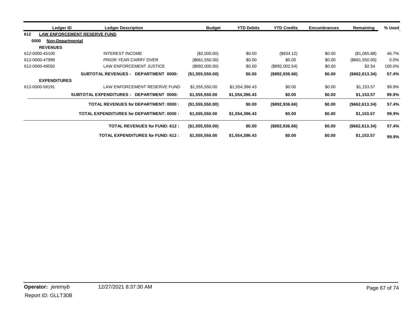| Ledger ID                       | <b>Ledger Description</b>                       | <b>Budget</b>    | <b>YTD Debits</b> | <b>YTD Credits</b> | <b>Encumbrances</b> | Remaining         | % Used |
|---------------------------------|-------------------------------------------------|------------------|-------------------|--------------------|---------------------|-------------------|--------|
| 612                             | <b>LAW ENFORCEMENT RESERVE FUND</b>             |                  |                   |                    |                     |                   |        |
| 0000<br><b>Non-Departmental</b> |                                                 |                  |                   |                    |                     |                   |        |
| <b>REVENUES</b>                 |                                                 |                  |                   |                    |                     |                   |        |
| 612-0000-45100                  | <b>INTEREST INCOME</b>                          | (\$2,000.00)     | \$0.00            | (\$934.12)         | \$0.00              | (\$1,065.88)      | 46.7%  |
| 612-0000-47999                  | PRIOR YEAR CARRY OVER                           | (\$661,550.00)   | \$0.00            | \$0.00             | \$0.00              | (\$661,550.00)    | 0.0%   |
| 612-0000-49550                  | LAW ENFORCEMENT JUSTICE                         | (\$892,000.00)   | \$0.00            | (\$892,002.54)     | \$0.00              | \$2.54            | 100.0% |
|                                 | SUBTOTAL REVENUES - DEPARTMENT 0000:            | (\$1,555,550.00) | \$0.00            | (\$892,936.66)     | \$0.00              | (\$662, 613.34)   | 57.4%  |
| <b>EXPENDITURES</b>             |                                                 |                  |                   |                    |                     |                   |        |
| 612-0000-58191                  | LAW ENFORCEMENT RESERVE FUND                    | \$1,555,550.00   | \$1,554,396.43    | \$0.00             | \$0.00              | \$1,153.57        | 99.9%  |
|                                 | SUBTOTAL EXPENDITURES - DEPARTMENT 0000:        | \$1,555,550.00   | \$1,554,396.43    | \$0.00             | \$0.00              | \$1,153.57        | 99.9%  |
|                                 | <b>TOTAL REVENUES for DEPARTMENT: 0000:</b>     | (1,555,550.00)   | \$0.00            | $($ \$892,936.66)  | \$0.00              | $($ \$662,613.34) | 57.4%  |
|                                 | <b>TOTAL EXPENDITURES for DEPARTMENT: 0000:</b> | \$1,555,550.00   | \$1,554,396.43    | \$0.00             | \$0.00              | \$1,153.57        | 99.9%  |
|                                 | <b>TOTAL REVENUES for FUND: 612:</b>            | (\$1,555,550.00) | \$0.00            | (\$892,936.66)     | \$0.00              | (\$662, 613.34)   | 57.4%  |
|                                 | <b>TOTAL EXPENDITURES for FUND: 612:</b>        | \$1,555,550.00   | \$1,554,396.43    | \$0.00             | \$0.00              | \$1,153.57        | 99.9%  |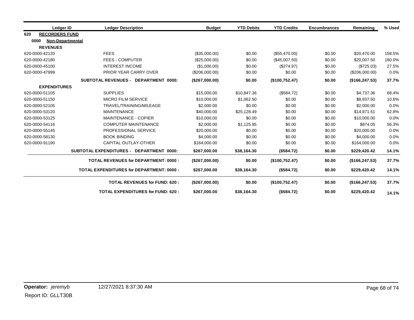|      | Ledger ID             | <b>Ledger Description</b>                       | <b>Budget</b>  | <b>YTD Debits</b> | <b>YTD Credits</b> | <b>Encumbrances</b> | Remaining       | % Used |
|------|-----------------------|-------------------------------------------------|----------------|-------------------|--------------------|---------------------|-----------------|--------|
| 620  | <b>RECORDERS FUND</b> |                                                 |                |                   |                    |                     |                 |        |
| 0000 | Non-Departmental      |                                                 |                |                   |                    |                     |                 |        |
|      | <b>REVENUES</b>       |                                                 |                |                   |                    |                     |                 |        |
|      | 620-0000-42120        | <b>FEES</b>                                     | (\$35,000.00)  | \$0.00            | (\$55,470.00)      | \$0.00              | \$20,470.00     | 158.5% |
|      | 620-0000-42180        | <b>FEES - COMPUTER</b>                          | (\$25,000.00)  | \$0.00            | (\$45,007.50)      | \$0.00              | \$20,007.50     | 180.0% |
|      | 620-0000-45100        | <b>INTEREST INCOME</b>                          | (\$1,000.00)   | \$0.00            | (\$274.97)         | \$0.00              | (\$725.03)      | 27.5%  |
|      | 620-0000-47999        | <b>PRIOR YEAR CARRY OVER</b>                    | (\$206,000.00) | \$0.00            | \$0.00             | \$0.00              | (\$206,000.00)  | 0.0%   |
|      |                       | SUBTOTAL REVENUES - DEPARTMENT 0000:            | (\$267,000.00) | \$0.00            | (\$100,752.47)     | \$0.00              | (\$166, 247.53) | 37.7%  |
|      | <b>EXPENDITURES</b>   |                                                 |                |                   |                    |                     |                 |        |
|      | 620-0000-51105        | <b>SUPPLIES</b>                                 | \$15,000.00    | \$10,847.36       | (\$584.72)         | \$0.00              | \$4,737.36      | 68.4%  |
|      | 620-0000-51150        | <b>MICRO FILM SERVICE</b>                       | \$10,000.00    | \$1,062.50        | \$0.00             | \$0.00              | \$8,937.50      | 10.6%  |
|      | 620-0000-52105        | TRAVEL/TRAINING/MILEAGE                         | \$2,000.00     | \$0.00            | \$0.00             | \$0.00              | \$2,000.00      | 0.0%   |
|      | 620-0000-53120        | <b>MAINTENANCE</b>                              | \$40,000.00    | \$25,128.49       | \$0.00             | \$0.00              | \$14,871.51     | 62.8%  |
|      | 620-0000-53125        | <b>MAINTENANCE - COPIER</b>                     | \$10,000.00    | \$0.00            | \$0.00             | \$0.00              | \$10,000.00     | 0.0%   |
|      | 620-0000-54116        | <b>COMPUTER MAINTENANCE</b>                     | \$2,000.00     | \$1,125.95        | \$0.00             | \$0.00              | \$874.05        | 56.3%  |
|      | 620-0000-55145        | PROFESSIONAL SERVICE                            | \$20,000.00    | \$0.00            | \$0.00             | \$0.00              | \$20,000.00     | 0.0%   |
|      | 620-0000-58130        | <b>BOOK BINDING</b>                             | \$4,000.00     | \$0.00            | \$0.00             | \$0.00              | \$4,000.00      | 0.0%   |
|      | 620-0000-91190        | <b>CAPITAL OUTLAY-OTHER</b>                     | \$164,000.00   | \$0.00            | \$0.00             | \$0.00              | \$164,000.00    | 0.0%   |
|      |                       | SUBTOTAL EXPENDITURES - DEPARTMENT 0000:        | \$267,000.00   | \$38,164.30       | (\$584.72)         | \$0.00              | \$229,420.42    | 14.1%  |
|      |                       | <b>TOTAL REVENUES for DEPARTMENT: 0000:</b>     | (\$267,000.00) | \$0.00            | (\$100,752.47)     | \$0.00              | (\$166, 247.53) | 37.7%  |
|      |                       | <b>TOTAL EXPENDITURES for DEPARTMENT: 0000:</b> | \$267,000.00   | \$38,164.30       | (\$584.72)         | \$0.00              | \$229,420.42    | 14.1%  |
|      |                       | <b>TOTAL REVENUES for FUND: 620:</b>            | (\$267,000.00) | \$0.00            | (\$100,752.47)     | \$0.00              | (\$166, 247.53) | 37.7%  |
|      |                       | <b>TOTAL EXPENDITURES for FUND: 620:</b>        | \$267,000.00   | \$38,164.30       | (\$584.72)         | \$0.00              | \$229,420.42    | 14.1%  |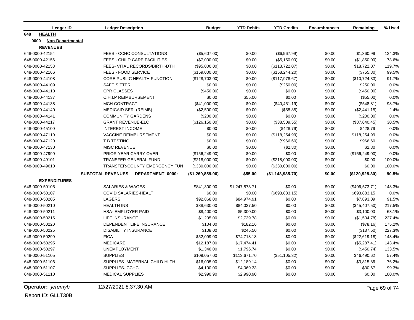| <b>Ledger ID</b>         | <b>Ledger Description</b>            | <b>Budget</b>    | <b>YTD Debits</b> | <b>YTD Credits</b> | <b>Encumbrances</b> | Remaining       | % Used |
|--------------------------|--------------------------------------|------------------|-------------------|--------------------|---------------------|-----------------|--------|
| <b>HEALTH</b><br>648     |                                      |                  |                   |                    |                     |                 |        |
| 0000<br>Non-Departmental |                                      |                  |                   |                    |                     |                 |        |
| <b>REVENUES</b>          |                                      |                  |                   |                    |                     |                 |        |
| 648-0000-42154           | FEES - CCHC CONSULTATIONS            | (\$5,607.00)     | \$0.00            | (\$6,967.99)       | \$0.00              | \$1,360.99      | 124.3% |
| 648-0000-42156           | FEES - CHILD CARE FACILITIES         | (\$7,000.00)     | \$0.00            | (\$5,150.00)       | \$0.00              | (\$1,850.00)    | 73.6%  |
| 648-0000-42158           | FEES- VITAL RECORDS/BIRTH-DTH        | (\$95,000.00)    | \$0.00            | (\$113,722.07)     | \$0.00              | \$18,722.07     | 119.7% |
| 648-0000-42166           | FEES - FOOD SERVICE                  | (\$159,000.00)   | \$0.00            | (\$158, 244.20)    | \$0.00              | (\$755.80)      | 99.5%  |
| 648-0000-44108           | CORE PUBLIC HEALTH FUNCTION          | (\$128,703.00)   | \$0.00            | (\$117,978.67)     | \$0.00              | (\$10,724.33)   | 91.7%  |
| 648-0000-44109           | <b>SAFE SITTER</b>                   | \$0.00           | \$0.00            | (\$250.00)         | \$0.00              | \$250.00        | 0.0%   |
| 648-0000-44110           | <b>CPR CLASSES</b>                   | $(\$450.00)$     | \$0.00            | \$0.00             | \$0.00              | (\$450.00)      | 0.0%   |
| 648-0000-44137           | <b>C.H.I.P REIMBURSEMENT</b>         | \$0.00           | \$55.00           | \$0.00             | \$0.00              | (\$55.00)       | 0.0%   |
| 648-0000-44138           | <b>MCH CONTRACT</b>                  | (\$41,000.00)    | \$0.00            | (\$40,451.19)      | \$0.00              | (\$548.81)      | 98.7%  |
| 648-0000-44140           | MEDICAID SER. (REIMB)                | (\$2,500.00)     | \$0.00            | (\$58.85)          | \$0.00              | (\$2,441.15)    | 2.4%   |
| 648-0000-44141           | <b>COMMUNITY GARDENS</b>             | (\$200.00)       | \$0.00            | \$0.00             | \$0.00              | (\$200.00)      | 0.0%   |
| 648-0000-44217           | <b>GRANT REVENUE-ELC</b>             | (\$126, 150.00)  | \$0.00            | (\$38,509.55)      | \$0.00              | (\$87,640.45)   | 30.5%  |
| 648-0000-45100           | <b>INTEREST INCOME</b>               | \$0.00           | \$0.00            | (\$428.79)         | \$0.00              | \$428.79        | 0.0%   |
| 648-0000-47110           | <b>VACCINE REIMBURSEMENT</b>         | \$0.00           | \$0.00            | (\$118, 254.99)    | \$0.00              | \$118,254.99    | 0.0%   |
| 648-0000-47120           | T B TESTING                          | \$0.00           | \$0.00            | (\$966.60)         | \$0.00              | \$966.60        | 0.0%   |
| 648-0000-47130           | <b>MISC REVENUE</b>                  | \$0.00           | \$0.00            | (\$2.80)           | \$0.00              | \$2.80          | 0.0%   |
| 648-0000-47999           | PRIOR YEAR CARRY OVER                | (\$156, 249.00)  | \$0.00            | \$0.00             | \$0.00              | (\$156, 249.00) | 0.0%   |
| 648-0000-49101           | TRANSFER-GENERAL FUND                | (\$218,000.00)   | \$0.00            | (\$218,000.00)     | \$0.00              | \$0.00          | 100.0% |
| 648-0000-49610           | <b>TRANSFER-COUNTY EMERGENCY FUN</b> | (\$330,000.00)   | \$0.00            | (\$330,000.00)     | \$0.00              | \$0.00          | 100.0% |
|                          | SUBTOTAL REVENUES - DEPARTMENT 0000: | (\$1,269,859.00) | \$55.00           | (\$1,148,985.70)   | \$0.00              | (\$120,928.30)  | 90.5%  |
| <b>EXPENDITURES</b>      |                                      |                  |                   |                    |                     |                 |        |
| 648-0000-50105           | <b>SALARIES &amp; WAGES</b>          | \$841,300.00     | \$1,247,873.71    | \$0.00             | \$0.00              | (\$406,573.71)  | 148.3% |
| 648-0000-50107           | <b>COVID SALARIES-HEALTH</b>         | \$0.00           | \$0.00            | (\$693, 883.15)    | \$0.00              | \$693,883.15    | 0.0%   |
| 648-0000-50205           | <b>LAGERS</b>                        | \$92,868.00      | \$84,974.91       | \$0.00             | \$0.00              | \$7,893.09      | 91.5%  |
| 648-0000-50210           | <b>HEALTH INS</b>                    | \$38,630.00      | \$84,037.50       | \$0.00             | \$0.00              | (\$45,407.50)   | 217.5% |
| 648-0000-50211           | <b>HSA- EMPLOYER PAID</b>            | \$8,400.00       | \$5,300.00        | \$0.00             | \$0.00              | \$3,100.00      | 63.1%  |
| 648-0000-50215           | <b>LIFE INSURANCE</b>                | \$1,205.00       | \$2,739.78        | \$0.00             | \$0.00              | (\$1,534.78)    | 227.4% |
| 648-0000-50220           | DEPENDENT LIFE INSURANCE             | \$104.00         | \$182.16          | \$0.00             | \$0.00              | (\$78.16)       | 175.2% |
| 648-0000-50225           | <b>DISABILITY INSURANCE</b>          | \$108.00         | \$245.50          | \$0.00             | \$0.00              | (\$137.50)      | 227.3% |
| 648-0000-50290           | <b>FICA</b>                          | \$52,099.00      | \$74,718.18       | \$0.00             | \$0.00              | (\$22,619.18)   | 143.4% |
| 648-0000-50295           | <b>MEDICARE</b>                      | \$12,187.00      | \$17,474.41       | \$0.00             | \$0.00              | (\$5,287.41)    | 143.4% |
| 648-0000-50297           | <b>UNEMPLOYMENT</b>                  | \$1,346.00       | \$1,796.74        | \$0.00             | \$0.00              | (\$450.74)      | 133.5% |
| 648-0000-51105           | <b>SUPPLIES</b>                      | \$109,057.00     | \$113,671.70      | (\$51,105.32)      | \$0.00              | \$46,490.62     | 57.4%  |
| 648-0000-51106           | SUPPLIES- MATERNAL CHILD HLTH        | \$16,005.00      | \$12,189.14       | \$0.00             | \$0.00              | \$3,815.86      | 76.2%  |
| 648-0000-51107           | SUPPLIES- CCHC                       | \$4,100.00       | \$4,069.33        | \$0.00             | \$0.00              | \$30.67         | 99.3%  |
| 648-0000-51110           | <b>MEDICAL SUPPLIES</b>              | \$2,990.90       | \$2,990.90        | \$0.00             | \$0.00              | \$0.00          | 100.0% |

**Operator:** *jeremyb* 12/27/2021 8:37:30 AM Page 69 of 74

Report ID: GLLT30B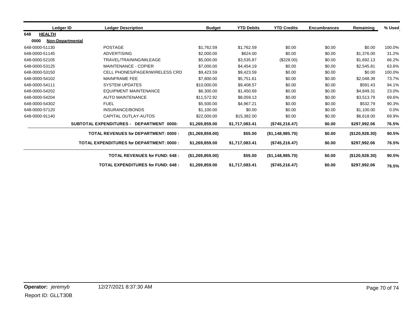| Ledger ID            | <b>Ledger Description</b>                                | <b>Budget</b>    | <b>YTD Debits</b> | <b>YTD Credits</b> | <b>Encumbrances</b> | Remaining      | % Used |
|----------------------|----------------------------------------------------------|------------------|-------------------|--------------------|---------------------|----------------|--------|
| 648<br><b>HEALTH</b> |                                                          |                  |                   |                    |                     |                |        |
| 0000                 | <b>Non-Departmental</b>                                  |                  |                   |                    |                     |                |        |
| 648-0000-51130       | <b>POSTAGE</b>                                           | \$1,762.59       | \$1,762.59        | \$0.00             | \$0.00              | \$0.00         | 100.0% |
| 648-0000-51145       | <b>ADVERTISING</b>                                       | \$2,000.00       | \$624.00          | \$0.00             | \$0.00              | \$1,376.00     | 31.2%  |
| 648-0000-52105       | TRAVEL/TRAINING/MILEAGE                                  | \$5,000.00       | \$3,535.87        | (\$228.00)         | \$0.00              | \$1,692.13     | 66.2%  |
| 648-0000-53125       | <b>MAINTENANCE - COPIER</b>                              | \$7,000.00       | \$4,454.19        | \$0.00             | \$0.00              | \$2,545.81     | 63.6%  |
| 648-0000-53150       | <b>CELL PHONES/PAGER/WIRELESS CRD</b>                    | \$9,423.59       | \$9,423.59        | \$0.00             | \$0.00              | \$0.00         | 100.0% |
| 648-0000-54102       | <b>MAINFRAME FEE</b>                                     |                  | \$5,751.61        | \$0.00             | \$0.00              | \$2,048.39     | 73.7%  |
| 648-0000-54111       | <b>SYSTEM UPDATES</b>                                    |                  | \$9,408.57        | \$0.00             | \$0.00              | \$591.43       | 94.1%  |
| 648-0000-54202       | <b>EQUIPMENT MAINTENANCE</b>                             | \$6,300.00       | \$1,450.69        | \$0.00             | \$0.00              | \$4,849.31     | 23.0%  |
| 648-0000-54204       | <b>AUTO MAINTENANCE</b>                                  | \$11,572.92      | \$8,059.13        | \$0.00             | \$0.00              | \$3,513.79     | 69.6%  |
| 648-0000-54302       | <b>FUEL</b>                                              | \$5,500.00       | \$4,967.21        | \$0.00             | \$0.00              | \$532.79       | 90.3%  |
| 648-0000-57120       | <b>INSURANCE/BONDS</b>                                   | \$1,100.00       | \$0.00            | \$0.00             | \$0.00              | \$1,100.00     | 0.0%   |
| 648-0000-91140       | CAPITAL OUTLAY-AUTOS                                     | \$22,000.00      | \$15,382.00       | \$0.00             | \$0.00              | \$6,618.00     | 69.9%  |
|                      | <b>SUBTOTAL EXPENDITURES -</b><br>DEPARTMENT 0000:       | \$1,269,859.00   | \$1,717,083.41    | (\$745,216.47)     | \$0.00              | \$297,992.06   | 76.5%  |
|                      | TOTAL REVENUES for DEPARTMENT: 0000 :                    | (\$1,269,859.00) | \$55.00           | (\$1,148,985.70)   | \$0.00              | (\$120,928.30) | 90.5%  |
|                      | <b>TOTAL EXPENDITURES for DEPARTMENT: 0000:</b>          |                  | \$1,717,083.41    | (\$745, 216.47)    | \$0.00              | \$297,992.06   | 76.5%  |
|                      | <b>TOTAL REVENUES for FUND: 648:</b><br>(\$1,269,859.00) |                  | \$55.00           | (\$1,148,985.70)   | \$0.00              | (\$120,928.30) | 90.5%  |
|                      | <b>TOTAL EXPENDITURES for FUND: 648:</b>                 | \$1,269,859.00   | \$1,717,083.41    | (\$745, 216.47)    | \$0.00              | \$297,992.06   | 76.5%  |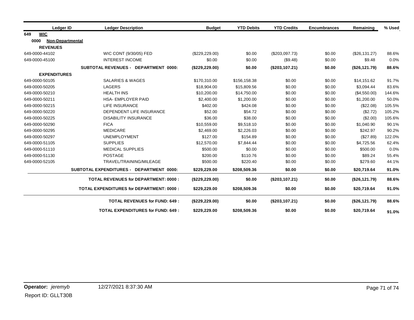| Ledger ID                | <b>Ledger Description</b>                       | <b>Budget</b>   | <b>YTD Debits</b> | <b>YTD Credits</b> | <b>Encumbrances</b> | Remaining     | % Used |
|--------------------------|-------------------------------------------------|-----------------|-------------------|--------------------|---------------------|---------------|--------|
| <b>WIC</b><br>649        |                                                 |                 |                   |                    |                     |               |        |
| 0000<br>Non-Departmental |                                                 |                 |                   |                    |                     |               |        |
| <b>REVENUES</b>          |                                                 |                 |                   |                    |                     |               |        |
| 649-0000-44102           | WIC CONT (9/30/05) FED                          | (\$229, 229.00) | \$0.00            | (\$203,097.73)     | \$0.00              | (\$26,131.27) | 88.6%  |
| 649-0000-45100           | <b>INTEREST INCOME</b>                          | \$0.00          | \$0.00            | (\$9.48)           | \$0.00              | \$9.48        | 0.0%   |
|                          | <b>SUBTOTAL REVENUES - DEPARTMENT 0000:</b>     | (\$229, 229.00) | \$0.00            | (\$203,107.21)     | \$0.00              | (\$26,121.79) | 88.6%  |
| <b>EXPENDITURES</b>      |                                                 |                 |                   |                    |                     |               |        |
| 649-0000-50105           | <b>SALARIES &amp; WAGES</b>                     | \$170,310.00    | \$156,158.38      | \$0.00             | \$0.00              | \$14,151.62   | 91.7%  |
| 649-0000-50205           | <b>LAGERS</b>                                   | \$18,904.00     | \$15,809.56       | \$0.00             | \$0.00              | \$3,094.44    | 83.6%  |
| 649-0000-50210           | <b>HEALTH INS</b>                               | \$10,200.00     | \$14,750.00       | \$0.00             | \$0.00              | (\$4,550.00)  | 144.6% |
| 649-0000-50211           | <b>HSA-EMPLOYER PAID</b>                        | \$2,400.00      | \$1,200.00        | \$0.00             | \$0.00              | \$1,200.00    | 50.0%  |
| 649-0000-50215           | <b>LIFE INSURANCE</b>                           | \$402.00        | \$424.08          | \$0.00             | \$0.00              | (\$22.08)     | 105.5% |
| 649-0000-50220           | DEPENDENT LIFE INSURANCE                        | \$52.00         | \$54.72           | \$0.00             | \$0.00              | (\$2.72)      | 105.2% |
| 649-0000-50225           | <b>DISABILITY INSURANCE</b>                     | \$36.00         | \$38.00           | \$0.00             | \$0.00              | (\$2.00)      | 105.6% |
| 649-0000-50290           | <b>FICA</b>                                     | \$10,559.00     | \$9,518.10        | \$0.00             | \$0.00              | \$1,040.90    | 90.1%  |
| 649-0000-50295           | <b>MEDICARE</b>                                 | \$2,469.00      | \$2,226.03        | \$0.00             | \$0.00              | \$242.97      | 90.2%  |
| 649-0000-50297           | <b>UNEMPLOYMENT</b>                             | \$127.00        | \$154.89          | \$0.00             | \$0.00              | (\$27.89)     | 122.0% |
| 649-0000-51105           | <b>SUPPLIES</b>                                 | \$12,570.00     | \$7,844.44        | \$0.00             | \$0.00              | \$4,725.56    | 62.4%  |
| 649-0000-51110           | <b>MEDICAL SUPPLIES</b>                         | \$500.00        | \$0.00            | \$0.00             | \$0.00              | \$500.00      | 0.0%   |
| 649-0000-51130           | <b>POSTAGE</b>                                  | \$200.00        | \$110.76          | \$0.00             | \$0.00              | \$89.24       | 55.4%  |
| 649-0000-52105           | TRAVEL/TRAINING/MILEAGE                         | \$500.00        | \$220.40          | \$0.00             | \$0.00              | \$279.60      | 44.1%  |
|                          | SUBTOTAL EXPENDITURES - DEPARTMENT 0000:        | \$229,229.00    | \$208,509.36      | \$0.00             | \$0.00              | \$20,719.64   | 91.0%  |
|                          | <b>TOTAL REVENUES for DEPARTMENT: 0000:</b>     | (\$229,229.00)  | \$0.00            | (\$203,107.21)     | \$0.00              | (\$26,121.79) | 88.6%  |
|                          | <b>TOTAL EXPENDITURES for DEPARTMENT: 0000:</b> | \$229,229.00    | \$208,509.36      | \$0.00             | \$0.00              | \$20,719.64   | 91.0%  |
|                          | <b>TOTAL REVENUES for FUND: 649:</b>            | (\$229, 229.00) | \$0.00            | (\$203,107.21)     | \$0.00              | (\$26,121.79) | 88.6%  |
|                          | <b>TOTAL EXPENDITURES for FUND: 649:</b>        | \$229,229.00    | \$208,509.36      | \$0.00             | \$0.00              | \$20,719.64   | 91.0%  |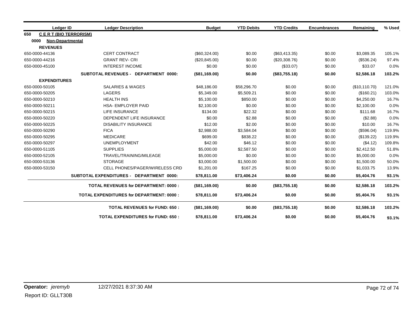|      | Ledger ID                   | <b>Ledger Description</b>                       | <b>Budget</b> | <b>YTD Debits</b> | <b>YTD Credits</b> | <b>Encumbrances</b> | Remaining     | % Used |
|------|-----------------------------|-------------------------------------------------|---------------|-------------------|--------------------|---------------------|---------------|--------|
| 650  | <b>CERT (BIO TERRORISM)</b> |                                                 |               |                   |                    |                     |               |        |
| 0000 | <b>Non-Departmental</b>     |                                                 |               |                   |                    |                     |               |        |
|      | <b>REVENUES</b>             |                                                 |               |                   |                    |                     |               |        |
|      | 650-0000-44136              | <b>CERT CONTRACT</b>                            | (\$60,324.00) | \$0.00            | (\$63,413.35)      | \$0.00              | \$3,089.35    | 105.1% |
|      | 650-0000-44216              | <b>GRANT REV-CRI</b>                            | (\$20,845.00) | \$0.00            | (\$20,308.76)      | \$0.00              | (\$536.24)    | 97.4%  |
|      | 650-0000-45100              | <b>INTEREST INCOME</b>                          | \$0.00        | \$0.00            | (\$33.07)          | \$0.00              | \$33.07       | 0.0%   |
|      |                             | SUBTOTAL REVENUES - DEPARTMENT 0000:            | (\$81,169.00) | \$0.00            | (\$83,755.18)      | \$0.00              | \$2,586.18    | 103.2% |
|      | <b>EXPENDITURES</b>         |                                                 |               |                   |                    |                     |               |        |
|      | 650-0000-50105              | <b>SALARIES &amp; WAGES</b>                     | \$48,186.00   | \$58,296.70       | \$0.00             | \$0.00              | (\$10,110.70) | 121.0% |
|      | 650-0000-50205              | <b>LAGERS</b>                                   | \$5,349.00    | \$5,509.21        | \$0.00             | \$0.00              | (\$160.21)    | 103.0% |
|      | 650-0000-50210              | <b>HEALTH INS</b>                               | \$5,100.00    | \$850.00          | \$0.00             | \$0.00              | \$4,250.00    | 16.7%  |
|      | 650-0000-50211              | <b>HSA- EMPLOYER PAID</b>                       | \$2,100.00    | \$0.00            | \$0.00             | \$0.00              | \$2,100.00    | 0.0%   |
|      | 650-0000-50215              | <b>LIFE INSURANCE</b>                           | \$134.00      | \$22.32           | \$0.00             | \$0.00              | \$111.68      | 16.7%  |
|      | 650-0000-50220              | DEPENDENT LIFE INSURANCE                        | \$0.00        | \$2.88            | \$0.00             | \$0.00              | (\$2.88)      | 0.0%   |
|      | 650-0000-50225              | <b>DISABILITY INSURANCE</b>                     | \$12.00       | \$2.00            | \$0.00             | \$0.00              | \$10.00       | 16.7%  |
|      | 650-0000-50290              | <b>FICA</b>                                     | \$2,988.00    | \$3,584.04        | \$0.00             | \$0.00              | (\$596.04)    | 119.9% |
|      | 650-0000-50295              | <b>MEDICARE</b>                                 | \$699.00      | \$838.22          | \$0.00             | \$0.00              | (\$139.22)    | 119.9% |
|      | 650-0000-50297              | <b>UNEMPLOYMENT</b>                             | \$42.00       | \$46.12           | \$0.00             | \$0.00              | (\$4.12)      | 109.8% |
|      | 650-0000-51105              | <b>SUPPLIES</b>                                 | \$5,000.00    | \$2,587.50        | \$0.00             | \$0.00              | \$2,412.50    | 51.8%  |
|      | 650-0000-52105              | TRAVEL/TRAINING/MILEAGE                         | \$5,000.00    | \$0.00            | \$0.00             | \$0.00              | \$5,000.00    | 0.0%   |
|      | 650-0000-53136              | <b>STORAGE</b>                                  | \$3,000.00    | \$1,500.00        | \$0.00             | \$0.00              | \$1,500.00    | 50.0%  |
|      | 650-0000-53150              | <b>CELL PHONES/PAGER/WIRELESS CRD</b>           | \$1,201.00    | \$167.25          | \$0.00             | \$0.00              | \$1,033.75    | 13.9%  |
|      |                             | SUBTOTAL EXPENDITURES - DEPARTMENT 0000:        | \$78,811.00   | \$73,406.24       | \$0.00             | \$0.00              | \$5,404.76    | 93.1%  |
|      |                             | <b>TOTAL REVENUES for DEPARTMENT: 0000:</b>     | (\$81,169.00) | \$0.00            | (\$83,755.18)      | \$0.00              | \$2,586.18    | 103.2% |
|      |                             | <b>TOTAL EXPENDITURES for DEPARTMENT: 0000:</b> | \$78,811.00   | \$73,406.24       | \$0.00             | \$0.00              | \$5,404.76    | 93.1%  |
|      |                             | <b>TOTAL REVENUES for FUND: 650:</b>            | (\$81,169.00) | \$0.00            | (\$83,755.18)      | \$0.00              | \$2,586.18    | 103.2% |
|      |                             | <b>TOTAL EXPENDITURES for FUND: 650:</b>        | \$78,811.00   | \$73,406.24       | \$0.00             | \$0.00              | \$5,404.76    | 93.1%  |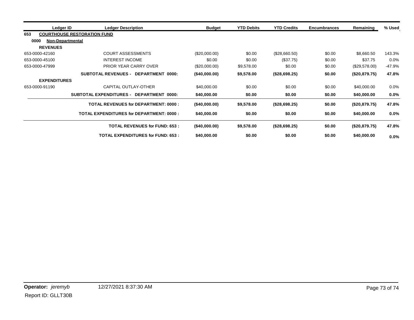|                     | <b>Ledger Description</b><br>Ledger ID          |                                             | <b>Budget</b> | <b>YTD Debits</b> | <b>YTD Credits</b> | <b>Encumbrances</b> | Remaining     | % Used  |
|---------------------|-------------------------------------------------|---------------------------------------------|---------------|-------------------|--------------------|---------------------|---------------|---------|
| 653                 | <b>COURTHOUSE RESTORATION FUND</b>              |                                             |               |                   |                    |                     |               |         |
| 0000                | <b>Non-Departmental</b>                         |                                             |               |                   |                    |                     |               |         |
| <b>REVENUES</b>     |                                                 |                                             |               |                   |                    |                     |               |         |
| 653-0000-42160      | <b>COURT ASSESSMENTS</b>                        |                                             | (\$20,000.00) | \$0.00            | (\$28,660.50)      | \$0.00              | \$8,660.50    | 143.3%  |
| 653-0000-45100      | <b>INTEREST INCOME</b>                          |                                             | \$0.00        | \$0.00            | (\$37.75)          | \$0.00              | \$37.75       | $0.0\%$ |
| 653-0000-47999      | PRIOR YEAR CARRY OVER                           |                                             | (\$20,000.00) | \$9,578.00        | \$0.00             | \$0.00              | (\$29,578.00) | -47.9%  |
|                     | SUBTOTAL REVENUES - DEPARTMENT 0000:            |                                             | (\$40,000.00) | \$9,578.00        | (\$28,698.25)      | \$0.00              | (\$20,879.75) | 47.8%   |
| <b>EXPENDITURES</b> |                                                 |                                             |               |                   |                    |                     |               |         |
| 653-0000-91190      | CAPITAL OUTLAY-OTHER                            |                                             | \$40,000.00   | \$0.00            | \$0.00             | \$0.00              | \$40,000.00   | 0.0%    |
|                     | <b>SUBTOTAL EXPENDITURES -</b>                  | DEPARTMENT 0000:                            | \$40,000.00   | \$0.00            | \$0.00             | \$0.00              | \$40,000.00   | 0.0%    |
|                     |                                                 | <b>TOTAL REVENUES for DEPARTMENT: 0000:</b> | (S40,000.00)  | \$9,578.00        | (\$28,698.25)      | \$0.00              | (\$20,879.75) | 47.8%   |
|                     | <b>TOTAL EXPENDITURES for DEPARTMENT: 0000:</b> |                                             | \$40,000.00   | \$0.00            | \$0.00             | \$0.00              | \$40,000.00   | 0.0%    |
|                     |                                                 | <b>TOTAL REVENUES for FUND: 653:</b>        | (\$40,000.00) | \$9,578.00        | (\$28,698.25)      | \$0.00              | (\$20,879.75) | 47.8%   |
|                     |                                                 | <b>TOTAL EXPENDITURES for FUND: 653:</b>    | \$40,000.00   | \$0.00            | \$0.00             | \$0.00              | \$40,000.00   | $0.0\%$ |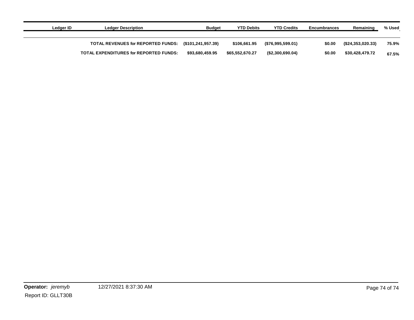| Ledger ID | <b>Ledger Description</b>                     | Budget             | <b>YTD Debits</b> | <b>YTD Credits</b> | <b>Encumbrances</b> | Remaining          | % Used |
|-----------|-----------------------------------------------|--------------------|-------------------|--------------------|---------------------|--------------------|--------|
|           | TOTAL REVENUES for REPORTED FUNDS:            | (\$101,241,957.39) | \$106,661.95      | (\$76,995,599.01)  | \$0.00              | (S24, 353, 020.33) | 75.9%  |
|           | <b>TOTAL EXPENDITURES for REPORTED FUNDS:</b> | \$93,680,459.95    | \$65.552.670.27   | ( \$2,300,690.04)  | \$0.00              | \$30,428,479.72    | 67.5%  |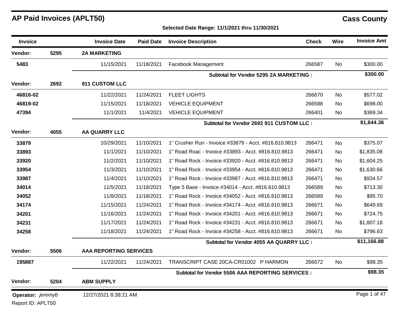| Invoice           |      | <b>Invoice Date</b>           | <b>Paid Date</b> | <b>Invoice Description</b>                            | <b>Check</b> | Wire      | <b>Invoice Amt</b> |
|-------------------|------|-------------------------------|------------------|-------------------------------------------------------|--------------|-----------|--------------------|
| Vendor:           | 5295 | <b>2A MARKETING</b>           |                  |                                                       |              |           |                    |
| 5483              |      | 11/15/2021                    | 11/18/2021       | Facebook Management                                   | 266587       | <b>No</b> | \$300.00           |
|                   |      |                               |                  | Subtotal for Vendor 5295 2A MARKETING :               |              |           | \$300.00           |
| Vendor:           | 2692 | 911 CUSTOM LLC                |                  |                                                       |              |           |                    |
| 46816-02          |      | 11/22/2021                    | 11/24/2021       | <b>FLEET LIGHTS</b>                                   | 266670       | <b>No</b> | \$577.02           |
| 46819-02          |      | 11/15/2021                    | 11/18/2021       | <b>VEHICLE EQUIPMENT</b>                              | 266588       | No        | \$698.00           |
| 47394             |      | 11/1/2021                     | 11/4/2021        | <b>VEHICLE EQUIPMENT</b>                              | 266401       | No        | \$369.34           |
|                   |      |                               |                  | Subtotal for Vendor 2692 911 CUSTOM LLC :             |              |           | \$1,644.36         |
| Vendor:           | 4055 | <b>AA QUARRY LLC</b>          |                  |                                                       |              |           |                    |
| 33879             |      | 10/29/2021                    | 11/10/2021       | 1" Crusher Run - Invoice #33879 - Acct. #816.810.9813 | 266471       | <b>No</b> | \$375.07           |
| 33893             |      | 11/1/2021                     | 11/10/2021       | 1" Road Roac - Invoice #33893 - Acct. #816.810.9813   | 266471       | <b>No</b> | \$1,835.08         |
| 33920             |      | 11/2/2021                     | 11/10/2021       | 1" Road Rock - Invoice #33920 - Acct. #816.810.9813   | 266471       | <b>No</b> | \$1,604.25         |
| 33954             |      | 11/3/2021                     | 11/10/2021       | 1" Road Rock - Invoice #33954 - Acct. #816.810.9813   | 266471       | No        | \$1,630.66         |
| 33987             |      | 11/4/2021                     | 11/10/2021       | 1" Road Rock - Invoice #33987 - Acct. #816.810.9813   | 266471       | No        | \$934.57           |
| 34014             |      | 11/5/2021                     | 11/18/2021       | Type 5 Base - Invoice #34014 - Acct. #816.810.9813    | 266589       | <b>No</b> | \$713.30           |
| 34052             |      | 11/8/2021                     | 11/18/2021       | 1" Road Rock - Invoice #34052 - Acct. #816.810.9813   | 266589       | <b>No</b> | \$95.70            |
| 34174             |      | 11/15/2021                    | 11/24/2021       | 1" Road Rock - Invoice #34174 - Acct. #816.810.9813   | 266671       | <b>No</b> | \$649.69           |
| 34201             |      | 11/16/2021                    | 11/24/2021       | 1" Road Rock - Invoice #34201 - Acct. #816.810.9813   | 266671       | <b>No</b> | \$724.75           |
| 34231             |      | 11/17/2021                    | 11/24/2021       | 1" Road Rock - Invoice #34231 - Acct. #816.810.9813   | 266671       | <b>No</b> | \$1,807.18         |
| 34258             |      | 11/18/2021                    | 11/24/2021       | 1" Road Rock - Invoice #34258 - Acct. #816.810.9813   | 266671       | No        | \$796.63           |
|                   |      |                               |                  | Subtotal for Vendor 4055 AA QUARRY LLC :              |              |           | \$11,166.88        |
| Vendor:           | 5506 | <b>AAA REPORTING SERVICES</b> |                  |                                                       |              |           |                    |
| 195887            |      | 11/22/2021                    | 11/24/2021       | TRANSCRIPT CASE 20CA-CR01002 P HARMON                 | 266672       | <b>No</b> | \$98.35            |
|                   |      |                               |                  | Subtotal for Vendor 5506 AAA REPORTING SERVICES :     |              |           | \$98.35            |
| Vendor:           | 5204 | <b>ABM SUPPLY</b>             |                  |                                                       |              |           |                    |
| Operator: jeremyb |      | 12/27/2021 8:38:21 AM         |                  |                                                       |              |           | Page 1 of 47       |
| Report ID: APLT50 |      |                               |                  |                                                       |              |           |                    |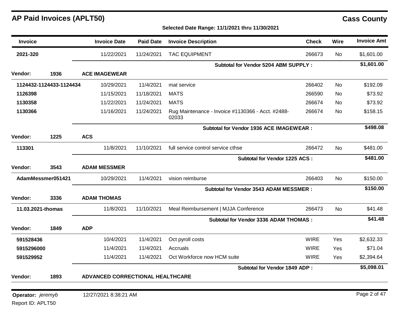### **Selected Date Range: 11/1/2021 thru 11/30/2021**

| <b>Invoice</b>    |                         | <b>Invoice Date</b>              | <b>Paid Date</b> | <b>Invoice Description</b>                                 | <b>Check</b> | Wire      | <b>Invoice Amt</b> |
|-------------------|-------------------------|----------------------------------|------------------|------------------------------------------------------------|--------------|-----------|--------------------|
| 2021-320          |                         | 11/22/2021                       | 11/24/2021       | <b>TAC EQUIPMENT</b>                                       | 266673       | No.       | \$1,601.00         |
|                   |                         |                                  |                  | <b>Subtotal for Vendor 5204 ABM SUPPLY:</b>                |              |           | \$1,601.00         |
| Vendor:           | 1936                    | <b>ACE IMAGEWEAR</b>             |                  |                                                            |              |           |                    |
|                   | 1124432-1124433-1124434 | 10/29/2021                       | 11/4/2021        | mat service                                                | 266402       | <b>No</b> | \$192.09           |
| 1126398           |                         | 11/15/2021                       | 11/18/2021       | <b>MATS</b>                                                | 266590       | <b>No</b> | \$73.92            |
| 1130358           |                         | 11/22/2021                       | 11/24/2021       | <b>MATS</b>                                                | 266674       | No.       | \$73.92            |
| 1130366           |                         | 11/16/2021                       | 11/24/2021       | Rug Maintenance - Invoice #1130366 - Acct. #2488-<br>02033 | 266674       | No.       | \$158.15           |
|                   |                         |                                  |                  | Subtotal for Vendor 1936 ACE IMAGEWEAR :                   |              |           | \$498.08           |
| <b>Vendor:</b>    | 1225                    | <b>ACS</b>                       |                  |                                                            |              |           |                    |
| 113301            |                         | 11/8/2021                        | 11/10/2021       | full service control service cthse                         | 266472       | No        | \$481.00           |
|                   |                         |                                  |                  | Subtotal for Vendor 1225 ACS :                             |              |           | \$481.00           |
| Vendor:           | 3543                    | <b>ADAM MESSMER</b>              |                  |                                                            |              |           |                    |
|                   | AdamMessmer051421       | 10/29/2021                       | 11/4/2021        | vision reimburse                                           | 266403       | <b>No</b> | \$150.00           |
|                   |                         |                                  |                  | <b>Subtotal for Vendor 3543 ADAM MESSMER:</b>              |              |           | \$150.00           |
| Vendor:           | 3336                    | <b>ADAM THOMAS</b>               |                  |                                                            |              |           |                    |
|                   | 11.03.2021-thomas       | 11/8/2021                        | 11/10/2021       | Meal Reimbursement   MJJA Conference                       | 266473       | No.       | \$41.48            |
|                   |                         |                                  |                  | <b>Subtotal for Vendor 3336 ADAM THOMAS:</b>               |              |           | \$41.48            |
| Vendor:           | 1849                    | <b>ADP</b>                       |                  |                                                            |              |           |                    |
| 591528436         |                         | 10/4/2021                        | 11/4/2021        | Oct pyroll costs                                           | <b>WIRE</b>  | Yes       | \$2,632.33         |
| 5915296000        |                         | 11/4/2021                        | 11/4/2021        | Accruals                                                   | <b>WIRE</b>  | Yes       | \$71.04            |
| 591529952         |                         | 11/4/2021                        | 11/4/2021        | Oct Workforce now HCM suite                                | <b>WIRE</b>  | Yes       | \$2,394.64         |
|                   |                         |                                  |                  | <b>Subtotal for Vendor 1849 ADP:</b>                       |              |           | \$5,098.01         |
| Vendor:           | 1893                    | ADVANCED CORRECTIONAL HEALTHCARE |                  |                                                            |              |           |                    |
|                   |                         |                                  |                  |                                                            |              |           |                    |
| Operator: jeremyb |                         | 12/27/2021 8:38:21 AM            |                  |                                                            |              |           | Page 2 of 47       |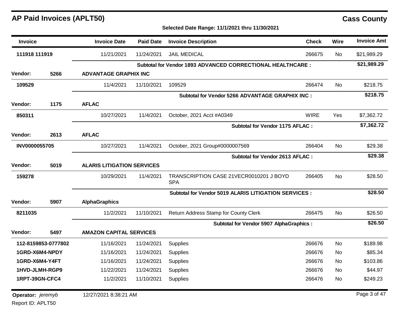### **Selected Date Range: 11/1/2021 thru 11/30/2021**

| <b>Invoice</b>    |                     | <b>Invoice Date</b>               | <b>Paid Date</b> | <b>Invoice Description</b>                                        | <b>Check</b> | <b>Wire</b> | <b>Invoice Amt</b> |
|-------------------|---------------------|-----------------------------------|------------------|-------------------------------------------------------------------|--------------|-------------|--------------------|
| 111918 111919     |                     | 11/21/2021                        | 11/24/2021       | <b>JAIL MEDICAL</b>                                               | 266675       | No.         | \$21,989.29        |
|                   |                     |                                   |                  | <b>Subtotal for Vendor 1893 ADVANCED CORRECTIONAL HEALTHCARE:</b> |              |             | \$21,989.29        |
| <b>Vendor:</b>    | 5266                | <b>ADVANTAGE GRAPHIX INC</b>      |                  |                                                                   |              |             |                    |
| 109529            |                     | 11/4/2021                         | 11/10/2021       | 109529                                                            | 266474       | <b>No</b>   | \$218.75           |
|                   |                     |                                   |                  | Subtotal for Vendor 5266 ADVANTAGE GRAPHIX INC :                  |              |             | \$218.75           |
| <b>Vendor:</b>    | 1175                | <b>AFLAC</b>                      |                  |                                                                   |              |             |                    |
| 850311            |                     | 10/27/2021                        | 11/4/2021        | October, 2021 Acct #A0349                                         | <b>WIRE</b>  | Yes         | \$7,362.72         |
|                   |                     |                                   |                  | <b>Subtotal for Vendor 1175 AFLAC:</b>                            |              |             | \$7,362.72         |
| <b>Vendor:</b>    | 2613                | <b>AFLAC</b>                      |                  |                                                                   |              |             |                    |
| INV0000055705     |                     | 10/27/2021                        | 11/4/2021        | October, 2021 Group#0000007569                                    | 266404       | No          | \$29.38            |
|                   |                     |                                   |                  | <b>Subtotal for Vendor 2613 AFLAC:</b>                            |              |             | \$29.38            |
| <b>Vendor:</b>    | 5019                | <b>ALARIS LITIGATION SERVICES</b> |                  |                                                                   |              |             |                    |
| 159278            |                     | 10/29/2021                        | 11/4/2021        | TRANSCRIPTION CASE 21VECR0010201 J BOYD<br><b>SPA</b>             | 266405       | No          | \$28.50            |
|                   |                     |                                   |                  | <b>Subtotal for Vendor 5019 ALARIS LITIGATION SERVICES:</b>       |              |             | \$28.50            |
| Vendor:           | 5907                | <b>AlphaGraphics</b>              |                  |                                                                   |              |             |                    |
| 8211035           |                     | 11/2/2021                         | 11/10/2021       | Return Address Stamp for County Clerk                             | 266475       | <b>No</b>   | \$26.50            |
|                   |                     |                                   |                  | <b>Subtotal for Vendor 5907 AlphaGraphics:</b>                    |              |             | \$26.50            |
| Vendor:           | 5497                | <b>AMAZON CAPITAL SERVICES</b>    |                  |                                                                   |              |             |                    |
|                   | 112-8159853-0777802 | 11/16/2021                        | 11/24/2021       | Supplies                                                          | 266676       | <b>No</b>   | \$189.98           |
| 1GRD-X6M4-NPDY    |                     | 11/16/2021                        | 11/24/2021       | Supplies                                                          | 266676       | No          | \$85.34            |
| 1GRD-X6M4-Y4FT    |                     | 11/16/2021                        | 11/24/2021       | Supplies                                                          | 266676       | <b>No</b>   | \$103.86           |
| 1HVD-JLMH-RGP9    |                     | 11/22/2021                        | 11/24/2021       | Supplies                                                          | 266676       | No          | \$44.97            |
| 1RPT-39GN-CFC4    |                     | 11/2/2021                         | 11/10/2021       | Supplies                                                          | 266476       | No.         | \$249.23           |
| Operator: jeremyb |                     | 12/27/2021 8:38:21 AM             |                  |                                                                   |              |             | Page 3 of 47       |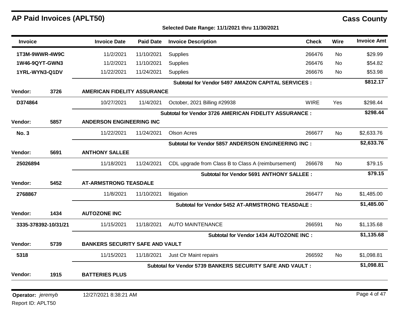| Invoice                         |                      | <b>Invoice Date</b>                    | <b>Paid Date</b> | <b>Invoice Description</b>                                 | <b>Check</b> | <b>Wire</b> | <b>Invoice Amt</b> |
|---------------------------------|----------------------|----------------------------------------|------------------|------------------------------------------------------------|--------------|-------------|--------------------|
| 1T3M-9WWR-4W9C                  |                      | 11/2/2021                              | 11/10/2021       | <b>Supplies</b>                                            | 266476       | No          | \$29.99            |
| 1W46-9QYT-GWN3                  |                      | 11/2/2021                              | 11/10/2021       | <b>Supplies</b>                                            | 266476       | No          | \$54.82            |
| 1YRL-WYN3-Q1DV                  |                      | 11/22/2021                             | 11/24/2021       | <b>Supplies</b>                                            | 266676       | No          | \$53.98            |
|                                 |                      |                                        |                  | <b>Subtotal for Vendor 5497 AMAZON CAPITAL SERVICES :</b>  |              |             | \$812.17           |
| <b>Vendor:</b>                  | 3726                 | <b>AMERICAN FIDELITY ASSURANCE</b>     |                  |                                                            |              |             |                    |
| D374864                         |                      | 10/27/2021                             | 11/4/2021        | October, 2021 Billing #29938                               | <b>WIRE</b>  | Yes         | \$298.44           |
|                                 |                      |                                        |                  | Subtotal for Vendor 3726 AMERICAN FIDELITY ASSURANCE :     |              |             | \$298.44           |
| <b>Vendor:</b>                  | 5857                 | <b>ANDERSON ENGINEERING INC</b>        |                  |                                                            |              |             |                    |
| <b>No. 3</b>                    |                      | 11/22/2021                             | 11/24/2021       | <b>Olson Acres</b>                                         | 266677       | No.         | \$2,633.76         |
|                                 |                      |                                        |                  | Subtotal for Vendor 5857 ANDERSON ENGINEERING INC :        |              |             | \$2,633.76         |
| Vendor:                         | 5691                 | <b>ANTHONY SALLEE</b>                  |                  |                                                            |              |             |                    |
| 25026894                        |                      | 11/18/2021                             | 11/24/2021       | CDL upgrade from Class B to Class A (reimbursement)        | 266678       | No.         | \$79.15            |
|                                 |                      |                                        |                  | <b>Subtotal for Vendor 5691 ANTHONY SALLEE:</b>            |              |             | \$79.15            |
| Vendor:                         | 5452                 | <b>AT-ARMSTRONG TEASDALE</b>           |                  |                                                            |              |             |                    |
| 2768867                         |                      | 11/8/2021                              | 11/10/2021       | litigation                                                 | 266477       | No          | \$1,485.00         |
|                                 |                      |                                        |                  | <b>Subtotal for Vendor 5452 AT-ARMSTRONG TEASDALE:</b>     |              |             | \$1,485.00         |
| <b>Vendor:</b>                  | 1434                 | <b>AUTOZONE INC</b>                    |                  |                                                            |              |             |                    |
|                                 | 3335-378392-10/31/21 | 11/15/2021                             | 11/18/2021       | <b>AUTO MAINTENANCE</b>                                    | 266591       | No.         | \$1,135.68         |
|                                 |                      |                                        |                  | Subtotal for Vendor 1434 AUTOZONE INC:                     |              |             | \$1,135.68         |
| Vendor:                         | 5739                 | <b>BANKERS SECURITY SAFE AND VAULT</b> |                  |                                                            |              |             |                    |
| 5318                            |                      | 11/15/2021                             | 11/18/2021       | Just Ctr Maint repairs                                     | 266592       | <b>No</b>   | \$1,098.81         |
|                                 |                      |                                        |                  | Subtotal for Vendor 5739 BANKERS SECURITY SAFE AND VAULT : |              |             | \$1,098.81         |
| Vendor:                         | 1915                 | <b>BATTERIES PLUS</b>                  |                  |                                                            |              |             |                    |
|                                 |                      |                                        |                  |                                                            |              |             |                    |
| <b>Operator:</b> <i>jeremyb</i> |                      | 12/27/2021 8:38:21 AM                  |                  |                                                            |              |             | Page 4 of 47       |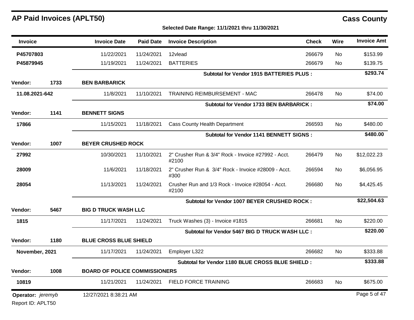| <b>Invoice</b>    |      | <b>Invoice Date</b>                  | <b>Paid Date</b> | <b>Invoice Description</b>                                   | <b>Check</b> | Wire      | <b>Invoice Amt</b> |
|-------------------|------|--------------------------------------|------------------|--------------------------------------------------------------|--------------|-----------|--------------------|
| P45707803         |      | 11/22/2021                           | 11/24/2021       | 12vlead                                                      | 266679       | No        | \$153.99           |
| P45879945         |      | 11/19/2021                           | 11/24/2021       | <b>BATTERIES</b>                                             | 266679       | No.       | \$139.75           |
|                   |      |                                      |                  | <b>Subtotal for Vendor 1915 BATTERIES PLUS :</b>             |              |           | \$293.74           |
| Vendor:           | 1733 | <b>BEN BARBARICK</b>                 |                  |                                                              |              |           |                    |
| 11.08.2021-642    |      | 11/8/2021                            | 11/10/2021       | TRAINING REIMBURSEMENT - MAC                                 | 266478       | <b>No</b> | \$74.00            |
|                   |      |                                      |                  | <b>Subtotal for Vendor 1733 BEN BARBARICK:</b>               |              |           | \$74.00            |
| Vendor:           | 1141 | <b>BENNETT SIGNS</b>                 |                  |                                                              |              |           |                    |
| 17866             |      | 11/15/2021                           | 11/18/2021       | <b>Cass County Health Department</b>                         | 266593       | No        | \$480.00           |
|                   |      |                                      |                  | Subtotal for Vendor 1141 BENNETT SIGNS :                     |              |           | \$480.00           |
| Vendor:           | 1007 | <b>BEYER CRUSHED ROCK</b>            |                  |                                                              |              |           |                    |
| 27992             |      | 10/30/2021                           | 11/10/2021       | 2" Crusher Run & 3/4" Rock - Invoice #27992 - Acct.<br>#2100 | 266479       | <b>No</b> | \$12,022.23        |
| 28009             |      | 11/6/2021                            | 11/18/2021       | 2" Crusher Run & 3/4" Rock - Invoice #28009 - Acct.<br>#300  | 266594       | No        | \$6,056.95         |
| 28054             |      | 11/13/2021                           | 11/24/2021       | Crusher Run and 1/3 Rock - Invoice #28054 - Acct.<br>#2100   | 266680       | <b>No</b> | \$4,425.45         |
|                   |      |                                      |                  | Subtotal for Vendor 1007 BEYER CRUSHED ROCK:                 |              |           | \$22,504.63        |
| <b>Vendor:</b>    | 5467 | <b>BIG D TRUCK WASH LLC</b>          |                  |                                                              |              |           |                    |
| 1815              |      | 11/17/2021                           | 11/24/2021       | Truck Washes (3) - Invoice #1815                             | 266681       | No.       | \$220.00           |
|                   |      |                                      |                  | Subtotal for Vendor 5467 BIG D TRUCK WASH LLC :              |              |           | \$220.00           |
| <b>Vendor:</b>    | 1180 | <b>BLUE CROSS BLUE SHIELD</b>        |                  |                                                              |              |           |                    |
| November, 2021    |      | 11/17/2021                           | 11/24/2021       | Employer L322                                                | 266682       | No.       | \$333.88           |
|                   |      |                                      |                  | Subtotal for Vendor 1180 BLUE CROSS BLUE SHIELD :            |              |           | \$333.88           |
| <b>Vendor:</b>    | 1008 | <b>BOARD OF POLICE COMMISSIONERS</b> |                  |                                                              |              |           |                    |
| 10819             |      | 11/21/2021                           | 11/24/2021       | FIELD FORCE TRAINING                                         | 266683       | <b>No</b> | \$675.00           |
| Operator: jeremyb |      | 12/27/2021 8:38:21 AM                |                  |                                                              |              |           | Page 5 of 47       |
| Report ID: APLT50 |      |                                      |                  |                                                              |              |           |                    |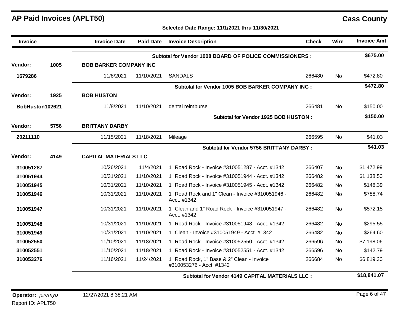**Selected Date Range: 11/1/2021 thru 11/30/2021**

| <b>Invoice</b>  |      | <b>Invoice Date</b>           | <b>Paid Date</b> | <b>Invoice Description</b>                                             | <b>Check</b> | Wire      | <b>Invoice Amt</b> |
|-----------------|------|-------------------------------|------------------|------------------------------------------------------------------------|--------------|-----------|--------------------|
|                 |      |                               |                  | Subtotal for Vendor 1008 BOARD OF POLICE COMMISSIONERS :               |              |           | \$675.00           |
| Vendor:         | 1005 | <b>BOB BARKER COMPANY INC</b> |                  |                                                                        |              |           |                    |
| 1679286         |      | 11/8/2021                     | 11/10/2021       | <b>SANDALS</b>                                                         | 266480       | No        | \$472.80           |
|                 |      |                               |                  | Subtotal for Vendor 1005 BOB BARKER COMPANY INC :                      |              |           | \$472.80           |
| Vendor:         | 1925 | <b>BOB HUSTON</b>             |                  |                                                                        |              |           |                    |
| BobHuston102621 |      | 11/8/2021                     | 11/10/2021       | dental reimburse                                                       | 266481       | <b>No</b> | \$150.00           |
|                 |      |                               |                  | Subtotal for Vendor 1925 BOB HUSTON:                                   |              |           | \$150.00           |
| Vendor:         | 5756 | <b>BRITTANY DARBY</b>         |                  |                                                                        |              |           |                    |
| 20211110        |      | 11/15/2021                    | 11/18/2021       | Mileage                                                                | 266595       | No        | \$41.03            |
|                 |      |                               |                  | <b>Subtotal for Vendor 5756 BRITTANY DARBY:</b>                        |              |           | \$41.03            |
| Vendor:         | 4149 | <b>CAPITAL MATERIALS LLC</b>  |                  |                                                                        |              |           |                    |
| 310051287       |      | 10/26/2021                    | 11/4/2021        | 1" Road Rock - Invoice #310051287 - Acct. #1342                        | 266407       | No        | \$1,472.99         |
| 310051944       |      | 10/31/2021                    | 11/10/2021       | 1" Road Rock - Invoice #310051944 - Acct. #1342                        | 266482       | No        | \$1,138.50         |
| 310051945       |      | 10/31/2021                    | 11/10/2021       | 1" Road Rock - Invoice #310051945 - Acct. #1342                        | 266482       | No        | \$148.39           |
| 310051946       |      | 10/31/2021                    | 11/10/2021       | 1" Road Rock and 1" Clean - Invoice #310051946 -<br>Acct. #1342        | 266482       | <b>No</b> | \$788.74           |
| 310051947       |      | 10/31/2021                    | 11/10/2021       | 1" Clean and 1" Road Rock - Invoice #310051947 -<br>Acct. #1342        | 266482       | <b>No</b> | \$572.15           |
| 310051948       |      | 10/31/2021                    | 11/10/2021       | 1" Road Rock - Invoice #310051948 - Acct. #1342                        | 266482       | No        | \$295.55           |
| 310051949       |      | 10/31/2021                    | 11/10/2021       | 1" Clean - Invoice #310051949 - Acct. #1342                            | 266482       | <b>No</b> | \$264.60           |
| 310052550       |      | 11/10/2021                    | 11/18/2021       | 1" Road Rock - Invoice #310052550 - Acct. #1342                        | 266596       | No        | \$7,198.06         |
| 310052551       |      | 11/10/2021                    | 11/18/2021       | 1" Road Rock - Invoice #310052551 - Acct. #1342                        | 266596       | <b>No</b> | \$142.79           |
| 310053276       |      | 11/16/2021                    | 11/24/2021       | 1" Road Rock, 1" Base & 2" Clean - Invoice<br>#310053276 - Acct. #1342 | 266684       | No        | \$6,819.30         |

**Subtotal for Vendor 4149 CAPITAL MATERIALS LLC : \$18,841.07**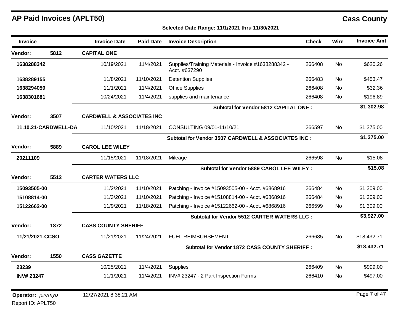### **Selected Date Range: 11/1/2021 thru 11/30/2021**

| <b>Invoice</b>                  |                      | <b>Invoice Date</b>                  | <b>Paid Date</b> | <b>Invoice Description</b>                                           | <b>Check</b> | <b>Wire</b> | <b>Invoice Amt</b> |
|---------------------------------|----------------------|--------------------------------------|------------------|----------------------------------------------------------------------|--------------|-------------|--------------------|
| Vendor:                         | 5812                 | <b>CAPITAL ONE</b>                   |                  |                                                                      |              |             |                    |
| 1638288342                      |                      | 10/19/2021                           | 11/4/2021        | Supplies/Training Materials - Invoice #1638288342 -<br>Acct. #637290 | 266408       | <b>No</b>   | \$620.26           |
| 1638289155                      |                      | 11/8/2021                            | 11/10/2021       | <b>Detention Supplies</b>                                            | 266483       | <b>No</b>   | \$453.47           |
| 1638294059                      |                      | 11/1/2021                            | 11/4/2021        | <b>Office Supplies</b>                                               | 266408       | <b>No</b>   | \$32.36            |
| 1638301681                      |                      | 10/24/2021                           | 11/4/2021        | supplies and maintenance                                             | 266408       | No          | \$196.89           |
|                                 |                      |                                      |                  | Subtotal for Vendor 5812 CAPITAL ONE:                                |              |             | \$1,302.98         |
| Vendor:                         | 3507                 | <b>CARDWELL &amp; ASSOCIATES INC</b> |                  |                                                                      |              |             |                    |
|                                 | 11.10.21-CARDWELL-DA | 11/10/2021                           | 11/18/2021       | CONSULTING 09/01-11/10/21                                            | 266597       | <b>No</b>   | \$1,375.00         |
|                                 |                      |                                      |                  | Subtotal for Vendor 3507 CARDWELL & ASSOCIATES INC :                 |              |             | \$1,375.00         |
| Vendor:                         | 5889                 | <b>CAROL LEE WILEY</b>               |                  |                                                                      |              |             |                    |
| 20211109                        |                      | 11/15/2021                           | 11/18/2021       | Mileage                                                              | 266598       | <b>No</b>   | \$15.08            |
|                                 |                      |                                      |                  | Subtotal for Vendor 5889 CAROL LEE WILEY :                           |              |             | \$15.08            |
| Vendor:                         | 5512                 | <b>CARTER WATERS LLC</b>             |                  |                                                                      |              |             |                    |
| 15093505-00                     |                      | 11/2/2021                            | 11/10/2021       | Patching - Invoice #15093505-00 - Acct. #6868916                     | 266484       | <b>No</b>   | \$1,309.00         |
| 15108814-00                     |                      | 11/3/2021                            | 11/10/2021       | Patching - Invoice #15108814-00 - Acct. #6868916                     | 266484       | <b>No</b>   | \$1,309.00         |
| 15122662-00                     |                      | 11/9/2021                            | 11/18/2021       | Patching - Invoice #15122662-00 - Acct. #6868916                     | 266599       | No          | \$1,309.00         |
|                                 |                      |                                      |                  | Subtotal for Vendor 5512 CARTER WATERS LLC :                         |              |             | \$3,927.00         |
| Vendor:                         | 1872                 | <b>CASS COUNTY SHERIFF</b>           |                  |                                                                      |              |             |                    |
| 11/21/2021-CCSO                 |                      | 11/21/2021                           | 11/24/2021       | <b>FUEL REIMBURSEMENT</b>                                            | 266685       | No.         | \$18,432.71        |
|                                 |                      |                                      |                  | Subtotal for Vendor 1872 CASS COUNTY SHERIFF :                       |              |             | \$18,432.71        |
| Vendor:                         | 1550                 | <b>CASS GAZETTE</b>                  |                  |                                                                      |              |             |                    |
| 23239                           |                      | 10/25/2021                           | 11/4/2021        | Supplies                                                             | 266409       | <b>No</b>   | \$999.00           |
| <b>INV#23247</b>                |                      | 11/1/2021                            | 11/4/2021        | INV# 23247 - 2 Part Inspection Forms                                 | 266410       | No          | \$497.00           |
| <b>Operator:</b> <i>jeremyb</i> |                      | 12/27/2021 8:38:21 AM                |                  |                                                                      |              |             | Page 7 of 47       |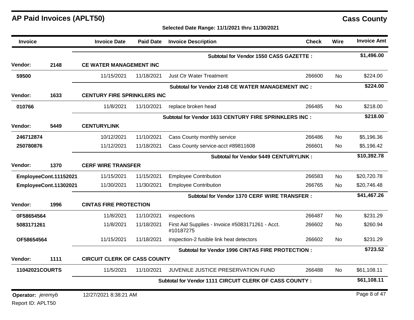### **Selected Date Range: 11/1/2021 thru 11/30/2021**

| <b>Invoice</b>    |                       | <b>Invoice Date</b>                 | <b>Paid Date</b>          | <b>Invoice Description</b>                                    | <b>Check</b> | Wire      | <b>Invoice Amt</b> |  |  |
|-------------------|-----------------------|-------------------------------------|---------------------------|---------------------------------------------------------------|--------------|-----------|--------------------|--|--|
|                   |                       |                                     |                           | Subtotal for Vendor 1550 CASS GAZETTE :                       |              |           | \$1,496.00         |  |  |
| <b>Vendor:</b>    | 2148                  | <b>CE WATER MANAGEMENT INC</b>      |                           |                                                               |              |           |                    |  |  |
| 59500             |                       | 11/15/2021                          | 11/18/2021                | <b>Just Ctr Water Treatment</b>                               | 266600       | No        | \$224.00           |  |  |
|                   |                       |                                     |                           | Subtotal for Vendor 2148 CE WATER MANAGEMENT INC :            |              |           | \$224.00           |  |  |
| Vendor:           | 1633                  | <b>CENTURY FIRE SPRINKLERS INC</b>  |                           |                                                               |              |           |                    |  |  |
| 010766            |                       | 11/8/2021                           | 11/10/2021                | replace broken head                                           | 266485       | <b>No</b> | \$218.00           |  |  |
|                   |                       |                                     |                           | Subtotal for Vendor 1633 CENTURY FIRE SPRINKLERS INC :        |              |           | \$218.00           |  |  |
| <b>Vendor:</b>    | 5449                  | <b>CENTURYLINK</b>                  |                           |                                                               |              |           |                    |  |  |
| 246712874         |                       | 10/12/2021                          | 11/10/2021                | Cass County monthly service                                   | 266486       | <b>No</b> | \$5,196.36         |  |  |
| 250780876         |                       | 11/12/2021                          | 11/18/2021                | Cass County service-acct #89811608                            | 266601       | No        | \$5,196.42         |  |  |
|                   |                       |                                     |                           | <b>Subtotal for Vendor 5449 CENTURYLINK:</b>                  |              |           | \$10,392.78        |  |  |
| <b>Vendor:</b>    | 1370                  |                                     | <b>CERF WIRE TRANSFER</b> |                                                               |              |           |                    |  |  |
|                   | EmployeeCont.11152021 | 11/15/2021                          | 11/15/2021                | <b>Employee Contribution</b>                                  | 266583       | No        | \$20,720.78        |  |  |
|                   | EmployeeCont.11302021 | 11/30/2021                          | 11/30/2021                | <b>Employee Contribution</b>                                  | 266765       | No        | \$20,746.48        |  |  |
|                   |                       |                                     |                           | Subtotal for Vendor 1370 CERF WIRE TRANSFER:                  |              |           | \$41,467.26        |  |  |
| Vendor:           | 1996                  | <b>CINTAS FIRE PROTECTION</b>       |                           |                                                               |              |           |                    |  |  |
| 0F58654564        |                       | 11/8/2021                           | 11/10/2021                | inspections                                                   | 266487       | <b>No</b> | \$231.29           |  |  |
| 5083171261        |                       | 11/8/2021                           | 11/18/2021                | First Aid Supplies - Invoice #5083171261 - Acct.<br>#10187275 | 266602       | No        | \$260.94           |  |  |
| OF58654564        |                       | 11/15/2021                          | 11/18/2021                | inspection-2 fusible link heat detectors                      | 266602       | No.       | \$231.29           |  |  |
|                   |                       |                                     |                           | Subtotal for Vendor 1996 CINTAS FIRE PROTECTION :             |              |           | \$723.52           |  |  |
| Vendor:           | 1111                  | <b>CIRCUIT CLERK OF CASS COUNTY</b> |                           |                                                               |              |           |                    |  |  |
| 11042021COURTS    |                       | 11/5/2021                           | 11/10/2021                | JUVENILE JUSTICE PRESERVATION FUND                            | 266488       | No.       | \$61,108.11        |  |  |
|                   |                       |                                     |                           | Subtotal for Vendor 1111 CIRCUIT CLERK OF CASS COUNTY :       |              |           | \$61,108.11        |  |  |
| Operator: jeremyb |                       | 12/27/2021 8:38:21 AM               |                           |                                                               |              |           | Page 8 of 47       |  |  |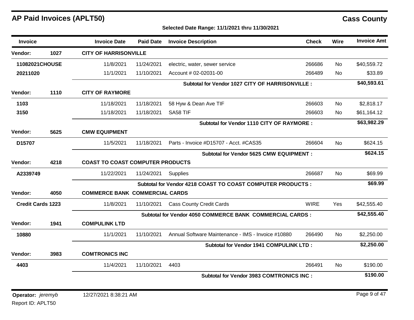| Invoice                  |      | <b>Invoice Date</b>                   | <b>Paid Date</b>                        | <b>Invoice Description</b>                                      | <b>Check</b> | Wire      | <b>Invoice Amt</b> |  |
|--------------------------|------|---------------------------------------|-----------------------------------------|-----------------------------------------------------------------|--------------|-----------|--------------------|--|
| Vendor:                  | 1027 | <b>CITY OF HARRISONVILLE</b>          |                                         |                                                                 |              |           |                    |  |
| 11082021CHOUSE           |      | 11/8/2021                             | 11/24/2021                              | electric, water, sewer service                                  | 266686       | No        | \$40,559.72        |  |
| 20211020                 |      | 11/1/2021                             | 11/10/2021                              | Account # 02-02031-00                                           | 266489       | <b>No</b> | \$33.89            |  |
|                          |      |                                       |                                         | Subtotal for Vendor 1027 CITY OF HARRISONVILLE :                |              |           | \$40,593.61        |  |
| Vendor:                  | 1110 | <b>CITY OF RAYMORE</b>                |                                         |                                                                 |              |           |                    |  |
| 1103                     |      | 11/18/2021                            | 11/18/2021                              | 58 Hyw & Dean Ave TIF                                           | 266603       | <b>No</b> | \$2,818.17         |  |
| 3150                     |      | 11/18/2021                            | 11/18/2021                              | SA58 TIF                                                        | 266603       | No.       | \$61,164.12        |  |
|                          |      |                                       |                                         | Subtotal for Vendor 1110 CITY OF RAYMORE :                      |              |           | \$63,982.29        |  |
| Vendor:                  | 5625 | <b>CMW EQUIPMENT</b>                  |                                         |                                                                 |              |           |                    |  |
| D15707                   |      | 11/5/2021                             | 11/18/2021                              | Parts - Invoice #D15707 - Acct. #CAS35                          | 266604       | No        | \$624.15           |  |
|                          |      |                                       |                                         | <b>Subtotal for Vendor 5625 CMW EQUIPMENT :</b>                 |              |           | \$624.15           |  |
| Vendor:                  | 4218 |                                       | <b>COAST TO COAST COMPUTER PRODUCTS</b> |                                                                 |              |           |                    |  |
| A2339749                 |      | 11/22/2021                            | 11/24/2021                              | <b>Supplies</b>                                                 | 266687       | <b>No</b> | \$69.99            |  |
|                          |      |                                       |                                         | Subtotal for Vendor 4218 COAST TO COAST COMPUTER PRODUCTS :     |              |           | \$69.99            |  |
| Vendor:                  | 4050 | <b>COMMERCE BANK COMMERCIAL CARDS</b> |                                         |                                                                 |              |           |                    |  |
| <b>Credit Cards 1223</b> |      | 11/8/2021                             | 11/10/2021                              | <b>Cass County Credit Cards</b>                                 | <b>WIRE</b>  | Yes       | \$42,555.40        |  |
|                          |      |                                       |                                         | <b>Subtotal for Vendor 4050 COMMERCE BANK COMMERCIAL CARDS:</b> |              |           | \$42,555.40        |  |
| Vendor:                  | 1941 | <b>COMPULINK LTD</b>                  |                                         |                                                                 |              |           |                    |  |
| 10880                    |      | 11/1/2021                             | 11/10/2021                              | Annual Software Maintenance - IMS - Invoice #10880              | 266490       | No        | \$2,250.00         |  |
|                          |      |                                       |                                         | Subtotal for Vendor 1941 COMPULINK LTD:                         |              |           | \$2,250.00         |  |
| Vendor:                  | 3983 | <b>COMTRONICS INC</b>                 |                                         |                                                                 |              |           |                    |  |
| 4403                     |      | 11/4/2021                             | 11/10/2021                              | 4403                                                            | 266491       | <b>No</b> | \$190.00           |  |
|                          |      |                                       |                                         | <b>Subtotal for Vendor 3983 COMTRONICS INC:</b>                 |              |           | \$190.00           |  |
|                          |      |                                       |                                         |                                                                 |              |           |                    |  |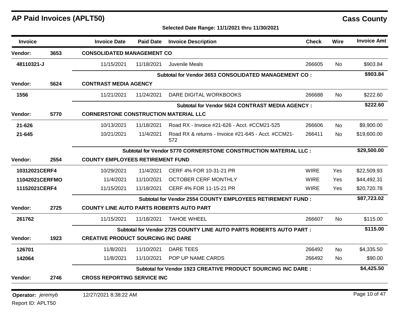### **Selected Date Range: 11/1/2021 thru 11/30/2021**

| <b>Invoice</b>    |      | <b>Invoice Date</b>                             | <b>Paid Date</b> | <b>Invoice Description</b>                                             | <b>Check</b> | Wire      | <b>Invoice Amt</b> |
|-------------------|------|-------------------------------------------------|------------------|------------------------------------------------------------------------|--------------|-----------|--------------------|
| <b>Vendor:</b>    | 3653 | <b>CONSOLIDATED MANAGEMENT CO</b>               |                  |                                                                        |              |           |                    |
| 48110321-J        |      | 11/15/2021                                      | 11/18/2021       | Juvenile Meals                                                         | 266605       | <b>No</b> | \$903.84           |
|                   |      |                                                 |                  | Subtotal for Vendor 3653 CONSOLIDATED MANAGEMENT CO:                   |              |           | \$903.84           |
| Vendor:           | 5624 | <b>CONTRAST MEDIA AGENCY</b>                    |                  |                                                                        |              |           |                    |
| 1556              |      | 11/21/2021                                      | 11/24/2021       | DARE DIGITAL WORKBOOKS                                                 | 266688       | <b>No</b> | \$222.60           |
|                   |      |                                                 |                  | <b>Subtotal for Vendor 5624 CONTRAST MEDIA AGENCY:</b>                 |              |           | \$222.60           |
| Vendor:           | 5770 | <b>CORNERSTONE CONSTRUCTION MATERIAL LLC</b>    |                  |                                                                        |              |           |                    |
| 21-626            |      | 10/13/2021                                      | 11/18/2021       | Road RX - Invoice #21-626 - Acct. #CCM21-525                           | 266606       | <b>No</b> | \$9,900.00         |
| 21-645            |      | 10/21/2021                                      | 11/4/2021        | Road RX & returns - Invoice #21-645 - Acct. #CCM21-<br>572             | 266411       | <b>No</b> | \$19,600.00        |
|                   |      |                                                 |                  | <b>Subtotal for Vendor 5770 CORNERSTONE CONSTRUCTION MATERIAL LLC:</b> |              |           | \$29,500.00        |
| <b>Vendor:</b>    | 2554 | <b>COUNTY EMPLOYEES RETIREMENT FUND</b>         |                  |                                                                        |              |           |                    |
| 10312021CERF4     |      | 10/29/2021                                      | 11/4/2021        | CERF 4% FOR 10-31-21 PR                                                | <b>WIRE</b>  | Yes       | \$22,509.93        |
| 11042021CERFMO    |      | 11/4/2021                                       | 11/10/2021       | OCTOBER CERF MONTHLY                                                   | <b>WIRE</b>  | Yes       | \$44,492.31        |
| 11152021CERF4     |      | 11/15/2021                                      | 11/18/2021       | CERF 4% FOR 11-15-21 PR                                                | <b>WIRE</b>  | Yes       | \$20,720.78        |
|                   |      |                                                 |                  | Subtotal for Vendor 2554 COUNTY EMPLOYEES RETIREMENT FUND :            |              |           | \$87,723.02        |
| Vendor:           | 2725 | <b>COUNTY LINE AUTO PARTS ROBERTS AUTO PART</b> |                  |                                                                        |              |           |                    |
| 261762            |      | 11/15/2021                                      | 11/18/2021       | <b>TAHOE WHEEL</b>                                                     | 266607       | <b>No</b> | \$115.00           |
|                   |      |                                                 |                  | Subtotal for Vendor 2725 COUNTY LINE AUTO PARTS ROBERTS AUTO PART:     |              |           | \$115.00           |
| Vendor:           | 1923 | <b>CREATIVE PRODUCT SOURCING INC DARE</b>       |                  |                                                                        |              |           |                    |
| 126701            |      | 11/8/2021                                       | 11/10/2021       | DARE TEES                                                              | 266492       | No.       | \$4,335.50         |
| 142064            |      | 11/8/2021                                       | 11/10/2021       | POP UP NAME CARDS                                                      | 266492       | No.       | \$90.00            |
|                   |      |                                                 |                  | <b>Subtotal for Vendor 1923 CREATIVE PRODUCT SOURCING INC DARE:</b>    |              |           | \$4,425.50         |
| Vendor:           | 2746 | <b>CROSS REPORTING SERVICE INC</b>              |                  |                                                                        |              |           |                    |
| Operator: jeremyb |      | 12/27/2021 8:38:22 AM                           |                  |                                                                        |              |           | Page 10 of 47      |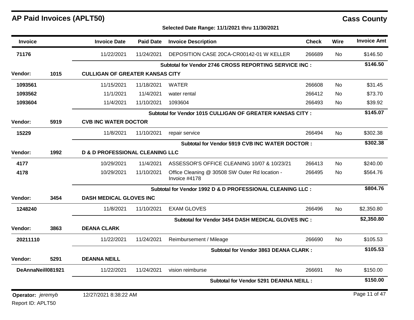### **Selected Date Range: 11/1/2021 thru 11/30/2021**

| <b>Invoice</b>    |      | <b>Invoice Date</b>                    | <b>Paid Date</b>                           | <b>Invoice Description</b>                                      | <b>Check</b> | Wire      | <b>Invoice Amt</b> |
|-------------------|------|----------------------------------------|--------------------------------------------|-----------------------------------------------------------------|--------------|-----------|--------------------|
| 71176             |      | 11/22/2021                             | 11/24/2021                                 | DEPOSITION CASE 20CA-CR00142-01 W KELLER                        | 266689       | No.       | \$146.50           |
|                   |      |                                        |                                            | Subtotal for Vendor 2746 CROSS REPORTING SERVICE INC :          |              |           | \$146.50           |
| <b>Vendor:</b>    | 1015 | <b>CULLIGAN OF GREATER KANSAS CITY</b> |                                            |                                                                 |              |           |                    |
| 1093561           |      | 11/15/2021                             | 11/18/2021                                 | <b>WATER</b>                                                    | 266608       | <b>No</b> | \$31.45            |
| 1093562           |      | 11/1/2021                              | 11/4/2021                                  | water rental                                                    | 266412       | <b>No</b> | \$73.70            |
| 1093604           |      | 11/4/2021                              | 11/10/2021                                 | 1093604                                                         | 266493       | No        | \$39.92            |
|                   |      |                                        |                                            | Subtotal for Vendor 1015 CULLIGAN OF GREATER KANSAS CITY:       |              |           | \$145.07           |
| Vendor:           | 5919 | <b>CVB INC WATER DOCTOR</b>            |                                            |                                                                 |              |           |                    |
| 15229             |      | 11/8/2021                              | 11/10/2021                                 | repair service                                                  | 266494       | <b>No</b> | \$302.38           |
|                   |      |                                        |                                            | Subtotal for Vendor 5919 CVB INC WATER DOCTOR :                 |              |           | \$302.38           |
| Vendor:           | 1992 |                                        | <b>D &amp; D PROFESSIONAL CLEANING LLC</b> |                                                                 |              |           |                    |
| 4177              |      | 10/29/2021                             | 11/4/2021                                  | ASSESSOR'S OFFICE CLEANING 10/07 & 10/23/21                     | 266413       | <b>No</b> | \$240.00           |
| 4178              |      | 10/29/2021                             | 11/10/2021                                 | Office Cleaning @ 30508 SW Outer Rd location -<br>Invoice #4178 | 266495       | <b>No</b> | \$564.76           |
|                   |      |                                        |                                            | Subtotal for Vendor 1992 D & D PROFESSIONAL CLEANING LLC :      |              |           | \$804.76           |
| <b>Vendor:</b>    | 3454 | <b>DASH MEDICAL GLOVES INC</b>         |                                            |                                                                 |              |           |                    |
| 1248240           |      | 11/8/2021                              | 11/10/2021                                 | <b>EXAM GLOVES</b>                                              | 266496       | No.       | \$2,350.80         |
|                   |      |                                        |                                            | Subtotal for Vendor 3454 DASH MEDICAL GLOVES INC :              |              |           | \$2,350.80         |
| Vendor:           | 3863 | <b>DEANA CLARK</b>                     |                                            |                                                                 |              |           |                    |
| 20211110          |      | 11/22/2021                             | 11/24/2021                                 | Reimbursement / Mileage                                         | 266690       | <b>No</b> | \$105.53           |
|                   |      |                                        |                                            | <b>Subtotal for Vendor 3863 DEANA CLARK:</b>                    |              |           | \$105.53           |
| Vendor:           | 5291 | <b>DEANNA NEILL</b>                    |                                            |                                                                 |              |           |                    |
| DeAnnaNeill081921 |      | 11/22/2021                             | 11/24/2021                                 | vision reimburse                                                | 266691       | <b>No</b> | \$150.00           |
|                   |      |                                        |                                            | <b>Subtotal for Vendor 5291 DEANNA NEILL:</b>                   |              |           | \$150.00           |
| Operator: jeremyb |      | 12/27/2021 8:38:22 AM                  |                                            |                                                                 |              |           | Page 11 of 47      |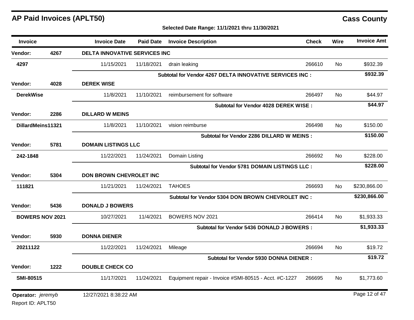| <b>Invoice</b>         |      | <b>Invoice Date</b>                  | <b>Paid Date</b> | <b>Invoice Description</b>                               | <b>Check</b> | Wire      | <b>Invoice Amt</b> |
|------------------------|------|--------------------------------------|------------------|----------------------------------------------------------|--------------|-----------|--------------------|
| Vendor:                | 4267 | <b>DELTA INNOVATIVE SERVICES INC</b> |                  |                                                          |              |           |                    |
| 4297                   |      | 11/15/2021                           | 11/18/2021       | drain leaking                                            | 266610       | No.       | \$932.39           |
|                        |      |                                      |                  | Subtotal for Vendor 4267 DELTA INNOVATIVE SERVICES INC : |              |           | \$932.39           |
| Vendor:                | 4028 | <b>DEREK WISE</b>                    |                  |                                                          |              |           |                    |
| <b>DerekWise</b>       |      | 11/8/2021                            | 11/10/2021       | reimbursement for software                               | 266497       | <b>No</b> | \$44.97            |
|                        |      |                                      |                  | Subtotal for Vendor 4028 DEREK WISE:                     |              |           | \$44.97            |
| Vendor:                | 2286 | <b>DILLARD W MEINS</b>               |                  |                                                          |              |           |                    |
| DillardMeins11321      |      | 11/8/2021                            | 11/10/2021       | vision reimburse                                         | 266498       | <b>No</b> | \$150.00           |
|                        |      |                                      |                  | Subtotal for Vendor 2286 DILLARD W MEINS :               |              |           | \$150.00           |
| Vendor:                | 5781 | <b>DOMAIN LISTINGS LLC</b>           |                  |                                                          |              |           |                    |
| 242-1848               |      | 11/22/2021                           | 11/24/2021       | Domain Listing                                           | 266692       | No        | \$228.00           |
|                        |      |                                      |                  | <b>Subtotal for Vendor 5781 DOMAIN LISTINGS LLC:</b>     |              |           | \$228.00           |
| Vendor:                | 5304 | DON BROWN CHEVROLET INC              |                  |                                                          |              |           |                    |
| 111821                 |      | 11/21/2021                           | 11/24/2021       | <b>TAHOES</b>                                            | 266693       | No.       | \$230,866.00       |
|                        |      |                                      |                  | Subtotal for Vendor 5304 DON BROWN CHEVROLET INC :       |              |           | \$230,866.00       |
| Vendor:                | 5436 | <b>DONALD J BOWERS</b>               |                  |                                                          |              |           |                    |
| <b>BOWERS NOV 2021</b> |      | 10/27/2021                           | 11/4/2021        | BOWERS NOV 2021                                          | 266414       | No.       | \$1,933.33         |
|                        |      |                                      |                  | Subtotal for Vendor 5436 DONALD J BOWERS :               |              |           | \$1,933.33         |
| Vendor:                | 5930 | <b>DONNA DIENER</b>                  |                  |                                                          |              |           |                    |
| 20211122               |      | 11/22/2021                           | 11/24/2021       | Mileage                                                  | 266694       | No.       | \$19.72            |
|                        |      |                                      |                  | <b>Subtotal for Vendor 5930 DONNA DIENER:</b>            |              |           | \$19.72            |
| Vendor:                | 1222 | <b>DOUBLE CHECK CO</b>               |                  |                                                          |              |           |                    |
| <b>SMI-80515</b>       |      | 11/17/2021                           | 11/24/2021       | Equipment repair - Invoice #SMI-80515 - Acct. #C-1227    | 266695       | No.       | \$1,773.60         |
| Operator: jeremyb      |      | 12/27/2021 8:38:22 AM                |                  |                                                          |              |           | Page 12 of 47      |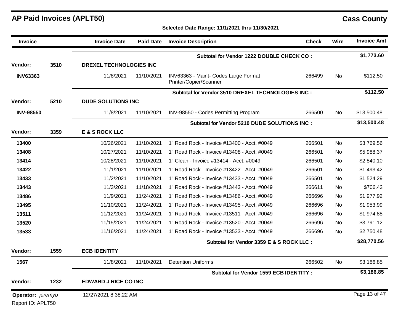| <b>Invoice</b>                         |      | <b>Invoice Date</b>            | <b>Paid Date</b> | <b>Invoice Description</b>                                     | <b>Check</b> | <b>Wire</b>    | <b>Invoice Amt</b> |
|----------------------------------------|------|--------------------------------|------------------|----------------------------------------------------------------|--------------|----------------|--------------------|
|                                        |      |                                |                  | Subtotal for Vendor 1222 DOUBLE CHECK CO :                     |              |                | \$1,773.60         |
| Vendor:                                | 3510 | <b>DREXEL TECHNOLOGIES INC</b> |                  |                                                                |              |                |                    |
| <b>INV63363</b>                        |      | 11/8/2021                      | 11/10/2021       | INV63363 - Maint- Codes Large Format<br>Printer/Copier/Scanner | 266499       | No.            | \$112.50           |
|                                        |      |                                |                  | Subtotal for Vendor 3510 DREXEL TECHNOLOGIES INC :             |              |                | \$112.50           |
| Vendor:                                | 5210 | <b>DUDE SOLUTIONS INC</b>      |                  |                                                                |              |                |                    |
| <b>INV-98550</b>                       |      | 11/8/2021                      | 11/10/2021       | INV-98550 - Codes Permitting Program                           | 266500       | No.            | \$13,500.48        |
|                                        |      |                                |                  | Subtotal for Vendor 5210 DUDE SOLUTIONS INC :                  |              | \$13,500.48    |                    |
| Vendor:                                | 3359 | <b>E &amp; S ROCK LLC</b>      |                  |                                                                |              |                |                    |
| 13400                                  |      | 10/26/2021                     | 11/10/2021       | 1" Road Rock - Invoice #13400 - Acct. #0049                    | 266501       | No.            | \$3,769.56         |
| 13408                                  |      | 10/27/2021                     | 11/10/2021       | 1" Road Rock - Invoice #13408 - Acct. #0049                    | 266501       | No.            | \$5,988.37         |
| 13414                                  |      | 10/28/2021                     | 11/10/2021       | 1" Clean - Invoice #13414 - Acct. #0049                        | 266501       | No.            | \$2,840.10         |
| 13422                                  |      | 11/1/2021                      | 11/10/2021       | 1" Road Rock - Invoice #13422 - Acct. #0049                    | 266501       | No.            | \$1,493.42         |
| 13433                                  |      | 11/2/2021                      | 11/10/2021       | 1" Road Rock - Invoice #13433 - Acct. #0049                    | 266501       | No.            | \$1,524.29         |
| 13443                                  |      | 11/3/2021                      | 11/18/2021       | 1" Road Rock - Invoice #13443 - Acct. #0049                    | 266611       | No.            | \$706.43           |
| 13486                                  |      | 11/9/2021                      | 11/24/2021       | 1" Road Rock - Invoice #13486 - Acct. #0049                    | 266696       | No.            | \$1,977.92         |
| 13495                                  |      | 11/10/2021                     | 11/24/2021       | 1" Road Rock - Invoice #13495 - Acct. #0049                    | 266696       | No.            | \$1,953.99         |
| 13511                                  |      | 11/12/2021                     | 11/24/2021       | 1" Road Rock - Invoice #13511 - Acct. #0049                    | 266696       | N <sub>0</sub> | \$1,974.88         |
| 13520                                  |      | 11/15/2021                     | 11/24/2021       | 1" Road Rock - Invoice #13520 - Acct. #0049                    | 266696       | No.            | \$3,791.12         |
| 13533                                  |      | 11/16/2021                     | 11/24/2021       | 1" Road Rock - Invoice #13533 - Acct. #0049                    | 266696       | No.            | \$2,750.48         |
|                                        |      |                                |                  | Subtotal for Vendor 3359 E & S ROCK LLC :                      |              |                | \$28,770.56        |
| Vendor:                                | 1559 | <b>ECB IDENTITY</b>            |                  |                                                                |              |                |                    |
| 1567                                   |      | 11/8/2021                      | 11/10/2021       | <b>Detention Uniforms</b>                                      | 266502       | <b>No</b>      | \$3,186.85         |
|                                        |      |                                |                  | Subtotal for Vendor 1559 ECB IDENTITY :                        |              |                | \$3,186.85         |
| <b>Vendor:</b>                         | 1232 | <b>EDWARD J RICE CO INC</b>    |                  |                                                                |              |                |                    |
| Operator: jeremyb<br>Report ID: APLT50 |      | 12/27/2021 8:38:22 AM          |                  |                                                                |              |                | Page 13 of 47      |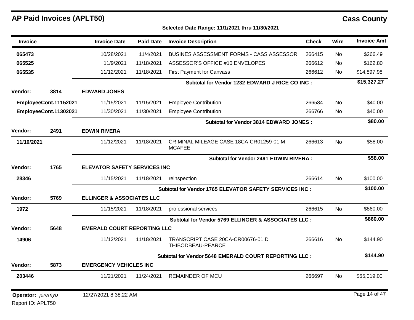Report ID: APLT50

| <b>Invoice</b>                  |                       | <b>Invoice Date</b>                  | <b>Paid Date</b> | <b>Invoice Description</b>                               | <b>Check</b> | Wire      | <b>Invoice Amt</b> |
|---------------------------------|-----------------------|--------------------------------------|------------------|----------------------------------------------------------|--------------|-----------|--------------------|
| 065473                          |                       | 10/28/2021                           | 11/4/2021        | BUSINES ASSESSMENT FORMS - CASS ASSESSOR                 | 266415       | No        | \$266.49           |
| 065525                          |                       | 11/9/2021                            | 11/18/2021       | ASSESSOR'S OFFICE #10 ENVELOPES                          | 266612       | No.       | \$162.80           |
| 065535                          |                       | 11/12/2021                           | 11/18/2021       | <b>First Payment for Canvass</b>                         | 266612       | No.       | \$14,897.98        |
|                                 |                       |                                      |                  | Subtotal for Vendor 1232 EDWARD J RICE CO INC :          |              |           | \$15,327.27        |
| Vendor:                         | 3814                  | <b>EDWARD JONES</b>                  |                  |                                                          |              |           |                    |
|                                 | EmployeeCont.11152021 | 11/15/2021                           | 11/15/2021       | <b>Employee Contribution</b>                             | 266584       | <b>No</b> | \$40.00            |
|                                 | EmployeeCont.11302021 | 11/30/2021                           | 11/30/2021       | <b>Employee Contribution</b>                             | 266766       | <b>No</b> | \$40.00            |
|                                 |                       |                                      |                  | Subtotal for Vendor 3814 EDWARD JONES :                  |              |           | \$80.00            |
| Vendor:                         | 2491                  | <b>EDWIN RIVERA</b>                  |                  |                                                          |              |           |                    |
| 11/10/2021                      |                       | 11/12/2021                           | 11/18/2021       | CRIMINAL MILEAGE CASE 18CA-CR01259-01 M<br><b>MCAFEE</b> | 266613       | <b>No</b> | \$58.00            |
|                                 |                       |                                      |                  | Subtotal for Vendor 2491 EDWIN RIVERA:                   |              |           | \$58.00            |
| Vendor:                         | 1765                  | <b>ELEVATOR SAFETY SERVICES INC</b>  |                  |                                                          |              |           |                    |
| 28346                           |                       | 11/15/2021                           | 11/18/2021       | reinspection                                             | 266614       | No        | \$100.00           |
|                                 |                       |                                      |                  | Subtotal for Vendor 1765 ELEVATOR SAFETY SERVICES INC :  |              |           | \$100.00           |
| Vendor:                         | 5769                  | <b>ELLINGER &amp; ASSOCIATES LLC</b> |                  |                                                          |              |           |                    |
| 1972                            |                       | 11/15/2021                           | 11/18/2021       | professional services                                    | 266615       | <b>No</b> | \$860.00           |
|                                 |                       |                                      |                  | Subtotal for Vendor 5769 ELLINGER & ASSOCIATES LLC :     |              |           | \$860.00           |
| Vendor:                         | 5648                  | <b>EMERALD COURT REPORTING LLC</b>   |                  |                                                          |              |           |                    |
| 14906                           |                       | 11/12/2021                           | 11/18/2021       | TRANSCRIPT CASE 20CA-CR00676-01 D<br>THIBODBEAU-PEARCE   | 266616       | <b>No</b> | \$144.90           |
|                                 |                       |                                      |                  | Subtotal for Vendor 5648 EMERALD COURT REPORTING LLC :   |              |           | \$144.90           |
| Vendor:                         | 5873                  | <b>EMERGENCY VEHICLES INC</b>        |                  |                                                          |              |           |                    |
| 203446                          |                       | 11/21/2021                           | 11/24/2021       | <b>REMAINDER OF MCU</b>                                  | 266697       | No.       | \$65,019.00        |
| <b>Operator:</b> <i>jeremyb</i> |                       | 12/27/2021 8:38:22 AM                |                  |                                                          |              |           | Page 14 of 47      |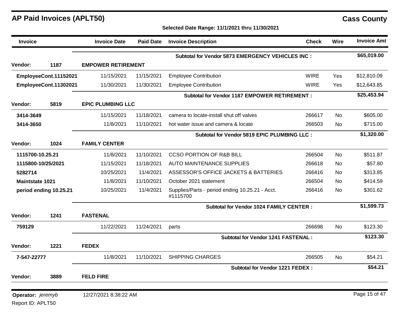Report ID: APLT50

| <b>Invoice</b>         |                        | <b>Invoice Date</b>       | <b>Paid Date</b> | <b>Invoice Description</b>                                  | <b>Check</b> | Wire           | <b>Invoice Amt</b> |
|------------------------|------------------------|---------------------------|------------------|-------------------------------------------------------------|--------------|----------------|--------------------|
|                        |                        |                           |                  | <b>Subtotal for Vendor 5873 EMERGENCY VEHICLES INC:</b>     |              |                | \$65,019.00        |
| Vendor:                | 1187                   | <b>EMPOWER RETIREMENT</b> |                  |                                                             |              |                |                    |
|                        | EmployeeCont.11152021  | 11/15/2021                | 11/15/2021       | <b>Employee Contribution</b>                                | <b>WIRE</b>  | Yes            | \$12,810.09        |
|                        | EmployeeCont.11302021  | 11/30/2021                | 11/30/2021       | <b>Employee Contribution</b>                                | <b>WIRE</b>  | Yes            | \$12,643.85        |
|                        |                        |                           |                  | <b>Subtotal for Vendor 1187 EMPOWER RETIREMENT:</b>         |              |                | \$25,453.94        |
| Vendor:                | 5819                   | <b>EPIC PLUMBING LLC</b>  |                  |                                                             |              |                |                    |
| 3414-3649              |                        | 11/15/2021                | 11/18/2021       | camera to locate-install shut off valves                    | 266617       | No.            | \$605.00           |
| 3414-3650              |                        | 11/8/2021                 | 11/10/2021       | hot water issue and camera & locate                         | 266503       | No.            | \$715.00           |
|                        |                        |                           |                  | Subtotal for Vendor 5819 EPIC PLUMBING LLC :                |              |                | \$1,320.00         |
| Vendor:                | 1024                   | <b>FAMILY CENTER</b>      |                  |                                                             |              |                |                    |
| 1115700-10.25.21       |                        | 11/8/2021                 | 11/10/2021       | <b>CCSO PORTION OF R&amp;B BILL</b>                         | 266504       | <b>No</b>      | \$511.87           |
| 1115800-10/25/2021     |                        | 11/15/2021                | 11/18/2021       | <b>AUTO MAINTENANCE SUPPLIES</b>                            | 266618       | No             | \$57.80            |
| 5282714                |                        | 10/25/2021                | 11/4/2021        | ASSESSOR'S OFFICE JACKETS & BATTERIES                       | 266416       | No             | \$313.85           |
| <b>Maintstate 1021</b> |                        | 11/8/2021                 | 11/10/2021       | October 2021 statement                                      | 266504       | <b>No</b>      | \$414.59           |
|                        | period ending 10.25.21 | 10/25/2021                | 11/4/2021        | Supplies/Parts - period ending 10.25.21 - Acct.<br>#1115700 | 266416       | No             | \$301.62           |
|                        |                        |                           |                  | <b>Subtotal for Vendor 1024 FAMILY CENTER:</b>              |              |                | \$1,599.73         |
| Vendor:                | 1241                   | <b>FASTENAL</b>           |                  |                                                             |              |                |                    |
| 759129                 |                        | 11/22/2021                | 11/24/2021       | parts                                                       | 266698       | N <sub>o</sub> | \$123.30           |
|                        |                        |                           |                  | <b>Subtotal for Vendor 1241 FASTENAL:</b>                   |              |                | \$123.30           |
| Vendor:                | 1221                   | <b>FEDEX</b>              |                  |                                                             |              |                |                    |
| 7-547-22777            |                        | 11/8/2021                 | 11/10/2021       | <b>SHIPPING CHARGES</b>                                     | 266505       | <b>No</b>      | \$54.21            |
|                        |                        |                           |                  | <b>Subtotal for Vendor 1221 FEDEX:</b>                      |              |                | \$54.21            |
| Vendor:                | 3889                   | <b>FELD FIRE</b>          |                  |                                                             |              |                |                    |
| Operator: jeremyb      |                        | 12/27/2021 8:38:22 AM     |                  |                                                             |              |                | Page 15 of 47      |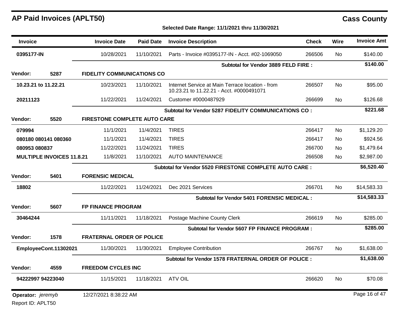### **Selected Date Range: 11/1/2021 thru 11/30/2021**

| <b>Invoice</b>                   |                       | <b>Invoice Date</b>               | <b>Paid Date</b> | <b>Invoice Description</b>                                                                   | <b>Check</b> | <b>Wire</b> | <b>Invoice Amt</b> |
|----------------------------------|-----------------------|-----------------------------------|------------------|----------------------------------------------------------------------------------------------|--------------|-------------|--------------------|
| 0395177-IN                       |                       | 10/28/2021                        | 11/10/2021       | Parts - Invoice #0395177-IN - Acct. #02-1069050                                              | 266506       | No.         | \$140.00           |
|                                  |                       |                                   |                  | Subtotal for Vendor 3889 FELD FIRE :                                                         |              |             | \$140.00           |
| <b>Vendor:</b>                   | 5287                  | <b>FIDELITY COMMUNICATIONS CO</b> |                  |                                                                                              |              |             |                    |
|                                  | 10.23.21 to 11.22.21  | 10/23/2021                        | 11/10/2021       | Internet Service at Main Terrace location - from<br>10.23.21 to 11.22.21 - Acct. #0000491071 | 266507       | <b>No</b>   | \$95.00            |
| 20211123                         |                       | 11/22/2021                        | 11/24/2021       | Customer #0000487929                                                                         | 266699       | <b>No</b>   | \$126.68           |
|                                  |                       |                                   |                  | Subtotal for Vendor 5287 FIDELITY COMMUNICATIONS CO:                                         |              |             | \$221.68           |
| Vendor:                          | 5520                  | FIRESTONE COMPLETE AUTO CARE      |                  |                                                                                              |              |             |                    |
| 079994                           |                       | 11/1/2021                         | 11/4/2021        | <b>TIRES</b>                                                                                 | 266417       | <b>No</b>   | \$1,129.20         |
|                                  | 080180 080141 080360  | 11/1/2021                         | 11/4/2021        | <b>TIRES</b>                                                                                 | 266417       | <b>No</b>   | \$924.56           |
| 080953 080837                    |                       | 11/22/2021                        | 11/24/2021       | <b>TIRES</b>                                                                                 | 266700       | <b>No</b>   | \$1,479.64         |
| <b>MULTIPLE INVOICES 11.8.21</b> |                       | 11/8/2021                         | 11/10/2021       | <b>AUTO MAINTENANCE</b>                                                                      | 266508       | <b>No</b>   | \$2,987.00         |
|                                  |                       |                                   |                  | Subtotal for Vendor 5520 FIRESTONE COMPLETE AUTO CARE :                                      |              |             | \$6,520.40         |
| <b>Vendor:</b>                   | 5401                  | <b>FORENSIC MEDICAL</b>           |                  |                                                                                              |              |             |                    |
| 18802                            |                       | 11/22/2021                        | 11/24/2021       | Dec 2021 Services                                                                            | 266701       | <b>No</b>   | \$14,583.33        |
|                                  |                       |                                   |                  | Subtotal for Vendor 5401 FORENSIC MEDICAL :                                                  |              |             | \$14,583.33        |
| <b>Vendor:</b>                   | 5607                  | <b>FP FINANCE PROGRAM</b>         |                  |                                                                                              |              |             |                    |
| 30464244                         |                       | 11/11/2021                        | 11/18/2021       | Postage Machine County Clerk                                                                 | 266619       | <b>No</b>   | \$285.00           |
|                                  |                       |                                   |                  | <b>Subtotal for Vendor 5607 FP FINANCE PROGRAM:</b>                                          |              |             | \$285.00           |
| <b>Vendor:</b>                   | 1578                  | <b>FRATERNAL ORDER OF POLICE</b>  |                  |                                                                                              |              |             |                    |
|                                  | EmployeeCont.11302021 | 11/30/2021                        | 11/30/2021       | <b>Employee Contribution</b>                                                                 | 266767       | No          | \$1,638.00         |
|                                  |                       |                                   |                  | Subtotal for Vendor 1578 FRATERNAL ORDER OF POLICE :                                         |              |             | \$1,638.00         |
| <b>Vendor:</b>                   | 4559                  | <b>FREEDOM CYCLES INC</b>         |                  |                                                                                              |              |             |                    |
|                                  | 94222997 94223040     | 11/15/2021                        | 11/18/2021       | <b>ATV OIL</b>                                                                               | 266620       | <b>No</b>   | \$70.08            |
| Operator: jeremyb                |                       | 12/27/2021 8:38:22 AM             |                  |                                                                                              |              |             | Page 16 of 47      |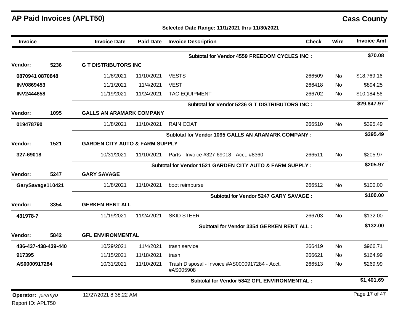### **Selected Date Range: 11/1/2021 thru 11/30/2021**

| <b>Invoice</b>                  |                     | <b>Invoice Date</b>                       | <b>Paid Date</b> | <b>Invoice Description</b>                                  | <b>Check</b> | <b>Wire</b> | <b>Invoice Amt</b> |
|---------------------------------|---------------------|-------------------------------------------|------------------|-------------------------------------------------------------|--------------|-------------|--------------------|
|                                 |                     |                                           |                  | <b>Subtotal for Vendor 4559 FREEDOM CYCLES INC:</b>         |              |             | \$70.08            |
| <b>Vendor:</b>                  | 5236                | <b>G T DISTRIBUTORS INC</b>               |                  |                                                             |              |             |                    |
| 0870941 0870848                 |                     | 11/8/2021                                 | 11/10/2021       | <b>VESTS</b>                                                | 266509       | No.         | \$18,769.16        |
| <b>INV0869453</b>               |                     | 11/1/2021                                 | 11/4/2021        | <b>VEST</b>                                                 | 266418       | No.         | \$894.25           |
| <b>INV2444658</b>               |                     | 11/19/2021                                | 11/24/2021       | <b>TAC EQUIPMENT</b>                                        | 266702       | No.         | \$10,184.56        |
|                                 |                     |                                           |                  | Subtotal for Vendor 5236 G T DISTRIBUTORS INC :             |              |             | \$29,847.97        |
| Vendor:                         | 1095                | <b>GALLS AN ARAMARK COMPANY</b>           |                  |                                                             |              |             |                    |
| 019478790                       |                     | 11/8/2021                                 | 11/10/2021       | <b>RAIN COAT</b>                                            | 266510       | No.         | \$395.49           |
|                                 |                     |                                           |                  | <b>Subtotal for Vendor 1095 GALLS AN ARAMARK COMPANY:</b>   |              |             | \$395.49           |
| <b>Vendor:</b>                  | 1521                | <b>GARDEN CITY AUTO &amp; FARM SUPPLY</b> |                  |                                                             |              |             |                    |
| 327-69018                       |                     | 10/31/2021                                | 11/10/2021       | Parts - Invoice #327-69018 - Acct. #8360                    | 266511       | <b>No</b>   | \$205.97           |
|                                 |                     |                                           |                  | Subtotal for Vendor 1521 GARDEN CITY AUTO & FARM SUPPLY :   |              |             | \$205.97           |
| <b>Vendor:</b>                  | 5247                | <b>GARY SAVAGE</b>                        |                  |                                                             |              |             |                    |
| GarySavage110421                |                     | 11/8/2021                                 | 11/10/2021       | boot reimburse                                              | 266512       | No          | \$100.00           |
|                                 |                     |                                           |                  | Subtotal for Vendor 5247 GARY SAVAGE :                      |              |             | \$100.00           |
| <b>Vendor:</b>                  | 3354                | <b>GERKEN RENT ALL</b>                    |                  |                                                             |              |             |                    |
| 431978-7                        |                     | 11/19/2021                                | 11/24/2021       | <b>SKID STEER</b>                                           | 266703       | No.         | \$132.00           |
|                                 |                     |                                           |                  | Subtotal for Vendor 3354 GERKEN RENT ALL :                  |              |             | \$132.00           |
| <b>Vendor:</b>                  | 5842                | <b>GFL ENVIRONMENTAL</b>                  |                  |                                                             |              |             |                    |
|                                 | 436-437-438-439-440 | 10/29/2021                                | 11/4/2021        | trash service                                               | 266419       | <b>No</b>   | \$966.71           |
| 917395                          |                     | 11/15/2021                                | 11/18/2021       | trash                                                       | 266621       | No.         | \$164.99           |
| AS0000917284                    |                     | 10/31/2021                                | 11/10/2021       | Trash Disposal - Invoice #AS0000917284 - Acct.<br>#AS005908 | 266513       | <b>No</b>   | \$269.99           |
|                                 |                     |                                           |                  | Subtotal for Vendor 5842 GFL ENVIRONMENTAL:                 |              |             | \$1,401.69         |
| <b>Operator:</b> <i>jeremyb</i> |                     | 12/27/2021 8:38:22 AM                     |                  |                                                             |              |             | Page 17 of 47      |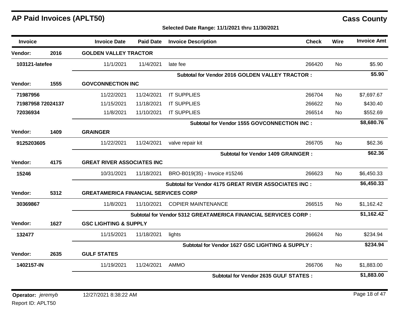| <b>Invoice</b>                  |      | <b>Invoice Date</b>                         | <b>Paid Date</b>                  | <b>Invoice Description</b>                                            | <b>Check</b> | Wire      | <b>Invoice Amt</b> |
|---------------------------------|------|---------------------------------------------|-----------------------------------|-----------------------------------------------------------------------|--------------|-----------|--------------------|
| Vendor:                         | 2016 | <b>GOLDEN VALLEY TRACTOR</b>                |                                   |                                                                       |              |           |                    |
| 103121-latefee                  |      | 11/1/2021                                   | 11/4/2021                         | late fee                                                              | 266420       | <b>No</b> | \$5.90             |
|                                 |      |                                             |                                   | <b>Subtotal for Vendor 2016 GOLDEN VALLEY TRACTOR:</b>                |              |           | \$5.90             |
| <b>Vendor:</b>                  | 1555 | <b>GOVCONNECTION INC</b>                    |                                   |                                                                       |              |           |                    |
| 71987956                        |      | 11/22/2021                                  | 11/24/2021                        | <b>IT SUPPLIES</b>                                                    | 266704       | No        | \$7,697.67         |
| 71987958 72024137               |      | 11/15/2021                                  | 11/18/2021                        | <b>IT SUPPLIES</b>                                                    | 266622       | No        | \$430.40           |
| 72036934                        |      | 11/8/2021                                   | 11/10/2021                        | <b>IT SUPPLIES</b>                                                    | 266514       | No.       | \$552.69           |
|                                 |      |                                             |                                   | Subtotal for Vendor 1555 GOVCONNECTION INC :                          |              |           | \$8,680.76         |
| Vendor:                         | 1409 | <b>GRAINGER</b>                             |                                   |                                                                       |              |           |                    |
| 9125203605                      |      | 11/22/2021                                  | 11/24/2021                        | valve repair kit                                                      | 266705       | <b>No</b> | \$62.36            |
|                                 |      |                                             |                                   | <b>Subtotal for Vendor 1409 GRAINGER:</b>                             |              |           | \$62.36            |
| <b>Vendor:</b>                  | 4175 |                                             | <b>GREAT RIVER ASSOCIATES INC</b> |                                                                       |              |           |                    |
| 15246                           |      | 10/31/2021                                  | 11/18/2021                        | BRO-B019(35) - Invoice #15246                                         | 266623       | No.       | \$6,450.33         |
|                                 |      |                                             |                                   | Subtotal for Vendor 4175 GREAT RIVER ASSOCIATES INC :                 |              |           | \$6,450.33         |
| Vendor:                         | 5312 | <b>GREATAMERICA FINANCIAL SERVICES CORP</b> |                                   |                                                                       |              |           |                    |
| 30369867                        |      | 11/8/2021                                   | 11/10/2021                        | <b>COPIER MAINTENANCE</b>                                             | 266515       | <b>No</b> | \$1,162.42         |
|                                 |      |                                             |                                   | <b>Subtotal for Vendor 5312 GREATAMERICA FINANCIAL SERVICES CORP:</b> |              |           | \$1,162.42         |
| Vendor:                         | 1627 | <b>GSC LIGHTING &amp; SUPPLY</b>            |                                   |                                                                       |              |           |                    |
| 132477                          |      | 11/15/2021                                  | 11/18/2021                        | lights                                                                | 266624       | <b>No</b> | \$234.94           |
|                                 |      |                                             |                                   | Subtotal for Vendor 1627 GSC LIGHTING & SUPPLY :                      |              |           | \$234.94           |
| Vendor:                         | 2635 | <b>GULF STATES</b>                          |                                   |                                                                       |              |           |                    |
| 1402157-IN                      |      | 11/19/2021                                  | 11/24/2021                        | <b>AMMO</b>                                                           | 266706       | No.       | \$1,883.00         |
|                                 |      |                                             |                                   | <b>Subtotal for Vendor 2635 GULF STATES:</b>                          |              |           | \$1,883.00         |
| <b>Operator:</b> <i>jeremyb</i> |      | 12/27/2021 8:38:22 AM                       |                                   |                                                                       |              |           | Page 18 of 47      |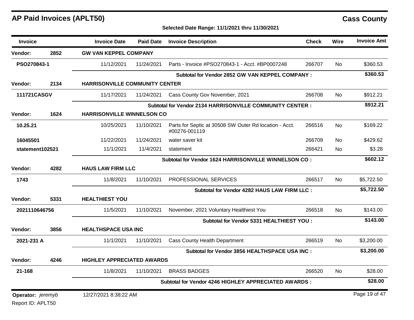### **Selected Date Range: 11/1/2021 thru 11/30/2021**

| <b>Invoice</b>    |      | <b>Invoice Date</b>                   | <b>Paid Date</b> | <b>Invoice Description</b>                                              | <b>Check</b> | Wire      | <b>Invoice Amt</b> |
|-------------------|------|---------------------------------------|------------------|-------------------------------------------------------------------------|--------------|-----------|--------------------|
| Vendor:           | 2852 | <b>GW VAN KEPPEL COMPANY</b>          |                  |                                                                         |              |           |                    |
| PSO270843-1       |      | 11/12/2021                            | 11/24/2021       | Parts - Invoice #PSO270843-1 - Acct. #BP0007248                         | 266707       | <b>No</b> | \$360.53           |
|                   |      |                                       |                  | Subtotal for Vendor 2852 GW VAN KEPPEL COMPANY :                        |              |           | \$360.53           |
| <b>Vendor:</b>    | 2134 | <b>HARRISONVILLE COMMUNITY CENTER</b> |                  |                                                                         |              |           |                    |
| 111721CASGV       |      | 11/17/2021                            | 11/24/2021       | Cass County Gov November, 2021                                          | 266708       | <b>No</b> | \$912.21           |
|                   |      |                                       |                  | Subtotal for Vendor 2134 HARRISONVILLE COMMUNITY CENTER :               |              |           | \$912.21           |
| <b>Vendor:</b>    | 1624 | <b>HARRISONVILLE WINNELSON CO</b>     |                  |                                                                         |              |           |                    |
| 10.25.21          |      | 10/25/2021                            | 11/10/2021       | Parts for Septic at 30508 SW Outer Rd location - Acct.<br>#00276-001119 | 266516       | <b>No</b> | \$169.22           |
| 16045501          |      | 11/22/2021                            | 11/24/2021       | water saver kit                                                         | 266709       | No.       | \$429.62           |
| statement102521   |      | 11/1/2021                             | 11/4/2021        | statement                                                               | 266421       | <b>No</b> | \$3.28             |
|                   |      |                                       |                  | Subtotal for Vendor 1624 HARRISONVILLE WINNELSON CO:                    |              |           | \$602.12           |
| <b>Vendor:</b>    | 4282 | <b>HAUS LAW FIRM LLC</b>              |                  |                                                                         |              |           |                    |
| 1743              |      | 11/8/2021                             | 11/10/2021       | PROFESSIONAL SERVICES                                                   | 266517       | <b>No</b> | \$5,722.50         |
|                   |      |                                       |                  | Subtotal for Vendor 4282 HAUS LAW FIRM LLC :                            |              |           | \$5,722.50         |
| Vendor:           | 5331 | <b>HEALTHIEST YOU</b>                 |                  |                                                                         |              |           |                    |
| 2021110646756     |      | 11/5/2021                             | 11/10/2021       | November, 2021 Voluntary Healthiest You                                 | 266518       | <b>No</b> | \$143.00           |
|                   |      |                                       |                  | Subtotal for Vendor 5331 HEALTHIEST YOU :                               |              |           | \$143.00           |
| <b>Vendor:</b>    | 3856 | <b>HEALTHSPACE USA INC</b>            |                  |                                                                         |              |           |                    |
| 2021-231 A        |      | 11/1/2021                             | 11/10/2021       | <b>Cass County Health Department</b>                                    | 266519       | No.       | \$3,200.00         |
|                   |      |                                       |                  | Subtotal for Vendor 3856 HEALTHSPACE USA INC :                          |              |           | \$3,200.00         |
| <b>Vendor:</b>    | 4246 | <b>HIGHLEY APPRECIATED AWARDS</b>     |                  |                                                                         |              |           |                    |
| 21-168            |      | 11/8/2021                             | 11/10/2021       | <b>BRASS BADGES</b>                                                     | 266520       | <b>No</b> | \$28.00            |
|                   |      |                                       |                  | Subtotal for Vendor 4246 HIGHLEY APPRECIATED AWARDS :                   |              |           | \$28.00            |
| Operator: jeremyb |      | 12/27/2021 8:38:22 AM                 |                  |                                                                         |              |           | Page 19 of 47      |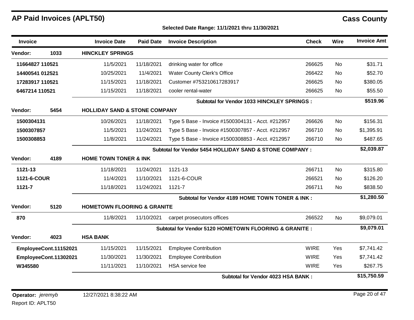| <b>Invoice</b>  |                       | <b>Invoice Date</b>                      | <b>Paid Date</b>                 | <b>Invoice Description</b>                               | <b>Check</b> | Wire      | <b>Invoice Amt</b> |  |
|-----------------|-----------------------|------------------------------------------|----------------------------------|----------------------------------------------------------|--------------|-----------|--------------------|--|
| Vendor:         | 1033                  | <b>HINCKLEY SPRINGS</b>                  |                                  |                                                          |              |           |                    |  |
| 11664827 110521 |                       | 11/5/2021                                | 11/18/2021                       | drinking water for office                                | 266625       | No        | \$31.71            |  |
| 14400541 012521 |                       | 10/25/2021                               | 11/4/2021                        | <b>Water County Clerk's Office</b>                       | 266422       | <b>No</b> | \$52.70            |  |
| 17283917 110521 |                       | 11/15/2021                               | 11/18/2021                       | Customer #753210617283917                                | 266625       | <b>No</b> | \$380.05           |  |
| 6467214 110521  |                       | 11/15/2021                               | 11/18/2021                       | cooler rental-water                                      | 266625       | <b>No</b> | \$55.50            |  |
|                 |                       |                                          |                                  | <b>Subtotal for Vendor 1033 HINCKLEY SPRINGS :</b>       |              |           | \$519.96           |  |
| Vendor:         | 5454                  | <b>HOLLIDAY SAND &amp; STONE COMPANY</b> |                                  |                                                          |              |           |                    |  |
| 1500304131      |                       | 10/26/2021                               | 11/18/2021                       | Type 5 Base - Invoice #1500304131 - Acct. #212957        | 266626       | <b>No</b> | \$156.31           |  |
| 1500307857      |                       | 11/5/2021                                | 11/24/2021                       | Type 5 Base - Invoice #1500307857 - Acct. #212957        | 266710       | No        | \$1,395.91         |  |
| 1500308853      |                       | 11/8/2021                                | 11/24/2021                       | Type 5 Base - Invoice #1500308853 - Acct. #212957        | 266710       | <b>No</b> | \$487.65           |  |
|                 |                       |                                          |                                  | Subtotal for Vendor 5454 HOLLIDAY SAND & STONE COMPANY : |              |           | \$2,039.87         |  |
| Vendor:         | 4189                  |                                          | <b>HOME TOWN TONER &amp; INK</b> |                                                          |              |           |                    |  |
| 1121-13         |                       | 11/18/2021                               | 11/24/2021                       | 1121-13                                                  | 266711       | <b>No</b> | \$315.80           |  |
| 1121-6-COUR     |                       | 11/4/2021                                | 11/10/2021                       | 1121-6-COUR                                              | 266521       | <b>No</b> | \$126.20           |  |
| 1121-7          |                       | 11/18/2021                               | 11/24/2021                       | 1121-7                                                   | 266711       | No        | \$838.50           |  |
|                 |                       |                                          |                                  | Subtotal for Vendor 4189 HOME TOWN TONER & INK:          |              |           | \$1,280.50         |  |
| Vendor:         | 5120                  | <b>HOMETOWN FLOORING &amp; GRANITE</b>   |                                  |                                                          |              |           |                    |  |
| 870             |                       | 11/8/2021                                | 11/10/2021                       | carpet prosecutors offices                               | 266522       | No        | \$9,079.01         |  |
|                 |                       |                                          |                                  | Subtotal for Vendor 5120 HOMETOWN FLOORING & GRANITE :   |              |           | \$9,079.01         |  |
| Vendor:         | 4023                  | <b>HSA BANK</b>                          |                                  |                                                          |              |           |                    |  |
|                 | EmployeeCont.11152021 | 11/15/2021                               | 11/15/2021                       | <b>Employee Contribution</b>                             | <b>WIRE</b>  | Yes       | \$7,741.42         |  |
|                 | EmployeeCont.11302021 | 11/30/2021                               | 11/30/2021                       | <b>Employee Contribution</b>                             | <b>WIRE</b>  | Yes       | \$7,741.42         |  |
| W345580         |                       | 11/11/2021                               | 11/10/2021                       | <b>HSA</b> service fee                                   | <b>WIRE</b>  | Yes       | \$267.75           |  |
|                 |                       |                                          |                                  | Subtotal for Vendor 4023 HSA BANK:                       |              |           | \$15,750.59        |  |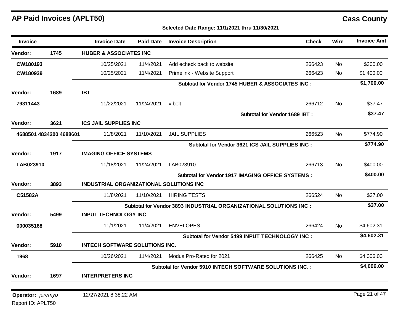## **Selected Date Range: 11/1/2021 thru 11/30/2021**

| <b>Invoice</b>                  |                         | <b>Invoice Date</b>                     | <b>Paid Date</b>              | <b>Invoice Description</b>                                        | <b>Check</b>                   | Wire      | <b>Invoice Amt</b> |
|---------------------------------|-------------------------|-----------------------------------------|-------------------------------|-------------------------------------------------------------------|--------------------------------|-----------|--------------------|
| Vendor:                         | 1745                    | <b>HUBER &amp; ASSOCIATES INC</b>       |                               |                                                                   |                                |           |                    |
| CW180193                        |                         | 10/25/2021                              | 11/4/2021                     | Add echeck back to website                                        | 266423                         | <b>No</b> | \$300.00           |
| CW180939                        |                         | 10/25/2021                              | 11/4/2021                     | Primelink - Website Support                                       | 266423                         | <b>No</b> | \$1,400.00         |
|                                 |                         |                                         |                               | Subtotal for Vendor 1745 HUBER & ASSOCIATES INC :                 |                                |           | \$1,700.00         |
| <b>Vendor:</b>                  | 1689                    | <b>IBT</b>                              |                               |                                                                   |                                |           |                    |
| 79311443                        |                         | 11/22/2021                              | 11/24/2021                    | v belt                                                            | 266712                         | No        | \$37.47            |
|                                 |                         |                                         |                               |                                                                   | Subtotal for Vendor 1689 IBT : |           | \$37.47            |
| Vendor:                         | 3621                    | <b>ICS JAIL SUPPLIES INC</b>            |                               |                                                                   |                                |           |                    |
|                                 | 4688501 4834200 4688601 | 11/8/2021                               | 11/10/2021                    | <b>JAIL SUPPLIES</b>                                              | 266523                         | No        | \$774.90           |
|                                 |                         |                                         |                               | Subtotal for Vendor 3621 ICS JAIL SUPPLIES INC :                  |                                |           | \$774.90           |
| Vendor:                         | 1917                    |                                         | <b>IMAGING OFFICE SYSTEMS</b> |                                                                   |                                |           |                    |
| LAB023910                       |                         | 11/18/2021                              | 11/24/2021                    | LAB023910                                                         | 266713                         | <b>No</b> | \$400.00           |
|                                 |                         |                                         |                               | Subtotal for Vendor 1917 IMAGING OFFICE SYSTEMS :                 |                                |           | \$400.00           |
| <b>Vendor:</b>                  | 3893                    | INDUSTRIAL ORGANIZATIONAL SOLUTIONS INC |                               |                                                                   |                                |           |                    |
| C51582A                         |                         | 11/8/2021                               | 11/10/2021                    | <b>HIRING TESTS</b>                                               | 266524                         | <b>No</b> | \$37.00            |
|                                 |                         |                                         |                               | Subtotal for Vendor 3893 INDUSTRIAL ORGANIZATIONAL SOLUTIONS INC: |                                |           | \$37.00            |
| <b>Vendor:</b>                  | 5499                    | <b>INPUT TECHNOLOGY INC</b>             |                               |                                                                   |                                |           |                    |
| 000035168                       |                         | 11/1/2021                               | 11/4/2021                     | <b>ENVELOPES</b>                                                  | 266424                         | No.       | \$4,602.31         |
|                                 |                         |                                         |                               | Subtotal for Vendor 5499 INPUT TECHNOLOGY INC:                    |                                |           | \$4,602.31         |
| Vendor:                         | 5910                    | <b>INTECH SOFTWARE SOLUTIONS INC.</b>   |                               |                                                                   |                                |           |                    |
| 1968                            |                         | 10/26/2021                              | 11/4/2021                     | Modus Pro-Rated for 2021                                          | 266425                         | No.       | \$4,006.00         |
|                                 |                         |                                         |                               | Subtotal for Vendor 5910 INTECH SOFTWARE SOLUTIONS INC. :         |                                |           | \$4,006.00         |
| Vendor:                         | 1697                    | <b>INTERPRETERS INC</b>                 |                               |                                                                   |                                |           |                    |
|                                 |                         |                                         |                               |                                                                   |                                |           | Page 21 of 47      |
| <b>Operator:</b> <i>jeremyb</i> |                         | 12/27/2021 8:38:22 AM                   |                               |                                                                   |                                |           |                    |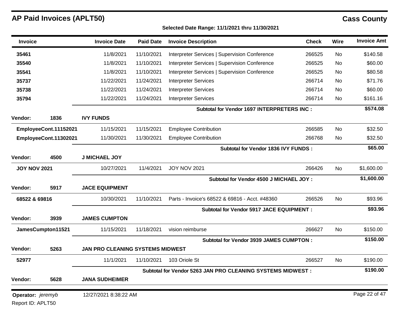| <b>Invoice</b>      |                       | <b>Invoice Date</b>              | <b>Paid Date</b> | <b>Invoice Description</b>                                  | <b>Check</b> | Wire      | <b>Invoice Amt</b> |
|---------------------|-----------------------|----------------------------------|------------------|-------------------------------------------------------------|--------------|-----------|--------------------|
| 35461               |                       | 11/8/2021                        | 11/10/2021       | Interpreter Services   Supervision Conference               | 266525       | No        | \$140.58           |
| 35540               |                       | 11/8/2021                        | 11/10/2021       | Interpreter Services   Supervision Conference               | 266525       | <b>No</b> | \$60.00            |
| 35541               |                       | 11/8/2021                        | 11/10/2021       | Interpreter Services   Supervision Conference               | 266525       | <b>No</b> | \$80.58            |
| 35737               |                       | 11/22/2021                       | 11/24/2021       | <b>Interpreter Services</b>                                 | 266714       | No        | \$71.76            |
| 35738               |                       | 11/22/2021                       | 11/24/2021       | <b>Interpreter Services</b>                                 | 266714       | No        | \$60.00            |
| 35794               |                       | 11/22/2021                       | 11/24/2021       | <b>Interpreter Services</b>                                 | 266714       | No        | \$161.16           |
|                     |                       |                                  |                  | <b>Subtotal for Vendor 1697 INTERPRETERS INC:</b>           |              |           | \$574.08           |
| Vendor:             | 1836                  | <b>IVY FUNDS</b>                 |                  |                                                             |              |           |                    |
|                     | EmployeeCont.11152021 | 11/15/2021                       | 11/15/2021       | <b>Employee Contribution</b>                                | 266585       | No        | \$32.50            |
|                     | EmployeeCont.11302021 | 11/30/2021                       | 11/30/2021       | <b>Employee Contribution</b>                                | 266768       | No        | \$32.50            |
|                     |                       |                                  |                  | Subtotal for Vendor 1836 IVY FUNDS :                        |              |           | \$65.00            |
| Vendor:             | 4500                  | <b>J MICHAEL JOY</b>             |                  |                                                             |              |           |                    |
| <b>JOY NOV 2021</b> |                       | 10/27/2021                       | 11/4/2021        | <b>JOY NOV 2021</b>                                         | 266426       | <b>No</b> | \$1,600.00         |
|                     |                       |                                  |                  | Subtotal for Vendor 4500 J MICHAEL JOY :                    |              |           | \$1,600.00         |
| Vendor:             | 5917                  | <b>JACE EQUIPMENT</b>            |                  |                                                             |              |           |                    |
| 68522 & 69816       |                       | 10/30/2021                       | 11/10/2021       | Parts - Invoice's 68522 & 69816 - Acct. #48360              | 266526       | No.       | \$93.96            |
|                     |                       |                                  |                  | <b>Subtotal for Vendor 5917 JACE EQUIPMENT :</b>            |              |           | \$93.96            |
| Vendor:             | 3939                  | <b>JAMES CUMPTON</b>             |                  |                                                             |              |           |                    |
|                     | JamesCumpton11521     | 11/15/2021                       | 11/18/2021       | vision reimburse                                            | 266627       | No.       | \$150.00           |
|                     |                       |                                  |                  | <b>Subtotal for Vendor 3939 JAMES CUMPTON:</b>              |              |           | \$150.00           |
| Vendor:             | 5263                  | JAN PRO CLEANING SYSTEMS MIDWEST |                  |                                                             |              |           |                    |
| 52977               |                       | 11/1/2021                        | 11/10/2021       | 103 Oriole St                                               | 266527       | No.       | \$190.00           |
|                     |                       |                                  |                  | Subtotal for Vendor 5263 JAN PRO CLEANING SYSTEMS MIDWEST : |              |           | \$190.00           |
| Vendor:             | 5628                  | <b>JANA SUDHEIMER</b>            |                  |                                                             |              |           |                    |
| Operator: jeremyb   |                       | 12/27/2021 8:38:22 AM            |                  |                                                             |              |           | Page 22 of 47      |
| Report ID: APLT50   |                       |                                  |                  |                                                             |              |           |                    |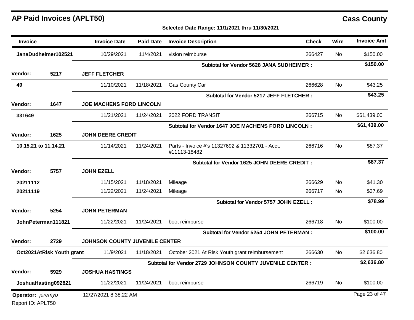| <b>Invoice</b>       |                           | <b>Invoice Date</b>                   | <b>Paid Date</b> | <b>Invoice Description</b>                                      | <b>Check</b> | Wire      | <b>Invoice Amt</b> |
|----------------------|---------------------------|---------------------------------------|------------------|-----------------------------------------------------------------|--------------|-----------|--------------------|
|                      | JanaDudheimer102521       | 10/29/2021                            | 11/4/2021        | vision reimburse                                                | 266427       | No        | \$150.00           |
|                      |                           |                                       |                  | <b>Subtotal for Vendor 5628 JANA SUDHEIMER:</b>                 |              |           | \$150.00           |
| <b>Vendor:</b>       | 5217                      | <b>JEFF FLETCHER</b>                  |                  |                                                                 |              |           |                    |
| 49                   |                           | 11/10/2021                            | 11/18/2021       | Gas County Car                                                  | 266628       | No        | \$43.25            |
| <b>Vendor:</b>       | 1647                      | <b>JOE MACHENS FORD LINCOLN</b>       |                  | <b>Subtotal for Vendor 5217 JEFF FLETCHER:</b>                  |              |           | \$43.25            |
| 331649               |                           | 11/21/2021                            | 11/24/2021       | 2022 FORD TRANSIT                                               | 266715       | No        | \$61,439.00        |
|                      |                           |                                       |                  | Subtotal for Vendor 1647 JOE MACHENS FORD LINCOLN :             |              |           | \$61,439.00        |
| Vendor:              | 1625                      | <b>JOHN DEERE CREDIT</b>              |                  |                                                                 |              |           |                    |
| 10.15.21 to 11.14.21 |                           | 11/14/2021                            | 11/24/2021       | Parts - Invoice #'s 11327692 & 11332701 - Acct.<br>#11113-18482 | 266716       | <b>No</b> | \$87.37            |
|                      |                           |                                       |                  | Subtotal for Vendor 1625 JOHN DEERE CREDIT :                    |              |           | \$87.37            |
| Vendor:              | 5757                      | <b>JOHN EZELL</b>                     |                  |                                                                 |              |           |                    |
| 20211112             |                           | 11/15/2021                            | 11/18/2021       | Mileage                                                         | 266629       | <b>No</b> | \$41.30            |
| 20211119             |                           | 11/22/2021                            | 11/24/2021       | Mileage                                                         | 266717       | <b>No</b> | \$37.69            |
|                      |                           | Subtotal for Vendor 5757 JOHN EZELL : |                  |                                                                 |              |           | \$78.99            |
| Vendor:              | 5254                      | <b>JOHN PETERMAN</b>                  |                  |                                                                 |              |           |                    |
|                      | JohnPeterman111821        | 11/22/2021                            | 11/24/2021       | boot reimburse                                                  | 266718       | <b>No</b> | \$100.00           |
|                      |                           |                                       |                  | <b>Subtotal for Vendor 5254 JOHN PETERMAN :</b>                 |              |           | \$100.00           |
| Vendor:              | 2729                      | JOHNSON COUNTY JUVENILE CENTER        |                  |                                                                 |              |           |                    |
|                      | Oct2021AtRisk Youth grant | 11/9/2021                             | 11/18/2021       | October 2021 At Risk Youth grant reimbursement                  | 266630       | No        | \$2,636.80         |
|                      |                           |                                       |                  | Subtotal for Vendor 2729 JOHNSON COUNTY JUVENILE CENTER :       |              |           | \$2,636.80         |
| Vendor:              | 5929                      | <b>JOSHUA HASTINGS</b>                |                  |                                                                 |              |           |                    |
|                      | JoshuaHasting092821       | 11/22/2021                            | 11/24/2021       | boot reimburse                                                  | 266719       | No        | \$100.00           |
| Operator: jeremyb    |                           | 12/27/2021 8:38:22 AM                 |                  |                                                                 |              |           | Page 23 of 47      |
| Report ID: APLT50    |                           |                                       |                  |                                                                 |              |           |                    |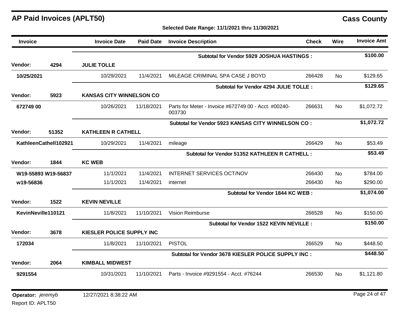| Invoice            |                       | <b>Invoice Date</b>              | <b>Paid Date</b> | <b>Invoice Description</b>                                     | <b>Check</b> | <b>Wire</b> | <b>Invoice Amt</b> |
|--------------------|-----------------------|----------------------------------|------------------|----------------------------------------------------------------|--------------|-------------|--------------------|
|                    |                       |                                  |                  | Subtotal for Vendor 5929 JOSHUA HASTINGS :                     |              |             | \$100.00           |
| Vendor:            | 4294                  | <b>JULIE TOLLE</b>               |                  |                                                                |              |             |                    |
| 10/25/2021         |                       | 10/29/2021                       | 11/4/2021        | MILEAGE CRIMINAL SPA CASE J BOYD                               | 266428       | No          | \$129.65           |
|                    |                       |                                  |                  | Subtotal for Vendor 4294 JULIE TOLLE :                         |              |             | \$129.65           |
| Vendor:            | 5923                  | <b>KANSAS CITY WINNELSON CO</b>  |                  |                                                                |              |             |                    |
| 672749 00          |                       | 10/26/2021                       | 11/18/2021       | Parts for Meter - Invoice #672749 00 - Acct. #00240-<br>003730 | 266631       | No.         | \$1,072.72         |
|                    |                       |                                  |                  | Subtotal for Vendor 5923 KANSAS CITY WINNELSON CO:             |              |             | \$1,072.72         |
| Vendor:            | 51352                 | <b>KATHLEEN R CATHELL</b>        |                  |                                                                |              |             |                    |
|                    | KathleenCathell102921 | 10/29/2021                       | 11/4/2021        | mileage                                                        | 266429       | No.         | \$53.49            |
|                    |                       |                                  |                  | Subtotal for Vendor 51352 KATHLEEN R CATHELL :                 |              |             | \$53.49            |
| <b>Vendor:</b>     | 1844                  | <b>KC WEB</b>                    |                  |                                                                |              |             |                    |
|                    | W19-55893 W19-56837   | 11/1/2021                        | 11/4/2021        | <b>INTERNET SERVICES OCT/NOV</b>                               | 266430       | No          | \$784.00           |
| w19-56836          |                       | 11/1/2021                        | 11/4/2021        | internet                                                       | 266430       | No.         | \$290.00           |
|                    |                       |                                  |                  | Subtotal for Vendor 1844 KC WEB :                              |              |             | \$1,074.00         |
| Vendor:            | 1522                  | <b>KEVIN NEVILLE</b>             |                  |                                                                |              |             |                    |
| KevinNeville110121 |                       | 11/8/2021                        | 11/10/2021       | <b>Vision Reimburse</b>                                        | 266528       | <b>No</b>   | \$150.00           |
|                    |                       |                                  |                  | Subtotal for Vendor 1522 KEVIN NEVILLE :                       |              |             | \$150.00           |
| Vendor:            | 3678                  | <b>KIESLER POLICE SUPPLY INC</b> |                  |                                                                |              |             |                    |
| 172034             |                       | 11/8/2021                        | 11/10/2021       | <b>PISTOL</b>                                                  | 266529       | No.         | \$448.50           |
|                    |                       |                                  |                  | Subtotal for Vendor 3678 KIESLER POLICE SUPPLY INC :           |              |             | \$448.50           |
| Vendor:            | 2064                  | <b>KIMBALL MIDWEST</b>           |                  |                                                                |              |             |                    |
| 9291554            |                       | 10/31/2021                       | 11/10/2021       | Parts - Invoice #9291554 - Acct. #76244                        | 266530       | <b>No</b>   | \$1,121.80         |
| Operator: jeremyb  |                       | 12/27/2021 8:38:22 AM            |                  |                                                                |              |             | Page 24 of 47      |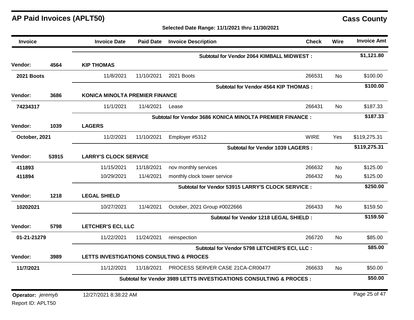### **Selected Date Range: 11/1/2021 thru 11/30/2021**

| <b>Invoice</b>                  |       | <b>Invoice Date</b>                      | <b>Paid Date</b>             | <b>Invoice Description</b>                                                     | <b>Check</b> | Wire      | <b>Invoice Amt</b> |
|---------------------------------|-------|------------------------------------------|------------------------------|--------------------------------------------------------------------------------|--------------|-----------|--------------------|
|                                 |       |                                          |                              | <b>Subtotal for Vendor 2064 KIMBALL MIDWEST:</b>                               |              |           | \$1,121.80         |
| <b>Vendor:</b>                  | 4564  | <b>KIP THOMAS</b>                        |                              |                                                                                |              |           |                    |
| <b>2021 Boots</b>               |       | 11/8/2021                                | 11/10/2021                   | 2021 Boots                                                                     | 266531       | No        | \$100.00           |
|                                 |       |                                          |                              | <b>Subtotal for Vendor 4564 KIP THOMAS:</b>                                    |              |           | \$100.00           |
| Vendor:                         | 3686  | <b>KONICA MINOLTA PREMIER FINANCE</b>    |                              |                                                                                |              |           |                    |
| 74234317                        |       | 11/1/2021                                | 11/4/2021                    | Lease                                                                          | 266431       | No.       | \$187.33           |
|                                 |       |                                          |                              | Subtotal for Vendor 3686 KONICA MINOLTA PREMIER FINANCE :                      |              |           | \$187.33           |
| <b>Vendor:</b>                  | 1039  | <b>LAGERS</b>                            |                              |                                                                                |              |           |                    |
| October, 2021                   |       | 11/2/2021                                | 11/10/2021                   | Employer #5312                                                                 | <b>WIRE</b>  | Yes       | \$119,275.31       |
|                                 |       |                                          |                              | <b>Subtotal for Vendor 1039 LAGERS:</b>                                        |              |           | \$119,275.31       |
| Vendor:                         | 53915 |                                          | <b>LARRY'S CLOCK SERVICE</b> |                                                                                |              |           |                    |
| 411893                          |       | 11/15/2021                               | 11/18/2021                   | nov monthly services                                                           | 266632       | <b>No</b> | \$125.00           |
| 411894                          |       | 10/29/2021                               | 11/4/2021                    | monthly clock tower service                                                    | 266432       | No        | \$125.00           |
|                                 |       |                                          |                              | Subtotal for Vendor 53915 LARRY'S CLOCK SERVICE :                              |              |           | \$250.00           |
| Vendor:                         | 1218  | <b>LEGAL SHIELD</b>                      |                              |                                                                                |              |           |                    |
| 10202021                        |       | 10/27/2021                               | 11/4/2021                    | October, 2021 Group #0022666                                                   | 266433       | <b>No</b> | \$159.50           |
|                                 |       |                                          |                              | Subtotal for Vendor 1218 LEGAL SHIELD :                                        |              |           | \$159.50           |
| Vendor:                         | 5798  | <b>LETCHER'S ECI, LLC</b>                |                              |                                                                                |              |           |                    |
| 01-21-21279                     |       | 11/22/2021                               | 11/24/2021                   | reinspection                                                                   | 266720       | <b>No</b> | \$85.00            |
|                                 |       |                                          |                              | Subtotal for Vendor 5798 LETCHER'S ECI, LLC :                                  |              |           | \$85.00            |
| Vendor:                         | 3989  | LETTS INVESTIGATIONS CONSULTING & PROCES |                              |                                                                                |              |           |                    |
| 11/7/2021                       |       | 11/12/2021                               | 11/18/2021                   | PROCESS SERVER CASE 21CA-CR00477                                               | 266633       | <b>No</b> | \$50.00            |
|                                 |       |                                          |                              | <b>Subtotal for Vendor 3989 LETTS INVESTIGATIONS CONSULTING &amp; PROCES :</b> |              |           | \$50.00            |
| <b>Operator:</b> <i>jeremyb</i> |       | 12/27/2021 8:38:22 AM                    |                              |                                                                                |              |           | Page 25 of 47      |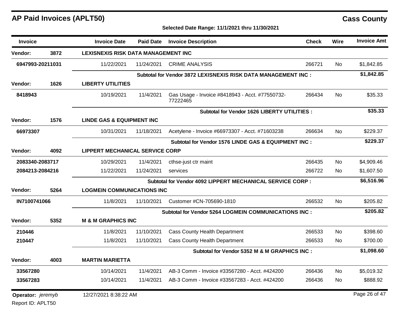### **Selected Date Range: 11/1/2021 thru 11/30/2021**

| <b>Invoice</b>                  |      | <b>Invoice Date</b>                        | <b>Paid Date</b>                                     | <b>Invoice Description</b>                                    | <b>Check</b> | Wire      | <b>Invoice Amt</b> |  |  |
|---------------------------------|------|--------------------------------------------|------------------------------------------------------|---------------------------------------------------------------|--------------|-----------|--------------------|--|--|
| Vendor:                         | 3872 | <b>LEXISNEXIS RISK DATA MANAGEMENT INC</b> |                                                      |                                                               |              |           |                    |  |  |
| 6947993-20211031                |      | 11/22/2021                                 | 11/24/2021                                           | <b>CRIME ANALYSIS</b>                                         | 266721       | <b>No</b> | \$1,842.85         |  |  |
|                                 |      |                                            |                                                      | Subtotal for Vendor 3872 LEXISNEXIS RISK DATA MANAGEMENT INC: |              |           | \$1,842.85         |  |  |
| Vendor:                         | 1626 | <b>LIBERTY UTILITIES</b>                   |                                                      |                                                               |              |           |                    |  |  |
| 8418943                         |      | 10/19/2021                                 | 11/4/2021                                            | Gas Usage - Invoice #8418943 - Acct. #77550732-<br>77222465   | 266434       | No        | \$35.33            |  |  |
|                                 |      |                                            |                                                      | <b>Subtotal for Vendor 1626 LIBERTY UTILITIES:</b>            |              |           | \$35.33            |  |  |
| Vendor:                         | 1576 | <b>LINDE GAS &amp; EQUIPMENT INC</b>       |                                                      |                                                               |              |           |                    |  |  |
| 66973307                        |      | 10/31/2021                                 | 11/18/2021                                           | Acetylene - Invoice #66973307 - Acct. #71603238               | 266634       | No.       | \$229.37           |  |  |
|                                 |      |                                            | Subtotal for Vendor 1576 LINDE GAS & EQUIPMENT INC : |                                                               |              |           |                    |  |  |
| Vendor:                         | 4092 |                                            | <b>LIPPERT MECHANICAL SERVICE CORP</b>               |                                                               |              |           |                    |  |  |
| 2083340-2083717                 |      | 10/29/2021                                 | 11/4/2021                                            | cthse-just ctr maint                                          | 266435       | <b>No</b> | \$4,909.46         |  |  |
| 2084213-2084216                 |      | 11/22/2021                                 | 11/24/2021                                           | services                                                      | 266722       | No.       | \$1,607.50         |  |  |
|                                 |      |                                            |                                                      | Subtotal for Vendor 4092 LIPPERT MECHANICAL SERVICE CORP :    |              |           | \$6,516.96         |  |  |
| Vendor:                         | 5264 | <b>LOGMEIN COMMUNICATIONS INC</b>          |                                                      |                                                               |              |           |                    |  |  |
| IN7100741066                    |      | 11/8/2021                                  | 11/10/2021                                           | Customer #CN-705690-1810                                      | 266532       | No        | \$205.82           |  |  |
|                                 |      |                                            |                                                      | <b>Subtotal for Vendor 5264 LOGMEIN COMMUNICATIONS INC:</b>   |              |           | \$205.82           |  |  |
| <b>Vendor:</b>                  | 5352 | <b>M &amp; M GRAPHICS INC</b>              |                                                      |                                                               |              |           |                    |  |  |
| 210446                          |      | 11/8/2021                                  | 11/10/2021                                           | <b>Cass County Health Department</b>                          | 266533       | <b>No</b> | \$398.60           |  |  |
| 210447                          |      | 11/8/2021                                  | 11/10/2021                                           | <b>Cass County Health Department</b>                          | 266533       | No.       | \$700.00           |  |  |
|                                 |      |                                            |                                                      | Subtotal for Vendor 5352 M & M GRAPHICS INC :                 |              |           | \$1,098.60         |  |  |
| Vendor:                         | 4003 | <b>MARTIN MARIETTA</b>                     |                                                      |                                                               |              |           |                    |  |  |
| 33567280                        |      | 10/14/2021                                 | 11/4/2021                                            | AB-3 Comm - Invoice #33567280 - Acct. #424200                 | 266436       | No.       | \$5,019.32         |  |  |
| 33567283                        |      | 10/14/2021                                 | 11/4/2021                                            | AB-3 Comm - Invoice #33567283 - Acct. #424200                 | 266436       | No.       | \$888.92           |  |  |
| <b>Operator:</b> <i>jeremyb</i> |      | 12/27/2021 8:38:22 AM                      |                                                      |                                                               |              |           | Page 26 of 47      |  |  |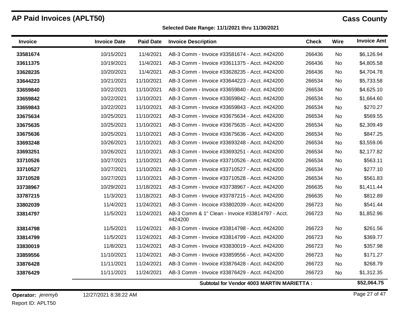$\blacksquare$ 

 $\blacksquare$ 

### **Selected Date Range: 11/1/2021 thru 11/30/2021**

| <b>Invoice</b> | <b>Invoice Date</b> | <b>Paid Date</b> | <b>Invoice Description</b>                                  | <b>Check</b> | Wire      | <b>Invoice Amt</b> |
|----------------|---------------------|------------------|-------------------------------------------------------------|--------------|-----------|--------------------|
| 33581674       | 10/15/2021          | 11/4/2021        | AB-3 Comm - Invoice #33581674 - Acct. #424200               | 266436       | <b>No</b> | \$6,126.94         |
| 33611375       | 10/19/2021          | 11/4/2021        | AB-3 Comm - Invoice #33611375 - Acct. #424200               | 266436       | <b>No</b> | \$4,805.58         |
| 33628235       | 10/20/2021          | 11/4/2021        | AB-3 Comm - Invoice #33628235 - Acct. #424200               | 266436       | No        | \$4,704.78         |
| 33644223       | 10/21/2021          | 11/10/2021       | AB-3 Comm - Invoice #33644223 - Acct. #424200               | 266534       | No        | \$5,733.58         |
| 33659840       | 10/22/2021          | 11/10/2021       | AB-3 Comm - Invoice #33659840 - Acct. #424200               | 266534       | No        | \$4,625.10         |
| 33659842       | 10/22/2021          | 11/10/2021       | AB-3 Comm - Invoice #33659842 - Acct. #424200               | 266534       | No        | \$1,664.60         |
| 33659843       | 10/22/2021          | 11/10/2021       | AB-3 Comm - Invoice #33659843 - Acct. #424200               | 266534       | No        | \$270.27           |
| 33675634       | 10/25/2021          | 11/10/2021       | AB-3 Comm - Invoice #33675634 - Acct. #424200               | 266534       | No        | \$569.55           |
| 33675635       | 10/25/2021          | 11/10/2021       | AB-3 Comm - Invoice #33675635 - Acct. #424200               | 266534       | No        | \$2,309.49         |
| 33675636       | 10/25/2021          | 11/10/2021       | AB-3 Comm - Invoice #33675636 - Acct. #424200               | 266534       | No        | \$847.25           |
| 33693248       | 10/26/2021          | 11/10/2021       | AB-3 Comm - Invoice #33693248 - Acct. #424200               | 266534       | No        | \$3,559.06         |
| 33693251       | 10/26/2021          | 11/10/2021       | AB-3 Comm - Invoice #33693251 - Acct. #424200               | 266534       | No        | \$2,177.82         |
| 33710526       | 10/27/2021          | 11/10/2021       | AB-3 Comm - Invoice #33710526 - Acct. #424200               | 266534       | No        | \$563.11           |
| 33710527       | 10/27/2021          | 11/10/2021       | AB-3 Comm - Invoice #33710527 - Acct. #424200               | 266534       | No        | \$277.10           |
| 33710528       | 10/27/2021          | 11/10/2021       | AB-3 Comm - Invoice #33710528 - Acct. #424200               | 266534       | No        | \$561.83           |
| 33738967       | 10/29/2021          | 11/18/2021       | AB-3 Comm - Invoice #33738967 - Acct. #424200               | 266635       | No        | \$1,411.44         |
| 33787215       | 11/3/2021           | 11/18/2021       | AB-3 Comm - Invoice #33787215 - Acct. #424200               | 266635       | No        | \$812.89           |
| 33802039       | 11/4/2021           | 11/24/2021       | AB-3 Comm - Incoice #33802039 - Acct. #424200               | 266723       | No        | \$541.44           |
| 33814797       | 11/5/2021           | 11/24/2021       | AB-3 Comm & 1" Clean - Invoice #33814797 - Acct.<br>#424200 | 266723       | No        | \$1,852.96         |
| 33814798       | 11/5/2021           | 11/24/2021       | AB-3 Comm - Invoice #33814798 - Acct. #424200               | 266723       | <b>No</b> | \$261.56           |
| 33814799       | 11/5/2021           | 11/24/2021       | AB-3 Comm - Invoice #33814799 - Acct. #424200               | 266723       | No        | \$369.77           |
| 33830019       | 11/8/2021           | 11/24/2021       | AB-3 Comm - Invoice #33830019 - Acct. #424200               | 266723       | No        | \$357.98           |
| 33859556       | 11/10/2021          | 11/24/2021       | AB-3 Comm - Invoice #33859556 - Acct. #424200               | 266723       | No        | \$171.27           |
| 33876428       | 11/11/2021          | 11/24/2021       | AB-3 Comm - Invoice #33876428 - Acct. #424200               | 266723       | No        | \$268.79           |
| 33876429       | 11/11/2021          | 11/24/2021       | AB-3 Comm - Invoice #33876429 - Acct. #424200               | 266723       | No.       | \$1,312.35         |
|                |                     |                  | Subtotal for Vendor 4003 MARTIN MARIETTA :                  |              |           | \$52,064.75        |

Report ID: APLT50 **Operator:** *jeremyb*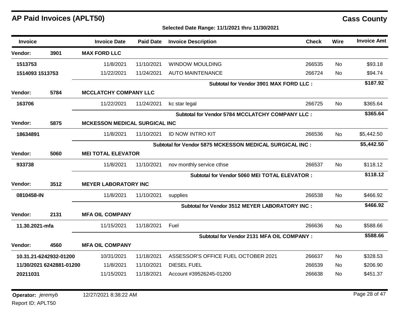| <b>Invoice</b>  |                          | <b>Invoice Date</b>                  | <b>Paid Date</b> | <b>Invoice Description</b>                              | <b>Check</b> | Wire      | <b>Invoice Amt</b> |
|-----------------|--------------------------|--------------------------------------|------------------|---------------------------------------------------------|--------------|-----------|--------------------|
| Vendor:         | 3901                     | <b>MAX FORD LLC</b>                  |                  |                                                         |              |           |                    |
| 1513753         |                          | 11/8/2021                            | 11/10/2021       | <b>WINDOW MOULDING</b>                                  | 266535       | No        | \$93.18            |
| 1514093 1513753 |                          | 11/22/2021                           | 11/24/2021       | <b>AUTO MAINTENANCE</b>                                 | 266724       | No.       | \$94.74            |
|                 |                          |                                      |                  | Subtotal for Vendor 3901 MAX FORD LLC :                 |              |           | \$187.92           |
| Vendor:         | 5784                     | <b>MCCLATCHY COMPANY LLC</b>         |                  |                                                         |              |           |                    |
| 163706          |                          | 11/22/2021                           | 11/24/2021       | kc star legal                                           | 266725       | <b>No</b> | \$365.64           |
|                 |                          |                                      |                  | <b>Subtotal for Vendor 5784 MCCLATCHY COMPANY LLC:</b>  |              |           | \$365.64           |
| Vendor:         | 5875                     | <b>MCKESSON MEDICAL SURGICAL INC</b> |                  |                                                         |              |           |                    |
| 18634891        |                          | 11/8/2021                            | 11/10/2021       | <b>ID NOW INTRO KIT</b>                                 | 266536       | No.       | \$5,442.50         |
|                 |                          |                                      |                  | Subtotal for Vendor 5875 MCKESSON MEDICAL SURGICAL INC: |              |           | \$5,442.50         |
| Vendor:         | 5060                     | <b>MEI TOTAL ELEVATOR</b>            |                  |                                                         |              |           |                    |
| 933738          |                          | 11/8/2021                            | 11/10/2021       | nov monthly service cthse                               | 266537       | No        | \$118.12           |
|                 |                          |                                      |                  | Subtotal for Vendor 5060 MEI TOTAL ELEVATOR :           |              |           | \$118.12           |
| Vendor:         | 3512                     | <b>MEYER LABORATORY INC</b>          |                  |                                                         |              |           |                    |
| 0810458-IN      |                          | 11/8/2021                            | 11/10/2021       | supplies                                                | 266538       | <b>No</b> | \$466.92           |
|                 |                          |                                      |                  | Subtotal for Vendor 3512 MEYER LABORATORY INC :         |              |           | \$466.92           |
| <b>Vendor:</b>  | 2131                     | <b>MFA OIL COMPANY</b>               |                  |                                                         |              |           |                    |
| 11.30.2021-mfa  |                          | 11/15/2021                           | 11/18/2021       | Fuel                                                    | 266636       | <b>No</b> | \$588.66           |
|                 |                          |                                      |                  | Subtotal for Vendor 2131 MFA OIL COMPANY :              |              |           | \$588.66           |
| Vendor:         | 4560                     | <b>MFA OIL COMPANY</b>               |                  |                                                         |              |           |                    |
|                 | 10.31.21-6242932-01200   | 10/31/2021                           | 11/18/2021       | ASSESSOR'S OFFICE FUEL OCTOBER 2021                     | 266637       | No        | \$328.53           |
|                 | 11/30/2021 6242881-01200 | 11/8/2021                            | 11/10/2021       | <b>DIESEL FUEL</b>                                      | 266539       | No        | \$206.90           |
| 20211031        |                          | 11/15/2021                           | 11/18/2021       | Account #39526245-01200                                 | 266638       | No        | \$451.37           |
|                 |                          |                                      |                  |                                                         |              |           |                    |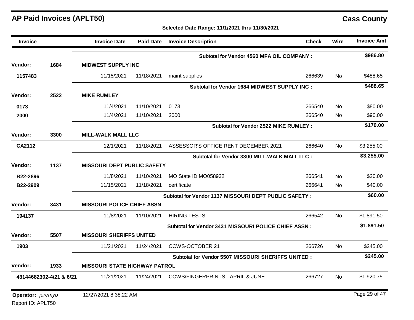| <b>Invoice</b>                  |      | <b>Invoice Date</b>                  | <b>Paid Date</b> | <b>Invoice Description</b>                             | <b>Check</b> | Wire      | <b>Invoice Amt</b> |
|---------------------------------|------|--------------------------------------|------------------|--------------------------------------------------------|--------------|-----------|--------------------|
|                                 |      |                                      |                  | <b>Subtotal for Vendor 4560 MFA OIL COMPANY:</b>       |              |           | \$986.80           |
| <b>Vendor:</b>                  | 1684 | <b>MIDWEST SUPPLY INC</b>            |                  |                                                        |              |           |                    |
| 1157483                         |      | 11/15/2021                           | 11/18/2021       | maint supplies                                         | 266639       | No.       | \$488.65           |
|                                 |      |                                      |                  | Subtotal for Vendor 1684 MIDWEST SUPPLY INC :          |              |           | \$488.65           |
| Vendor:                         | 2522 | <b>MIKE RUMLEY</b>                   |                  |                                                        |              |           |                    |
| 0173                            |      | 11/4/2021                            | 11/10/2021       | 0173                                                   | 266540       | No.       | \$80.00            |
| 2000                            |      | 11/4/2021                            | 11/10/2021       | 2000                                                   | 266540       | No.       | \$90.00            |
|                                 |      |                                      |                  | Subtotal for Vendor 2522 MIKE RUMLEY :                 |              |           | \$170.00           |
| Vendor:                         | 3300 | <b>MILL-WALK MALL LLC</b>            |                  |                                                        |              |           |                    |
| <b>CA2112</b>                   |      | 12/1/2021                            | 11/18/2021       | ASSESSOR'S OFFICE RENT DECEMBER 2021                   | 266640       | No.       | \$3,255.00         |
|                                 |      |                                      |                  | Subtotal for Vendor 3300 MILL-WALK MALL LLC :          |              |           | \$3,255.00         |
| Vendor:                         | 1137 | <b>MISSOURI DEPT PUBLIC SAFETY</b>   |                  |                                                        |              |           |                    |
| B22-2896                        |      | 11/8/2021                            | 11/10/2021       | MO State ID MO058932                                   | 266541       | <b>No</b> | \$20.00            |
| B22-2909                        |      | 11/15/2021                           | 11/18/2021       | certificate                                            | 266641       | No.       | \$40.00            |
|                                 |      |                                      |                  | Subtotal for Vendor 1137 MISSOURI DEPT PUBLIC SAFETY : |              |           | \$60.00            |
| Vendor:                         | 3431 | <b>MISSOURI POLICE CHIEF ASSN</b>    |                  |                                                        |              |           |                    |
| 194137                          |      | 11/8/2021                            | 11/10/2021       | <b>HIRING TESTS</b>                                    | 266542       | No.       | \$1,891.50         |
|                                 |      |                                      |                  | Subtotal for Vendor 3431 MISSOURI POLICE CHIEF ASSN :  |              |           | \$1,891.50         |
| Vendor:                         | 5507 | <b>MISSOURI SHERIFFS UNITED</b>      |                  |                                                        |              |           |                    |
| 1903                            |      | 11/21/2021                           | 11/24/2021       | <b>CCWS-OCTOBER 21</b>                                 | 266726       | <b>No</b> | \$245.00           |
|                                 |      |                                      |                  | Subtotal for Vendor 5507 MISSOURI SHERIFFS UNITED :    |              |           | \$245.00           |
| <b>Vendor:</b>                  | 1933 | <b>MISSOURI STATE HIGHWAY PATROL</b> |                  |                                                        |              |           |                    |
| 43144682302-4/21 & 6/21         |      | 11/21/2021                           | 11/24/2021       | <b>CCWS/FINGERPRINTS - APRIL &amp; JUNE</b>            | 266727       | <b>No</b> | \$1,920.75         |
| <b>Operator:</b> <i>ieremvb</i> |      | 12/27/2021 8:38:22 AM                |                  |                                                        |              |           | Page 29 of 47      |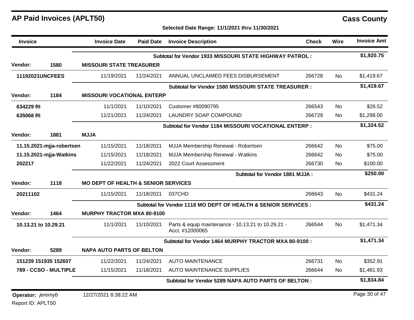| <b>Invoice</b>         |                           | <b>Invoice Date</b>                            | <b>Paid Date</b> | <b>Invoice Description</b>                                            | <b>Check</b> | <b>Wire</b> | <b>Invoice Amt</b> |
|------------------------|---------------------------|------------------------------------------------|------------------|-----------------------------------------------------------------------|--------------|-------------|--------------------|
|                        |                           |                                                |                  | Subtotal for Vendor 1933 MISSOURI STATE HIGHWAY PATROL:               |              |             | \$1,920.75         |
| Vendor:                | 1580                      | <b>MISSOURI STATE TREASURER</b>                |                  |                                                                       |              |             |                    |
| <b>11192021UNCFEES</b> |                           | 11/19/2021                                     | 11/24/2021       | ANNUAL UNCLAIMED FEES DISBURSEMENT                                    | 266728       | <b>No</b>   | \$1,419.67         |
|                        |                           |                                                |                  | Subtotal for Vendor 1580 MISSOURI STATE TREASURER :                   |              |             | \$1,419.67         |
| Vendor:                | 1184                      | <b>MISSOURI VOCATIONAL ENTERP</b>              |                  |                                                                       |              |             |                    |
| 634229 RI              |                           | 11/1/2021                                      | 11/10/2021       | Customer #80090795                                                    | 266543       | <b>No</b>   | \$26.52            |
| 635068 RI              |                           | 11/21/2021                                     | 11/24/2021       | <b>LAUNDRY SOAP COMPOUND</b>                                          | 266729       | No.         | \$1,298.00         |
|                        |                           |                                                |                  | Subtotal for Vendor 1184 MISSOURI VOCATIONAL ENTERP :                 |              |             | \$1,324.52         |
| Vendor:                | 1881                      | <b>MJJA</b>                                    |                  |                                                                       |              |             |                    |
|                        | 11.15.2021-mjja-robertsen | 11/15/2021                                     | 11/18/2021       | MJJA Membership Renewal - Robertsen                                   | 266642       | <b>No</b>   | \$75.00            |
|                        | 11.15.2021-mjja-Watkins   | 11/15/2021                                     | 11/18/2021       | MJJA Membership Renewal - Watkins                                     | 266642       | <b>No</b>   | \$75.00            |
| 202217                 |                           | 11/22/2021                                     | 11/24/2021       | 2022 Court Assessment                                                 | 266730       | <b>No</b>   | \$100.00           |
|                        |                           |                                                |                  | <b>Subtotal for Vendor 1881 MJJA:</b>                                 |              |             | \$250.00           |
| <b>Vendor:</b>         | 1118                      | <b>MO DEPT OF HEALTH &amp; SENIOR SERVICES</b> |                  |                                                                       |              |             |                    |
| 20211102               |                           | 11/15/2021                                     | 11/18/2021       | 037CHD                                                                | 266643       | <b>No</b>   | \$431.24           |
|                        |                           |                                                |                  | Subtotal for Vendor 1118 MO DEPT OF HEALTH & SENIOR SERVICES :        |              |             | \$431.24           |
| Vendor:                | 1464                      | <b>MURPHY TRACTOR MXA 80-9100</b>              |                  |                                                                       |              |             |                    |
| 10.13.21 to 10.29.21   |                           | 11/1/2021                                      | 11/10/2021       | Parts & equip maintenance - 10.13.21 to 10.29.21 -<br>Acct. #12000065 | 266544       | No.         | \$1,471.34         |
|                        |                           |                                                |                  | Subtotal for Vendor 1464 MURPHY TRACTOR MXA 80-9100 :                 |              |             | \$1,471.34         |
| <b>Vendor:</b>         | 5289                      | <b>NAPA AUTO PARTS OF BELTON</b>               |                  |                                                                       |              |             |                    |
|                        | 151239 151935 152607      | 11/22/2021                                     | 11/24/2021       | <b>AUTO MAINTENANCE</b>                                               | 266731       | <b>No</b>   | \$352.91           |
|                        | 789 - CCSO - MULTIPLE     | 11/15/2021                                     | 11/18/2021       | <b>AUTO MAINTENANCE SUPPLIES</b>                                      | 266644       | No.         | \$1,481.93         |
|                        |                           |                                                |                  | Subtotal for Vendor 5289 NAPA AUTO PARTS OF BELTON:                   |              |             | \$1,834.84         |
| Operator: jeremyb      |                           | 12/27/2021 8:38:22 AM                          |                  |                                                                       |              |             | Page 30 of 47      |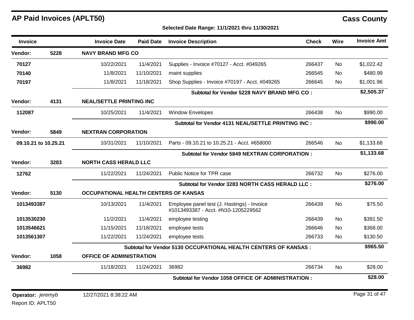| <b>Invoice</b>       |      | <b>Invoice Date</b>                   | <b>Paid Date</b> | <b>Invoice Description</b>                                                         | <b>Check</b> | Wire      | <b>Invoice Amt</b> |
|----------------------|------|---------------------------------------|------------------|------------------------------------------------------------------------------------|--------------|-----------|--------------------|
| Vendor:              | 5228 | <b>NAVY BRAND MFG CO</b>              |                  |                                                                                    |              |           |                    |
| 70127                |      | 10/22/2021                            | 11/4/2021        | Supplies - Invoice #70127 - Acct. #049265                                          | 266437       | <b>No</b> | \$1,022.42         |
| 70140                |      | 11/8/2021                             | 11/10/2021       | maint supplies                                                                     | 266545       | No.       | \$480.99           |
| 70197                |      | 11/8/2021                             | 11/18/2021       | Shop Supplies - Invoice #70197 - Acct. #049265                                     | 266645       | No.       | \$1,001.96         |
|                      |      |                                       |                  | Subtotal for Vendor 5228 NAVY BRAND MFG CO:                                        |              |           | \$2,505.37         |
| Vendor:              | 4131 | <b>NEAL/SETTLE PRINTING INC</b>       |                  |                                                                                    |              |           |                    |
| 112087               |      | 10/25/2021                            | 11/4/2021        | <b>Window Envelopes</b>                                                            | 266438       | <b>No</b> | \$990.00           |
|                      |      |                                       |                  | Subtotal for Vendor 4131 NEAL/SETTLE PRINTING INC :                                |              |           | \$990.00           |
| Vendor:              | 5849 | <b>NEXTRAN CORPORATION</b>            |                  |                                                                                    |              |           |                    |
| 09.10.21 to 10.25.21 |      | 10/31/2021                            | 11/10/2021       | Parts - 09.10.21 to 10.25.21 - Acct. #658000                                       | 266546       | <b>No</b> | \$1,133.68         |
|                      |      |                                       |                  | <b>Subtotal for Vendor 5849 NEXTRAN CORPORATION:</b>                               |              |           | \$1,133.68         |
| Vendor:              | 3283 | <b>NORTH CASS HERALD LLC</b>          |                  |                                                                                    |              |           |                    |
| 12762                |      | 11/22/2021                            | 11/24/2021       | Public Notice for TPR case                                                         | 266732       | <b>No</b> | \$276.00           |
|                      |      |                                       |                  | Subtotal for Vendor 3283 NORTH CASS HERALD LLC :                                   |              |           | \$276.00           |
| Vendor:              | 5130 | OCCUPATIONAL HEALTH CENTERS OF KANSAS |                  |                                                                                    |              |           |                    |
| 1013493387           |      | 10/13/2021                            | 11/4/2021        | Employee panel test (J. Hastings) - Invoice<br>#1013493387 - Acct. #N10-1205229562 | 266439       | <b>No</b> | \$75.50            |
| 1013530230           |      | 11/2/2021                             | 11/4/2021        | employee testing                                                                   | 266439       | <b>No</b> | \$391.50           |
| 1013546621           |      | 11/15/2021                            | 11/18/2021       | employee tests                                                                     | 266646       | No.       | \$368.00           |
| 1013561307           |      | 11/22/2021                            | 11/24/2021       | employee tests                                                                     | 266733       | No.       | \$130.50           |
|                      |      |                                       |                  | <b>Subtotal for Vendor 5130 OCCUPATIONAL HEALTH CENTERS OF KANSAS:</b>             |              |           | \$965.50           |
| Vendor:              | 1058 | <b>OFFICE OF ADMINISTRATION</b>       |                  |                                                                                    |              |           |                    |
| 36982                |      | 11/18/2021                            | 11/24/2021       | 36982                                                                              | 266734       | <b>No</b> | \$28.00            |
|                      |      |                                       |                  | Subtotal for Vendor 1058 OFFICE OF ADMINISTRATION :                                |              |           | \$28.00            |
| Operator: jeremyb    |      | 12/27/2021 8:38:22 AM                 |                  |                                                                                    |              |           | Page 31 of 47      |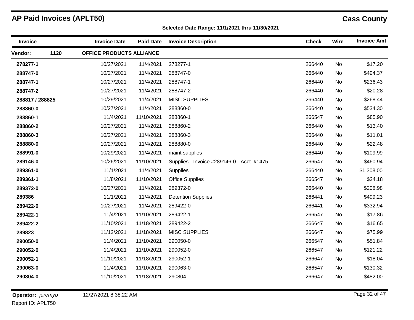**Selected Date Range: 11/1/2021 thru 11/30/2021**

| 1120<br>OFFICE PRODUCTS ALLIANCE<br><b>Vendor:</b><br>\$17.20<br>10/27/2021<br>11/4/2021<br>278277-1<br>266440<br>278277-1<br>No<br>11/4/2021<br>\$494.37<br>288747-0<br>10/27/2021<br>288747-0<br>266440<br>No<br>288747-1<br>10/27/2021<br>11/4/2021<br>288747-1<br>266440<br>No<br>\$236.43<br>10/27/2021<br>11/4/2021<br>\$20.28<br>288747-2<br>288747-2<br>266440<br>No<br>\$268.44<br>10/29/2021<br>11/4/2021<br><b>MISC SUPPLIES</b><br>266440<br>288817 / 288825<br>No<br>11/4/2021<br>288860-0<br>\$534.30<br>288860-0<br>10/27/2021<br>266440<br><b>No</b><br>11/4/2021<br>11/10/2021<br>288860-1<br>266547<br>\$85.90<br>288860-1<br>No<br>\$13.40<br>288860-2<br>10/27/2021<br>11/4/2021<br>288860-2<br>266440<br>No<br>11/4/2021<br>288860-3<br>266440<br>\$11.01<br>288860-3<br>10/27/2021<br>No<br>10/27/2021<br>11/4/2021<br>288880-0<br>266440<br>\$22.48<br>288880-0<br>No<br>11/4/2021<br>10/29/2021<br>266440<br>No<br>\$109.99<br>288991-0<br>maint supplies<br>10/26/2021<br>11/10/2021<br>266547<br>\$460.94<br>289146-0<br>Supplies - Invoice #289146-0 - Acct. #1475<br>No<br>11/1/2021<br>11/4/2021<br>266440<br>\$1,308.00<br>289361-0<br>Supplies<br>No<br>289361-1<br>11/8/2021<br>11/10/2021<br>266547<br>\$24.18<br><b>Office Supplies</b><br>No<br>10/27/2021<br>11/4/2021<br>289372-0<br>\$208.98<br>289372-0<br>266440<br>No<br>11/1/2021<br>11/4/2021<br>\$499.23<br>289386<br><b>Detention Supplies</b><br>266441<br>No<br>10/27/2021<br>\$332.94<br>11/4/2021<br>289422-0<br>266441<br>289422-0<br>No<br>\$17.86<br>11/4/2021<br>11/10/2021<br>289422-1<br>266547<br>289422-1<br>No<br>11/10/2021<br>\$16.65<br>11/18/2021<br>289422-2<br>266647<br>289422-2<br>No<br>289823<br>11/12/2021<br>11/18/2021<br><b>MISC SUPPLIES</b><br>266647<br>\$75.99<br>No<br>\$51.84<br>11/4/2021<br>11/10/2021<br>290050-0<br>266547<br>290050-0<br>No<br>11/4/2021<br>11/10/2021<br>290052-0<br>\$121.22<br>290052-0<br>266547<br>No<br>11/10/2021<br>\$18.04<br>11/18/2021<br>266647<br>290052-1<br>290052-1<br>No<br>11/4/2021<br>11/10/2021<br>290063-0<br>266547<br>\$130.32<br>290063-0<br>No<br>\$482.00<br>290804-0<br>11/10/2021<br>11/18/2021<br>290804<br>266647<br>No | Invoice | <b>Invoice Date</b> | <b>Paid Date</b> | <b>Invoice Description</b> | <b>Check</b> | Wire | <b>Invoice Amt</b> |
|-----------------------------------------------------------------------------------------------------------------------------------------------------------------------------------------------------------------------------------------------------------------------------------------------------------------------------------------------------------------------------------------------------------------------------------------------------------------------------------------------------------------------------------------------------------------------------------------------------------------------------------------------------------------------------------------------------------------------------------------------------------------------------------------------------------------------------------------------------------------------------------------------------------------------------------------------------------------------------------------------------------------------------------------------------------------------------------------------------------------------------------------------------------------------------------------------------------------------------------------------------------------------------------------------------------------------------------------------------------------------------------------------------------------------------------------------------------------------------------------------------------------------------------------------------------------------------------------------------------------------------------------------------------------------------------------------------------------------------------------------------------------------------------------------------------------------------------------------------------------------------------------------------------------------------------------------------------------------------------------------------------------------------------------------------------------------------------------------------------------------------------------------------------------------------------------------------------|---------|---------------------|------------------|----------------------------|--------------|------|--------------------|
|                                                                                                                                                                                                                                                                                                                                                                                                                                                                                                                                                                                                                                                                                                                                                                                                                                                                                                                                                                                                                                                                                                                                                                                                                                                                                                                                                                                                                                                                                                                                                                                                                                                                                                                                                                                                                                                                                                                                                                                                                                                                                                                                                                                                           |         |                     |                  |                            |              |      |                    |
|                                                                                                                                                                                                                                                                                                                                                                                                                                                                                                                                                                                                                                                                                                                                                                                                                                                                                                                                                                                                                                                                                                                                                                                                                                                                                                                                                                                                                                                                                                                                                                                                                                                                                                                                                                                                                                                                                                                                                                                                                                                                                                                                                                                                           |         |                     |                  |                            |              |      |                    |
|                                                                                                                                                                                                                                                                                                                                                                                                                                                                                                                                                                                                                                                                                                                                                                                                                                                                                                                                                                                                                                                                                                                                                                                                                                                                                                                                                                                                                                                                                                                                                                                                                                                                                                                                                                                                                                                                                                                                                                                                                                                                                                                                                                                                           |         |                     |                  |                            |              |      |                    |
|                                                                                                                                                                                                                                                                                                                                                                                                                                                                                                                                                                                                                                                                                                                                                                                                                                                                                                                                                                                                                                                                                                                                                                                                                                                                                                                                                                                                                                                                                                                                                                                                                                                                                                                                                                                                                                                                                                                                                                                                                                                                                                                                                                                                           |         |                     |                  |                            |              |      |                    |
|                                                                                                                                                                                                                                                                                                                                                                                                                                                                                                                                                                                                                                                                                                                                                                                                                                                                                                                                                                                                                                                                                                                                                                                                                                                                                                                                                                                                                                                                                                                                                                                                                                                                                                                                                                                                                                                                                                                                                                                                                                                                                                                                                                                                           |         |                     |                  |                            |              |      |                    |
|                                                                                                                                                                                                                                                                                                                                                                                                                                                                                                                                                                                                                                                                                                                                                                                                                                                                                                                                                                                                                                                                                                                                                                                                                                                                                                                                                                                                                                                                                                                                                                                                                                                                                                                                                                                                                                                                                                                                                                                                                                                                                                                                                                                                           |         |                     |                  |                            |              |      |                    |
|                                                                                                                                                                                                                                                                                                                                                                                                                                                                                                                                                                                                                                                                                                                                                                                                                                                                                                                                                                                                                                                                                                                                                                                                                                                                                                                                                                                                                                                                                                                                                                                                                                                                                                                                                                                                                                                                                                                                                                                                                                                                                                                                                                                                           |         |                     |                  |                            |              |      |                    |
|                                                                                                                                                                                                                                                                                                                                                                                                                                                                                                                                                                                                                                                                                                                                                                                                                                                                                                                                                                                                                                                                                                                                                                                                                                                                                                                                                                                                                                                                                                                                                                                                                                                                                                                                                                                                                                                                                                                                                                                                                                                                                                                                                                                                           |         |                     |                  |                            |              |      |                    |
|                                                                                                                                                                                                                                                                                                                                                                                                                                                                                                                                                                                                                                                                                                                                                                                                                                                                                                                                                                                                                                                                                                                                                                                                                                                                                                                                                                                                                                                                                                                                                                                                                                                                                                                                                                                                                                                                                                                                                                                                                                                                                                                                                                                                           |         |                     |                  |                            |              |      |                    |
|                                                                                                                                                                                                                                                                                                                                                                                                                                                                                                                                                                                                                                                                                                                                                                                                                                                                                                                                                                                                                                                                                                                                                                                                                                                                                                                                                                                                                                                                                                                                                                                                                                                                                                                                                                                                                                                                                                                                                                                                                                                                                                                                                                                                           |         |                     |                  |                            |              |      |                    |
|                                                                                                                                                                                                                                                                                                                                                                                                                                                                                                                                                                                                                                                                                                                                                                                                                                                                                                                                                                                                                                                                                                                                                                                                                                                                                                                                                                                                                                                                                                                                                                                                                                                                                                                                                                                                                                                                                                                                                                                                                                                                                                                                                                                                           |         |                     |                  |                            |              |      |                    |
|                                                                                                                                                                                                                                                                                                                                                                                                                                                                                                                                                                                                                                                                                                                                                                                                                                                                                                                                                                                                                                                                                                                                                                                                                                                                                                                                                                                                                                                                                                                                                                                                                                                                                                                                                                                                                                                                                                                                                                                                                                                                                                                                                                                                           |         |                     |                  |                            |              |      |                    |
|                                                                                                                                                                                                                                                                                                                                                                                                                                                                                                                                                                                                                                                                                                                                                                                                                                                                                                                                                                                                                                                                                                                                                                                                                                                                                                                                                                                                                                                                                                                                                                                                                                                                                                                                                                                                                                                                                                                                                                                                                                                                                                                                                                                                           |         |                     |                  |                            |              |      |                    |
|                                                                                                                                                                                                                                                                                                                                                                                                                                                                                                                                                                                                                                                                                                                                                                                                                                                                                                                                                                                                                                                                                                                                                                                                                                                                                                                                                                                                                                                                                                                                                                                                                                                                                                                                                                                                                                                                                                                                                                                                                                                                                                                                                                                                           |         |                     |                  |                            |              |      |                    |
|                                                                                                                                                                                                                                                                                                                                                                                                                                                                                                                                                                                                                                                                                                                                                                                                                                                                                                                                                                                                                                                                                                                                                                                                                                                                                                                                                                                                                                                                                                                                                                                                                                                                                                                                                                                                                                                                                                                                                                                                                                                                                                                                                                                                           |         |                     |                  |                            |              |      |                    |
|                                                                                                                                                                                                                                                                                                                                                                                                                                                                                                                                                                                                                                                                                                                                                                                                                                                                                                                                                                                                                                                                                                                                                                                                                                                                                                                                                                                                                                                                                                                                                                                                                                                                                                                                                                                                                                                                                                                                                                                                                                                                                                                                                                                                           |         |                     |                  |                            |              |      |                    |
|                                                                                                                                                                                                                                                                                                                                                                                                                                                                                                                                                                                                                                                                                                                                                                                                                                                                                                                                                                                                                                                                                                                                                                                                                                                                                                                                                                                                                                                                                                                                                                                                                                                                                                                                                                                                                                                                                                                                                                                                                                                                                                                                                                                                           |         |                     |                  |                            |              |      |                    |
|                                                                                                                                                                                                                                                                                                                                                                                                                                                                                                                                                                                                                                                                                                                                                                                                                                                                                                                                                                                                                                                                                                                                                                                                                                                                                                                                                                                                                                                                                                                                                                                                                                                                                                                                                                                                                                                                                                                                                                                                                                                                                                                                                                                                           |         |                     |                  |                            |              |      |                    |
|                                                                                                                                                                                                                                                                                                                                                                                                                                                                                                                                                                                                                                                                                                                                                                                                                                                                                                                                                                                                                                                                                                                                                                                                                                                                                                                                                                                                                                                                                                                                                                                                                                                                                                                                                                                                                                                                                                                                                                                                                                                                                                                                                                                                           |         |                     |                  |                            |              |      |                    |
|                                                                                                                                                                                                                                                                                                                                                                                                                                                                                                                                                                                                                                                                                                                                                                                                                                                                                                                                                                                                                                                                                                                                                                                                                                                                                                                                                                                                                                                                                                                                                                                                                                                                                                                                                                                                                                                                                                                                                                                                                                                                                                                                                                                                           |         |                     |                  |                            |              |      |                    |
|                                                                                                                                                                                                                                                                                                                                                                                                                                                                                                                                                                                                                                                                                                                                                                                                                                                                                                                                                                                                                                                                                                                                                                                                                                                                                                                                                                                                                                                                                                                                                                                                                                                                                                                                                                                                                                                                                                                                                                                                                                                                                                                                                                                                           |         |                     |                  |                            |              |      |                    |
|                                                                                                                                                                                                                                                                                                                                                                                                                                                                                                                                                                                                                                                                                                                                                                                                                                                                                                                                                                                                                                                                                                                                                                                                                                                                                                                                                                                                                                                                                                                                                                                                                                                                                                                                                                                                                                                                                                                                                                                                                                                                                                                                                                                                           |         |                     |                  |                            |              |      |                    |
|                                                                                                                                                                                                                                                                                                                                                                                                                                                                                                                                                                                                                                                                                                                                                                                                                                                                                                                                                                                                                                                                                                                                                                                                                                                                                                                                                                                                                                                                                                                                                                                                                                                                                                                                                                                                                                                                                                                                                                                                                                                                                                                                                                                                           |         |                     |                  |                            |              |      |                    |
|                                                                                                                                                                                                                                                                                                                                                                                                                                                                                                                                                                                                                                                                                                                                                                                                                                                                                                                                                                                                                                                                                                                                                                                                                                                                                                                                                                                                                                                                                                                                                                                                                                                                                                                                                                                                                                                                                                                                                                                                                                                                                                                                                                                                           |         |                     |                  |                            |              |      |                    |
|                                                                                                                                                                                                                                                                                                                                                                                                                                                                                                                                                                                                                                                                                                                                                                                                                                                                                                                                                                                                                                                                                                                                                                                                                                                                                                                                                                                                                                                                                                                                                                                                                                                                                                                                                                                                                                                                                                                                                                                                                                                                                                                                                                                                           |         |                     |                  |                            |              |      |                    |
|                                                                                                                                                                                                                                                                                                                                                                                                                                                                                                                                                                                                                                                                                                                                                                                                                                                                                                                                                                                                                                                                                                                                                                                                                                                                                                                                                                                                                                                                                                                                                                                                                                                                                                                                                                                                                                                                                                                                                                                                                                                                                                                                                                                                           |         |                     |                  |                            |              |      |                    |

Report ID: APLT50 **Operator:** *jeremyb*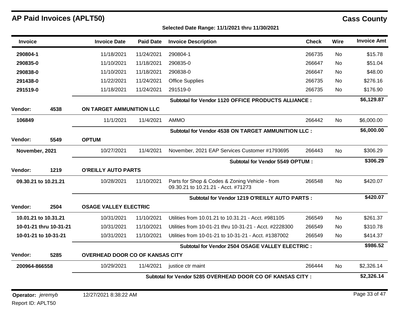| <b>Invoice</b>       |                        | <b>Invoice Date</b>                    | <b>Paid Date</b> | <b>Invoice Description</b>                                                            | <b>Check</b> | Wire      | <b>Invoice Amt</b> |
|----------------------|------------------------|----------------------------------------|------------------|---------------------------------------------------------------------------------------|--------------|-----------|--------------------|
| 290804-1             |                        | 11/18/2021                             | 11/24/2021       | 290804-1                                                                              | 266735       | <b>No</b> | \$15.78            |
| 290835-0             |                        | 11/10/2021                             | 11/18/2021       | 290835-0                                                                              | 266647       | <b>No</b> | \$51.04            |
| 290838-0             |                        | 11/10/2021                             | 11/18/2021       | 290838-0                                                                              | 266647       | No        | \$48.00            |
| 291438-0             |                        | 11/22/2021                             | 11/24/2021       | <b>Office Supplies</b>                                                                | 266735       | <b>No</b> | \$276.16           |
| 291519-0             |                        | 11/18/2021                             | 11/24/2021       | 291519-0                                                                              | 266735       | No        | \$176.90           |
|                      |                        |                                        |                  | Subtotal for Vendor 1120 OFFICE PRODUCTS ALLIANCE :                                   |              |           | \$6,129.87         |
| Vendor:              | 4538                   | ON TARGET AMMUNITION LLC               |                  |                                                                                       |              |           |                    |
| 106849               |                        | 11/1/2021                              | 11/4/2021        | <b>AMMO</b>                                                                           | 266442       | No.       | \$6,000.00         |
|                      |                        |                                        |                  | Subtotal for Vendor 4538 ON TARGET AMMUNITION LLC :                                   |              |           | \$6,000.00         |
| Vendor:              | 5549                   | <b>OPTUM</b>                           |                  |                                                                                       |              |           |                    |
| November, 2021       |                        | 10/27/2021                             | 11/4/2021        | November, 2021 EAP Services Customer #1793695                                         | 266443       | No        | \$306.29           |
|                      |                        |                                        |                  | <b>Subtotal for Vendor 5549 OPTUM:</b>                                                |              |           | \$306.29           |
| Vendor:              | 1219                   | <b>O'REILLY AUTO PARTS</b>             |                  |                                                                                       |              |           |                    |
| 09.30.21 to 10.21.21 |                        | 10/28/2021                             | 11/10/2021       | Parts for Shop & Codes & Zoning Vehicle - from<br>09.30.21 to 10.21.21 - Acct. #71273 | 266548       | <b>No</b> | \$420.07           |
|                      |                        |                                        |                  | Subtotal for Vendor 1219 O'REILLY AUTO PARTS :                                        |              |           | \$420.07           |
| Vendor:              | 2504                   | <b>OSAGE VALLEY ELECTRIC</b>           |                  |                                                                                       |              |           |                    |
| 10.01.21 to 10.31.21 |                        | 10/31/2021                             | 11/10/2021       | Utilities from 10.01.21 to 10.31.21 - Acct. #981105                                   | 266549       | <b>No</b> | \$261.37           |
|                      | 10-01-21 thru 10-31-21 | 10/31/2021                             | 11/10/2021       | Utilities from 10-01-21 thru 10-31-21 - Acct. #2228300                                | 266549       | No        | \$310.78           |
|                      | 10-01-21 to 10-31-21   | 10/31/2021                             | 11/10/2021       | Utilities from 10-01-21 to 10-31-21 - Acct. #1387002                                  | 266549       | No        | \$414.37           |
|                      |                        |                                        |                  | Subtotal for Vendor 2504 OSAGE VALLEY ELECTRIC :                                      |              |           | \$986.52           |
| Vendor:              | 5285                   | <b>OVERHEAD DOOR CO OF KANSAS CITY</b> |                  |                                                                                       |              |           |                    |
| 200964-866558        |                        | 10/29/2021                             | 11/4/2021        | justice ctr maint                                                                     | 266444       | <b>No</b> | \$2,326.14         |
|                      |                        |                                        |                  | Subtotal for Vendor 5285 OVERHEAD DOOR CO OF KANSAS CITY:                             |              |           | \$2,326.14         |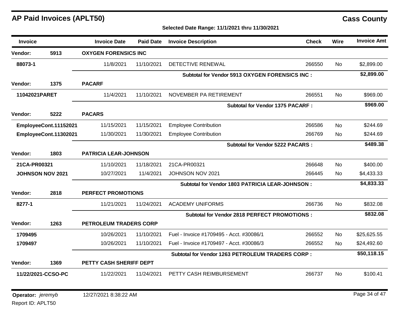| <b>Invoice</b>           |                       | <b>Invoice Date</b>         | <b>Paid Date</b>             | <b>Invoice Description</b>                              | <b>Check</b> | Wire      | <b>Invoice Amt</b> |  |
|--------------------------|-----------------------|-----------------------------|------------------------------|---------------------------------------------------------|--------------|-----------|--------------------|--|
| Vendor:                  | 5913                  | <b>OXYGEN FORENSICS INC</b> |                              |                                                         |              |           |                    |  |
| 88073-1                  |                       | 11/8/2021                   | 11/10/2021                   | <b>DETECTIVE RENEWAL</b>                                | 266550       | No.       | \$2,899.00         |  |
|                          |                       |                             |                              | Subtotal for Vendor 5913 OXYGEN FORENSICS INC :         |              |           | \$2,899.00         |  |
| <b>Vendor:</b>           | 1375                  | <b>PACARF</b>               |                              |                                                         |              |           |                    |  |
| 11042021PARET            |                       | 11/4/2021                   | 11/10/2021                   | NOVEMBER PA RETIREMENT                                  | 266551       | <b>No</b> | \$969.00           |  |
|                          |                       |                             |                              | <b>Subtotal for Vendor 1375 PACARF:</b>                 |              |           | \$969.00           |  |
| <b>Vendor:</b>           | 5222                  | <b>PACARS</b>               |                              |                                                         |              |           |                    |  |
|                          | EmployeeCont.11152021 | 11/15/2021                  | 11/15/2021                   | <b>Employee Contribution</b>                            | 266586       | No.       | \$244.69           |  |
| EmployeeCont.11302021    |                       | 11/30/2021                  | 11/30/2021                   | <b>Employee Contribution</b>                            | 266769       | <b>No</b> | \$244.69           |  |
|                          |                       |                             |                              | <b>Subtotal for Vendor 5222 PACARS:</b>                 |              |           | \$489.38           |  |
| <b>Vendor:</b>           | 1803                  |                             | <b>PATRICIA LEAR-JOHNSON</b> |                                                         |              |           |                    |  |
| 21CA-PR00321             |                       | 11/10/2021                  | 11/18/2021                   | 21CA-PR00321                                            | 266648       | <b>No</b> | \$400.00           |  |
|                          | JOHNSON NOV 2021      | 10/27/2021                  | 11/4/2021                    | JOHNSON NOV 2021                                        | 266445       | No.       | \$4,433.33         |  |
|                          |                       |                             |                              | <b>Subtotal for Vendor 1803 PATRICIA LEAR-JOHNSON:</b>  |              |           | \$4,833.33         |  |
| <b>Vendor:</b>           | 2818                  | <b>PERFECT PROMOTIONS</b>   |                              |                                                         |              |           |                    |  |
| 8277-1                   |                       | 11/21/2021                  | 11/24/2021                   | <b>ACADEMY UNIFORMS</b>                                 | 266736       | <b>No</b> | \$832.08           |  |
|                          |                       |                             |                              | <b>Subtotal for Vendor 2818 PERFECT PROMOTIONS :</b>    |              |           | \$832.08           |  |
| <b>Vendor:</b>           | 1263                  | PETROLEUM TRADERS CORP      |                              |                                                         |              |           |                    |  |
| 1709495                  |                       | 10/26/2021                  | 11/10/2021                   | Fuel - Invoice #1709495 - Acct. #30086/1                | 266552       | No        | \$25,625.55        |  |
| 1709497                  |                       | 10/26/2021                  | 11/10/2021                   | Fuel - Invoice #1709497 - Acct. #30086/3                | 266552       | No.       | \$24,492.60        |  |
|                          |                       |                             |                              | <b>Subtotal for Vendor 1263 PETROLEUM TRADERS CORP:</b> |              |           | \$50,118.15        |  |
| <b>Vendor:</b>           | 1369                  | PETTY CASH SHERIFF DEPT     |                              |                                                         |              |           |                    |  |
|                          | 11/22/2021-CCSO-PC    | 11/22/2021                  | 11/24/2021                   | PETTY CASH REIMBURSEMENT                                | 266737       | <b>No</b> | \$100.41           |  |
| <b>Operator:</b> jeremyb |                       | 12/27/2021 8:38:22 AM       |                              |                                                         |              |           | Page 34 of 47      |  |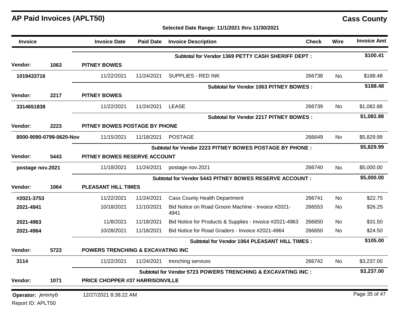## **Selected Date Range: 11/1/2021 thru 11/30/2021**

| Invoice           |                         | <b>Invoice Date</b>               | <b>Paid Date</b> | <b>Invoice Description</b>                                   | <b>Check</b> | Wire      | <b>Invoice Amt</b> |
|-------------------|-------------------------|-----------------------------------|------------------|--------------------------------------------------------------|--------------|-----------|--------------------|
|                   |                         |                                   |                  | Subtotal for Vendor 1369 PETTY CASH SHERIFF DEPT:            |              |           | \$100.41           |
| Vendor:           | 1063                    | <b>PITNEY BOWES</b>               |                  |                                                              |              |           |                    |
| 1019433716        |                         | 11/22/2021                        | 11/24/2021       | SUPPLIES - RED INK                                           | 266738       | No.       | \$188.48           |
|                   |                         |                                   |                  | <b>Subtotal for Vendor 1063 PITNEY BOWES:</b>                |              |           | \$188.48           |
| <b>Vendor:</b>    | 2217                    | <b>PITNEY BOWES</b>               |                  |                                                              |              |           |                    |
| 3314651838        |                         | 11/22/2021                        | 11/24/2021       | <b>LEASE</b>                                                 | 266739       | No.       | \$1,082.88         |
|                   |                         |                                   |                  | <b>Subtotal for Vendor 2217 PITNEY BOWES:</b>                |              |           | \$1,082.88         |
| Vendor:           | 2223                    | PITNEY BOWES POSTAGE BY PHONE     |                  |                                                              |              |           |                    |
|                   | 8000-9090-0799-0620-Nov | 11/15/2021                        | 11/18/2021       | <b>POSTAGE</b>                                               | 266649       | <b>No</b> | \$5,829.99         |
|                   |                         |                                   |                  | Subtotal for Vendor 2223 PITNEY BOWES POSTAGE BY PHONE :     |              |           | \$5,829.99         |
| <b>Vendor:</b>    | 5443                    | PITNEY BOWES RESERVE ACCOUNT      |                  |                                                              |              |           |                    |
| postage nov.2021  |                         | 11/18/2021                        | 11/24/2021       | postage nov.2021                                             | 266740       | No.       | \$5,000.00         |
|                   |                         |                                   |                  | Subtotal for Vendor 5443 PITNEY BOWES RESERVE ACCOUNT :      |              |           | \$5,000.00         |
| Vendor:           | 1064                    | <b>PLEASANT HILL TIMES</b>        |                  |                                                              |              |           |                    |
| #2021-3753        |                         | 11/22/2021                        | 11/24/2021       | <b>Cass County Health Department</b>                         | 266741       | <b>No</b> | \$22.75            |
| 2021-4941         |                         | 10/18/2021                        | 11/10/2021       | Bid Notice on Road Groom Machine - Invoice #2021-<br>4941    | 266553       | No        | \$26.25            |
| 2021-4963         |                         | 11/8/2021                         | 11/18/2021       | Bid Notice for Products & Supplies - Invoice #2021-4963      | 266650       | No        | \$31.50            |
| 2021-4964         |                         | 10/28/2021                        | 11/18/2021       | Bid Notice for Road Graders - Invoice #2021-4964             | 266650       | No.       | \$24.50            |
|                   |                         |                                   |                  | Subtotal for Vendor 1064 PLEASANT HILL TIMES :               |              |           | \$105.00           |
| Vendor:           | 5723                    | POWERS TRENCHING & EXCAVATING INC |                  |                                                              |              |           |                    |
| 3114              |                         | 11/22/2021                        | 11/24/2021       | trenching services                                           | 266742       | No.       | \$3,237.00         |
|                   |                         |                                   |                  | Subtotal for Vendor 5723 POWERS TRENCHING & EXCAVATING INC : |              |           | \$3,237.00         |
| Vendor:           | 1071                    | PRICE CHOPPER #37 HARRISONVILLE   |                  |                                                              |              |           |                    |
| Operator: jeremyb |                         | 12/27/2021 8:38:22 AM             |                  |                                                              |              |           | Page 35 of 47      |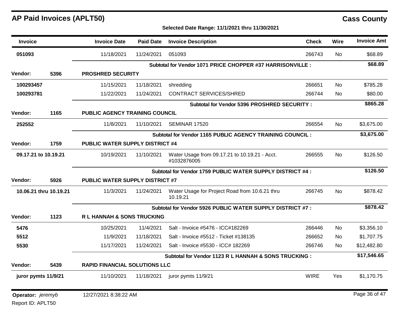Report ID: APLT50

| <b>Invoice</b>                  |                        | <b>Invoice Date</b>                    | <b>Paid Date</b> | <b>Invoice Description</b>                                   | <b>Check</b> | Wire      | <b>Invoice Amt</b> |
|---------------------------------|------------------------|----------------------------------------|------------------|--------------------------------------------------------------|--------------|-----------|--------------------|
| 051093                          |                        | 11/18/2021                             | 11/24/2021       | 051093                                                       | 266743       | <b>No</b> | \$68.89            |
|                                 |                        |                                        |                  | Subtotal for Vendor 1071 PRICE CHOPPER #37 HARRISONVILLE :   |              |           | \$68.89            |
| <b>Vendor:</b>                  | 5396                   | <b>PROSHRED SECURITY</b>               |                  |                                                              |              |           |                    |
| 100293457                       |                        | 11/15/2021                             | 11/18/2021       | shredding                                                    | 266651       | <b>No</b> | \$785.28           |
| 100293781                       |                        | 11/22/2021                             | 11/24/2021       | <b>CONTRACT SERVICES/SHRED</b>                               | 266744       | <b>No</b> | \$80.00            |
|                                 |                        |                                        |                  | Subtotal for Vendor 5396 PROSHRED SECURITY :                 |              |           | \$865.28           |
| Vendor:                         | 1165                   | PUBLIC AGENCY TRAINING COUNCIL         |                  |                                                              |              |           |                    |
| 252552                          |                        | 11/8/2021                              | 11/10/2021       | <b>SEMINAR 17520</b>                                         | 266554       | No        | \$3,675.00         |
|                                 |                        |                                        |                  | Subtotal for Vendor 1165 PUBLIC AGENCY TRAINING COUNCIL :    |              |           | \$3,675.00         |
| <b>Vendor:</b>                  | 1759                   | <b>PUBLIC WATER SUPPLY DISTRICT #4</b> |                  |                                                              |              |           |                    |
| 09.17.21 to 10.19.21            |                        | 10/19/2021                             | 11/10/2021       | Water Usage from 09.17.21 to 10.19.21 - Acct.<br>#1032876005 | 266555       | <b>No</b> | \$126.50           |
|                                 |                        |                                        |                  | Subtotal for Vendor 1759 PUBLIC WATER SUPPLY DISTRICT #4 :   |              |           | \$126.50           |
| Vendor:                         | 5926                   | <b>PUBLIC WATER SUPPLY DISTRICT #7</b> |                  |                                                              |              |           |                    |
|                                 | 10.06.21 thru 10.19.21 | 11/3/2021                              | 11/24/2021       | Water Usage for Project Road from 10.6.21 thru<br>10.19.21   | 266745       | <b>No</b> | \$878.42           |
|                                 |                        |                                        |                  | Subtotal for Vendor 5926 PUBLIC WATER SUPPLY DISTRICT #7 :   |              |           | \$878.42           |
| <b>Vendor:</b>                  | 1123                   | R L HANNAH & SONS TRUCKING             |                  |                                                              |              |           |                    |
| 5476                            |                        | 10/25/2021                             | 11/4/2021        | Salt - Invoice #5476 - ICC#182269                            | 266446       | <b>No</b> | \$3,356.10         |
| 5512                            |                        | 11/9/2021                              | 11/18/2021       | Salt - Invoice #5512 - Ticket #138135                        | 266652       | No.       | \$1,707.75         |
| 5530                            |                        | 11/17/2021                             | 11/24/2021       | Salt - Invoice #5530 - ICC# 182269                           | 266746       | No.       | \$12,482.80        |
|                                 |                        |                                        |                  | Subtotal for Vendor 1123 R L HANNAH & SONS TRUCKING :        |              |           | \$17,546.65        |
| <b>Vendor:</b>                  | 5439                   | <b>RAPID FINANCIAL SOLUTIONS LLC</b>   |                  |                                                              |              |           |                    |
| juror pymts 11/9/21             |                        | 11/10/2021                             | 11/18/2021       | juror pymts 11/9/21                                          | <b>WIRE</b>  | Yes       | \$1,170.75         |
| <b>Operator:</b> <i>jeremyb</i> |                        | 12/27/2021 8:38:22 AM                  |                  |                                                              |              |           | Page 36 of 47      |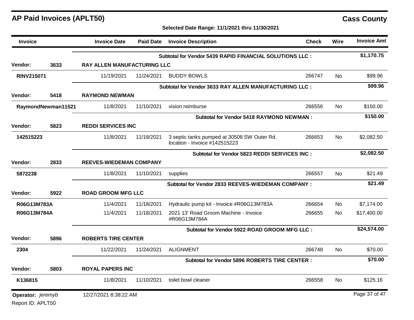**Selected Date Range: 11/1/2021 thru 11/30/2021**

| <b>Invoice</b>    |                    | <b>Invoice Date</b>         | <b>Paid Date</b>               | <b>Invoice Description</b>                                                   | <b>Check</b> | Wire      | <b>Invoice Amt</b> |  |
|-------------------|--------------------|-----------------------------|--------------------------------|------------------------------------------------------------------------------|--------------|-----------|--------------------|--|
|                   |                    |                             |                                | Subtotal for Vendor 5439 RAPID FINANCIAL SOLUTIONS LLC :                     |              |           | \$1,170.75         |  |
| Vendor:           | 3633               | RAY ALLEN MANUFACTURING LLC |                                |                                                                              |              |           |                    |  |
| <b>RINV215071</b> |                    | 11/19/2021                  | 11/24/2021                     | <b>BUDDY BOWLS</b>                                                           | 266747       | No.       | \$99.96            |  |
|                   |                    |                             |                                | Subtotal for Vendor 3633 RAY ALLEN MANUFACTURING LLC :                       |              |           | \$99.96            |  |
| <b>Vendor:</b>    | 5418               | <b>RAYMOND NEWMAN</b>       |                                |                                                                              |              |           |                    |  |
|                   | RaymondNewman11521 | 11/8/2021                   | 11/10/2021                     | vision reimburse                                                             | 266556       | <b>No</b> | \$150.00           |  |
|                   |                    |                             |                                | <b>Subtotal for Vendor 5418 RAYMOND NEWMAN:</b>                              |              |           | \$150.00           |  |
| Vendor:           | 5823               | <b>REDDI SERVICES INC</b>   |                                |                                                                              |              |           |                    |  |
| 142515223         |                    | 11/8/2021                   | 11/18/2021                     | 3 septic tanks pumped at 30508 SW Outer Rd.<br>location - Invoice #142515223 | 266653       | No        | \$2,082.50         |  |
|                   |                    |                             |                                | Subtotal for Vendor 5823 REDDI SERVICES INC :                                |              |           | \$2,082.50         |  |
| Vendor:           | 2833               |                             | <b>REEVES-WIEDEMAN COMPANY</b> |                                                                              |              |           |                    |  |
| 5872238           |                    | 11/8/2021                   | 11/10/2021                     | supplies                                                                     | 266557       | No.       | \$21.49            |  |
|                   |                    |                             |                                | Subtotal for Vendor 2833 REEVES-WIEDEMAN COMPANY :                           |              |           | \$21.49            |  |
| Vendor:           | 5922               | <b>ROAD GROOM MFG LLC</b>   |                                |                                                                              |              |           |                    |  |
| R06G13M783A       |                    | 11/4/2021                   | 11/18/2021                     | Hydraulic pump kit - Invoice #R06G13M783A                                    | 266654       | No        | \$7,174.00         |  |
| R06G13M784A       |                    | 11/4/2021                   | 11/18/2021                     | 2021 13' Road Groom Machine - Invoice<br>#R06G13M784A                        | 266655       | No        | \$17,400.00        |  |
|                   |                    |                             |                                | Subtotal for Vendor 5922 ROAD GROOM MFG LLC :                                |              |           | \$24,574.00        |  |
| <b>Vendor:</b>    | 5896               | <b>ROBERTS TIRE CENTER</b>  |                                |                                                                              |              |           |                    |  |
| 2304              |                    | 11/22/2021                  | 11/24/2021                     | <b>ALIGNMENT</b>                                                             | 266748       | No.       | \$70.00            |  |
|                   |                    |                             |                                | <b>Subtotal for Vendor 5896 ROBERTS TIRE CENTER:</b>                         |              |           | \$70.00            |  |
| Vendor:           | 5803               | <b>ROYAL PAPERS INC</b>     |                                |                                                                              |              |           |                    |  |
| K136815           |                    | 11/8/2021                   | 11/10/2021                     | toilet bowl cleaner                                                          | 266558       | No        | \$125.16           |  |
| Operator: jeremyb |                    | 12/27/2021 8:38:22 AM       |                                |                                                                              |              |           | Page 37 of 47      |  |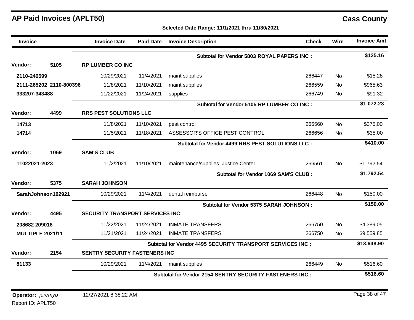| <b>Invoice</b>          |                         | <b>Invoice Date</b>                    | <b>Paid Date</b> | <b>Invoice Description</b>                                     | <b>Check</b> | <b>Wire</b> | <b>Invoice Amt</b> |
|-------------------------|-------------------------|----------------------------------------|------------------|----------------------------------------------------------------|--------------|-------------|--------------------|
|                         |                         |                                        |                  | Subtotal for Vendor 5803 ROYAL PAPERS INC :                    |              |             | \$125.16           |
| <b>Vendor:</b>          | 5105                    | <b>RP LUMBER CO INC</b>                |                  |                                                                |              |             |                    |
| 2110-240599             |                         | 10/29/2021                             | 11/4/2021        | maint supplies                                                 | 266447       | No          | \$15.28            |
|                         | 2111-265202 2110-800396 | 11/8/2021                              | 11/10/2021       | maint supplies                                                 | 266559       | <b>No</b>   | \$965.63           |
| 333207-343488           |                         | 11/22/2021                             | 11/24/2021       | supplies                                                       | 266749       | <b>No</b>   | \$91.32            |
|                         |                         |                                        |                  | Subtotal for Vendor 5105 RP LUMBER CO INC :                    |              |             | \$1,072.23         |
| Vendor:                 | 4499                    | <b>RRS PEST SOLUTIONS LLC</b>          |                  |                                                                |              |             |                    |
| 14713                   |                         | 11/8/2021                              | 11/10/2021       | pest control                                                   | 266560       | <b>No</b>   | \$375.00           |
| 14714                   |                         | 11/5/2021                              | 11/18/2021       | ASSESSOR'S OFFICE PEST CONTROL                                 | 266656       | <b>No</b>   | \$35.00            |
|                         |                         |                                        |                  | Subtotal for Vendor 4499 RRS PEST SOLUTIONS LLC :              |              |             | \$410.00           |
| Vendor:                 | 1069                    | <b>SAM'S CLUB</b>                      |                  |                                                                |              |             |                    |
| 11022021-2023           |                         | 11/2/2021                              | 11/10/2021       | maintenance/supplies Justice Center                            | 266561       | <b>No</b>   | \$1,792.54         |
|                         |                         |                                        |                  | Subtotal for Vendor 1069 SAM'S CLUB :                          |              |             | \$1,792.54         |
| Vendor:                 | 5375                    | <b>SARAH JOHNSON</b>                   |                  |                                                                |              |             |                    |
|                         | SarahJohnson102921      | 10/29/2021                             | 11/4/2021        | dental reimburse                                               | 266448       | <b>No</b>   | \$150.00           |
|                         |                         |                                        |                  | Subtotal for Vendor 5375 SARAH JOHNSON:                        |              |             | \$150.00           |
| Vendor:                 | 4495                    | <b>SECURITY TRANSPORT SERVICES INC</b> |                  |                                                                |              |             |                    |
| 208682 209016           |                         | 11/22/2021                             | 11/24/2021       | <b>INMATE TRANSFERS</b>                                        | 266750       | No          | \$4,389.05         |
| <b>MULTIPLE 2021/11</b> |                         | 11/21/2021                             | 11/24/2021       | <b>INMATE TRANSFERS</b>                                        | 266750       | No          | \$9,559.85         |
|                         |                         |                                        |                  | Subtotal for Vendor 4495 SECURITY TRANSPORT SERVICES INC :     |              |             | \$13,948.90        |
| Vendor:                 | 2154                    | <b>SENTRY SECURITY FASTENERS INC</b>   |                  |                                                                |              |             |                    |
| 81133                   |                         | 10/29/2021                             | 11/4/2021        | maint supplies                                                 | 266449       | No.         | \$516.60           |
|                         |                         |                                        |                  | <b>Subtotal for Vendor 2154 SENTRY SECURITY FASTENERS INC:</b> |              |             | \$516.60           |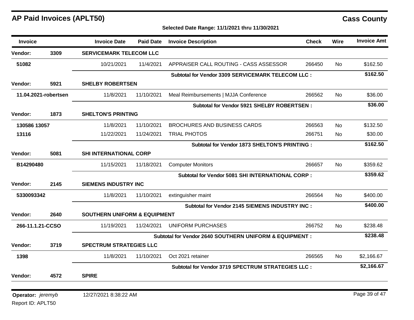## **Selected Date Range: 11/1/2021 thru 11/30/2021**

| <b>Invoice</b>    |                      | <b>Invoice Date</b>                     | <b>Paid Date</b> | <b>Invoice Description</b>                              | <b>Check</b> | Wire      | <b>Invoice Amt</b> |
|-------------------|----------------------|-----------------------------------------|------------------|---------------------------------------------------------|--------------|-----------|--------------------|
| Vendor:           | 3309                 | <b>SERVICEMARK TELECOM LLC</b>          |                  |                                                         |              |           |                    |
| 51082             |                      | 10/21/2021                              | 11/4/2021        | APPRAISER CALL ROUTING - CASS ASSESSOR                  | 266450       | <b>No</b> | \$162.50           |
|                   |                      |                                         |                  | Subtotal for Vendor 3309 SERVICEMARK TELECOM LLC :      |              |           | \$162.50           |
| Vendor:           | 5921                 | <b>SHELBY ROBERTSEN</b>                 |                  |                                                         |              |           |                    |
|                   | 11.04.2021-robertsen | 11/8/2021                               | 11/10/2021       | Meal Reimbursements   MJJA Conference                   | 266562       | <b>No</b> | \$36.00            |
|                   |                      |                                         |                  | Subtotal for Vendor 5921 SHELBY ROBERTSEN :             |              |           | \$36.00            |
| Vendor:           | 1873                 | <b>SHELTON'S PRINTING</b>               |                  |                                                         |              |           |                    |
| 130586 13057      |                      | 11/8/2021                               | 11/10/2021       | <b>BROCHURES AND BUSINESS CARDS</b>                     | 266563       | <b>No</b> | \$132.50           |
| 13116             |                      | 11/22/2021                              | 11/24/2021       | <b>TRIAL PHOTOS</b>                                     | 266751       | <b>No</b> | \$30.00            |
|                   |                      |                                         |                  | <b>Subtotal for Vendor 1873 SHELTON'S PRINTING :</b>    |              |           | \$162.50           |
| <b>Vendor:</b>    | 5081                 | <b>SHI INTERNATIONAL CORP</b>           |                  |                                                         |              |           |                    |
| B14290480         |                      | 11/15/2021                              | 11/18/2021       | <b>Computer Monitors</b>                                | 266657       | <b>No</b> | \$359.62           |
|                   |                      |                                         |                  | Subtotal for Vendor 5081 SHI INTERNATIONAL CORP :       |              |           | \$359.62           |
| <b>Vendor:</b>    | 2145                 | <b>SIEMENS INDUSTRY INC</b>             |                  |                                                         |              |           |                    |
| 5330093342        |                      | 11/8/2021                               | 11/10/2021       | extinguisher maint                                      | 266564       | No.       | \$400.00           |
|                   |                      |                                         |                  | <b>Subtotal for Vendor 2145 SIEMENS INDUSTRY INC:</b>   |              |           | \$400.00           |
| Vendor:           | 2640                 | <b>SOUTHERN UNIFORM &amp; EQUIPMENT</b> |                  |                                                         |              |           |                    |
| 266-11.1.21-CCSO  |                      | 11/19/2021                              | 11/24/2021       | <b>UNIFORM PURCHASES</b>                                | 266752       | No        | \$238.48           |
|                   |                      |                                         |                  | Subtotal for Vendor 2640 SOUTHERN UNIFORM & EQUIPMENT : |              |           | \$238.48           |
| Vendor:           | 3719                 | <b>SPECTRUM STRATEGIES LLC</b>          |                  |                                                         |              |           |                    |
| 1398              |                      | 11/8/2021                               | 11/10/2021       | Oct 2021 retainer                                       | 266565       | No.       | \$2,166.67         |
|                   |                      |                                         |                  | Subtotal for Vendor 3719 SPECTRUM STRATEGIES LLC :      |              |           | \$2,166.67         |
| Vendor:           | 4572                 | <b>SPIRE</b>                            |                  |                                                         |              |           |                    |
|                   |                      |                                         |                  |                                                         |              |           | Page 39 of 47      |
| Operator: jeremyb |                      | 12/27/2021 8:38:22 AM                   |                  |                                                         |              |           |                    |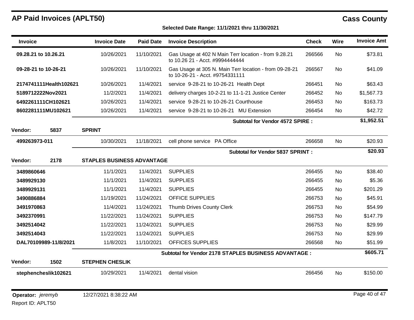| <b>Invoice</b>       |                        | <b>Invoice Date</b>               | <b>Paid Date</b> | <b>Invoice Description</b>                                                                | <b>Check</b> | Wire      | <b>Invoice Amt</b> |
|----------------------|------------------------|-----------------------------------|------------------|-------------------------------------------------------------------------------------------|--------------|-----------|--------------------|
| 09.28.21 to 10.26.21 |                        | 10/26/2021                        | 11/10/2021       | Gas Usage at 402 N Main Terr location - from 9.28.21<br>to 10.26 21 - Acct. #9994444444   | 266566       | No        | \$73.81            |
| 09-28-21 to 10-26-21 |                        | 10/26/2021                        | 11/10/2021       | Gas Usage at 305 N. Main Terr location - from 09-28-21<br>to 10-26-21 - Acct. #9754331111 | 266567       | No        | \$41.09            |
|                      | 2174741111Health102621 | 10/26/2021                        | 11/4/2021        | service 9-28-21 to 10-26-21 Health Dept                                                   | 266451       | No        | \$63.43            |
| 5189712222Nov2021    |                        | 11/2/2021                         | 11/4/2021        | delivery charges 10-2-21 to 11-1-21 Justice Center                                        | 266452       | No        | \$1,567.73         |
|                      | 6492261111CH102621     | 10/26/2021                        | 11/4/2021        | service 9-28-21 to 10-26-21 Courthouse                                                    | 266453       | No        | \$163.73           |
|                      | 8602281111MU102621     | 10/26/2021                        | 11/4/2021        | service 9-28-21 to 10-26-21 MU Extension                                                  | 266454       | No        | \$42.72            |
|                      |                        |                                   |                  | <b>Subtotal for Vendor 4572 SPIRE:</b>                                                    |              |           | \$1,952.51         |
| Vendor:              | 5837                   | <b>SPRINT</b>                     |                  |                                                                                           |              |           |                    |
| 499263973-011        |                        | 10/30/2021                        | 11/18/2021       | cell phone service PA Office                                                              | 266658       | No.       | \$20.93            |
|                      |                        |                                   |                  | <b>Subtotal for Vendor 5837 SPRINT:</b>                                                   |              |           | \$20.93            |
| <b>Vendor:</b>       | 2178                   | <b>STAPLES BUSINESS ADVANTAGE</b> |                  |                                                                                           |              |           |                    |
| 3489860646           |                        | 11/1/2021                         | 11/4/2021        | <b>SUPPLIES</b>                                                                           | 266455       | <b>No</b> | \$38.40            |
| 3489929130           |                        | 11/1/2021                         | 11/4/2021        | <b>SUPPLIES</b>                                                                           | 266455       | No        | \$5.36             |
| 3489929131           |                        | 11/1/2021                         | 11/4/2021        | <b>SUPPLIES</b>                                                                           | 266455       | No        | \$201.29           |
| 3490886884           |                        | 11/19/2021                        | 11/24/2021       | <b>OFFICE SUPPLIES</b>                                                                    | 266753       | No        | \$45.91            |
| 3491970863           |                        | 11/4/2021                         | 11/24/2021       | Thumb Drives County Clerk                                                                 | 266753       | No        | \$54.99            |
| 3492370991           |                        | 11/22/2021                        | 11/24/2021       | <b>SUPPLIES</b>                                                                           | 266753       | No        | \$147.79           |
| 3492514042           |                        | 11/22/2021                        | 11/24/2021       | <b>SUPPLIES</b>                                                                           | 266753       | No        | \$29.99            |
| 3492514043           |                        | 11/22/2021                        | 11/24/2021       | <b>SUPPLIES</b>                                                                           | 266753       | No        | \$29.99            |
|                      | DAL70109989-11/8/2021  | 11/8/2021                         | 11/10/2021       | OFFICES SUPPLIES                                                                          | 266568       | No        | \$51.99            |
|                      |                        |                                   |                  | Subtotal for Vendor 2178 STAPLES BUSINESS ADVANTAGE :                                     |              |           | \$605.71           |
| <b>Vendor:</b>       | 1502                   | <b>STEPHEN CHESLIK</b>            |                  |                                                                                           |              |           |                    |
| stephencheslik102621 |                        | 10/29/2021                        | 11/4/2021        | dental vision                                                                             | 266456       | No        | \$150.00           |
| Operator: jeremyb    |                        | 12/27/2021 8:38:22 AM             |                  |                                                                                           |              |           | Page 40 of 47      |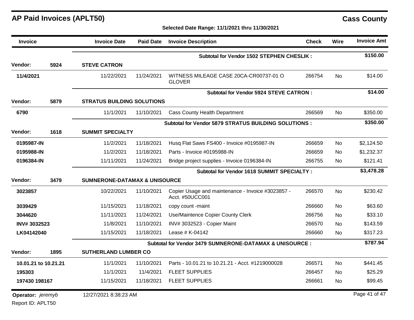| <b>Invoice</b>    |                      | <b>Invoice Date</b>                      | <b>Paid Date</b> | <b>Invoice Description</b>                                           | <b>Check</b> | Wire      | <b>Invoice Amt</b> |
|-------------------|----------------------|------------------------------------------|------------------|----------------------------------------------------------------------|--------------|-----------|--------------------|
|                   |                      |                                          |                  | <b>Subtotal for Vendor 1502 STEPHEN CHESLIK:</b>                     |              |           | \$150.00           |
| Vendor:           | 5924                 | <b>STEVE CATRON</b>                      |                  |                                                                      |              |           |                    |
| 11/4/2021         |                      | 11/22/2021                               | 11/24/2021       | WITNESS MILEAGE CASE 20CA-CR00737-01 O<br><b>GLOVER</b>              | 266754       | <b>No</b> | \$14.00            |
|                   |                      |                                          |                  | Subtotal for Vendor 5924 STEVE CATRON :                              |              |           | \$14.00            |
| <b>Vendor:</b>    | 5879                 | <b>STRATUS BUILDING SOLUTIONS</b>        |                  |                                                                      |              |           |                    |
| 6790              |                      | 11/1/2021                                | 11/10/2021       | <b>Cass County Health Department</b>                                 | 266569       | No        | \$350.00           |
|                   |                      |                                          |                  | Subtotal for Vendor 5879 STRATUS BUILDING SOLUTIONS :                |              |           | \$350.00           |
| Vendor:           | 1618                 | <b>SUMMIT SPECIALTY</b>                  |                  |                                                                      |              |           |                    |
| 0195987-IN        |                      | 11/2/2021                                | 11/18/2021       | Husq Flat Saws FS400 - Invoice #0195987-IN                           | 266659       | No.       | \$2,124.50         |
| 0195988-IN        |                      | 11/2/2021                                | 11/18/2021       | Parts - Invoice #0195988-IN                                          | 266659       | No.       | \$1,232.37         |
| 0196384-IN        |                      | 11/11/2021                               | 11/24/2021       | Bridge project supplies - Invoice 0196384-IN                         | 266755       | No.       | \$121.41           |
|                   |                      |                                          |                  | Subtotal for Vendor 1618 SUMMIT SPECIALTY:                           |              |           | \$3,478.28         |
| <b>Vendor:</b>    | 3479                 | <b>SUMNERONE-DATAMAX &amp; UNISOURCE</b> |                  |                                                                      |              |           |                    |
| 3023857           |                      | 10/22/2021                               | 11/10/2021       | Copier Usage and maintenance - Invoice #3023857 -<br>Acct. #50UCC001 | 266570       | <b>No</b> | \$230.42           |
| 3039429           |                      | 11/15/2021                               | 11/18/2021       | copy count -maint                                                    | 266660       | No        | \$63.60            |
| 3044620           |                      | 11/11/2021                               | 11/24/2021       | Use/Maintence Copier County Clerk                                    | 266756       | No        | \$33.10            |
| INV#3032523       |                      | 11/8/2021                                | 11/10/2021       | INV# 3032523 - Copier Maint                                          | 266570       | No        | \$143.59           |
| LK04142040        |                      | 11/15/2021                               | 11/18/2021       | Lease $#$ K-04142                                                    | 266660       | No        | \$317.23           |
|                   |                      |                                          |                  | Subtotal for Vendor 3479 SUMNERONE-DATAMAX & UNISOURCE :             |              |           | \$787.94           |
| <b>Vendor:</b>    | 1895                 | <b>SUTHERLAND LUMBER CO</b>              |                  |                                                                      |              |           |                    |
|                   | 10.01.21 to 10.21.21 | 11/1/2021                                | 11/10/2021       | Parts - 10.01.21 to 10.21.21 - Acct. #1219000028                     | 266571       | <b>No</b> | \$441.45           |
| 195303            |                      | 11/1/2021                                | 11/4/2021        | <b>FLEET SUPPLIES</b>                                                | 266457       | <b>No</b> | \$25.29            |
| 197430 198167     |                      | 11/15/2021                               | 11/18/2021       | <b>FLEET SUPPLIES</b>                                                | 266661       | No.       | \$99.45            |
| Operator: jeremyb |                      | 12/27/2021 8:38:23 AM                    |                  |                                                                      |              |           | Page 41 of 47      |
| Report ID: APLT50 |                      |                                          |                  |                                                                      |              |           |                    |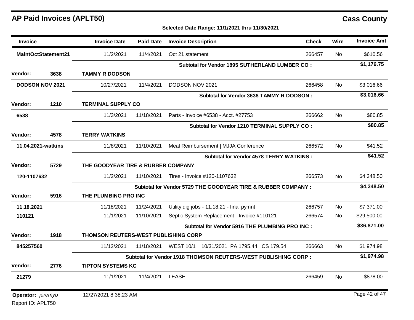Report ID: APLT50

| <b>Invoice</b>             |                        | <b>Invoice Date</b>                  | <b>Paid Date</b> | <b>Invoice Description</b>                                     | <b>Check</b> | Wire      | <b>Invoice Amt</b> |
|----------------------------|------------------------|--------------------------------------|------------------|----------------------------------------------------------------|--------------|-----------|--------------------|
| <b>MaintOctStatement21</b> |                        | 11/2/2021                            | 11/4/2021        | Oct 21 statement                                               | 266457       | No        | \$610.56           |
|                            |                        |                                      |                  | Subtotal for Vendor 1895 SUTHERLAND LUMBER CO :                |              |           | \$1,176.75         |
| Vendor:                    | 3638                   | <b>TAMMY R DODSON</b>                |                  |                                                                |              |           |                    |
|                            | <b>DODSON NOV 2021</b> | 10/27/2021                           | 11/4/2021        | DODSON NOV 2021                                                | 266458       | No.       | \$3,016.66         |
|                            |                        |                                      |                  | Subtotal for Vendor 3638 TAMMY R DODSON :                      |              |           | \$3,016.66         |
| Vendor:                    | 1210                   | <b>TERMINAL SUPPLY CO</b>            |                  |                                                                |              |           |                    |
| 6538                       |                        | 11/3/2021                            | 11/18/2021       | Parts - Invoice #6538 - Acct. #27753                           | 266662       | No        | \$80.85            |
|                            |                        |                                      |                  | Subtotal for Vendor 1210 TERMINAL SUPPLY CO :                  |              |           | \$80.85            |
| Vendor:                    | 4578                   | <b>TERRY WATKINS</b>                 |                  |                                                                |              |           |                    |
| 11.04.2021-watkins         |                        | 11/8/2021                            | 11/10/2021       | Meal Reimbursement   MJJA Conference                           | 266572       | No        | \$41.52            |
|                            |                        |                                      |                  | <b>Subtotal for Vendor 4578 TERRY WATKINS:</b>                 |              |           | \$41.52            |
| Vendor:                    | 5729                   | THE GOODYEAR TIRE & RUBBER COMPANY   |                  |                                                                |              |           |                    |
| 120-1107632                |                        | 11/2/2021                            | 11/10/2021       | Tires - Invoice #120-1107632                                   | 266573       | No.       | \$4,348.50         |
|                            |                        |                                      |                  | Subtotal for Vendor 5729 THE GOODYEAR TIRE & RUBBER COMPANY :  |              |           | \$4,348.50         |
| Vendor:                    | 5916                   | THE PLUMBING PRO INC                 |                  |                                                                |              |           |                    |
| 11.18.2021                 |                        | 11/18/2021                           | 11/24/2021       | Utility dig jobs - 11.18.21 - final pymnt                      | 266757       | No.       | \$7,371.00         |
| 110121                     |                        | 11/1/2021                            | 11/10/2021       | Septic System Replacement - Invoice #110121                    | 266574       | No.       | \$29,500.00        |
|                            |                        |                                      |                  | Subtotal for Vendor 5916 THE PLUMBING PRO INC :                |              |           | \$36,871.00        |
| Vendor:                    | 1918                   | THOMSON REUTERS-WEST PUBLISHING CORP |                  |                                                                |              |           |                    |
| 845257560                  |                        | 11/12/2021                           | 11/18/2021       | <b>WEST 10/1</b><br>10/31/2021 PA 1795.44 CS 179.54            | 266663       | No        | \$1,974.98         |
|                            |                        |                                      |                  | Subtotal for Vendor 1918 THOMSON REUTERS-WEST PUBLISHING CORP: |              |           | \$1,974.98         |
| <b>Vendor:</b>             | 2776                   | <b>TIPTON SYSTEMS KC</b>             |                  |                                                                |              |           |                    |
| 21279                      |                        | 11/1/2021                            | 11/4/2021        | <b>LEASE</b>                                                   | 266459       | <b>No</b> | \$878.00           |
| Operator: jeremyb          |                        | 12/27/2021 8:38:23 AM                |                  |                                                                |              |           | Page 42 of 47      |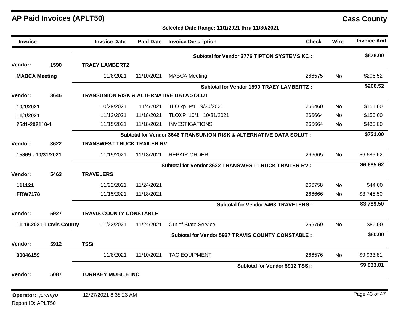**Selected Date Range: 11/1/2021 thru 11/30/2021**

| Invoice              |                          | <b>Invoice Date</b>                                 | <b>Paid Date</b> | <b>Invoice Description</b>                                          | <b>Check</b>                   | <b>Wire</b> | <b>Invoice Amt</b> |
|----------------------|--------------------------|-----------------------------------------------------|------------------|---------------------------------------------------------------------|--------------------------------|-------------|--------------------|
|                      |                          |                                                     |                  | <b>Subtotal for Vendor 2776 TIPTON SYSTEMS KC:</b>                  |                                |             | \$878.00           |
| Vendor:              | 1590                     | <b>TRAEY LAMBERTZ</b>                               |                  |                                                                     |                                |             |                    |
| <b>MABCA Meeting</b> |                          | 11/8/2021                                           | 11/10/2021       | <b>MABCA Meeting</b>                                                | 266575                         | No.         | \$206.52           |
|                      |                          |                                                     |                  | <b>Subtotal for Vendor 1590 TRAEY LAMBERTZ:</b>                     |                                |             | \$206.52           |
| Vendor:              | 3646                     | <b>TRANSUNION RISK &amp; ALTERNATIVE DATA SOLUT</b> |                  |                                                                     |                                |             |                    |
| 10/1/2021            |                          | 10/29/2021                                          | 11/4/2021        | TLO xp 9/1 9/30/2021                                                | 266460                         | <b>No</b>   | \$151.00           |
| 11/1/2021            |                          | 11/12/2021                                          | 11/18/2021       | TLOXP 10/1 10/31/2021                                               | 266664                         | <b>No</b>   | \$150.00           |
| 2541-202110-1        |                          | 11/15/2021                                          | 11/18/2021       | <b>INVESTIGATIONS</b>                                               | 266664                         | <b>No</b>   | \$430.00           |
|                      |                          |                                                     |                  | Subtotal for Vendor 3646 TRANSUNION RISK & ALTERNATIVE DATA SOLUT : |                                |             | \$731.00           |
| Vendor:              | 3622                     | <b>TRANSWEST TRUCK TRAILER RV</b>                   |                  |                                                                     |                                |             |                    |
| 15869 - 10/31/2021   |                          | 11/15/2021                                          | 11/18/2021       | <b>REPAIR ORDER</b>                                                 | 266665                         | No.         | \$6,685.62         |
|                      |                          |                                                     |                  | Subtotal for Vendor 3622 TRANSWEST TRUCK TRAILER RV :               |                                |             | \$6,685.62         |
| Vendor:              | 5463                     | <b>TRAVELERS</b>                                    |                  |                                                                     |                                |             |                    |
| 111121               |                          | 11/22/2021                                          | 11/24/2021       |                                                                     | 266758                         | <b>No</b>   | \$44.00            |
| <b>FRW7178</b>       |                          | 11/15/2021                                          | 11/18/2021       |                                                                     | 266666                         | No          | \$3,745.50         |
|                      |                          |                                                     |                  | Subtotal for Vendor 5463 TRAVELERS :                                |                                |             | \$3,789.50         |
| Vendor:              | 5927                     | <b>TRAVIS COUNTY CONSTABLE</b>                      |                  |                                                                     |                                |             |                    |
|                      | 11.19.2021-Travis County | 11/22/2021                                          | 11/24/2021       | Out of State Service                                                | 266759                         | <b>No</b>   | \$80.00            |
|                      |                          |                                                     |                  | Subtotal for Vendor 5927 TRAVIS COUNTY CONSTABLE :                  |                                |             | \$80.00            |
| Vendor:              | 5912                     | <b>TSSi</b>                                         |                  |                                                                     |                                |             |                    |
| 00046159             |                          | 11/8/2021                                           | 11/10/2021       | <b>TAC EQUIPMENT</b>                                                | 266576                         | No.         | \$9,933.81         |
|                      |                          |                                                     |                  |                                                                     | Subtotal for Vendor 5912 TSSi: |             | \$9,933.81         |
| Vendor:              | 5087                     | <b>TURNKEY MOBILE INC</b>                           |                  |                                                                     |                                |             |                    |
|                      |                          |                                                     |                  |                                                                     |                                |             |                    |
| Operator: jeremyb    |                          | 12/27/2021 8:38:23 AM                               |                  |                                                                     |                                |             | Page 43 of 47      |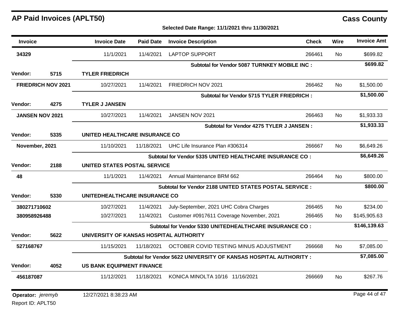Report ID: APLT50

| Invoice                |                           | <b>Invoice Date</b>                     | <b>Paid Date</b> | <b>Invoice Description</b>                                         | <b>Check</b> | Wire      | <b>Invoice Amt</b> |
|------------------------|---------------------------|-----------------------------------------|------------------|--------------------------------------------------------------------|--------------|-----------|--------------------|
| 34329                  |                           | 11/1/2021                               | 11/4/2021        | <b>LAPTOP SUPPORT</b>                                              | 266461       | No        | \$699.82           |
|                        |                           |                                         |                  | Subtotal for Vendor 5087 TURNKEY MOBILE INC :                      |              |           | \$699.82           |
| Vendor:                | 5715                      | <b>TYLER FRIEDRICH</b>                  |                  |                                                                    |              |           |                    |
|                        | <b>FRIEDRICH NOV 2021</b> | 10/27/2021                              | 11/4/2021        | FRIEDRICH NOV 2021                                                 | 266462       | No        | \$1,500.00         |
|                        |                           |                                         |                  | Subtotal for Vendor 5715 TYLER FRIEDRICH :                         |              |           | \$1,500.00         |
| Vendor:                | 4275                      | <b>TYLER J JANSEN</b>                   |                  |                                                                    |              |           |                    |
| <b>JANSEN NOV 2021</b> |                           | 10/27/2021                              | 11/4/2021        | JANSEN NOV 2021                                                    | 266463       | <b>No</b> | \$1,933.33         |
|                        |                           |                                         |                  | <b>Subtotal for Vendor 4275 TYLER J JANSEN:</b>                    |              |           | \$1,933.33         |
| Vendor:                | 5335                      | UNITED HEALTHCARE INSURANCE CO          |                  |                                                                    |              |           |                    |
| November, 2021         |                           | 11/10/2021                              | 11/18/2021       | UHC Life Insurance Plan #306314                                    | 266667       | No        | \$6,649.26         |
|                        |                           |                                         |                  | Subtotal for Vendor 5335 UNITED HEALTHCARE INSURANCE CO:           |              |           | \$6,649.26         |
| Vendor:                | 2188                      | <b>UNITED STATES POSTAL SERVICE</b>     |                  |                                                                    |              |           |                    |
| 48                     |                           | 11/1/2021                               | 11/4/2021        | Annual Maintenance BRM 662                                         | 266464       | No        | \$800.00           |
|                        |                           |                                         |                  | Subtotal for Vendor 2188 UNITED STATES POSTAL SERVICE :            |              |           | \$800.00           |
| Vendor:                | 5330                      | UNITEDHEALTHCARE INSURANCE CO           |                  |                                                                    |              |           |                    |
| 380271710602           |                           | 10/27/2021                              | 11/4/2021        | July-September, 2021 UHC Cobra Charges                             | 266465       | <b>No</b> | \$234.00           |
| 380958926488           |                           | 10/27/2021                              | 11/4/2021        | Customer #0917611 Coverage November, 2021                          | 266465       | No        | \$145,905.63       |
|                        |                           |                                         |                  | Subtotal for Vendor 5330 UNITEDHEALTHCARE INSURANCE CO:            |              |           | \$146,139.63       |
| Vendor:                | 5622                      | UNIVERSITY OF KANSAS HOSPITAL AUTHORITY |                  |                                                                    |              |           |                    |
| 527168767              |                           | 11/15/2021                              | 11/18/2021       | OCTOBER COVID TESTING MINUS ADJUSTMENT                             | 266668       | No        | \$7,085.00         |
|                        |                           |                                         |                  | Subtotal for Vendor 5622 UNIVERSITY OF KANSAS HOSPITAL AUTHORITY : |              |           | \$7,085.00         |
| Vendor:                | 4052                      | <b>US BANK EQUIPMENT FINANCE</b>        |                  |                                                                    |              |           |                    |
| 456187087              |                           | 11/12/2021                              | 11/18/2021       | KONICA MINOLTA 10/16 11/16/2021                                    | 266669       | No        | \$267.76           |
| Operator: jeremyb      |                           | 12/27/2021 8:38:23 AM                   |                  |                                                                    |              |           | Page 44 of 47      |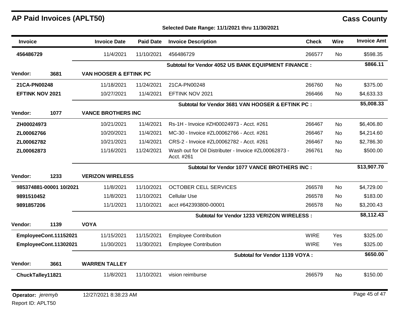Report ID: APLT50

| Invoice                         |                       | <b>Invoice Date</b>       | <b>Paid Date</b> | <b>Invoice Description</b>                                         | <b>Check</b> | <b>Wire</b> | <b>Invoice Amt</b> |
|---------------------------------|-----------------------|---------------------------|------------------|--------------------------------------------------------------------|--------------|-------------|--------------------|
| 456486729                       |                       | 11/4/2021                 | 11/10/2021       | 456486729                                                          | 266577       | No          | \$598.35           |
|                                 |                       |                           |                  | Subtotal for Vendor 4052 US BANK EQUIPMENT FINANCE :               |              |             | \$866.11           |
| <b>Vendor:</b>                  | 3681                  | VAN HOOSER & EFTINK PC    |                  |                                                                    |              |             |                    |
| 21CA-PN00248                    |                       | 11/18/2021                | 11/24/2021       | 21CA-PN00248                                                       | 266760       | <b>No</b>   | \$375.00           |
| <b>EFTINK NOV 2021</b>          |                       | 10/27/2021                | 11/4/2021        | EFTINK NOV 2021                                                    | 266466       | No.         | \$4,633.33         |
|                                 |                       |                           |                  | Subtotal for Vendor 3681 VAN HOOSER & EFTINK PC :                  |              |             | \$5,008.33         |
| Vendor:                         | 1077                  | <b>VANCE BROTHERS INC</b> |                  |                                                                    |              |             |                    |
| ZH00024973                      |                       | 10/21/2021                | 11/4/2021        | Rs-1H - Invoice #ZH00024973 - Acct. #261                           | 266467       | <b>No</b>   | \$6,406.80         |
| ZL00062766                      |                       | 10/20/2021                | 11/4/2021        | MC-30 - Invoice #ZL00062766 - Acct. #261                           | 266467       | No          | \$4,214.60         |
| ZL00062782                      |                       | 10/21/2021                | 11/4/2021        | CRS-2 - Invoice #ZL00062782 - Acct. #261                           | 266467       | No          | \$2,786.30         |
| ZL00062873                      |                       | 11/16/2021                | 11/24/2021       | Wash out for Oil Distributer - Invoice #ZL00062873 -<br>Acct. #261 | 266761       | <b>No</b>   | \$500.00           |
|                                 |                       |                           |                  | Subtotal for Vendor 1077 VANCE BROTHERS INC :                      |              |             | \$13,907.70        |
| Vendor:                         | 1233                  | <b>VERIZON WIRELESS</b>   |                  |                                                                    |              |             |                    |
| 985374881-00001 10/2021         |                       | 11/8/2021                 | 11/10/2021       | <b>OCTOBER CELL SERVICES</b>                                       | 266578       | <b>No</b>   | \$4,729.00         |
| 9891510452                      |                       | 11/8/2021                 | 11/10/2021       | <b>Cellular Use</b>                                                | 266578       | No          | \$183.00           |
| 9891857206                      |                       | 11/1/2021                 | 11/10/2021       | acct #642393800-00001                                              | 266578       | No.         | \$3,200.43         |
|                                 |                       |                           |                  | Subtotal for Vendor 1233 VERIZON WIRELESS :                        |              |             | \$8,112.43         |
| <b>Vendor:</b>                  | 1139                  | <b>VOYA</b>               |                  |                                                                    |              |             |                    |
|                                 | EmployeeCont.11152021 | 11/15/2021                | 11/15/2021       | <b>Employee Contribution</b>                                       | <b>WIRE</b>  | Yes         | \$325.00           |
|                                 | EmployeeCont.11302021 | 11/30/2021                | 11/30/2021       | <b>Employee Contribution</b>                                       | <b>WIRE</b>  | Yes         | \$325.00           |
|                                 |                       |                           |                  | Subtotal for Vendor 1139 VOYA :                                    |              |             | \$650.00           |
| <b>Vendor:</b>                  | 3661                  | <b>WARREN TALLEY</b>      |                  |                                                                    |              |             |                    |
| ChuckTalley11821                |                       | 11/8/2021                 | 11/10/2021       | vision reimburse                                                   | 266579       | <b>No</b>   | \$150.00           |
| <b>Operator:</b> <i>jeremyb</i> |                       | 12/27/2021 8:38:23 AM     |                  |                                                                    |              |             | Page 45 of 47      |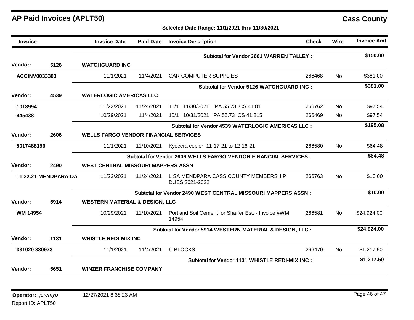| <b>Invoice</b>       |      | <b>Invoice Date</b>                          | <b>Paid Date</b> | <b>Invoice Description</b>                                       | <b>Check</b> | Wire      | <b>Invoice Amt</b> |
|----------------------|------|----------------------------------------------|------------------|------------------------------------------------------------------|--------------|-----------|--------------------|
|                      |      |                                              |                  | <b>Subtotal for Vendor 3661 WARREN TALLEY:</b>                   |              |           | \$150.00           |
| Vendor:              | 5126 | <b>WATCHGUARD INC</b>                        |                  |                                                                  |              |           |                    |
| <b>ACCINV0033303</b> |      | 11/1/2021                                    | 11/4/2021        | <b>CAR COMPUTER SUPPLIES</b>                                     | 266468       | No        | \$381.00           |
|                      |      |                                              |                  | <b>Subtotal for Vendor 5126 WATCHGUARD INC:</b>                  |              |           | \$381.00           |
| Vendor:              | 4539 | <b>WATERLOGIC AMERICAS LLC</b>               |                  |                                                                  |              |           |                    |
| 1018994              |      | 11/22/2021                                   | 11/24/2021       | 11/30/2021<br>PA 55.73 CS 41.81<br>11/1                          | 266762       | <b>No</b> | \$97.54            |
| 945438               |      | 10/29/2021                                   | 11/4/2021        | 10/31/2021 PA 55.73 CS 41.815<br>10/1                            | 266469       | No        | \$97.54            |
|                      |      |                                              |                  | Subtotal for Vendor 4539 WATERLOGIC AMERICAS LLC :               |              |           | \$195.08           |
| Vendor:              | 2606 | <b>WELLS FARGO VENDOR FINANCIAL SERVICES</b> |                  |                                                                  |              |           |                    |
| 5017488196           |      | 11/1/2021                                    | 11/10/2021       | Kyocera copier 11-17-21 to 12-16-21                              | 266580       | No.       | \$64.48            |
|                      |      |                                              |                  | Subtotal for Vendor 2606 WELLS FARGO VENDOR FINANCIAL SERVICES : |              |           | \$64.48            |
| Vendor:              | 2490 | <b>WEST CENTRAL MISSOURI MAPPERS ASSN</b>    |                  |                                                                  |              |           |                    |
| 11.22.21-MENDPARA-DA |      | 11/22/2021                                   | 11/24/2021       | LISA MENDPARA CASS COUNTY MEMBERSHIP<br>DUES 2021-2022           | 266763       | <b>No</b> | \$10.00            |
|                      |      |                                              |                  | Subtotal for Vendor 2490 WEST CENTRAL MISSOURI MAPPERS ASSN:     |              |           | \$10.00            |
| Vendor:              | 5914 | <b>WESTERN MATERIAL &amp; DESIGN, LLC</b>    |                  |                                                                  |              |           |                    |
| <b>WM 14954</b>      |      | 10/29/2021                                   | 11/10/2021       | Portland Soil Cement for Shaffer Est. - Invoice #WM<br>14954     | 266581       | No        | \$24,924.00        |
|                      |      |                                              |                  | Subtotal for Vendor 5914 WESTERN MATERIAL & DESIGN, LLC :        |              |           | \$24,924.00        |
| Vendor:              | 1131 | <b>WHISTLE REDI-MIX INC</b>                  |                  |                                                                  |              |           |                    |
| 331020 330973        |      | 11/1/2021                                    | 11/4/2021        | 6' BLOCKS                                                        | 266470       | No        | \$1,217.50         |
|                      |      |                                              |                  | Subtotal for Vendor 1131 WHISTLE REDI-MIX INC :                  |              |           | \$1,217.50         |
| Vendor:              | 5651 | <b>WINZER FRANCHISE COMPANY</b>              |                  |                                                                  |              |           |                    |